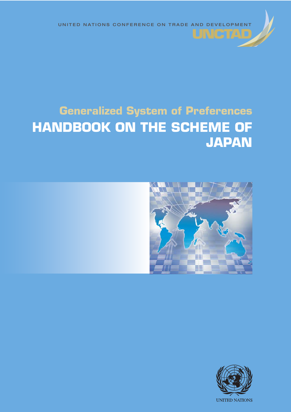

# **Generalized System of Preferences HANDBOOK ON THE SCHEME OF JAPAN**



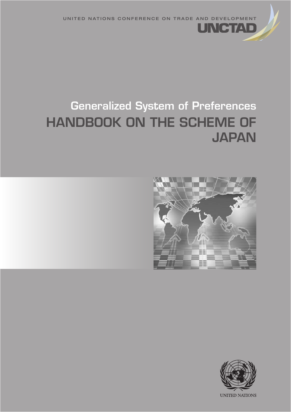UNITED NATIONS CONFERENCE ON TRADE AND DEVELOPMENT

CHAPTER IN A 1990 FOR THE RESIDENCE OF A 1990 FOR THE RESIDENCE OF A 1990 FOR THE RESIDENCE OF A 1990 FOR THE

# Generalized System of Preferences HANDBOOK ON THE SCHEME OF **JAPAN**



INCTA

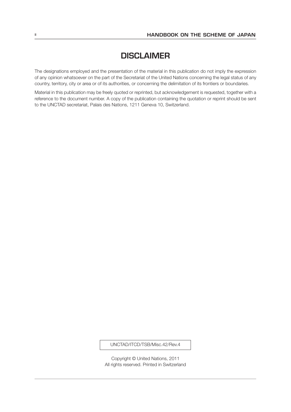## **DISCLAIMER**

The designations employed and the presentation of the material in this publication do not imply the expression of any opinion whatsoever on the part of the Secretariat of the United Nations concerning the legal status of any country, territory, city or area or of its authorities, or concerning the delimitation of its frontiers or boundaries.

Material in this publication may be freely quoted or reprinted, but acknowledgement is requested, together with a reference to the document number. A copy of the publication containing the quotation or reprint should be sent to the UNCTAD secretariat, Palais des Nations, 1211 Geneva 10, Switzerland.

#### UNCTAD/ITCD/TSB/Misc.42/Rev.4

Copyright © United Nations, 2011 All rights reserved. Printed in Switzerland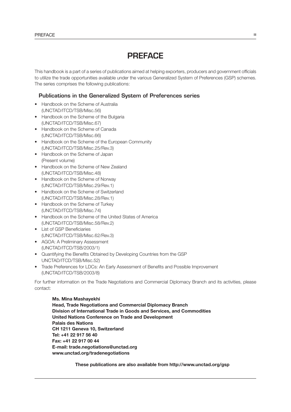# PREFACE

This handbook is a part of a series of publications aimed at helping exporters, producers and government officials to utilize the trade opportunities available under the various Generalized System of Preferences (GSP) schemes. The series comprises the following publications:

#### Publications in the Generalized System of Preferences series

- • Handbook on the Scheme of Australia (UNCTAD/ITCD/TSB/Misc.56)
- Handbook on the Scheme of the Bulgaria (UNCTAD/ITCD/TSB/Misc.67)
- Handbook on the Scheme of Canada (UNCTAD/ITCD/TSB/Misc.66)
- Handbook on the Scheme of the European Community (UNCTAD/ITCD/TSB/Misc.25/Rev.3)
- Handbook on the Scheme of Japan (Present volume)
- Handbook on the Scheme of New Zealand (UNCTAD/ITCD/TSB/Misc.48)
- Handbook on the Scheme of Norway (UNCTAD/ITCD/TSB/Misc.29/Rev.1)
- • Handbook on the Scheme of Switzerland (UNCTAD/ITCD/TSB/Misc.28/Rev.1)
- Handbook on the Scheme of Turkey (UNCTAD/ITCD/TSB/Misc.74)
- Handbook on the Scheme of the United States of America (UNCTAD/ITCD/TSB/Misc.58/Rev.2)
- List of GSP Beneficiaries (UNCTAD/ITCD/TSB/Misc.62/Rev.3)
- AGOA: A Preliminary Assessment (UNCTAD/ITCD/TSB/2003/1)
- • Quantifying the Benefits Obtained by Developing Countries from the GSP UNCTAD/ITCD/TSB/Misc.52)
- Trade Preferences for LDCs: An Early Assessment of Benefits and Possible Improvement (UNCTAD/ITCD/TSB/2003/8)

For further information on the Trade Negotiations and Commercial Diplomacy Branch and its activities, please contact:

Ms. Mina Mashayekhi Head, Trade Negotiations and Commercial Diplomacy Branch Division of International Trade in Goods and Services, and Commodities United Nations Conference on Trade and Development Palais des Nations CH 1211 Geneva 10, Switzerland Tel: +41 22 917 56 40 Fax: +41 22 917 00 44 E-mail: trade.negotiations@unctad.org www.unctad.org/tradenegotiations

These publications are also available from http://www.unctad.org/gsp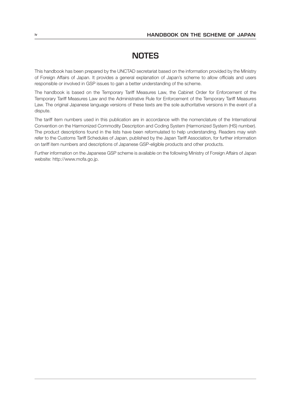# **NOTES**

This handbook has been prepared by the UNCTAD secretariat based on the information provided by the Ministry of Foreign Affairs of Japan. It provides a general explanation of Japan's scheme to allow officials and users responsible or involved in GSP issues to gain a better understanding of the scheme.

The handbook is based on the Temporary Tariff Measures Law, the Cabinet Order for Enforcement of the Temporary Tariff Measures Law and the Administrative Rule for Enforcement of the Temporary Tariff Measures Law. The original Japanese language versions of these texts are the sole authoritative versions in the event of a dispute.

The tariff item numbers used in this publication are in accordance with the nomenclature of the International Convention on the Harmonized Commodity Description and Coding System (Harmonized System (HS) number). The product descriptions found in the lists have been reformulated to help understanding. Readers may wish refer to the Customs Tariff Schedules of Japan, published by the Japan Tariff Association, for further information on tariff item numbers and descriptions of Japanese GSP-eligible products and other products.

Further information on the Japanese GSP scheme is available on the following Ministry of Foreign Affairs of Japan website: http://www.mofa.go.jp.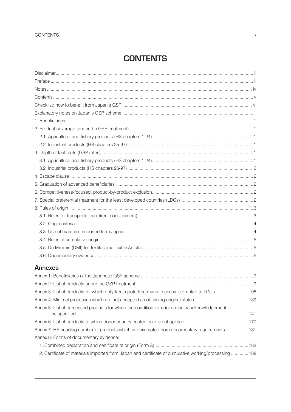# **CONTENTS**

#### **Annexes**

| Annex 5: List of processed products for which the condition for origin country acknowledgement        |  |
|-------------------------------------------------------------------------------------------------------|--|
|                                                                                                       |  |
| Annex 7: HS heading number of products which are exempted from documentary requirements  181          |  |
| Annex 8: Forms of documentary evidence:                                                               |  |
|                                                                                                       |  |
| 2. Certificate of materials imported from Japan and certificate of cumulative working/processing  188 |  |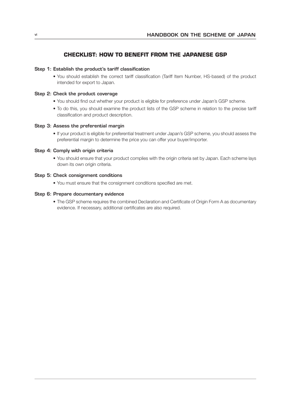#### **CHECKLIST: HOW TO BENEFIT FROM THE JAPANESE GSP**

#### Step 1: Establish the product's tariff classification

• You should establish the correct tariff classification (Tariff Item Number, HS-based) of the product intended for export to Japan.

#### Step 2: Check the product coverage

- • You should find out whether your product is eligible for preference under Japan's GSP scheme.
- • To do this, you should examine the product lists of the GSP scheme in relation to the precise tariff classification and product description.

#### Step 3: Assess the preferential margin

• If your product is eligible for preferential treatment under Japan's GSP scheme, you should assess the preferential margin to determine the price you can offer your buyer/importer.

#### Step 4: Comply with origin criteria

• You should ensure that your product complies with the origin criteria set by Japan. Each scheme lays down its own origin criteria.

#### Step 5: Check consignment conditions

• You must ensure that the consignment conditions specified are met.

#### Step 6: Prepare documentary evidence

• The GSP scheme requires the combined Declaration and Certificate of Origin Form A as documentary evidence. If necessary, additional certificates are also required.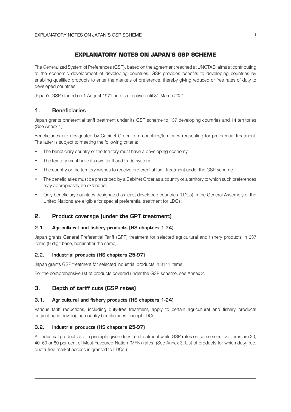#### **EXPLANATORY NOTES ON JAPAN'S GSP SCHEME**

The Generalized System of Preferences (GSP), based on the agreement reached at UNCTAD, aims at contributing to the economic development of developing countries. GSP provides benefits to developing countries by enabling qualified products to enter the markets of preference, thereby giving reduced or free rates of duty to developed countries.

Japan's GSP started on 1 August 1971 and is effective until 31 March 2021.

#### 1. Beneficiaries

Japan grants preferential tariff treatment under its GSP scheme to 137 developing countries and 14 territories (See Annex 1).

Beneficiaries are designated by Cabinet Order from countries/territories requesting for preferential treatment. The latter is subject to meeting the following criteria:

- The beneficiary country or the territory must have a developing economy.
- The territory must have its own tariff and trade system.
- The country or the territory wishes to receive preferential tariff treatment under the GSP scheme.
- The beneficiaries must be prescribed by a Cabinet Order as a country or a territory to which such preferences may appropriately be extended.
- Only beneficiary countries designated as least developed countries (LDCs) in the General Assembly of the United Nations are eligible for special preferential treatment for LDCs.

#### 2. Product coverage (under the GPT treatment)

#### 2.1. Agricultural and fishery products (HS chapters 1-24)

Japan grants General Preferential Tariff (GPT) treatment for selected agricultural and fishery products in 337 items (9-digit base, hereinafter the same).

#### 2.2. Industrial products (HS chapters 25-97)

Japan grants GSP treatment for selected industrial products in 3141 items.

For the comprehensive list of products covered under the GSP scheme, see Annex 2.

#### 3. Depth of tariff cuts (GSP rates)

#### 3.1. Agricultural and fishery products (HS chapters 1-24)

Various tariff reductions, including duty-free treatment, apply to certain agricultural and fishery products originating in developing country beneficiaries, except LDCs.

#### 3.2. Industrial products (HS chapters 25-97)

All industrial products are in principle given duty-free treatment while GSP rates on some sensitive items are 20, 40, 60 or 80 per cent of Most-Favoured-Nation (MFN) rates. (See Annex 3, List of products for which duty-free, quota-free market access is granted to LDCs.)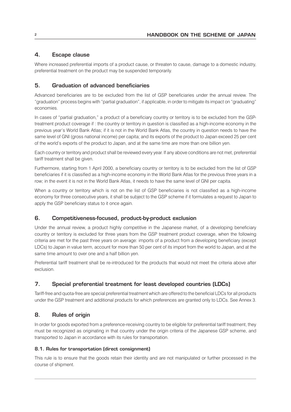#### 4. Escape clause

Where increased preferential imports of a product cause, or threaten to cause, damage to a domestic industry, preferential treatment on the product may be suspended temporarily.

#### 5. Graduation of advanced beneficiaries

Advanced beneficiaries are to be excluded from the list of GSP beneficiaries under the annual review. The "graduation" process begins with "partial graduation", if applicable, in order to mitigate its impact on "graduating" economies.

In cases of "partial graduation," a product of a beneficiary country or territory is to be excluded from the GSPtreatment product coverage if : the country or territory in question is classified as a high-income economy in the previous year's World Bank Atlas; if it is not in the World Bank Atlas, the country in question needs to have the same level of GNI (gross national income) per capita; and its exports of the product to Japan exceed 25 per cent of the world's exports of the product to Japan, and at the same time are more than one billion yen.

Each country or territory and product shall be reviewed every year. If any above conditions are not met, preferential tariff treatment shall be given.

Furthermore, starting from 1 April 2000, a beneficiary country or territory is to be excluded from the list of GSP beneficiaries if it is classified as a high-income economy in the World Bank Atlas for the previous three years in a row; in the event it is not in the World Bank Atlas, it needs to have the same level of GNI per capita.

When a country or territory which is not on the list of GSP beneficiaries is not classified as a high-income economy for three consecutive years, it shall be subject to the GSP scheme if it formulates a request to Japan to apply the GSP beneficiary status to it once again.

#### 6. Competitiveness-focused, product-by-product exclusion

Under the annual review, a product highly competitive in the Japanese market, of a developing beneficiary country or territory is excluded for three years from the GSP treatment product coverage, when the following criteria are met for the past three years on average: imports of a product from a developing beneficiary (except LDCs) to Japan in value term, account for more than 50 per cent of its import from the world to Japan, and at the same time amount to over one and a half billion yen.

Preferential tariff treatment shall be re-introduced for the products that would not meet the criteria above after exclusion.

#### 7. Special preferential treatment for least developed countries (LDCs)

Tariff-free and quota-free are special preferential treatment which are offered to the beneficial LDCs for all products under the GSP treatment and additional products for which preferences are granted only to LDCs. See Annex 3.

#### 8. Rules of origin

In order for goods exported from a preference-receiving country to be eligible for preferential tariff treatment, they must be recognized as originating in that country under the origin criteria of the Japanese GSP scheme, and transported to Japan in accordance with its rules for transportation.

#### 8.1. Rules for transportation (direct consignment)

This rule is to ensure that the goods retain their identity and are not manipulated or further processed in the course of shipment.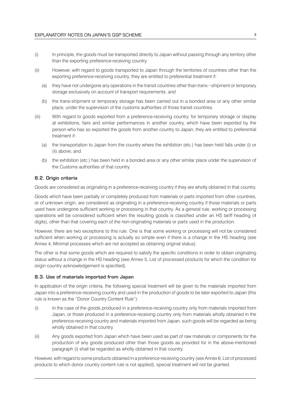- (i) In principle, the goods must be transported directly to Japan without passing through any territory other than the exporting preference-receiving country.
- (ii) However, with regard to goods transported to Japan through the territories of countries other than the exporting preference-receiving country, they are entitled to preferential treatment if:
	- (a) they have not undergone any operations in the transit countries other than trans-shipment or temporary storage exclusively on account of transport requirements; and
	- (b) the trans-shipment or temporary storage has been carried out in a bonded area or any other similar place, under the supervision of the customs authorities of those transit countries.
- (iii) With regard to goods exported from a preference-receiving country, for temporary storage or display at exhibitions, fairs and similar performances in another country, which have been exported by the person who has so exported the goods from another country to Japan, they are entitled to preferential treatment if:
	- (a) the transportation to Japan from the country where the exhibition (etc.) has been held falls under (i) or (ii) above; and
	- (b) the exhibition (etc.) has been held in a bonded area or any other similar place under the supervision of the Customs authorities of that country.

#### 8.2. Origin criteria

Goods are considered as originating in a preference-receiving country if they are wholly obtained in that country.

Goods which have been partially or completely produced from materials or parts imported from other countries, or of unknown origin, are considered as originating in a preference-receiving country if those materials or parts used have undergone sufficient working or processing in that country. As a general rule, working or processing operations will be considered sufficient when the resulting goods is classified under an HS tariff heading (4 digits), other than that covering each of the non-originating materials or parts used in the production.

However, there are two exceptions to this rule. One is that some working or processing will not be considered sufficient when working or processing is actually so simple even if there is a change in the HS heading (see Annex 4, Minimal processes which are not accepted as obtaining original status).

The other is that some goods which are required to satisfy the specific conditions in order to obtain originating status without a change in the HS heading (see Annex 5, List of processed products for which the condition for origin country acknowledgement is specified).

#### 8.3. Use of materials imported from Japan

In application of the origin criteria, the following special treatment will be given to the materials imported from Japan into a preference-receiving country and used in the production of goods to be later exported to Japan (this rule is known as the "Donor Country Content Rule"):

- (i) In the case of the goods produced in a preference-receiving country only from materials imported from Japan, or those produced in a preference-receiving country only from materials wholly obtained in the preference-receiving country and materials imported from Japan, such goods will be regarded as being wholly obtained in that country.
- (ii) Any goods exported from Japan which have been used as part of raw materials or components for the production of any goods produced other than those goods as provided for in the above-mentioned paragraph (i) shall be regarded as wholly obtained in that country.

However, with regard to some products obtained in a preference-receiving country (see Annex 6, List of processed products to which donor country content rule is not applied), special treatment will not be granted.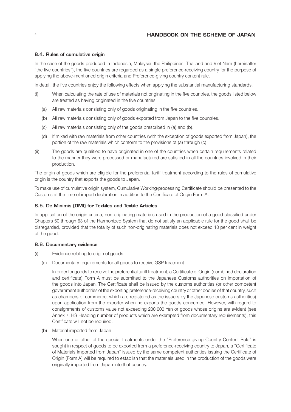#### 8.4. Rules of cumulative origin

In the case of the goods produced in Indonesia, Malaysia, the Philippines, Thailand and Viet Nam (hereinafter "the five countries"), the five countries are regarded as a single preference-receiving country for the purpose of applying the above-mentioned origin criteria and Preference-giving country content rule.

In detail, the five countries enjoy the following effects when applying the substantial manufacturing standards.

- (i) When calculating the rate of use of materials not originating in the five countries, the goods listed below are treated as having originated in the five countries.
	- (a) All raw materials consisting only of goods originating in the five countries.
	- (b) All raw materials consisting only of goods exported from Japan to the five countries.
	- (c) All raw materials consisting only of the goods prescribed in (a) and (b).
	- (d) If mixed with raw materials from other countries (with the exception of goods exported from Japan), the portion of the raw materials which conform to the provisions of (a) through (c).
- (ii) The goods are qualified to have originated in one of the countries when certain requirements related to the manner they were processed or manufactured are satisfied in all the countries involved in their production.

The origin of goods which are eligible for the preferential tariff treatment according to the rules of cumulative origin is the country that exports the goods to Japan.

To make use of cumulative origin system, Cumulative Working/processing Certificate should be presented to the Customs at the time of import declaration in addition to the Certificate of Origin Form A.

#### 8.5. De Minimis (DMI) for Textiles and Textile Articles

In application of the origin criteria, non-originating materials used in the production of a good classified under Chapters 50 through 63 of the Harmonized System that do not satisfy an applicable rule for the good shall be disregarded, provided that the totality of such non-originating materials does not exceed 10 per cent in weight of the good.

#### 8.6. Documentary evidence

- (i) Evidence relating to origin of goods:
	- (a) Documentary requirements for all goods to receive GSP treatment

 In order for goods to receive the preferential tariff treatment, a Certificate of Origin (combined declaration and certificate) Form A must be submitted to the Japanese Customs authorities on importation of the goods into Japan. The Certificate shall be issued by the customs authorities (or other competent government authorities of the exporting preference-receiving country or other bodies of that country, such as chambers of commerce, which are registered as the issuers by the Japanese customs authorities) upon application from the exporter when he exports the goods concerned. However, with regard to consignments of customs value not exceeding 200,000 Yen or goods whose origins are evident (see Annex 7, HS Heading number of products which are exempted from documentary requirements), this Certificate will not be required.

(b) Material imported from Japan

 When one or other of the special treatments under the "Preference-giving Country Content Rule" is sought in respect of goods to be exported from a preference-receiving country to Japan, a "Certificate of Materials Imported from Japan" issued by the same competent authorities issuing the Certificate of Origin (Form A) will be required to establish that the materials used in the production of the goods were originally imported from Japan into that country.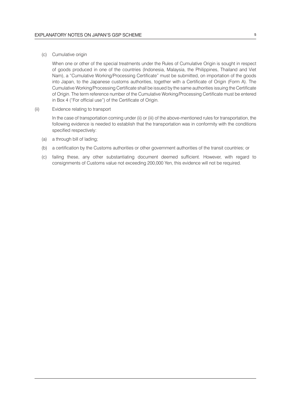(c) Cumulative origin

 When one or other of the special treatments under the Rules of Cumulative Origin is sought in respect of goods produced in one of the countries (Indonesia, Malaysia, the Philippines, Thailand and Viet Nam), a "Cumulative Working/Processing Certificate" must be submitted, on importation of the goods into Japan, to the Japanese customs authorities, together with a Certificate of Origin (Form A). The Cumulative Working/Processing Certificate shall be issued by the same authorities issuing the Certificate of Origin. The term reference number of the Cumulative Working/Processing Certificate must be entered in Box 4 ("For official use") of the Certificate of Origin.

(ii) Evidence relating to transport

 In the case of transportation coming under (ii) or (iii) of the above-mentioned rules for transportation, the following evidence is needed to establish that the transportation was in conformity with the conditions specified respectively:

- (a) a through bill of lading;
- (b) a certification by the Customs authorities or other government authorities of the transit countries; or
- (c) failing these, any other substantiating document deemed sufficient. However, with regard to consignments of Customs value not exceeding 200,000 Yen, this evidence will not be required.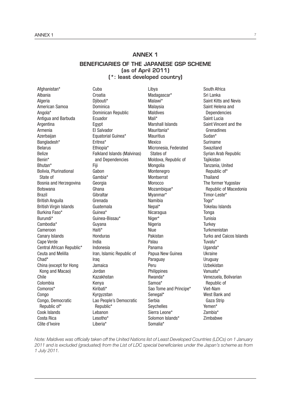### ANNEX 1

#### BENEFICIARIES OF THE JAPANESE GSP SCHEME (as of April 2011) (\*: least developed country)

Afghanistan\* Albania **Algeria** American Samoa Angola\* Antigua and Barbuda Argentina Armenia Azerbaijan Bangladesh\* Belarus Belize Benin\* Bhutan\* Bolivia, Plurinational State of Bosnia and Herzegovina Botswana Brazil British Anguila British Virgin Islands Burkina Faso\* Burundi\* Cambodia\* Cameroon Canary Islands Cape Verde Central African Republic\* Ceuta and Melilla Chad\* China (except for Hong Kong and Macao) Chile Colombia Comoros\* Congo Congo, Democratic Republic of\* Cook Islands Costa Rica Côte d'Ivoire

Croatia Diibouti\* Dominica Dominican Republic Ecuador Egypt El Salvador Equatorial Guinea\* Eritrea\* Ethiopia\* Falkland Islands (Malvinas) and Dependencies Fiji Gabon Gambia\* Georgia Ghana **Gibraltar** Grenada Guatemala Guinea\* Guinea-Bissau\* Guyana Haiti\* Honduras India Indonesia Iran, Islamic Republic of Iraq Jamaica Jordan Kazakhstan Kenya Kiribati\* Kyrgyzstan Lao People's Democratic Republic\* Lebanon Lesotho\* Liberia\*

Cuba

Libya Madagascar\* Malawi\* Malaysia Maldives Mali\* Marshall Islands Mauritania\* **Mauritius** Mexico Micronesia, Federated States of Moldova, Republic of Mongolia Montenegro **Montserrat Morocco** Mozambique\* Myanmar\* Namibia Nepal\* Nicaragua Niger\* **Nigeria** Niue Pakistan Palau Panama Papua New Guinea Paraguay Peru Philippines Rwanda\* Samoa\* Sao Tome and Principe\* Senegal\* Serbia Seychelles Sierra Leone\* Solomon Islands\* Somalia\*

South Africa Sri Lanka Saint Kitts and Nevis Saint Helena and Dependencies Saint Lucia Saint Vincent and the Grenadines Sudan\* Suriname Swaziland Syrian Arab Republic **Tajikistan** Tanzania, United Republic of\* **Thailand** The former Yugoslav Republic of Macedonia Timor-Leste\* Togo\* Tokelau Islands **Tonga Tunisia Turkey Turkmenistan** Turks and Caicos Islands Tuvalu\* Uganda\* Ukraine Uruguay Uzbekistan Vanuatu\* Venezuela, Bolivarian Republic of Viet-Nam West Bank and Gaza Strip Yemen\* Zambia\* Zimbabwe

*Note: Maldives was officially taken off the United Nations list of Least Developed Countries (LDCs) on 1 January 2011 and is excluded (graduated) from the List of LDC special beneficiaries under the Japan's scheme as from 1 July 2011.*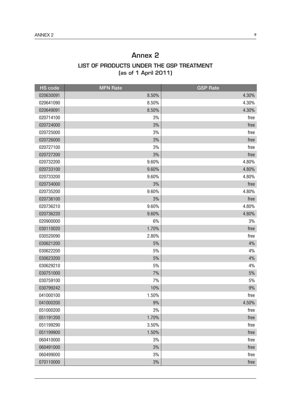### Annex 2 LIST OF PRODUCTS UNDER THE GSP TREATMENT (as of 1 April 2011)

| <b>HS</b> code | <b>MFN Rate</b> | <b>GSP Rate</b> |
|----------------|-----------------|-----------------|
| 020630091      | 8.50%           | 4.30%           |
| 020641090      | 8.50%           | 4.30%           |
| 020649091      | 8.50%           | 4.30%           |
| 020714100      | 3%              | free            |
| 020724000      | 3%              | free            |
| 020725000      | 3%              | free            |
| 020726000      | 3%              | free            |
| 020727100      | 3%              | free            |
| 020727200      | 3%              | free            |
| 020732200      | 9.60%           | 4.80%           |
| 020733100      | 9.60%           | 4.80%           |
| 020733200      | 9.60%           | 4.80%           |
| 020734000      | 3%              | free            |
| 020735200      | 9.60%           | 4.80%           |
| 020736100      | 3%              | free            |
| 020736210      | 9.60%           | 4.80%           |
| 020736220      | 9.60%           | 4.80%           |
| 020900000      | 6%              | 3%              |
| 030110020      | 1.70%           | free            |
| 030520090      | 2.80%           | free            |
| 030621200      | $5%$            | 4%              |
| 030622200      | 5%              | 4%              |
| 030623200      | $5%$            | 4%              |
| 030629210      | 5%              | 4%              |
| 030751000      | 7%              | $5%$            |
| 030759100      | 7%              | 5%              |
| 030799242      | 10%             | 9%              |
| 041000100      | 1.50%           | free            |
| 041000200      | $9\%$           | 4.50%           |
| 051000200      | 3%              | free            |
| 051191200      | 1.70%           | free            |
| 051199290      | 3.50%           | free            |
| 051199900      | 1.50%           | free            |
| 060410000      | 3%              | free            |
| 060491000      | 3%              | free            |
| 060499000      | 3%              | free            |
| 070110000      | 3%              | free            |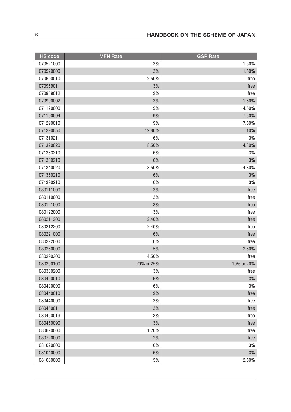| <b>HS</b> code | <b>MFN Rate</b> | <b>GSP Rate</b> |
|----------------|-----------------|-----------------|
| 070521000      | 3%              | 1.50%           |
| 070529000      | 3%              | 1.50%           |
| 070690010      | 2.50%           | free            |
| 070959011      | 3%              | free            |
| 070959012      | 3%              | free            |
| 070990092      | 3%              | 1.50%           |
| 071120000      | 9%              | 4.50%           |
| 071190094      | 9%              | 7.50%           |
| 071290010      | 9%              | 7.50%           |
| 071290050      | 12.80%          | 10%             |
| 071310211      | 6%              | 3%              |
| 071320020      | 8.50%           | 4.30%           |
| 071333210      | 6%              | 3%              |
| 071339210      | 6%              | 3%              |
| 071340020      | 8.50%           | 4.30%           |
| 071350210      | 6%              | 3%              |
| 071390210      | 6%              | 3%              |
| 080111000      | 3%              | free            |
| 080119000      | 3%              | free            |
| 080121000      | 3%              | free            |
| 080122000      | 3%              | free            |
| 080211200      | 2.40%           | free            |
| 080212200      | 2.40%           | free            |
| 080221000      | 6%              | free            |
| 080222000      | 6%              | free            |
| 080260000      | $5\%$           | 2.50%           |
| 080290300      | 4.50%           | free            |
| 080300100      | 20% or 25%      | 10% or 20%      |
| 080300200      | 3%              | tree            |
| 080420010      | 6%              | 3%              |
| 080420090      | $6\%$           | 3%              |
| 080440010      | 3%              | free            |
| 080440090      | 3%              | free            |
| 080450011      | 3%              | free            |
| 080450019      | 3%              | free            |
| 080450090      | 3%              | free            |
| 080620000      | 1.20%           | free            |
| 080720000      | 2%              | free            |
| 081020000      | 6%              | 3%              |
| 081040000      | 6%              | 3%              |
| 081060000      | $5\%$           | 2.50%           |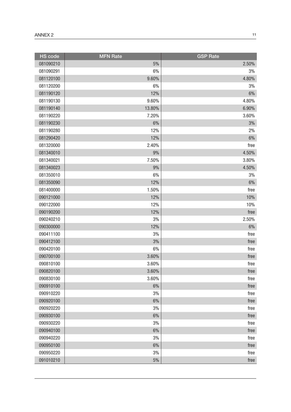| <b>HS</b> code | <b>MFN Rate</b> | <b>GSP Rate</b> |
|----------------|-----------------|-----------------|
| 081090210      | $5\%$           | 2.50%           |
| 081090291      | 6%              | 3%              |
| 081120100      | 9.60%           | 4.80%           |
| 081120200      | 6%              | 3%              |
| 081190120      | 12%             | 6%              |
| 081190130      | 9.60%           | 4.80%           |
| 081190140      | 13.80%          | 6.90%           |
| 081190220      | 7.20%           | 3.60%           |
| 081190230      | 6%              | $3\%$           |
| 081190280      | 12%             | 2%              |
| 081290420      | 12%             | $6\%$           |
| 081320000      | 2.40%           | free            |
| 081340010      | 9%              | 4.50%           |
| 081340021      | 7.50%           | 3.80%           |
| 081340023      | 9%              | 4.50%           |
| 081350010      | 6%              | 3%              |
| 081350090      | 12%             | 6%              |
| 081400000      | 1.50%           | free            |
| 090121000      | 12%             | 10%             |
| 090122000      | 12%             | 10%             |
| 090190200      | 12%             | free            |
| 090240210      | 3%              | 2.50%           |
| 090300000      | 12%             | 6%              |
| 090411100      | 3%              | free            |
| 090412100      | 3%              | free            |
| 090420100      | 6%              | free            |
| 090700100      | 3.60%           | free            |
| 090810100      | 3.60%           | free            |
| 090820100      | 3.60%           | free            |
| 090830100      | 3.60%           | free            |
| 090910100      | $6\%$           | free            |
| 090910220      | 3%              | free            |
| 090920100      | 6%              | free            |
| 090920220      | 3%              | free            |
| 090930100      | $6\%$           | free            |
| 090930220      | 3%              | free            |
| 090940100      | $6\%$           | free            |
| 090940220      | 3%              | free            |
| 090950100      | $6\%$           | free            |
| 090950220      | 3%              | free            |
| 091010210      | 5%              | free            |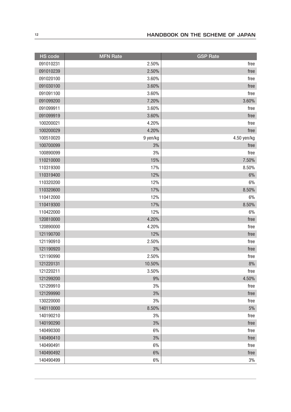| <b>HS code</b> | <b>MFN Rate</b> | <b>GSP</b> Rate |
|----------------|-----------------|-----------------|
| 091010231      | 2.50%           | free            |
| 091010239      | 2.50%           | free            |
| 091020100      | 3.60%           | free            |
| 091030100      | 3.60%           | free            |
| 091091100      | 3.60%           | free            |
| 091099200      | 7.20%           | 3.60%           |
| 091099911      | 3.60%           | free            |
| 091099919      | 3.60%           | free            |
| 100200021      | 4.20%           | free            |
| 100200029      | 4.20%           | free            |
| 100510020      | 9 yen/kg        | 4.50 yen/kg     |
| 100700099      | 3%              | free            |
| 100890099      | 3%              | free            |
| 110210000      | 15%             | 7.50%           |
| 110319300      | 17%             | 8.50%           |
| 110319400      | 12%             | 6%              |
| 110320200      | 12%             | 6%              |
| 110320600      | 17%             | 8.50%           |
| 110412000      | 12%             | $6\%$           |
| 110419300      | 17%             | 8.50%           |
| 110422000      | 12%             | 6%              |
| 120810000      | 4.20%           | free            |
| 120890000      | 4.20%           | free            |
| 121190700      | 12%             | free            |
| 121190910      | 2.50%           | free            |
| 121190920      | 3%              | free            |
| 121190990      | 2.50%           | free            |
| 121220131      | 10.50%          | $8\%$           |
| 121220211      | 3.50%           | free            |
| 121299200      | 9%              | 4.50%           |
| 121299910      | 3%              | free            |
| 121299990      | 3%              | free            |
| 130220000      | 3%              | free            |
| 140110000      | 8.50%           | $5\%$           |
| 140190210      | 3%              | free            |
| 140190290      | 3%              | free            |
| 140490300      | 6%              | free            |
| 140490410      | 3%              | free            |
| 140490491      | 6%              | free            |
| 140490492      | 6%              | free            |
| 140490499      | $6\%$           | $3\%$           |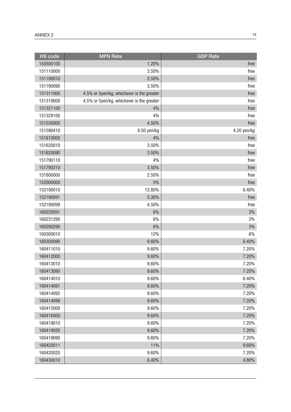| <b>HS</b> code | <b>MFN</b> Rate                           | <b>GSP Rate</b> |
|----------------|-------------------------------------------|-----------------|
| 150500100      | 1.20%                                     | free            |
| 151110000      | 3.50%                                     | free            |
| 151190010      | 2.50%                                     | free            |
| 151190090      | 3.50%                                     | free            |
| 151311000      | 4.5% or 5yen/kg, whichever is the greater | free            |
| 151319000      | 4.5% or 5yen/kg, whichever is the greater | free            |
| 151321100      | 4%                                        | free            |
| 151329100      | 4%                                        | free            |
| 151530000      | 4.50%                                     | free            |
| 151590410      | 8.50 yen/kg                               | 4.20 yen/kg     |
| 151610000      | 4%                                        | free            |
| 151620010      | 3.50%                                     | free            |
| 151620090      | 3.50%                                     | free            |
| 151790110      | 4%                                        | free            |
| 151790210      | 3.50%                                     | free            |
| 151800000      | 2.50%                                     | free            |
| 152000000      | 5%                                        | free            |
| 152190010      | 12.80%                                    | 6.40%           |
| 152190091      | 5.30%                                     | free            |
| 152190099      | 4.50%                                     | free            |
| 160220091      | 6%                                        | 3%              |
| 160231290      | 6%                                        | 3%              |
| 160290290      | 6%                                        | 3%              |
| 160300010      | 12%                                       | 6%              |
| 160300090      | 9.60%                                     | 6.40%           |
| 160411010      | 9.60%                                     | 7.20%           |
| 160412000      | 9.60%                                     | 7.20%           |
| 160413010      | 9.60%                                     | 7.20%           |
| 160413090      | 9.60%                                     | 7.20%           |
| 160414010      | 9.60%                                     | 6.40%           |
| 160414091      | 9.60%                                     | 7.20%           |
| 160414092      | 9.60%                                     | 7.20%           |
| 160414099      | 9.60%                                     | 7.20%           |
| 160415000      | 9.60%                                     | 7.20%           |
| 160416000      | 9.60%                                     | 7.20%           |
| 160419010      | 9.60%                                     | 7.20%           |
| 160419020      | 9.60%                                     | 7.20%           |
| 160419090      | 9.60%                                     | 7.20%           |
| 160420011      | 11%                                       | 9.60%           |
| 160420020      | 9.60%                                     | 7.20%           |
| 160430010      | 6.40%                                     | 4.80%           |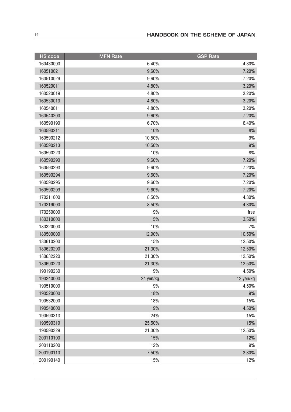| <b>HS code</b> | <b>MFN Rate</b> | <b>GSP Rate</b> |
|----------------|-----------------|-----------------|
| 160430090      | 6.40%           | 4.80%           |
| 160510021      | 9.60%           | 7.20%           |
| 160510029      | 9.60%           | 7.20%           |
| 160520011      | 4.80%           | 3.20%           |
| 160520019      | 4.80%           | 3.20%           |
| 160530010      | 4.80%           | 3.20%           |
| 160540011      | 4.80%           | 3.20%           |
| 160540200      | 9.60%           | 7.20%           |
| 160590190      | 6.70%           | 6.40%           |
| 160590211      | 10%             | 8%              |
| 160590212      | 10.50%          | 9%              |
| 160590213      | 10.50%          | 9%              |
| 160590220      | 10%             | 8%              |
| 160590290      | 9.60%           | 7.20%           |
| 160590293      | 9.60%           | 7.20%           |
| 160590294      | 9.60%           | 7.20%           |
| 160590295      | 9.60%           | 7.20%           |
| 160590299      | 9.60%           | 7.20%           |
| 170211000      | 8.50%           | 4.30%           |
| 170219000      | 8.50%           | 4.30%           |
| 170250000      | 9%              | free            |
| 180310000      | 5%              | 3.50%           |
| 180320000      | 10%             | 7%              |
| 180500000      | 12.90%          | 10.50%          |
| 180610200      | 15%             | 12.50%          |
| 180620290      | 21.30%          | 12.50%          |
| 180632220      | 21.30%          | 12.50%          |
| 180690220      | 21.30%          | 12.50%          |
| 190190230      | 9%              | 4.50%           |
| 190240000      | 24 yen/kg       | 12 yen/kg       |
| 190510000      | 9%              | 4.50%           |
| 190520000      | 18%             | $9\%$           |
| 190532000      | 18%             | 15%             |
| 190540000      | 9%              | 4.50%           |
| 190590313      | 24%             | 15%             |
| 190590319      | 25.50%          | 15%             |
| 190590329      | 21.30%          | 12.50%          |
| 200110100      | 15%             | 12%             |
| 200110200      | 12%             | 9%              |
| 200190110      | 7.50%           | 3.80%           |
| 200190140      | 15%             | 12%             |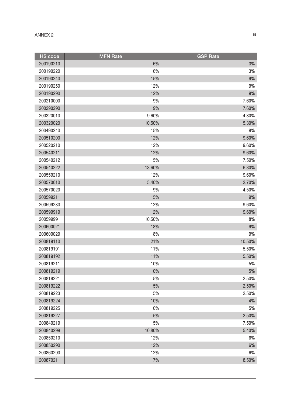| <b>HS</b> code | <b>MFN Rate</b> | <b>GSP Rate</b> |
|----------------|-----------------|-----------------|
| 200190210      | 6%              | 3%              |
| 200190220      | 6%              | 3%              |
| 200190240      | 15%             | 9%              |
| 200190250      | 12%             | 9%              |
| 200190290      | 12%             | 9%              |
| 200210000      | 9%              | 7.60%           |
| 200290290      | 9%              | 7.60%           |
| 200320010      | 9.60%           | 4.80%           |
| 200320020      | 10.50%          | 5.30%           |
| 200490240      | 15%             | 9%              |
| 200510200      | 12%             | 9.60%           |
| 200520210      | 12%             | 9.60%           |
| 200540211      | 12%             | 9.60%           |
| 200540212      | 15%             | 7.50%           |
| 200540222      | 13.60%          | 6.80%           |
| 200559210      | 12%             | 9.60%           |
| 200570010      | 5.40%           | 2.70%           |
| 200570020      | 9%              | 4.50%           |
| 200599211      | 15%             | 9%              |
| 200599230      | 12%             | 9.60%           |
| 200599919      | 12%             | 9.60%           |
| 200599991      | 10.50%          | 8%              |
| 200600021      | 18%             | 9%              |
| 200600029      | 18%             | 9%              |
| 200819110      | 21%             | 10.50%          |
| 200819191      | 11%             | 5.50%           |
| 200819192      | 11%             | 5.50%           |
| 200819211      | 10%             | 5%              |
| 200819219      | 10%             | 5%              |
| 200819221      | 5%              | 2.50%           |
| 200819222      | $5\%$           | 2.50%           |
| 200819223      | 5%              | 2.50%           |
| 200819224      | 10%             | 4%              |
| 200819225      | 10%             | 5%              |
| 200819227      | $5\%$           | 2.50%           |
| 200840219      | 15%             | 7.50%           |
| 200840299      | 10.80%          | 5.40%           |
| 200850210      | 12%             | 6%              |
| 200850290      | 12%             | 6%              |
| 200860290      | 12%             | 6%              |
| 200870211      | 17%             | 8.50%           |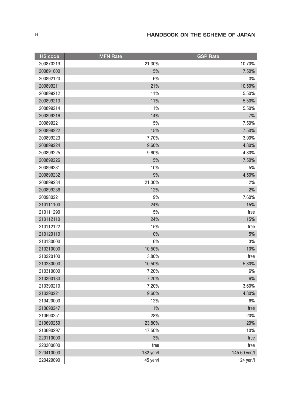| HS code   | <b>MFN Rate</b> | <b>GSP Rate</b> |
|-----------|-----------------|-----------------|
| 200870219 | 21.30%          | 10.70%          |
| 200891000 | 15%             | 7.50%           |
| 200892120 | 6%              | 3%              |
| 200899211 | 21%             | 10.50%          |
| 200899212 | 11%             | 5.50%           |
| 200899213 | 11%             | 5.50%           |
| 200899214 | 11%             | 5.50%           |
| 200899216 | 14%             | 7%              |
| 200899221 | 15%             | 7.50%           |
| 200899222 | 15%             | 7.50%           |
| 200899223 | 7.70%           | 3.90%           |
| 200899224 | 9.60%           | 4.80%           |
| 200899225 | 9.60%           | 4.80%           |
| 200899226 | 15%             | 7.50%           |
| 200899231 | 10%             | 5%              |
| 200899232 | 9%              | 4.50%           |
| 200899234 | 21.30%          | 2%              |
| 200899236 | 12%             | 2%              |
| 200980221 | 9%              | 7.60%           |
| 210111100 | 24%             | 15%             |
| 210111290 | 15%             | free            |
| 210112110 | 24%             | 15%             |
| 210112122 | 15%             | free            |
| 210120110 | 10%             | $5\%$           |
| 210130000 | 6%              | 3%              |
| 210210000 | 10.50%          | 10%             |
| 210220100 | 3.80%           | free            |
| 210230000 | 10.50%          | 5.30%           |
| 210310000 | 7.20%           | 6%              |
| 210390130 | 7.20%           | $6\%$           |
| 210390210 | 7.20%           | 3.60%           |
| 210390221 | 9.60%           | 4.80%           |
| 210420000 | 12%             | 6%              |
| 210690247 | 11%             | free            |
| 210690251 | 28%             | 20%             |
| 210690259 | 23.80%          | 20%             |
| 210690297 | 17.50%          | 10%             |
| 220110000 | 3%              | free            |
| 220300000 | free            | free            |
| 220410000 | 182 yen/l       | 145.60 yen/l    |
| 220429090 | 45 yen/l        | 24 yen/l        |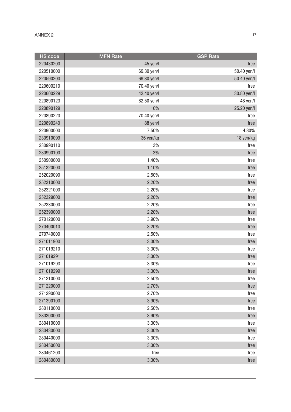| <b>HS code</b> | <b>MFN Rate</b> | <b>GSP Rate</b> |
|----------------|-----------------|-----------------|
| 220430200      | 45 yen/l        | free            |
| 220510000      | 69.30 yen/l     | 50.40 yen/l     |
| 220590200      | 69.30 yen/l     | 50.40 yen/l     |
| 220600210      | 70.40 yen/l     | free            |
| 220600229      | 42.40 yen/l     | 30.80 yen/l     |
| 220890123      | 82.50 yen/l     | 48 yen/l        |
| 220890129      | 16%             | 25.20 yen/l     |
| 220890220      | 70.40 yen/l     | free            |
| 220890240      | 88 yen/l        | free            |
| 220900000      | 7.50%           | 4.80%           |
| 230910099      | 36 yen/kg       | 18 yen/kg       |
| 230990110      | 3%              | free            |
| 230990190      | 3%              | free            |
| 250900000      | 1.40%           | free            |
| 251320000      | 1.10%           | free            |
| 252020090      | 2.50%           | free            |
| 252310000      | 2.20%           | free            |
| 252321000      | 2.20%           | free            |
| 252329000      | 2.20%           | free            |
| 252330000      | 2.20%           | free            |
| 252390000      | 2.20%           | free            |
| 270120000      | 3.90%           | free            |
| 270400010      | 3.20%           | free            |
| 270740000      | 2.50%           | free            |
| 271011900      | 3.30%           | free            |
| 271019210      | 3.30%           | free            |
| 271019291      | 3.30%           | free            |
| 271019293      | 3.30%           | free            |
| 271019299      | 3.30%           | free            |
| 271210000      | 2.50%           | free            |
| 271220000      | 2.70%           | free            |
| 271290000      | 2.70%           | free            |
| 271390100      | 3.90%           | free            |
| 280110000      | 2.50%           | free            |
| 280300000      | 3.90%           | free            |
| 280410000      | 3.30%           | free            |
| 280430000      | 3.30%           | free            |
| 280440000      | 3.30%           | free            |
| 280450000      | 3.30%           | free            |
| 280461200      | free            | free            |
| 280480000      | 3.30%           | free            |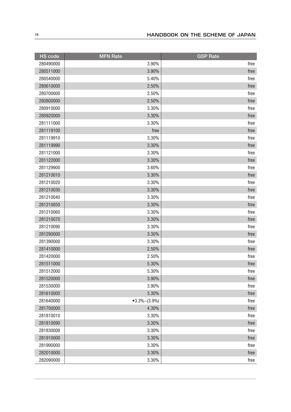| <b>HS</b> code | <b>MFN Rate</b>  | <b>GSP Rate</b> |
|----------------|------------------|-----------------|
| 280490000      | 3.90%            | free            |
| 280511000      | 3.90%            | free            |
| 280540000      | 5.40%            | free            |
| 280610000      | 2.50%            | free            |
| 280700000      | 2.50%            | free            |
| 280800000      | 2.50%            | free            |
| 280910000      | 3.30%            | free            |
| 280920000      | 3.30%            | free            |
| 281111000      | 3.30%            | free            |
| 281119100      | free             | free            |
| 281119910      | 3.30%            | free            |
| 281119990      | 3.30%            | free            |
| 281121000      | 3.30%            | free            |
| 281122000      | 3.30%            | free            |
| 281129900      | 3.60%            | free            |
| 281210010      | 3.30%            | free            |
| 281210020      | 3.30%            | free            |
| 281210030      | 3.30%            | free            |
| 281210040      | 3.30%            | free            |
| 281210050      | 3.30%            | free            |
| 281210060      | 3.30%            | free            |
| 281210070      | 3.30%            | free            |
| 281210090      | 3.30%            | free            |
| 281290000      | 3.30%            | free            |
| 281390000      | 3.30%            | free            |
| 281410000      | 2.50%            | free            |
| 281420000      | 2.50%            | free            |
| 281511000      | 5.30%            | free            |
| 281512000      | 5.30%            | <b>rree</b>     |
| 281520000      | 3.90%            | free            |
| 281530000      | 3.90%            | free            |
| 281610000      | 3.30%            | free            |
| 281640000      | $•3.3\%~(3.9\%)$ | free            |
| 281700000      | 4.30%            | free            |
| 281810010      | 3.30%            | free            |
| 281810090      | 3.30%            | free            |
| 281830000      | 3.30%            | free            |
| 281910000      | 3.30%            | free            |
| 281990000      | 3.30%            | free            |
| 282010000      | 3.30%            | free            |
| 282090000      | 3.30%            | free            |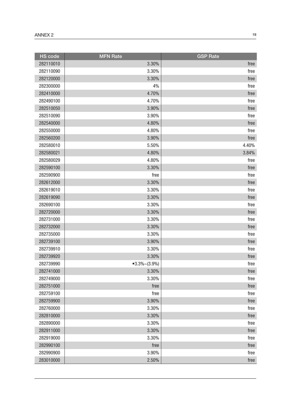| <b>HS code</b> | <b>MFN</b> Rate  | <b>GSP Rate</b> |
|----------------|------------------|-----------------|
| 282110010      | 3.30%            | free            |
| 282110090      | 3.30%            | free            |
| 282120000      | 3.30%            | free            |
| 282300000      | 4%               | free            |
| 282410000      | 4.70%            | free            |
| 282490100      | 4.70%            | free            |
| 282510050      | 3.90%            | free            |
| 282510090      | 3.90%            | free            |
| 282540000      | 4.80%            | free            |
| 282550000      | 4.80%            | free            |
| 282560200      | 3.90%            | free            |
| 282580010      | 5.50%            | 4.40%           |
| 282580021      | 4.80%            | 3.84%           |
| 282580029      | 4.80%            | free            |
| 282590100      | 3.30%            | free            |
| 282590900      | free             | free            |
| 282612000      | 3.30%            | free            |
| 282619010      | 3.30%            | free            |
| 282619090      | 3.30%            | free            |
| 282690100      | 3.30%            | free            |
| 282720000      | 3.30%            | free            |
| 282731000      | 3.30%            | free            |
| 282732000      | 3.30%            | free            |
| 282735000      | 3.30%            | free            |
| 282739100      | 3.90%            | free            |
| 282739910      | 3.30%            | free            |
| 282739920      | 3.30%            | free            |
| 282739990      | $•3.3\%~(3.9\%)$ | free            |
| 282741000      | 3.30%            | free            |
| 282749000      | 3.30%            | free            |
| 282751000      | free             | free            |
| 282759100      | free             | free            |
| 282759900      | 3.90%            | free            |
| 282760000      | 3.30%            | free            |
| 282810000      | 3.30%            | free            |
| 282890000      | 3.30%            | free            |
| 282911000      | 3.30%            | free            |
| 282919000      | 3.30%            | free            |
| 282990100      | free             | free            |
| 282990900      | 3.90%            | free            |
| 283010000      | 2.50%            | free            |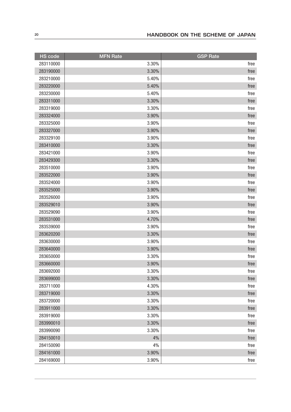| <b>HS</b> code | <b>MFN Rate</b> | <b>GSP Rate</b> |
|----------------|-----------------|-----------------|
| 283110000      | 3.30%           | free            |
| 283190000      | 3.30%           | free            |
| 283210000      | 5.40%           | free            |
| 283220000      | 5.40%           | free            |
| 283230000      | 5.40%           | free            |
| 283311000      | 3.30%           | free            |
| 283319000      | 3.30%           | free            |
| 283324000      | 3.90%           | free            |
| 283325000      | 3.90%           | free            |
| 283327000      | 3.90%           | free            |
| 283329100      | 3.90%           | free            |
| 283410000      | 3.30%           | free            |
| 283421000      | 3.90%           | free            |
| 283429300      | 3.30%           | free            |
| 283510000      | 3.90%           | free            |
| 283522000      | 3.90%           | free            |
| 283524000      | 3.90%           | free            |
| 283525000      | 3.90%           | free            |
| 283526000      | 3.90%           | free            |
| 283529010      | 3.90%           | free            |
| 283529090      | 3.90%           | free            |
| 283531000      | 4.70%           | free            |
| 283539000      | 3.90%           | free            |
| 283620200      | 3.30%           | free            |
| 283630000      | 3.90%           | free            |
| 283640000      | 3.90%           | free            |
| 283650000      | 3.30%           | free            |
| 283660000      | 3.90%           | free            |
| 283692000      | 3.30%           | <b>Tree</b>     |
| 283699000      | 3.30%           | free            |
| 283711000      | 4.30%           | free            |
| 283719000      | 3.30%           | free            |
| 283720000      | 3.30%           | free            |
| 283911000      | 3.30%           | free            |
| 283919000      | 3.30%           | free            |
| 283990010      | 3.30%           | free            |
| 283990090      | 3.30%           | free            |
| 284150010      | 4%              | free            |
| 284150090      | 4%              | free            |
| 284161000      | 3.90%           | free            |
| 284169000      | 3.90%           | free            |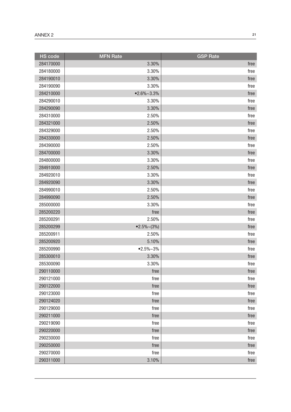| <b>HS</b> code | <b>MFN Rate</b> | <b>GSP Rate</b> |
|----------------|-----------------|-----------------|
| 284170000      | 3.30%           | free            |
| 284180000      | 3.30%           | free            |
| 284190010      | 3.30%           | free            |
| 284190090      | 3.30%           | free            |
| 284210000      | $•2.6\%~3.3\%$  | free            |
| 284290010      | 3.30%           | free            |
| 284290090      | 3.30%           | free            |
| 284310000      | 2.50%           | free            |
| 284321000      | 2.50%           | free            |
| 284329000      | 2.50%           | free            |
| 284330000      | 2.50%           | free            |
| 284390000      | 2.50%           | free            |
| 284700000      | 3.30%           | free            |
| 284800000      | 3.30%           | free            |
| 284910000      | 2.50%           | free            |
| 284920010      | 3.30%           | free            |
| 284920090      | 3.30%           | free            |
| 284990010      | 2.50%           | free            |
| 284990090      | 2.50%           | free            |
| 285000000      | 3.30%           | free            |
| 285200220      | free            | free            |
| 285200291      | 2.50%           | free            |
| 285200299      | $•2.5\%~(3\%)$  | free            |
| 285200911      | 2.50%           | free            |
| 285200920      | 5.10%           | free            |
| 285200990      | $•2.5\%~3\%$    | free            |
| 285300010      | 3.30%           | free            |
| 285300090      | 3.30%           | free            |
| 290110000      | free            | free            |
| 290121000      | free            | free            |
| 290122000      | free            | free            |
| 290123000      | free            | free            |
| 290124020      | free            | free            |
| 290129000      | free            | free            |
| 290211000      | free            | free            |
| 290219090      | free            | free            |
| 290220000      | free            | free            |
| 290230000      | free            | free            |
| 290250000      | free            | free            |
| 290270000      | free            | free            |
| 290311000      | 3.10%           | free            |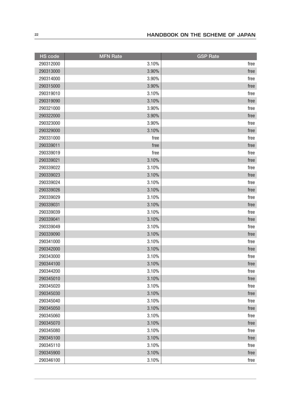| <b>HS</b> code | <b>MFN Rate</b> | <b>GSP Rate</b> |
|----------------|-----------------|-----------------|
| 290312000      | 3.10%           | free            |
| 290313000      | 3.90%           | free            |
| 290314000      | 3.90%           | free            |
| 290315000      | 3.90%           | free            |
| 290319010      | 3.10%           | free            |
| 290319090      | 3.10%           | free            |
| 290321000      | 3.90%           | free            |
| 290322000      | 3.90%           | free            |
| 290323000      | 3.90%           | free            |
| 290329000      | 3.10%           | free            |
| 290331000      | free            | free            |
| 290339011      | free            | free            |
| 290339019      | free            | free            |
| 290339021      | 3.10%           | free            |
| 290339022      | 3.10%           | free            |
| 290339023      | 3.10%           | free            |
| 290339024      | 3.10%           | free            |
| 290339026      | 3.10%           | free            |
| 290339029      | 3.10%           | free            |
| 290339031      | 3.10%           | free            |
| 290339039      | 3.10%           | free            |
| 290339041      | 3.10%           | free            |
| 290339049      | 3.10%           | free            |
| 290339090      | 3.10%           | free            |
| 290341000      | 3.10%           | free            |
| 290342000      | 3.10%           | free            |
| 290343000      | 3.10%           | free            |
| 290344100      | 3.10%           | free            |
| 290344200      | 3.10%           | <b>rree</b>     |
| 290345010      | 3.10%           | free            |
| 290345020      | 3.10%           | free            |
| 290345030      | 3.10%           | free            |
| 290345040      | 3.10%           | free            |
| 290345050      | 3.10%           | free            |
| 290345060      | 3.10%           | free            |
| 290345070      | 3.10%           | free            |
| 290345080      | 3.10%           | free            |
| 290345100      | 3.10%           | free            |
| 290345110      | 3.10%           | free            |
| 290345900      | 3.10%           | free            |
| 290346100      | 3.10%           | free            |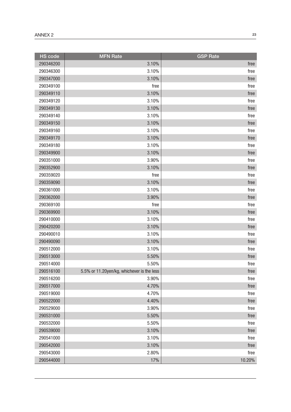| <b>HS</b> code | <b>MFN Rate</b>                            | <b>GSP Rate</b> |
|----------------|--------------------------------------------|-----------------|
| 290346200      | 3.10%                                      | free            |
| 290346300      | 3.10%                                      | free            |
| 290347000      | 3.10%                                      | free            |
| 290349100      | free                                       | free            |
| 290349110      | 3.10%                                      | free            |
| 290349120      | 3.10%                                      | free            |
| 290349130      | 3.10%                                      | free            |
| 290349140      | 3.10%                                      | free            |
| 290349150      | 3.10%                                      | free            |
| 290349160      | 3.10%                                      | free            |
| 290349170      | 3.10%                                      | free            |
| 290349180      | 3.10%                                      | free            |
| 290349900      | 3.10%                                      | free            |
| 290351000      | 3.90%                                      | free            |
| 290352900      | 3.10%                                      | free            |
| 290359020      | free                                       | free            |
| 290359090      | 3.10%                                      | free            |
| 290361000      | 3.10%                                      | free            |
| 290362000      | 3.90%                                      | free            |
| 290369100      | free                                       | free            |
| 290369900      | 3.10%                                      | free            |
| 290410000      | 3.10%                                      | free            |
| 290420200      | 3.10%                                      | free            |
| 290490010      | 3.10%                                      | free            |
| 290490090      | 3.10%                                      | free            |
| 290512000      | 3.10%                                      | free            |
| 290513000      | 5.50%                                      | free            |
| 290514000      | 5.50%                                      | free            |
| 290516100      | 5.5% or 11.20yen/kg, whichever is the less | free            |
| 290516200      | 3.90%                                      | free            |
| 290517000      | 4.70%                                      | free            |
| 290519000      | 4.70%                                      | free            |
| 290522000      | 4.40%                                      | free            |
| 290529000      | 3.90%                                      | free            |
| 290531000      | 5.50%                                      | free            |
| 290532000      | 5.50%                                      | free            |
| 290539000      | 3.10%                                      | free            |
| 290541000      | 3.10%                                      | free            |
| 290542000      | 3.10%                                      | free            |
| 290543000      | 2.80%                                      | free            |
| 290544000      | 17%                                        | 10.20%          |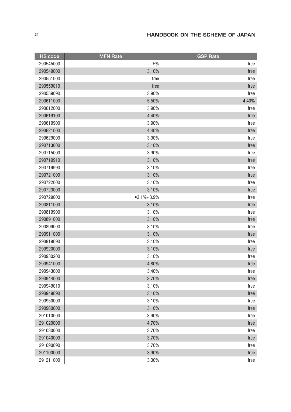| <b>HS code</b> | <b>MFN Rate</b> | <b>GSP Rate</b> |
|----------------|-----------------|-----------------|
| 290545000      | 5%              | free            |
| 290549000      | 3.10%           | free            |
| 290551000      | free            | free            |
| 290559010      | free            | free            |
| 290559090      | 3.90%           | free            |
| 290611000      | 5.50%           | 4.40%           |
| 290612000      | 3.90%           | free            |
| 290619100      | 4.40%           | free            |
| 290619900      | 3.90%           | free            |
| 290621000      | 4.40%           | free            |
| 290629000      | 3.90%           | free            |
| 290713000      | 3.10%           | free            |
| 290715000      | 3.90%           | free            |
| 290719910      | 3.10%           | free            |
| 290719990      | 3.10%           | free            |
| 290721000      | 3.10%           | free            |
| 290722000      | 3.10%           | free            |
| 290723000      | 3.10%           | free            |
| 290729000      | $•3.1\%~3.9\%$  | free            |
| 290811000      | 3.10%           | free            |
| 290819900      | 3.10%           | free            |
| 290891000      | 3.10%           | free            |
| 290899000      | 3.10%           | free            |
| 290911000      | 3.10%           | free            |
| 290919090      | 3.10%           | free            |
| 290920000      | 3.10%           | free            |
| 290930200      | 3.10%           | free            |
| 290941000      | 4.80%           | free            |
| 290943000      | 3.40%           | free            |
| 290944000      | 3.70%           | free            |
| 290949010      | 3.10%           | free            |
| 290949090      | 3.10%           | free            |
| 290950000      | 3.10%           | free            |
| 290960000      | 3.10%           | free            |
| 291010000      | 3.90%           | free            |
| 291020000      | 4.70%           | free            |
| 291030000      | 3.70%           | free            |
| 291040000      | 3.70%           | free            |
| 291090090      | 3.70%           | free            |
| 291100000      | 3.90%           | free            |
| 291211000      | 3.30%           | free            |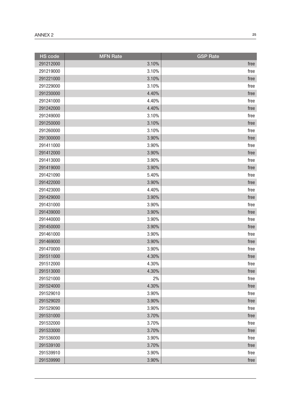| <b>HS code</b> | <b>MFN Rate</b> | <b>GSP Rate</b> |
|----------------|-----------------|-----------------|
| 291212000      | 3.10%           | free            |
| 291219000      | 3.10%           | free            |
| 291221000      | 3.10%           | free            |
| 291229000      | 3.10%           | free            |
| 291230000      | 4.40%           | free            |
| 291241000      | 4.40%           | free            |
| 291242000      | 4.40%           | free            |
| 291249000      | 3.10%           | free            |
| 291250000      | 3.10%           | free            |
| 291260000      | 3.10%           | free            |
| 291300000      | 3.90%           | free            |
| 291411000      | 3.90%           | free            |
| 291412000      | 3.90%           | free            |
| 291413000      | 3.90%           | free            |
| 291419000      | 3.90%           | free            |
| 291421090      | 5.40%           | free            |
| 291422000      | 3.90%           | free            |
| 291423000      | 4.40%           | free            |
| 291429000      | 3.90%           | free            |
| 291431000      | 3.90%           | free            |
| 291439000      | 3.90%           | free            |
| 291440000      | 3.90%           | free            |
| 291450000      | 3.90%           | free            |
| 291461000      | 3.90%           | free            |
| 291469000      | 3.90%           | free            |
| 291470000      | 3.90%           | free            |
| 291511000      | 4.30%           | free            |
| 291512000      | 4.30%           | free            |
| 291513000      | 4.30%           | free            |
| 291521000      | 2%              | free            |
| 291524000      | 4.30%           | free            |
| 291529010      | 3.90%           | free            |
| 291529020      | 3.90%           | free            |
| 291529090      | 3.90%           | free            |
| 291531000      | 3.70%           | free            |
| 291532000      | 3.70%           | free            |
| 291533000      | 3.70%           | free            |
| 291536000      | 3.90%           | free            |
| 291539100      | 3.70%           | free            |
| 291539910      | 3.90%           | free            |
| 291539990      | 3.90%           | free            |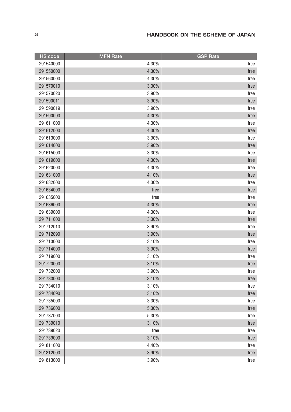| <b>HS</b> code | <b>MFN Rate</b> | <b>GSP Rate</b> |
|----------------|-----------------|-----------------|
| 291540000      | 4.30%           | free            |
| 291550000      | 4.30%           | free            |
| 291560000      | 4.30%           | free            |
| 291570010      | 3.30%           | free            |
| 291570020      | 3.90%           | free            |
| 291590011      | 3.90%           | free            |
| 291590019      | 3.90%           | free            |
| 291590090      | 4.30%           | free            |
| 291611000      | 4.30%           | free            |
| 291612000      | 4.30%           | free            |
| 291613000      | 3.90%           | free            |
| 291614000      | 3.90%           | free            |
| 291615000      | 3.30%           | free            |
| 291619000      | 4.30%           | free            |
| 291620000      | 4.30%           | free            |
| 291631000      | 4.10%           | free            |
| 291632000      | 4.30%           | free            |
| 291634000      | free            | free            |
| 291635000      | free            | free            |
| 291636000      | 4.30%           | free            |
| 291639000      | 4.30%           | free            |
| 291711000      | 3.30%           | free            |
| 291712010      | 3.90%           | free            |
| 291712090      | 3.90%           | free            |
| 291713000      | 3.10%           | free            |
| 291714000      | 3.90%           | free            |
| 291719000      | 3.10%           | free            |
| 291720000      | 3.10%           | free            |
| 291732000      | 3.90%           | <b>rree</b>     |
| 291733000      | 3.10%           | free            |
| 291734010      | 3.10%           | free            |
| 291734090      | 3.10%           | free            |
| 291735000      | 3.30%           | free            |
| 291736000      | 5.30%           | free            |
| 291737000      | 5.30%           | free            |
| 291739010      | 3.10%           | free            |
| 291739020      | free            | free            |
| 291739090      | 3.10%           | free            |
| 291811000      | 4.40%           | free            |
| 291812000      | 3.90%           | free            |
| 291813000      | 3.90%           | free            |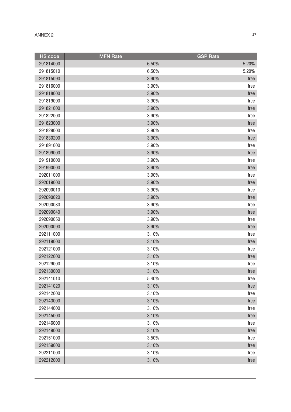| <b>HS</b> code | <b>MFN Rate</b> | <b>GSP Rate</b> |
|----------------|-----------------|-----------------|
| 291814000      | 6.50%           | 5.20%           |
| 291815010      | 6.50%           | 5.20%           |
| 291815090      | 3.90%           | free            |
| 291816000      | 3.90%           | free            |
| 291818000      | 3.90%           | free            |
| 291819090      | 3.90%           | free            |
| 291821000      | 3.90%           | free            |
| 291822000      | 3.90%           | free            |
| 291823000      | 3.90%           | free            |
| 291829000      | 3.90%           | free            |
| 291830200      | 3.90%           | free            |
| 291891000      | 3.90%           | free            |
| 291899000      | 3.90%           | free            |
| 291910000      | 3.90%           | free            |
| 291990000      | 3.90%           | free            |
| 292011000      | 3.90%           | free            |
| 292019000      | 3.90%           | free            |
| 292090010      | 3.90%           | free            |
| 292090020      | 3.90%           | free            |
| 292090030      | 3.90%           | free            |
| 292090040      | 3.90%           | free            |
| 292090050      | 3.90%           | free            |
| 292090090      | 3.90%           | free            |
| 292111000      | 3.10%           | free            |
| 292119000      | 3.10%           | free            |
| 292121000      | 3.10%           | free            |
| 292122000      | 3.10%           | free            |
| 292129000      | 3.10%           | free            |
| 292130000      | 3.10%           | free            |
| 292141010      | 5.40%           | free            |
| 292141020      | 3.10%           | free            |
| 292142000      | 3.10%           | free            |
| 292143000      | 3.10%           | free            |
| 292144000      | 3.10%           | free            |
| 292145000      | 3.10%           | free            |
| 292146000      | 3.10%           | free            |
| 292149000      | 3.10%           | free            |
| 292151000      | 3.50%           | free            |
| 292159000      | 3.10%           | free            |
| 292211000      | 3.10%           | free            |
| 292212000      | 3.10%           | free            |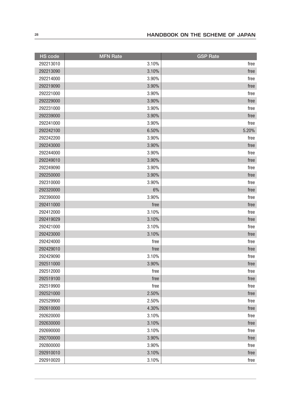| <b>HS code</b> | <b>MFN Rate</b> | <b>GSP Rate</b> |
|----------------|-----------------|-----------------|
| 292213010      | 3.10%           | free            |
| 292213090      | 3.10%           | free            |
| 292214000      | 3.90%           | free            |
| 292219090      | 3.90%           | free            |
| 292221000      | 3.90%           | free            |
| 292229000      | 3.90%           | free            |
| 292231000      | 3.90%           | free            |
| 292239000      | 3.90%           | free            |
| 292241000      | 3.90%           | free            |
| 292242100      | 6.50%           | 5.20%           |
| 292242200      | 3.90%           | free            |
| 292243000      | 3.90%           | free            |
| 292244000      | 3.90%           | free            |
| 292249010      | 3.90%           | free            |
| 292249090      | 3.90%           | free            |
| 292250000      | 3.90%           | free            |
| 292310000      | 3.90%           | free            |
| 292320000      | 6%              | free            |
| 292390000      | 3.90%           | free            |
| 292411000      | free            | free            |
| 292412000      | 3.10%           | free            |
| 292419029      | 3.10%           | free            |
| 292421000      | 3.10%           | free            |
| 292423000      | 3.10%           | free            |
| 292424000      | free            | free            |
| 292429010      | free            | free            |
| 292429090      | 3.10%           | free            |
| 292511000      | 3.90%           | free            |
| 292512000      | free            | free            |
| 292519100      | free            | free            |
| 292519900      | free            | free            |
| 292521000      | 2.50%           | free            |
| 292529900      | 2.50%           | free            |
| 292610000      | 4.30%           | free            |
| 292620000      | 3.10%           | free            |
| 292630000      | 3.10%           | free            |
| 292690000      | 3.10%           | free            |
| 292700000      | 3.90%           | free            |
| 292800000      | 3.90%           | free            |
| 292910010      | 3.10%           | free            |
| 292910020      | 3.10%           | free            |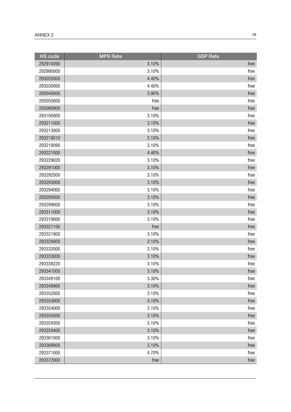| <b>HS</b> code | <b>MFN Rate</b> | <b>GSP Rate</b> |
|----------------|-----------------|-----------------|
| 292910090      | 3.10%           | free            |
| 292990000      | 3.10%           | free            |
| 293020000      | 4.40%           | free            |
| 293030000      | 4.40%           | free            |
| 293040000      | 3.90%           | free            |
| 293050000      | free            | free            |
| 293090900      | free            | free            |
| 293100000      | 3.10%           | free            |
| 293211000      | 3.10%           | free            |
| 293213000      | 3.10%           | free            |
| 293219010      | 3.10%           | free            |
| 293219090      | 3.10%           | free            |
| 293221000      | 4.40%           | free            |
| 293229020      | 3.10%           | free            |
| 293291000      | 3.10%           | free            |
| 293292000      | 3.10%           | free            |
| 293293000      | 3.10%           | free            |
| 293294000      | 3.10%           | free            |
| 293295000      | 3.10%           | free            |
| 293299000      | 3.10%           | free            |
| 293311000      | 3.10%           | free            |
| 293319000      | 3.10%           | free            |
| 293321100      | free            | free            |
| 293321900      | 3.10%           | free            |
| 293329000      | 3.10%           | free            |
| 293332000      | 3.10%           | free            |
| 293333000      | 3.10%           | free            |
| 293339220      | 3.10%           | free            |
| 293341000      | 3.10%           | free            |
| 293349100      | 3.30%           | free            |
| 293349900      | 3.10%           | free            |
| 293352000      | 3.10%           | free            |
| 293353000      | 3.10%           | free            |
| 293354000      | 3.10%           | free            |
| 293355000      | 3.10%           | free            |
| 293359300      | 3.10%           | free            |
| 293359400      | 3.10%           | free            |
| 293361000      | 3.10%           | free            |
| 293369000      | 3.10%           | free            |
| 293371000      | 4.70%           | free            |
| 293372000      | free            | free            |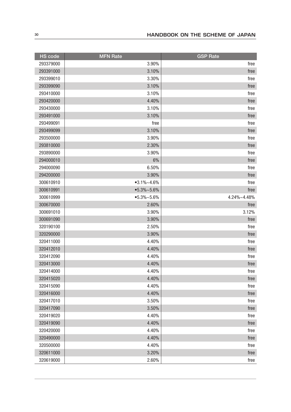| <b>HS code</b> | <b>MFN</b> Rate | <b>GSP Rate</b> |
|----------------|-----------------|-----------------|
| 293379000      | 3.90%           | free            |
| 293391000      | 3.10%           | free            |
| 293399010      | 3.30%           | free            |
| 293399090      | 3.10%           | free            |
| 293410000      | 3.10%           | free            |
| 293420000      | 4.40%           | free            |
| 293430000      | 3.10%           | free            |
| 293491000      | 3.10%           | free            |
| 293499091      | free            | free            |
| 293499099      | 3.10%           | free            |
| 293500000      | 3.90%           | free            |
| 293810000      | 2.30%           | free            |
| 293890000      | 3.90%           | free            |
| 294000010      | 6%              | free            |
| 294000090      | 6.50%           | free            |
| 294200000      | 3.90%           | free            |
| 300610910      | $•3.1\%~4.6\%$  | free            |
| 300610991      | $•5.3\%$ ~5.6%  | free            |
| 300610999      | $•5.3\%$ ~5.6%  | 4.24%~4.48%     |
| 300670000      | 2.60%           | free            |
| 300691010      | 3.90%           | 3.12%           |
| 300691090      | 3.90%           | free            |
| 320190100      | 2.50%           | free            |
| 320290000      | 3.90%           | free            |
| 320411000      | 4.40%           | free            |
| 320412010      | 4.40%           | free            |
| 320412090      | 4.40%           | free            |
| 320413000      | 4.40%           | free            |
| 320414000      | 4.40%           | <b>rree</b>     |
| 320415020      | 4.40%           | free            |
| 320415090      | 4.40%           | free            |
| 320416000      | 4.40%           | free            |
| 320417010      | 3.50%           | free            |
| 320417090      | 3.50%           | free            |
| 320419020      | 4.40%           | free            |
| 320419090      | 4.40%           | free            |
| 320420000      | 4.40%           | free            |
| 320490000      | 4.40%           | free            |
| 320500000      | 4.40%           | free            |
| 320611000      | 3.20%           | free            |
| 320619000      | 2.60%           | free            |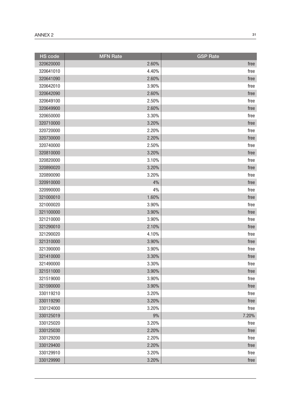| <b>HS</b> code | <b>MFN Rate</b> | <b>GSP Rate</b> |
|----------------|-----------------|-----------------|
| 320620000      | 2.60%           | free            |
| 320641010      | 4.40%           | free            |
| 320641090      | 2.60%           | free            |
| 320642010      | 3.90%           | free            |
| 320642090      | 2.60%           | free            |
| 320649100      | 2.50%           | free            |
| 320649900      | 2.60%           | free            |
| 320650000      | 3.30%           | free            |
| 320710000      | 3.20%           | free            |
| 320720000      | 2.20%           | free            |
| 320730000      | 2.20%           | free            |
| 320740000      | 2.50%           | free            |
| 320810000      | 3.20%           | free            |
| 320820000      | 3.10%           | free            |
| 320890020      | 3.20%           | free            |
| 320890090      | 3.20%           | free            |
| 320910000      | 4%              | free            |
| 320990000      | 4%              | free            |
| 321000010      | 1.60%           | free            |
| 321000020      | 3.90%           | free            |
| 321100000      | 3.90%           | free            |
| 321210000      | 3.90%           | free            |
| 321290010      | 2.10%           | free            |
| 321290020      | 4.10%           | free            |
| 321310000      | 3.90%           | free            |
| 321390000      | 3.90%           | free            |
| 321410000      | 3.30%           | free            |
| 321490000      | 3.30%           | free            |
| 321511000      | 3.90%           | free            |
| 321519000      | 3.90%           | free            |
| 321590000      | 3.90%           | free            |
| 330119210      | 3.20%           | free            |
| 330119290      | 3.20%           | free            |
| 330124000      | 3.20%           | free            |
| 330125019      | 9%              | 7.20%           |
| 330125020      | 3.20%           | free            |
| 330125030      | 2.20%           | free            |
| 330129200      | 2.20%           | free            |
| 330129400      | 2.20%           | free            |
| 330129910      | 3.20%           | free            |
| 330129990      | 3.20%           | free            |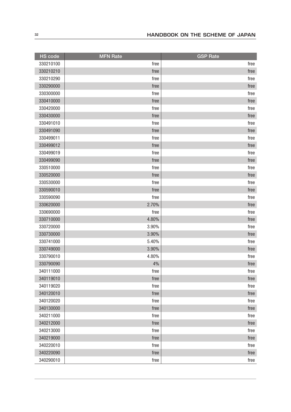| <b>HS code</b> | <b>MFN Rate</b> | <b>GSP Rate</b> |
|----------------|-----------------|-----------------|
| 330210100      | free            | free            |
| 330210210      | free            | free            |
| 330210290      | free            | free            |
| 330290000      | free            | free            |
| 330300000      | free            | free            |
| 330410000      | free            | free            |
| 330420000      | free            | free            |
| 330430000      | free            | free            |
| 330491010      | free            | free            |
| 330491090      | free            | free            |
| 330499011      | free            | free            |
| 330499012      | free            | free            |
| 330499019      | free            | free            |
| 330499090      | free            | free            |
| 330510000      | free            | free            |
| 330520000      | free            | free            |
| 330530000      | free            | free            |
| 330590010      | free            | free            |
| 330590090      | free            | free            |
| 330620000      | 2.70%           | free            |
| 330690000      | free            | free            |
| 330710000      | 4.80%           | free            |
| 330720000      | 3.90%           | free            |
| 330730000      | 3.90%           | free            |
| 330741000      | 5.40%           | free            |
| 330749000      | 3.90%           | free            |
| 330790010      | 4.80%           | free            |
| 330790090      | 4%              | free            |
| 340111000      | free            | ${\sf free}$    |
| 340119010      | free            | free            |
| 340119020      | free            | free            |
| 340120010      | free            | free            |
| 340120020      | free            | free            |
| 340130000      | free            | free            |
| 340211000      | free            | free            |
| 340212000      | free            | free            |
| 340213000      | free            | free            |
| 340219000      | free            | free            |
| 340220010      | free            | free            |
| 340220090      | free            | free            |
| 340290010      | free            | free            |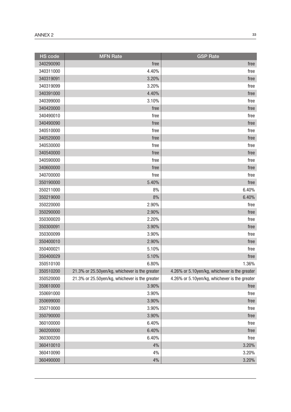| <b>HS</b> code | <b>MFN Rate</b>                                | <b>GSP</b> Rate                               |
|----------------|------------------------------------------------|-----------------------------------------------|
| 340290090      | free                                           | free                                          |
| 340311000      | 4.40%                                          | free                                          |
| 340319091      | 3.20%                                          | free                                          |
| 340319099      | 3.20%                                          | free                                          |
| 340391000      | 4.40%                                          | free                                          |
| 340399000      | 3.10%                                          | free                                          |
| 340420000      | free                                           | free                                          |
| 340490010      | free                                           | free                                          |
| 340490090      | free                                           | free                                          |
| 340510000      | free                                           | free                                          |
| 340520000      | free                                           | free                                          |
| 340530000      | free                                           | free                                          |
| 340540000      | free                                           | free                                          |
| 340590000      | free                                           | free                                          |
| 340600000      | free                                           | free                                          |
| 340700000      | free                                           | free                                          |
| 350190000      | 5.40%                                          | free                                          |
| 350211000      | 8%                                             | 6.40%                                         |
| 350219000      | 8%                                             | 6.40%                                         |
| 350220000      | 2.90%                                          | free                                          |
| 350290000      | 2.90%                                          | free                                          |
| 350300020      | 2.20%                                          | free                                          |
| 350300091      | 3.90%                                          | free                                          |
| 350300099      | 3.90%                                          | free                                          |
| 350400010      | 2.90%                                          | free                                          |
| 350400021      | 5.10%                                          | free                                          |
| 350400029      | 5.10%                                          | free                                          |
| 350510100      | 6.80%                                          | 1.36%                                         |
| 350510200      | 21.3% or 25.50yen/kg, whichever is the greater | 4.26% or 5.10yen/kg, whichever is the greater |
| 350520000      | 21.3% or 25.50yen/kg, whichever is the greater | 4.26% or 5.10yen/kg, whichever is the greater |
| 350610000      | 3.90%                                          | free                                          |
| 350691000      | 3.90%                                          | free                                          |
| 350699000      | 3.90%                                          | free                                          |
| 350710000      | 3.90%                                          | free                                          |
| 350790000      | 3.90%                                          | free                                          |
| 360100000      | 6.40%                                          | free                                          |
| 360200000      | 6.40%                                          | free                                          |
| 360300200      | 6.40%                                          | free                                          |
| 360410010      | 4%                                             | 3.20%                                         |
| 360410090      | 4%                                             | 3.20%                                         |
| 360490000      | 4%                                             | 3.20%                                         |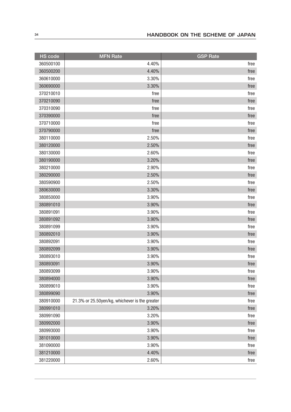| <b>HS</b> code | <b>MFN Rate</b>                                | <b>GSP Rate</b> |
|----------------|------------------------------------------------|-----------------|
| 360500100      | 4.40%                                          | free            |
| 360500200      | 4.40%                                          | free            |
| 360610000      | 3.30%                                          | free            |
| 360690000      | 3.30%                                          | free            |
| 370210010      | free                                           | free            |
| 370210090      | free                                           | free            |
| 370310090      | free                                           | free            |
| 370390000      | free                                           | free            |
| 370710000      | free                                           | free            |
| 370790000      | free                                           | free            |
| 380110000      | 2.50%                                          | free            |
| 380120000      | 2.50%                                          | free            |
| 380130000      | 2.60%                                          | free            |
| 380190000      | 3.20%                                          | free            |
| 380210000      | 2.90%                                          | free            |
| 380290000      | 2.50%                                          | free            |
| 380590900      | 2.50%                                          | free            |
| 380630000      | 3.30%                                          | free            |
| 380850000      | 3.90%                                          | free            |
| 380891010      | 3.90%                                          | free            |
| 380891091      | 3.90%                                          | free            |
| 380891092      | 3.90%                                          | free            |
| 380891099      | 3.90%                                          | free            |
| 380892010      | 3.90%                                          | free            |
| 380892091      | 3.90%                                          | free            |
| 380892099      | 3.90%                                          | free            |
| 380893010      | 3.90%                                          | free            |
| 380893091      | 3.90%                                          | free            |
| 380893099      | 3.90%                                          | <b>rree</b>     |
| 380894000      | 3.90%                                          | free            |
| 380899010      | 3.90%                                          | free            |
| 380899090      | 3.90%                                          | free            |
| 380910000      | 21.3% or 25.50yen/kg, whichever is the greater | free            |
| 380991010      | 3.20%                                          | free            |
| 380991090      | 3.20%                                          | free            |
| 380992000      | 3.90%                                          | free            |
| 380993000      | 3.90%                                          | free            |
| 381010000      | 3.90%                                          | free            |
| 381090000      | 3.90%                                          | free            |
| 381210000      | 4.40%                                          | free            |
| 381220000      | 2.60%                                          | free            |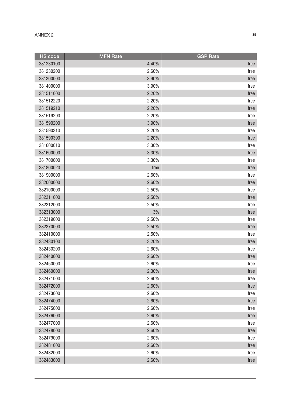| <b>HS code</b> | <b>MFN</b> Rate | <b>GSP Rate</b> |
|----------------|-----------------|-----------------|
| 381230100      | 4.40%           | free            |
| 381230200      | 2.60%           | free            |
| 381300000      | 3.90%           | free            |
| 381400000      | 3.90%           | free            |
| 381511000      | 2.20%           | free            |
| 381512220      | 2.20%           | free            |
| 381519210      | 2.20%           | free            |
| 381519290      | 2.20%           | free            |
| 381590200      | 3.90%           | free            |
| 381590310      | 2.20%           | free            |
| 381590390      | 2.20%           | free            |
| 381600010      | 3.30%           | free            |
| 381600090      | 3.30%           | free            |
| 381700000      | 3.30%           | free            |
| 381800020      | free            | free            |
| 381900000      | 2.60%           | free            |
| 382000000      | 2.60%           | free            |
| 382100000      | 2.50%           | free            |
| 382311000      | 2.50%           | free            |
| 382312000      | 2.50%           | free            |
| 382313000      | 3%              | free            |
| 382319000      | 2.50%           | free            |
| 382370000      | 2.50%           | free            |
| 382410000      | 2.50%           | free            |
| 382430100      | 3.20%           | free            |
| 382430200      | 2.60%           | free            |
| 382440000      | 2.60%           | free            |
| 382450000      | 2.60%           | free            |
| 382460000      | 2.30%           | free            |
| 382471000      | 2.60%           | free            |
| 382472000      | 2.60%           | free            |
| 382473000      | 2.60%           | free            |
| 382474000      | 2.60%           | free            |
| 382475000      | 2.60%           | free            |
| 382476000      | 2.60%           | free            |
| 382477000      | 2.60%           | free            |
| 382478000      | 2.60%           | free            |
| 382479000      | 2.60%           | free            |
| 382481000      | 2.60%           | free            |
| 382482000      | 2.60%           | free            |
| 382483000      | 2.60%           | free            |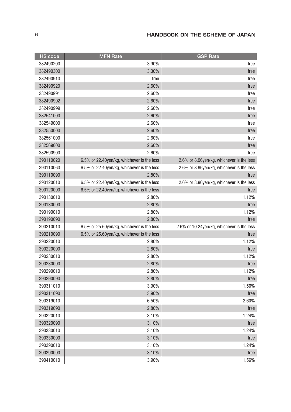| <b>HS</b> code | <b>MFN</b> Rate                            | <b>GSP Rate</b>                            |
|----------------|--------------------------------------------|--------------------------------------------|
| 382490200      | 3.90%                                      | free                                       |
| 382490300      | 3.30%                                      | free                                       |
| 382490910      | free                                       | free                                       |
| 382490920      | 2.60%                                      | free                                       |
| 382490991      | 2.60%                                      | free                                       |
| 382490992      | 2.60%                                      | free                                       |
| 382490999      | 2.60%                                      | free                                       |
| 382541000      | 2.60%                                      | free                                       |
| 382549000      | 2.60%                                      | free                                       |
| 382550000      | 2.60%                                      | free                                       |
| 382561000      | 2.60%                                      | free                                       |
| 382569000      | 2.60%                                      | free                                       |
| 382590900      | 2.60%                                      | free                                       |
| 390110020      | 6.5% or 22.40yen/kg, whichever is the less | 2.6% or 8.96yen/kg, whichever is the less  |
| 390110060      | 6.5% or 22.40yen/kg, whichever is the less | 2.6% or 8.96yen/kg, whichever is the less  |
| 390110090      | 2.80%                                      | free                                       |
| 390120010      | 6.5% or 22.40yen/kg, whichever is the less | 2.6% or 8.96yen/kg, whichever is the less  |
| 390120090      | 6.5% or 22.40yen/kg, whichever is the less | free                                       |
| 390130010      | 2.80%                                      | 1.12%                                      |
| 390130090      | 2.80%                                      | free                                       |
| 390190010      | 2.80%                                      | 1.12%                                      |
| 390190090      | 2.80%                                      | free                                       |
| 390210010      | 6.5% or 25.60yen/kg, whichever is the less | 2.6% or 10.24yen/kg, whichever is the less |
| 390210090      | 6.5% or 25.60yen/kg, whichever is the less | free                                       |
| 390220010      | 2.80%                                      | 1.12%                                      |
| 390220090      | 2.80%                                      | free                                       |
| 390230010      | 2.80%                                      | 1.12%                                      |
| 390230090      | 2.80%                                      | free                                       |
| 390290010      | 2.80%                                      | 1.12%                                      |
| 390290090      | 2.80%                                      | free                                       |
| 390311010      | 3.90%                                      | 1.56%                                      |
| 390311090      | 3.90%                                      | free                                       |
| 390319010      | 6.50%                                      | 2.60%                                      |
| 390319090      | 2.80%                                      | free                                       |
| 390320010      | 3.10%                                      | 1.24%                                      |
| 390320090      | 3.10%                                      | free                                       |
| 390330010      | 3.10%                                      | 1.24%                                      |
| 390330090      | 3.10%                                      | free                                       |
| 390390010      | 3.10%                                      | 1.24%                                      |
| 390390090      | 3.10%                                      | free                                       |
| 390410010      | 3.90%                                      | 1.56%                                      |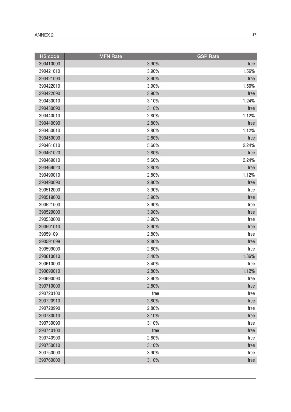| <b>HS</b> code | <b>MFN</b> Rate | <b>GSP Rate</b> |
|----------------|-----------------|-----------------|
| 390410090      | 3.90%           | free            |
| 390421010      | 3.90%           | 1.56%           |
| 390421090      | 3.90%           | free            |
| 390422010      | 3.90%           | 1.56%           |
| 390422090      | 3.90%           | free            |
| 390430010      | 3.10%           | 1.24%           |
| 390430090      | 3.10%           | free            |
| 390440010      | 2.80%           | 1.12%           |
| 390440090      | 2.80%           | free            |
| 390450010      | 2.80%           | 1.12%           |
| 390450090      | 2.80%           | free            |
| 390461010      | 5.60%           | 2.24%           |
| 390461020      | 2.80%           | free            |
| 390469010      | 5.60%           | 2.24%           |
| 390469020      | 2.80%           | free            |
| 390490010      | 2.80%           | 1.12%           |
| 390490090      | 2.80%           | free            |
| 390512000      | 3.90%           | free            |
| 390519000      | 3.90%           | free            |
| 390521000      | 3.90%           | free            |
| 390529000      | 3.90%           | free            |
| 390530000      | 3.90%           | free            |
| 390591010      | 3.90%           | free            |
| 390591091      | 2.80%           | free            |
| 390591099      | 2.80%           | free            |
| 390599000      | 2.80%           | free            |
| 390610010      | 3.40%           | 1.36%           |
| 390610090      | 3.40%           | free            |
| 390690010      | 2.80%           | 1.12%           |
| 390690090      | 3.90%           | free            |
| 390710000      | 2.80%           | free            |
| 390720100      | free            | free            |
| 390720910      | 2.80%           | free            |
| 390720990      | 2.80%           | free            |
| 390730010      | 3.10%           | free            |
| 390730090      | 3.10%           | free            |
| 390740100      | free            | free            |
| 390740900      | 2.80%           | free            |
| 390750010      | 3.10%           | free            |
| 390750090      | 3.90%           | free            |
| 390760000      | 3.10%           | free            |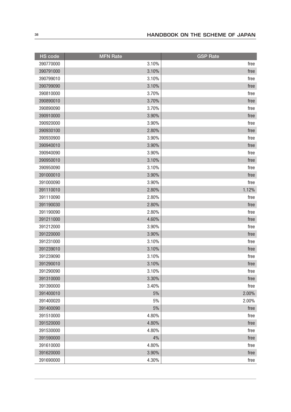| <b>HS</b> code | <b>MFN</b> Rate | <b>GSP Rate</b> |
|----------------|-----------------|-----------------|
| 390770000      | 3.10%           | free            |
| 390791000      | 3.10%           | free            |
| 390799010      | 3.10%           | free            |
| 390799090      | 3.10%           | free            |
| 390810000      | 3.70%           | free            |
| 390890010      | 3.70%           | free            |
| 390890090      | 3.70%           | free            |
| 390910000      | 3.90%           | free            |
| 390920000      | 3.90%           | free            |
| 390930100      | 2.80%           | free            |
| 390930900      | 3.90%           | free            |
| 390940010      | 3.90%           | free            |
| 390940090      | 3.90%           | free            |
| 390950010      | 3.10%           | free            |
| 390950090      | 3.10%           | free            |
| 391000010      | 3.90%           | free            |
| 391000090      | 3.90%           | free            |
| 391110010      | 2.80%           | 1.12%           |
| 391110090      | 2.80%           | free            |
| 391190030      | 2.80%           | free            |
| 391190090      | 2.80%           | free            |
| 391211000      | 4.60%           | free            |
| 391212000      | 3.90%           | free            |
| 391220000      | 3.90%           | free            |
| 391231000      | 3.10%           | free            |
| 391239010      | 3.10%           | free            |
| 391239090      | 3.10%           | free            |
| 391290010      | 3.10%           | free            |
| 391290090      | 3.10%           | free            |
| 391310000      | 3.30%           | free            |
| 391390000      | 3.40%           | free            |
| 391400010      | 5%              | 2.00%           |
| 391400020      | 5%              | 2.00%           |
| 391400090      | $5\%$           | free            |
| 391510000      | 4.80%           | free            |
| 391520000      | 4.80%           | free            |
| 391530000      | 4.80%           | free            |
| 391590000      | 4%              | free            |
| 391610000      | 4.80%           | free            |
| 391620000      | 3.90%           | free            |
| 391690000      | 4.30%           | free            |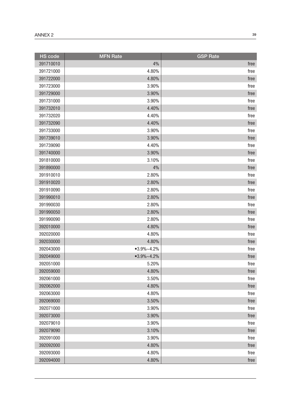| <b>HS</b> code | <b>MFN Rate</b> | <b>GSP Rate</b> |
|----------------|-----------------|-----------------|
| 391710010      | 4%              | free            |
| 391721000      | 4.80%           | free            |
| 391722000      | 4.80%           | free            |
| 391723000      | 3.90%           | free            |
| 391729000      | 3.90%           | free            |
| 391731000      | 3.90%           | free            |
| 391732010      | 4.40%           | free            |
| 391732020      | 4.40%           | free            |
| 391732090      | 4.40%           | free            |
| 391733000      | 3.90%           | free            |
| 391739010      | 3.90%           | free            |
| 391739090      | 4.40%           | free            |
| 391740000      | 3.90%           | free            |
| 391810000      | 3.10%           | free            |
| 391890000      | 4%              | free            |
| 391910010      | 2.80%           | free            |
| 391910020      | 2.80%           | free            |
| 391910090      | 2.80%           | free            |
| 391990010      | 2.80%           | free            |
| 391990030      | 2.80%           | free            |
| 391990050      | 2.80%           | free            |
| 391990090      | 2.80%           | free            |
| 392010000      | 4.80%           | free            |
| 392020000      | 4.80%           | free            |
| 392030000      | 4.80%           | free            |
| 392043000      | $•3.9\%~4.2\%$  | free            |
| 392049000      | $•3.9\%~4.2\%$  | free            |
| 392051000      | 5.20%           | free            |
| 392059000      | 4.80%           | free            |
| 392061000      | 3.50%           | free            |
| 392062000      | 4.80%           | free            |
| 392063000      | 4.80%           | free            |
| 392069000      | 3.50%           | free            |
| 392071000      | 3.90%           | free            |
| 392073000      | 3.90%           | free            |
| 392079010      | 3.90%           | free            |
| 392079090      | 3.10%           | free            |
| 392091000      | 3.90%           | free            |
| 392092000      | 4.80%           | free            |
| 392093000      | 4.80%           | free            |
| 392094000      | 4.80%           | free            |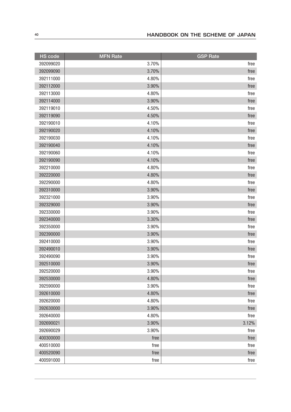| <b>HS</b> code | <b>MFN</b> Rate | <b>GSP Rate</b> |
|----------------|-----------------|-----------------|
| 392099020      | 3.70%           | free            |
| 392099090      | 3.70%           | free            |
| 392111000      | 4.80%           | free            |
| 392112000      | 3.90%           | free            |
| 392113000      | 4.80%           | free            |
| 392114000      | 3.90%           | free            |
| 392119010      | 4.50%           | free            |
| 392119090      | 4.50%           | free            |
| 392190010      | 4.10%           | free            |
| 392190020      | 4.10%           | free            |
| 392190030      | 4.10%           | free            |
| 392190040      | 4.10%           | free            |
| 392190060      | 4.10%           | free            |
| 392190090      | 4.10%           | free            |
| 392210000      | 4.80%           | free            |
| 392220000      | 4.80%           | free            |
| 392290000      | 4.80%           | free            |
| 392310000      | 3.90%           | free            |
| 392321000      | 3.90%           | free            |
| 392329000      | 3.90%           | free            |
| 392330000      | 3.90%           | free            |
| 392340000      | 3.30%           | free            |
| 392350000      | 3.90%           | free            |
| 392390000      | 3.90%           | free            |
| 392410000      | 3.90%           | free            |
| 392490010      | 3.90%           | free            |
| 392490090      | 3.90%           | free            |
| 392510000      | 3.90%           | free            |
| 392520000      | 3.90%           | <b>Tree</b>     |
| 392530000      | 4.80%           | free            |
| 392590000      | 3.90%           | free            |
| 392610000      | 4.80%           | free            |
| 392620000      | 4.80%           | free            |
| 392630000      | 3.90%           | free            |
| 392640000      | 4.80%           | free            |
| 392690021      | 3.90%           | 3.12%           |
| 392690029      | 3.90%           | free            |
| 400300000      | free            | free            |
| 400510000      | free            | free            |
| 400520090      | free            | free            |
| 400591000      | free            | free            |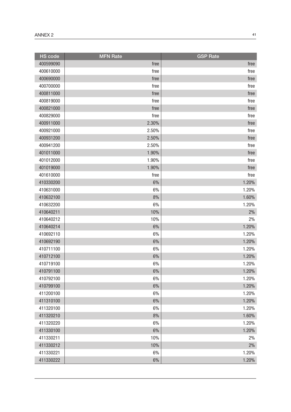| <b>HS</b> code | <b>MFN Rate</b> | <b>GSP Rate</b> |
|----------------|-----------------|-----------------|
| 400599090      | free            | free            |
| 400610000      | free            | free            |
| 400690000      | free            | free            |
| 400700000      | free            | free            |
| 400811000      | free            | free            |
| 400819000      | free            | free            |
| 400821000      | free            | free            |
| 400829000      | free            | free            |
| 400911000      | 2.30%           | free            |
| 400921000      | 2.50%           | free            |
| 400931200      | 2.50%           | free            |
| 400941200      | 2.50%           | free            |
| 401011000      | 1.90%           | free            |
| 401012000      | 1.90%           | free            |
| 401019000      | 1.90%           | free            |
| 401610000      | free            | free            |
| 410330200      | 6%              | 1.20%           |
| 410631000      | 6%              | 1.20%           |
| 410632100      | 8%              | 1.60%           |
| 410632200      | 6%              | 1.20%           |
| 410640211      | 10%             | 2%              |
| 410640212      | 10%             | 2%              |
| 410640214      | 6%              | 1.20%           |
| 410692110      | 6%              | 1.20%           |
| 410692190      | 6%              | 1.20%           |
| 410711100      | 6%              | 1.20%           |
| 410712100      | 6%              | 1.20%           |
| 410719100      | 6%              | 1.20%           |
| 410791100      | $6\%$           | 1.20%           |
| 410792100      | 6%              | 1.20%           |
| 410799100      | $6\%$           | 1.20%           |
| 411200100      | 6%              | 1.20%           |
| 411310100      | 6%              | 1.20%           |
| 411320100      | 6%              | 1.20%           |
| 411320210      | 8%              | 1.60%           |
| 411320220      | 6%              | 1.20%           |
| 411330100      | 6%              | 1.20%           |
| 411330211      | 10%             | 2%              |
| 411330212      | 10%             | $2\%$           |
| 411330221      | 6%              | 1.20%           |
| 411330222      | $6\%$           | 1.20%           |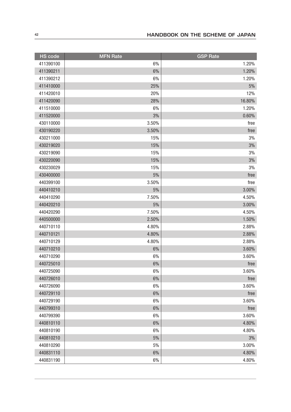| <b>HS code</b> | <b>MFN Rate</b> | <b>GSP Rate</b> |
|----------------|-----------------|-----------------|
| 411390100      | 6%              | 1.20%           |
| 411390211      | 6%              | 1.20%           |
| 411390212      | 6%              | 1.20%           |
| 411410000      | 25%             | $5\%$           |
| 411420010      | 20%             | 12%             |
| 411420090      | 28%             | 16.80%          |
| 411510000      | 6%              | 1.20%           |
| 411520000      | 3%              | 0.60%           |
| 430110000      | 3.50%           | free            |
| 430190220      | 3.50%           | free            |
| 430211000      | 15%             | 3%              |
| 430219020      | 15%             | 3%              |
| 430219090      | 15%             | 3%              |
| 430220090      | 15%             | 3%              |
| 430230029      | 15%             | 3%              |
| 430400000      | 5%              | free            |
| 440399100      | 3.50%           | free            |
| 440410210      | 5%              | 3.00%           |
| 440410290      | 7.50%           | 4.50%           |
| 440420210      | 5%              | 3.00%           |
| 440420290      | 7.50%           | 4.50%           |
| 440500000      | 2.50%           | 1.50%           |
| 440710110      | 4.80%           | 2.88%           |
| 440710121      | 4.80%           | 2.88%           |
| 440710129      | 4.80%           | 2.88%           |
| 440710210      | 6%              | 3.60%           |
| 440710290      | 6%              | 3.60%           |
| 440725010      | 6%              | free            |
| 440725090      | $6\%$           | 3.60%           |
| 440726010      | 6%              | free            |
| 440726090      | 6%              | 3.60%           |
| 440729110      | $6\%$           | free            |
| 440729190      | 6%              | 3.60%           |
| 440799310      | $6\%$           | free            |
| 440799390      | 6%              | 3.60%           |
| 440810110      | 6%              | 4.80%           |
| 440810190      | 6%              | 4.80%           |
| 440810210      | $5\%$           | 3%              |
| 440810290      | 5%              | 3.00%           |
| 440831110      | 6%              | 4.80%           |
| 440831190      | $6\%$           | 4.80%           |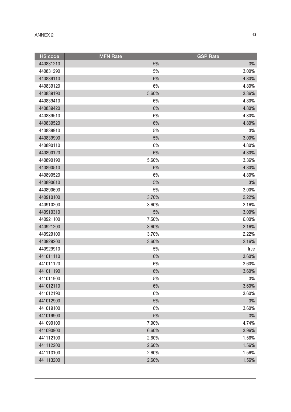| <b>HS</b> code | <b>MFN Rate</b> | <b>GSP Rate</b> |
|----------------|-----------------|-----------------|
| 440831210      | 5%              | 3%              |
| 440831290      | 5%              | 3.00%           |
| 440839110      | 6%              | 4.80%           |
| 440839120      | 6%              | 4.80%           |
| 440839190      | 5.60%           | 3.36%           |
| 440839410      | 6%              | 4.80%           |
| 440839420      | 6%              | 4.80%           |
| 440839510      | 6%              | 4.80%           |
| 440839520      | 6%              | 4.80%           |
| 440839910      | 5%              | 3%              |
| 440839990      | 5%              | 3.00%           |
| 440890110      | 6%              | 4.80%           |
| 440890120      | 6%              | 4.80%           |
| 440890190      | 5.60%           | 3.36%           |
| 440890510      | 6%              | 4.80%           |
| 440890520      | 6%              | 4.80%           |
| 440890610      | 5%              | 3%              |
| 440890690      | 5%              | 3.00%           |
| 440910100      | 3.70%           | 2.22%           |
| 440910200      | 3.60%           | 2.16%           |
| 440910310      | 5%              | 3.00%           |
| 440921100      | 7.50%           | 6.00%           |
| 440921200      | 3.60%           | 2.16%           |
| 440929100      | 3.70%           | 2.22%           |
| 440929200      | 3.60%           | 2.16%           |
| 440929910      | 5%              | free            |
| 441011110      | 6%              | 3.60%           |
| 441011120      | 6%              | 3.60%           |
| 441011190      | $6\%$           | 3.60%           |
| 441011900      | 5%              | 3%              |
| 441012110      | $6\%$           | 3.60%           |
| 441012190      | 6%              | 3.60%           |
| 441012900      | 5%              | 3%              |
| 441019100      | 6%              | 3.60%           |
| 441019900      | $5\%$           | $3\%$           |
| 441090100      | 7.90%           | 4.74%           |
| 441090900      | 6.60%           | 3.96%           |
| 441112100      | 2.60%           | 1.56%           |
| 441112200      | 2.60%           | 1.56%           |
| 441113100      | 2.60%           | 1.56%           |
| 441113200      | 2.60%           | 1.56%           |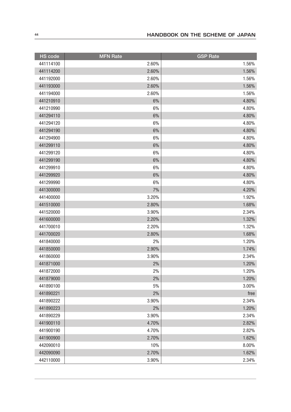| <b>HS code</b> | <b>MFN Rate</b> | <b>GSP Rate</b> |
|----------------|-----------------|-----------------|
| 441114100      | 2.60%           | 1.56%           |
| 441114200      | 2.60%           | 1.56%           |
| 441192000      | 2.60%           | 1.56%           |
| 441193000      | 2.60%           | 1.56%           |
| 441194000      | 2.60%           | 1.56%           |
| 441210910      | 6%              | 4.80%           |
| 441210990      | 6%              | 4.80%           |
| 441294110      | 6%              | 4.80%           |
| 441294120      | 6%              | 4.80%           |
| 441294190      | 6%              | 4.80%           |
| 441294900      | 6%              | 4.80%           |
| 441299110      | 6%              | 4.80%           |
| 441299120      | 6%              | 4.80%           |
| 441299190      | 6%              | 4.80%           |
| 441299910      | 6%              | 4.80%           |
| 441299920      | 6%              | 4.80%           |
| 441299990      | 6%              | 4.80%           |
| 441300000      | 7%              | 4.20%           |
| 441400000      | 3.20%           | 1.92%           |
| 441510000      | 2.80%           | 1.68%           |
| 441520000      | 3.90%           | 2.34%           |
| 441600000      | 2.20%           | 1.32%           |
| 441700010      | 2.20%           | 1.32%           |
| 441700020      | 2.80%           | 1.68%           |
| 441840000      | 2%              | 1.20%           |
| 441850000      | 2.90%           | 1.74%           |
| 441860000      | 3.90%           | 2.34%           |
| 441871000      | 2%              | 1.20%           |
| 441872000      | $2\%$           | 1.20%           |
| 441879000      | 2%              | 1.20%           |
| 441890100      | 5%              | 3.00%           |
| 441890221      | 2%              | free            |
| 441890222      | 3.90%           | 2.34%           |
| 441890223      | $2\%$           | 1.20%           |
| 441890229      | 3.90%           | 2.34%           |
| 441900110      | 4.70%           | 2.82%           |
| 441900190      | 4.70%           | 2.82%           |
| 441900900      | 2.70%           | 1.62%           |
| 442090010      | 10%             | 8.00%           |
| 442090090      | 2.70%           | 1.62%           |
| 442110000      | 3.90%           | 2.34%           |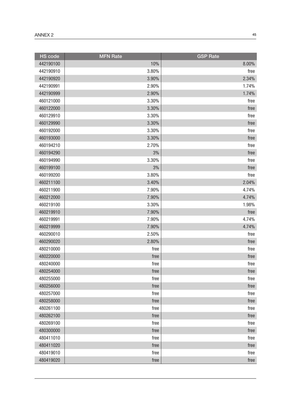| <b>HS</b> code | <b>MFN Rate</b> | <b>GSP Rate</b> |
|----------------|-----------------|-----------------|
| 442190100      | 10%             | 8.00%           |
| 442190910      | 3.80%           | free            |
| 442190920      | 3.90%           | 2.34%           |
| 442190991      | 2.90%           | 1.74%           |
| 442190999      | 2.90%           | 1.74%           |
| 460121000      | 3.30%           | free            |
| 460122000      | 3.30%           | free            |
| 460129910      | 3.30%           | free            |
| 460129990      | 3.30%           | free            |
| 460192000      | 3.30%           | free            |
| 460193000      | 3.30%           | free            |
| 460194210      | 2.70%           | free            |
| 460194290      | 3%              | free            |
| 460194990      | 3.30%           | free            |
| 460199100      | 3%              | free            |
| 460199200      | 3.80%           | free            |
| 460211100      | 3.40%           | 2.04%           |
| 460211900      | 7.90%           | 4.74%           |
| 460212000      | 7.90%           | 4.74%           |
| 460219100      | 3.30%           | 1.98%           |
| 460219910      | 7.90%           | free            |
| 460219991      | 7.90%           | 4.74%           |
| 460219999      | 7.90%           | 4.74%           |
| 460290010      | 2.50%           | free            |
| 460290020      | 2.80%           | free            |
| 480210000      | free            | free            |
| 480220000      | free            | free            |
| 480240000      | free            | free            |
| 480254000      | free            | free            |
| 480255000      | free            | free            |
| 480256000      | free            | free            |
| 480257000      | free            | free            |
| 480258000      | free            | free            |
| 480261100      | free            | free            |
| 480262100      | free            | free            |
| 480269100      | free            | free            |
| 480300000      | free            | free            |
| 480411010      | free            | free            |
| 480411020      | free            | free            |
| 480419010      | free            | free            |
| 480419020      | free            | free            |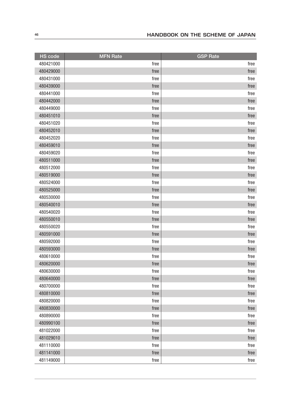| <b>HS</b> code | <b>MFN Rate</b> | <b>GSP Rate</b> |
|----------------|-----------------|-----------------|
| 480421000      | free            | free            |
| 480429000      | free            | free            |
| 480431000      | free            | free            |
| 480439000      | free            | free            |
| 480441000      | free            | free            |
| 480442000      | free            | free            |
| 480449000      | free            | free            |
| 480451010      | free            | free            |
| 480451020      | free            | free            |
| 480452010      | free            | free            |
| 480452020      | free            | free            |
| 480459010      | free            | free            |
| 480459020      | free            | free            |
| 480511000      | free            | free            |
| 480512000      | free            | free            |
| 480519000      | free            | free            |
| 480524000      | free            | free            |
| 480525000      | free            | free            |
| 480530000      | free            | free            |
| 480540010      | free            | free            |
| 480540020      | free            | free            |
| 480550010      | free            | free            |
| 480550020      | free            | free            |
| 480591000      | free            | free            |
| 480592000      | free            | free            |
| 480593000      | free            | free            |
| 480610000      | free            | free            |
| 480620000      | free            | free            |
| 480630000      | free            | ${\sf free}$    |
| 480640000      | free            | free            |
| 480700000      | free            | free            |
| 480810000      | free            | free            |
| 480820000      | free            | free            |
| 480830000      | free            | free            |
| 480890000      | free            | free            |
| 480990100      | free            | free            |
| 481022000      | free            | free            |
| 481029010      | free            | free            |
| 481110000      | free            | free            |
| 481141000      | free            | free            |
| 481149000      | free            | free            |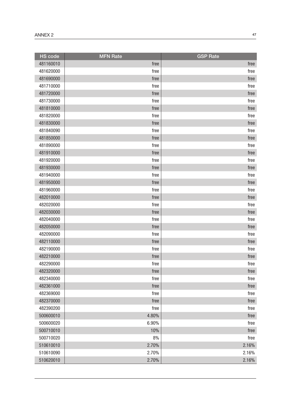| <b>HS</b> code | <b>MFN Rate</b> | <b>GSP Rate</b> |
|----------------|-----------------|-----------------|
| 481160010      | free            | free            |
| 481620000      | free            | free            |
| 481690000      | free            | free            |
| 481710000      | free            | free            |
| 481720000      | free            | free            |
| 481730000      | free            | free            |
| 481810000      | free            | free            |
| 481820000      | free            | free            |
| 481830000      | free            | free            |
| 481840090      | free            | free            |
| 481850000      | free            | free            |
| 481890000      | free            | free            |
| 481910000      | free            | free            |
| 481920000      | free            | free            |
| 481930000      | free            | free            |
| 481940000      | free            | free            |
| 481950000      | free            | free            |
| 481960000      | free            | free            |
| 482010000      | free            | free            |
| 482020000      | free            | free            |
| 482030000      | free            | free            |
| 482040000      | free            | free            |
| 482050000      | free            | free            |
| 482090000      | free            | free            |
| 482110000      | free            | free            |
| 482190000      | free            | free            |
| 482210000      | free            | free            |
| 482290000      | free            | free            |
| 482320000      | free            | free            |
| 482340000      | free            | free            |
| 482361000      | free            | free            |
| 482369000      | free            | free            |
| 482370000      | free            | free            |
| 482390200      | free            | free            |
| 500600010      | 4.80%           | free            |
| 500600020      | 6.90%           | free            |
| 500710010      | 10%             | free            |
| 500710020      | 8%              | free            |
| 510610010      | 2.70%           | 2.16%           |
| 510610090      | 2.70%           | 2.16%           |
| 510620010      | 2.70%           | 2.16%           |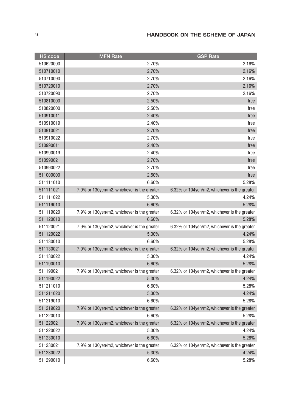| <b>HS code</b> | <b>MFN Rate</b>                             | <b>GSP</b> Rate                              |
|----------------|---------------------------------------------|----------------------------------------------|
| 510620090      | 2.70%                                       | 2.16%                                        |
| 510710010      | 2.70%                                       | 2.16%                                        |
| 510710090      | 2.70%                                       | 2.16%                                        |
| 510720010      | 2.70%                                       | 2.16%                                        |
| 510720090      | 2.70%                                       | 2.16%                                        |
| 510810000      | 2.50%                                       | free                                         |
| 510820000      | 2.50%                                       | free                                         |
| 510910011      | 2.40%                                       | free                                         |
| 510910019      | 2.40%                                       | free                                         |
| 510910021      | 2.70%                                       | free                                         |
| 510910022      | 2.70%                                       | free                                         |
| 510990011      | 2.40%                                       | free                                         |
| 510990019      | 2.40%                                       | free                                         |
| 510990021      | 2.70%                                       | free                                         |
| 510990022      | 2.70%                                       | free                                         |
| 511000000      | 2.50%                                       | free                                         |
| 511111010      | 6.60%                                       | 5.28%                                        |
| 511111021      | 7.9% or 130yen/m2, whichever is the greater | 6.32% or 104yen/m2, whichever is the greater |
| 511111022      | 5.30%                                       | 4.24%                                        |
| 511119010      | 6.60%                                       | 5.28%                                        |
| 511119020      | 7.9% or 130yen/m2, whichever is the greater | 6.32% or 104yen/m2, whichever is the greater |
| 511120010      | 6.60%                                       | 5.28%                                        |
| 511120021      | 7.9% or 130yen/m2, whichever is the greater | 6.32% or 104yen/m2, whichever is the greater |
| 511120022      | 5.30%                                       | 4.24%                                        |
| 511130010      | 6.60%                                       | 5.28%                                        |
| 511130021      | 7.9% or 130yen/m2, whichever is the greater | 6.32% or 104yen/m2, whichever is the greater |
| 511130022      | 5.30%                                       | 4.24%                                        |
| 511190010      | 6.60%                                       | 5.28%                                        |
| 511190021      | 7.9% or 130yen/m2, whichever is the greater | 6.32% or 104yen/m2, whichever is the greater |
| 511190022      | 5.30%                                       | 4.24%                                        |
| 511211010      | 6.60%                                       | 5.28%                                        |
| 511211020      | 5.30%                                       | 4.24%                                        |
| 511219010      | 6.60%                                       | 5.28%                                        |
| 511219020      | 7.9% or 130yen/m2, whichever is the greater | 6.32% or 104yen/m2, whichever is the greater |
| 511220010      | 6.60%                                       | 5.28%                                        |
| 511220021      | 7.9% or 130yen/m2, whichever is the greater | 6.32% or 104yen/m2, whichever is the greater |
| 511220022      | 5.30%                                       | 4.24%                                        |
| 511230010      | 6.60%                                       | 5.28%                                        |
| 511230021      | 7.9% or 130yen/m2, whichever is the greater | 6.32% or 104yen/m2, whichever is the greater |
| 511230022      | 5.30%                                       | 4.24%                                        |
| 511290010      | 6.60%                                       | 5.28%                                        |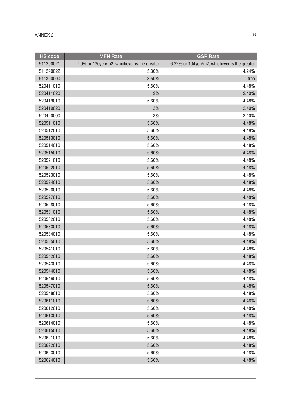| <b>HS code</b> | <b>MFN Rate</b>                             | <b>GSP</b> Rate                              |
|----------------|---------------------------------------------|----------------------------------------------|
| 511290021      | 7.9% or 130yen/m2, whichever is the greater | 6.32% or 104yen/m2, whichever is the greater |
| 511290022      | 5.30%                                       | 4.24%                                        |
| 511300000      | 3.50%                                       | free                                         |
| 520411010      | 5.60%                                       | 4.48%                                        |
| 520411020      | 3%                                          | 2.40%                                        |
| 520419010      | 5.60%                                       | 4.48%                                        |
| 520419020      | 3%                                          | 2.40%                                        |
| 520420000      | 3%                                          | 2.40%                                        |
| 520511010      | 5.60%                                       | 4.48%                                        |
| 520512010      | 5.60%                                       | 4.48%                                        |
| 520513010      | 5.60%                                       | 4.48%                                        |
| 520514010      | 5.60%                                       | 4.48%                                        |
| 520515010      | 5.60%                                       | 4.48%                                        |
| 520521010      | 5.60%                                       | 4.48%                                        |
| 520522010      | 5.60%                                       | 4.48%                                        |
| 520523010      | 5.60%                                       | 4.48%                                        |
| 520524010      | 5.60%                                       | 4.48%                                        |
| 520526010      | 5.60%                                       | 4.48%                                        |
| 520527010      | 5.60%                                       | 4.48%                                        |
| 520528010      | 5.60%                                       | 4.48%                                        |
| 520531010      | 5.60%                                       | 4.48%                                        |
| 520532010      | 5.60%                                       | 4.48%                                        |
| 520533010      | 5.60%                                       | 4.48%                                        |
| 520534010      | 5.60%                                       | 4.48%                                        |
| 520535010      | 5.60%                                       | 4.48%                                        |
| 520541010      | 5.60%                                       | 4.48%                                        |
| 520542010      | 5.60%                                       | 4.48%                                        |
| 520543010      | 5.60%                                       | 4.48%                                        |
| 520544010      | 5.60%                                       | 4.48%                                        |
| 520546010      | 5.60%                                       | 4.48%                                        |
| 520547010      | 5.60%                                       | 4.48%                                        |
| 520548010      | 5.60%                                       | 4.48%                                        |
| 520611010      | 5.60%                                       | 4.48%                                        |
| 520612010      | 5.60%                                       | 4.48%                                        |
| 520613010      | 5.60%                                       | 4.48%                                        |
| 520614010      | 5.60%                                       | 4.48%                                        |
| 520615010      | 5.60%                                       | 4.48%                                        |
| 520621010      | 5.60%                                       | 4.48%                                        |
| 520622010      | 5.60%                                       | 4.48%                                        |
| 520623010      | 5.60%                                       | 4.48%                                        |
| 520624010      | 5.60%                                       | 4.48%                                        |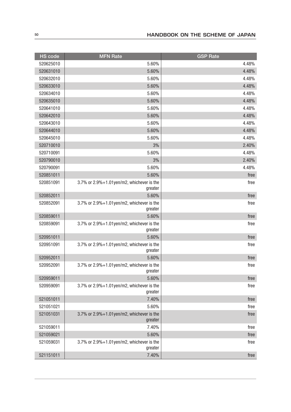| <b>HS code</b> | <b>MFN Rate</b>                                            | <b>GSP Rate</b> |
|----------------|------------------------------------------------------------|-----------------|
| 520625010      | 5.60%                                                      | 4.48%           |
| 520631010      | 5.60%                                                      | 4.48%           |
| 520632010      | 5.60%                                                      | 4.48%           |
| 520633010      | 5.60%                                                      | 4.48%           |
| 520634010      | 5.60%                                                      | 4.48%           |
| 520635010      | 5.60%                                                      | 4.48%           |
| 520641010      | 5.60%                                                      | 4.48%           |
| 520642010      | 5.60%                                                      | 4.48%           |
| 520643010      | 5.60%                                                      | 4.48%           |
| 520644010      | 5.60%                                                      | 4.48%           |
| 520645010      | 5.60%                                                      | 4.48%           |
| 520710010      | 3%                                                         | 2.40%           |
| 520710091      | 5.60%                                                      | 4.48%           |
| 520790010      | 3%                                                         | 2.40%           |
| 520790091      | 5.60%                                                      | 4.48%           |
| 520851011      | 5.60%                                                      | free            |
| 520851091      | 3.7% or $2.9\% + 1.01$ yen/m2, whichever is the<br>greater | free            |
| 520852011      | 5.60%                                                      | free            |
| 520852091      | 3.7% or $2.9\% + 1.01$ yen/m2, whichever is the<br>greater | free            |
| 520859011      | 5.60%                                                      | free            |
| 520859091      | 3.7% or $2.9\% + 1.01$ yen/m2, whichever is the<br>greater | free            |
| 520951011      | 5.60%                                                      | free            |
| 520951091      | 3.7% or $2.9\% + 1.01$ yen/m2, whichever is the<br>greater | free            |
| 520952011      | 5.60%                                                      | free            |
| 520952091      | 3.7% or 2.9%+1.01yen/m2, whichever is the<br>greater       | free            |
| 520959011      | 5.60%                                                      | free            |
| 520959091      | 3.7% or 2.9%+1.01yen/m2, whichever is the<br>greater       | free            |
| 521051011      | 7.40%                                                      | free            |
| 521051021      | 5.60%                                                      | free            |
| 521051031      | 3.7% or 2.9%+1.01yen/m2, whichever is the<br>greater       | free            |
| 521059011      | 7.40%                                                      | free            |
| 521059021      | 5.60%                                                      | free            |
| 521059031      | 3.7% or $2.9\% + 1.01$ yen/m2, whichever is the<br>greater | free            |
| 521151011      | 7.40%                                                      | free            |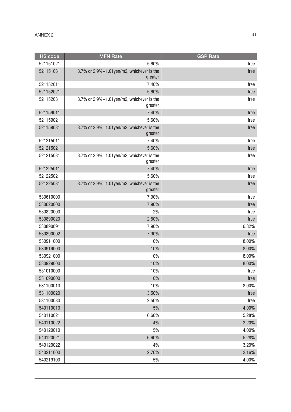| <b>HS code</b> | <b>MFN Rate</b>                                            | <b>GSP Rate</b> |
|----------------|------------------------------------------------------------|-----------------|
| 521151021      | 5.60%                                                      | free            |
| 521151031      | 3.7% or 2.9%+1.01yen/m2, whichever is the<br>greater       | free            |
| 521152011      | 7.40%                                                      | free            |
| 521152021      | 5.60%                                                      | free            |
| 521152031      | 3.7% or $2.9\% + 1.01$ yen/m2, whichever is the<br>greater | free            |
| 521159011      | 7.40%                                                      | free            |
| 521159021      | 5.60%                                                      | free            |
| 521159031      | 3.7% or 2.9%+1.01yen/m2, whichever is the<br>greater       | free            |
| 521215011      | 7.40%                                                      | free            |
| 521215021      | 5.60%                                                      | free            |
| 521215031      | 3.7% or 2.9%+1.01yen/m2, whichever is the<br>greater       | free            |
| 521225011      | 7.40%                                                      | free            |
| 521225021      | 5.60%                                                      | free            |
| 521225031      | 3.7% or 2.9%+1.01yen/m2, whichever is the<br>greater       | free            |
| 530610000      | 7.90%                                                      | free            |
| 530620000      | 7.90%                                                      | free            |
| 530820000      | 2%                                                         | free            |
| 530890020      | 2.50%                                                      | free            |
| 530890091      | 7.90%                                                      | 6.32%           |
| 530890092      | 7.90%                                                      | free            |
| 530911000      | 10%                                                        | 8.00%           |
| 530919000      | 10%                                                        | 8.00%           |
| 530921000      | 10%                                                        | 8.00%           |
| 530929000      | 10%                                                        | 8.00%           |
| 531010000      | 10%                                                        | free            |
| 531090000      | 10%                                                        | free            |
| 531100010      | 10%                                                        | 8.00%           |
| 531100020      | 3.50%                                                      | free            |
| 531100030      | 2.50%                                                      | free            |
| 540110010      | 5%                                                         | 4.00%           |
| 540110021      | 6.60%                                                      | 5.28%           |
| 540110022      | 4%                                                         | 3.20%           |
| 540120010      | 5%                                                         | 4.00%           |
| 540120021      | 6.60%                                                      | 5.28%           |
| 540120022      | 4%                                                         | 3.20%           |
| 540211000      | 2.70%                                                      | 2.16%           |
| 540219100      | 5%                                                         | 4.00%           |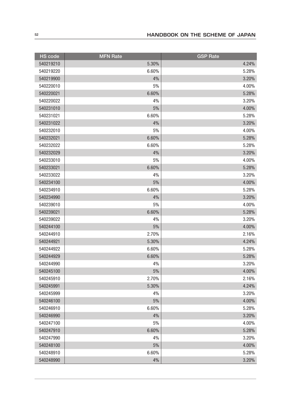| <b>HS</b> code | <b>MFN Rate</b> | <b>GSP Rate</b> |
|----------------|-----------------|-----------------|
| 540219210      | 5.30%           | 4.24%           |
| 540219220      | 6.60%           | 5.28%           |
| 540219900      | 4%              | 3.20%           |
| 540220010      | 5%              | 4.00%           |
| 540220021      | 6.60%           | 5.28%           |
| 540220022      | 4%              | 3.20%           |
| 540231010      | 5%              | 4.00%           |
| 540231021      | 6.60%           | 5.28%           |
| 540231022      | 4%              | 3.20%           |
| 540232010      | 5%              | 4.00%           |
| 540232021      | 6.60%           | 5.28%           |
| 540232022      | 6.60%           | 5.28%           |
| 540232029      | 4%              | 3.20%           |
| 540233010      | 5%              | 4.00%           |
| 540233021      | 6.60%           | 5.28%           |
| 540233022      | 4%              | 3.20%           |
| 540234100      | 5%              | 4.00%           |
| 540234910      | 6.60%           | 5.28%           |
| 540234990      | 4%              | 3.20%           |
| 540239010      | 5%              | 4.00%           |
| 540239021      | 6.60%           | 5.28%           |
| 540239022      | 4%              | 3.20%           |
| 540244100      | 5%              | 4.00%           |
| 540244910      | 2.70%           | 2.16%           |
| 540244921      | 5.30%           | 4.24%           |
| 540244922      | 6.60%           | 5.28%           |
| 540244929      | 6.60%           | 5.28%           |
| 540244990      | 4%              | 3.20%           |
| 540245100      | 5%              | 4.00%           |
| 540245910      | 2.70%           | 2.16%           |
| 540245991      | 5.30%           | 4.24%           |
| 540245999      | 4%              | 3.20%           |
| 540246100      | 5%              | 4.00%           |
| 540246910      | 6.60%           | 5.28%           |
| 540246990      | 4%              | 3.20%           |
| 540247100      | 5%              | 4.00%           |
| 540247910      | 6.60%           | 5.28%           |
| 540247990      | 4%              | 3.20%           |
| 540248100      | 5%              | 4.00%           |
| 540248910      | 6.60%           | 5.28%           |
| 540248990      | 4%              | 3.20%           |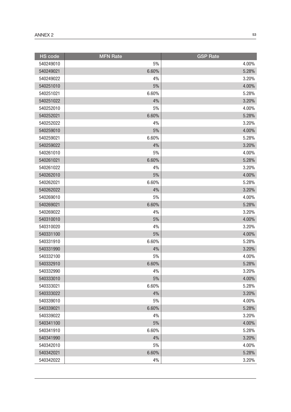| <b>HS</b> code | <b>MFN Rate</b> | <b>GSP Rate</b> |
|----------------|-----------------|-----------------|
| 540249010      | 5%              | 4.00%           |
| 540249021      | 6.60%           | 5.28%           |
| 540249022      | 4%              | 3.20%           |
| 540251010      | $5%$            | 4.00%           |
| 540251021      | 6.60%           | 5.28%           |
| 540251022      | 4%              | 3.20%           |
| 540252010      | $5\%$           | 4.00%           |
| 540252021      | 6.60%           | 5.28%           |
| 540252022      | 4%              | 3.20%           |
| 540259010      | 5%              | 4.00%           |
| 540259021      | 6.60%           | 5.28%           |
| 540259022      | 4%              | 3.20%           |
| 540261010      | 5%              | 4.00%           |
| 540261021      | 6.60%           | 5.28%           |
| 540261022      | 4%              | 3.20%           |
| 540262010      | 5%              | 4.00%           |
| 540262021      | 6.60%           | 5.28%           |
| 540262022      | 4%              | 3.20%           |
| 540269010      | 5%              | 4.00%           |
| 540269021      | 6.60%           | 5.28%           |
| 540269022      | 4%              | 3.20%           |
| 540310010      | 5%              | 4.00%           |
| 540310020      | 4%              | 3.20%           |
| 540331100      | $5%$            | 4.00%           |
| 540331910      | 6.60%           | 5.28%           |
| 540331990      | 4%              | 3.20%           |
| 540332100      | $5\%$           | 4.00%           |
| 540332910      | 6.60%           | 5.28%           |
| 540332990      | $4\%$           | 3.20%           |
| 540333010      | 5%              | 4.00%           |
| 540333021      | 6.60%           | 5.28%           |
| 540333022      | 4%              | 3.20%           |
| 540339010      | 5%              | 4.00%           |
| 540339021      | 6.60%           | 5.28%           |
| 540339022      | 4%              | 3.20%           |
| 540341100      | 5%              | 4.00%           |
| 540341910      | 6.60%           | 5.28%           |
| 540341990      | 4%              | 3.20%           |
| 540342010      | 5%              | 4.00%           |
| 540342021      | 6.60%           | 5.28%           |
| 540342022      | 4%              | 3.20%           |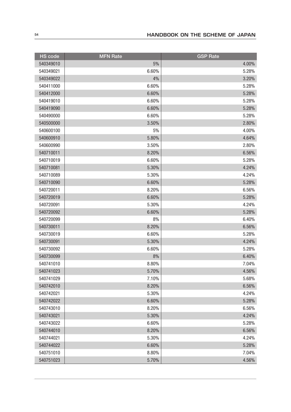| <b>HS</b> code | <b>MFN Rate</b> | <b>GSP</b> Rate |
|----------------|-----------------|-----------------|
| 540349010      | 5%              | 4.00%           |
| 540349021      | 6.60%           | 5.28%           |
| 540349022      | 4%              | 3.20%           |
| 540411000      | 6.60%           | 5.28%           |
| 540412000      | 6.60%           | 5.28%           |
| 540419010      | 6.60%           | 5.28%           |
| 540419090      | 6.60%           | 5.28%           |
| 540490000      | 6.60%           | 5.28%           |
| 540500000      | 3.50%           | 2.80%           |
| 540600100      | 5%              | 4.00%           |
| 540600910      | 5.80%           | 4.64%           |
| 540600990      | 3.50%           | 2.80%           |
| 540710011      | 8.20%           | 6.56%           |
| 540710019      | 6.60%           | 5.28%           |
| 540710081      | 5.30%           | 4.24%           |
| 540710089      | 5.30%           | 4.24%           |
| 540710090      | 6.60%           | 5.28%           |
| 540720011      | 8.20%           | 6.56%           |
| 540720019      | 6.60%           | 5.28%           |
| 540720091      | 5.30%           | 4.24%           |
| 540720092      | 6.60%           | 5.28%           |
| 540720099      | 8%              | 6.40%           |
| 540730011      | 8.20%           | 6.56%           |
| 540730019      | 6.60%           | 5.28%           |
| 540730091      | 5.30%           | 4.24%           |
| 540730092      | 6.60%           | 5.28%           |
| 540730099      | 8%              | 6.40%           |
| 540741010      | 8.80%           | 7.04%           |
| 540741023      | 5.70%           | 4.56%           |
| 540741029      | 7.10%           | 5.68%           |
| 540742010      | 8.20%           | 6.56%           |
| 540742021      | 5.30%           | 4.24%           |
| 540742022      | 6.60%           | 5.28%           |
| 540743010      | 8.20%           | 6.56%           |
| 540743021      | 5.30%           | 4.24%           |
| 540743022      | 6.60%           | 5.28%           |
| 540744010      | 8.20%           | 6.56%           |
| 540744021      | 5.30%           | 4.24%           |
| 540744022      | 6.60%           | 5.28%           |
| 540751010      | 8.80%           | 7.04%           |
| 540751023      | 5.70%           | 4.56%           |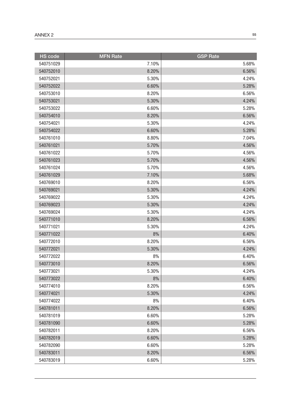| <b>HS</b> code | <b>MFN Rate</b> | <b>GSP Rate</b> |
|----------------|-----------------|-----------------|
| 540751029      | 7.10%           | 5.68%           |
| 540752010      | 8.20%           | 6.56%           |
| 540752021      | 5.30%           | 4.24%           |
| 540752022      | 6.60%           | 5.28%           |
| 540753010      | 8.20%           | 6.56%           |
| 540753021      | 5.30%           | 4.24%           |
| 540753022      | 6.60%           | 5.28%           |
| 540754010      | 8.20%           | 6.56%           |
| 540754021      | 5.30%           | 4.24%           |
| 540754022      | 6.60%           | 5.28%           |
| 540761010      | 8.80%           | 7.04%           |
| 540761021      | 5.70%           | 4.56%           |
| 540761022      | 5.70%           | 4.56%           |
| 540761023      | 5.70%           | 4.56%           |
| 540761024      | 5.70%           | 4.56%           |
| 540761029      | 7.10%           | 5.68%           |
| 540769010      | 8.20%           | 6.56%           |
| 540769021      | 5.30%           | 4.24%           |
| 540769022      | 5.30%           | 4.24%           |
| 540769023      | 5.30%           | 4.24%           |
| 540769024      | 5.30%           | 4.24%           |
| 540771010      | 8.20%           | 6.56%           |
| 540771021      | 5.30%           | 4.24%           |
| 540771022      | 8%              | 6.40%           |
| 540772010      | 8.20%           | 6.56%           |
| 540772021      | 5.30%           | 4.24%           |
| 540772022      | 8%              | 6.40%           |
| 540773010      | 8.20%           | 6.56%           |
| 540773021      | 5.30%           | 4.24%           |
| 540773022      | 8%              | 6.40%           |
| 540774010      | 8.20%           | 6.56%           |
| 540774021      | 5.30%           | 4.24%           |
| 540774022      | 8%              | 6.40%           |
| 540781011      | 8.20%           | 6.56%           |
| 540781019      | 6.60%           | 5.28%           |
| 540781090      | 6.60%           | 5.28%           |
| 540782011      | 8.20%           | 6.56%           |
| 540782019      | 6.60%           | 5.28%           |
| 540782090      | 6.60%           | 5.28%           |
| 540783011      | 8.20%           | 6.56%           |
| 540783019      | 6.60%           | 5.28%           |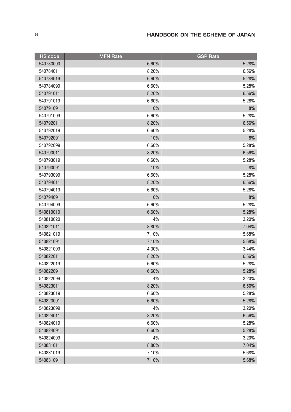| <b>HS</b> code | <b>MFN Rate</b> | <b>GSP Rate</b> |
|----------------|-----------------|-----------------|
| 540783090      | 6.60%           | 5.28%           |
| 540784011      | 8.20%           | 6.56%           |
| 540784019      | 6.60%           | 5.28%           |
| 540784090      | 6.60%           | 5.28%           |
| 540791011      | 8.20%           | 6.56%           |
| 540791019      | 6.60%           | 5.28%           |
| 540791091      | 10%             | 8%              |
| 540791099      | 6.60%           | 5.28%           |
| 540792011      | 8.20%           | 6.56%           |
| 540792019      | 6.60%           | 5.28%           |
| 540792091      | 10%             | 8%              |
| 540792099      | 6.60%           | 5.28%           |
| 540793011      | 8.20%           | 6.56%           |
| 540793019      | 6.60%           | 5.28%           |
| 540793091      | 10%             | 8%              |
| 540793099      | 6.60%           | 5.28%           |
| 540794011      | 8.20%           | 6.56%           |
| 540794019      | 6.60%           | 5.28%           |
| 540794091      | 10%             | 8%              |
| 540794099      | 6.60%           | 5.28%           |
| 540810010      | 6.60%           | 5.28%           |
| 540810020      | 4%              | 3.20%           |
| 540821011      | 8.80%           | 7.04%           |
| 540821019      | 7.10%           | 5.68%           |
| 540821091      | 7.10%           | 5.68%           |
| 540821099      | 4.30%           | 3.44%           |
| 540822011      | 8.20%           | 6.56%           |
| 540822019      | 6.60%           | 5.28%           |
| 540822091      | 6.60%           | 5.28%           |
| 540822099      | 4%              | 3.20%           |
| 540823011      | 8.20%           | 6.56%           |
| 540823019      | 6.60%           | 5.28%           |
| 540823091      | 6.60%           | 5.28%           |
| 540823099      | 4%              | 3.20%           |
| 540824011      | 8.20%           | 6.56%           |
| 540824019      | 6.60%           | 5.28%           |
| 540824091      | 6.60%           | 5.28%           |
| 540824099      | 4%              | 3.20%           |
| 540831011      | 8.80%           | 7.04%           |
| 540831019      | 7.10%           | 5.68%           |
| 540831091      | 7.10%           | 5.68%           |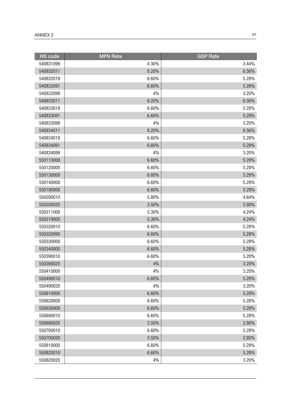| <b>HS</b> code | <b>MFN Rate</b> | <b>GSP Rate</b> |
|----------------|-----------------|-----------------|
| 540831099      | 4.30%           | 3.44%           |
| 540832011      | 8.20%           | 6.56%           |
| 540832019      | 6.60%           | 5.28%           |
| 540832091      | 6.60%           | 5.28%           |
| 540832099      | 4%              | 3.20%           |
| 540833011      | 8.20%           | 6.56%           |
| 540833019      | 6.60%           | 5.28%           |
| 540833091      | 6.60%           | 5.28%           |
| 540833099      | 4%              | 3.20%           |
| 540834011      | 8.20%           | 6.56%           |
| 540834019      | 6.60%           | 5.28%           |
| 540834091      | 6.60%           | 5.28%           |
| 540834099      | 4%              | 3.20%           |
| 550110000      | 6.60%           | 5.28%           |
| 550120000      | 6.60%           | 5.28%           |
| 550130000      | 6.60%           | 5.28%           |
| 550140000      | 6.60%           | 5.28%           |
| 550190000      | 6.60%           | 5.28%           |
| 550200010      | 5.80%           | 4.64%           |
| 550200020      | 3.50%           | 2.80%           |
| 550311000      | 5.30%           | 4.24%           |
| 550319000      | 5.30%           | 4.24%           |
| 550320010      | 6.60%           | 5.28%           |
| 550320090      | 6.60%           | 5.28%           |
| 550330000      | 6.60%           | 5.28%           |
| 550340000      | 6.60%           | 5.28%           |
| 550390010      | 6.60%           | 5.28%           |
| 550390020      | 4%              | 3.20%           |
| 550410000      | 4%              | 3.20%           |
| 550490010      | 6.60%           | 5.28%           |
| 550490020      | 4%              | 3.20%           |
| 550610000      | 6.60%           | 5.28%           |
| 550620000      | 6.60%           | 5.28%           |
| 550630000      | 6.60%           | 5.28%           |
| 550690010      | 6.60%           | 5.28%           |
| 550690020      | 3.50%           | 2.80%           |
| 550700010      | 6.60%           | 5.28%           |
| 550700020      | 3.50%           | 2.80%           |
| 550810000      | 6.60%           | 5.28%           |
| 550820010      | 6.60%           | 5.28%           |
| 550820020      | 4%              | 3.20%           |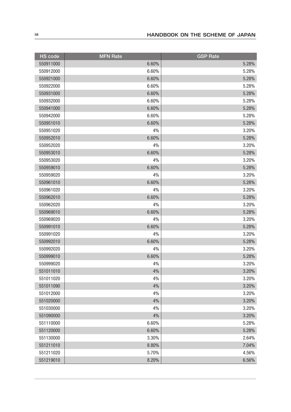| <b>HS</b> code | <b>MFN Rate</b> | <b>GSP Rate</b> |
|----------------|-----------------|-----------------|
| 550911000      | 6.60%           | 5.28%           |
| 550912000      | 6.60%           | 5.28%           |
| 550921000      | 6.60%           | 5.28%           |
| 550922000      | 6.60%           | 5.28%           |
| 550931000      | 6.60%           | 5.28%           |
| 550932000      | 6.60%           | 5.28%           |
| 550941000      | 6.60%           | 5.28%           |
| 550942000      | 6.60%           | 5.28%           |
| 550951010      | 6.60%           | 5.28%           |
| 550951020      | 4%              | 3.20%           |
| 550952010      | 6.60%           | 5.28%           |
| 550952020      | 4%              | 3.20%           |
| 550953010      | 6.60%           | 5.28%           |
| 550953020      | 4%              | 3.20%           |
| 550959010      | 6.60%           | 5.28%           |
| 550959020      | 4%              | 3.20%           |
| 550961010      | 6.60%           | 5.28%           |
| 550961020      | 4%              | 3.20%           |
| 550962010      | 6.60%           | 5.28%           |
| 550962020      | 4%              | 3.20%           |
| 550969010      | 6.60%           | 5.28%           |
| 550969020      | 4%              | 3.20%           |
| 550991010      | 6.60%           | 5.28%           |
| 550991020      | 4%              | 3.20%           |
| 550992010      | 6.60%           | 5.28%           |
| 550992020      | 4%              | 3.20%           |
| 550999010      | 6.60%           | 5.28%           |
| 550999020      | 4%              | 3.20%           |
| 551011010      | 4%              | 3.20%           |
| 551011020      | 4%              | 3.20%           |
| 551011090      | 4%              | 3.20%           |
| 551012000      | 4%              | 3.20%           |
| 551020000      | 4%              | 3.20%           |
| 551030000      | 4%              | 3.20%           |
| 551090000      | 4%              | 3.20%           |
| 551110000      | 6.60%           | 5.28%           |
| 551120000      | 6.60%           | 5.28%           |
| 551130000      | 3.30%           | 2.64%           |
| 551211010      | 8.80%           | 7.04%           |
| 551211020      | 5.70%           | 4.56%           |
| 551219010      | 8.20%           | 6.56%           |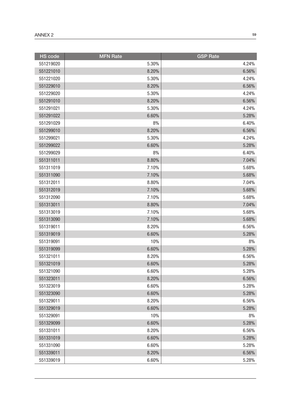| <b>HS</b> code | <b>MFN Rate</b> | <b>GSP Rate</b> |
|----------------|-----------------|-----------------|
| 551219020      | 5.30%           | 4.24%           |
| 551221010      | 8.20%           | 6.56%           |
| 551221020      | 5.30%           | 4.24%           |
| 551229010      | 8.20%           | 6.56%           |
| 551229020      | 5.30%           | 4.24%           |
| 551291010      | 8.20%           | 6.56%           |
| 551291021      | 5.30%           | 4.24%           |
| 551291022      | 6.60%           | 5.28%           |
| 551291029      | 8%              | 6.40%           |
| 551299010      | 8.20%           | 6.56%           |
| 551299021      | 5.30%           | 4.24%           |
| 551299022      | 6.60%           | 5.28%           |
| 551299029      | 8%              | 6.40%           |
| 551311011      | 8.80%           | 7.04%           |
| 551311019      | 7.10%           | 5.68%           |
| 551311090      | 7.10%           | 5.68%           |
| 551312011      | 8.80%           | 7.04%           |
| 551312019      | 7.10%           | 5.68%           |
| 551312090      | 7.10%           | 5.68%           |
| 551313011      | 8.80%           | 7.04%           |
| 551313019      | 7.10%           | 5.68%           |
| 551313090      | 7.10%           | 5.68%           |
| 551319011      | 8.20%           | 6.56%           |
| 551319019      | 6.60%           | 5.28%           |
| 551319091      | 10%             | 8%              |
| 551319099      | 6.60%           | 5.28%           |
| 551321011      | 8.20%           | 6.56%           |
| 551321019      | 6.60%           | 5.28%           |
| 551321090      | 6.60%           | 5.28%           |
| 551323011      | 8.20%           | 6.56%           |
| 551323019      | 6.60%           | 5.28%           |
| 551323090      | 6.60%           | 5.28%           |
| 551329011      | 8.20%           | 6.56%           |
| 551329019      | 6.60%           | 5.28%           |
| 551329091      | 10%             | 8%              |
| 551329099      | 6.60%           | 5.28%           |
| 551331011      | 8.20%           | 6.56%           |
| 551331019      | 6.60%           | 5.28%           |
| 551331090      | 6.60%           | 5.28%           |
| 551339011      | 8.20%           | 6.56%           |
| 551339019      | 6.60%           | 5.28%           |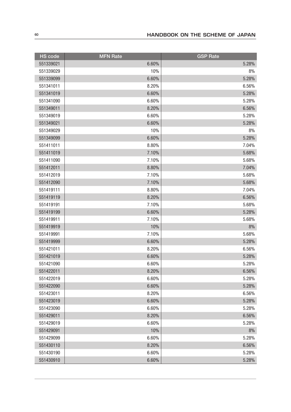| <b>HS</b> code | <b>MFN Rate</b> | <b>GSP Rate</b> |
|----------------|-----------------|-----------------|
| 551339021      | 6.60%           | 5.28%           |
| 551339029      | 10%             | 8%              |
| 551339099      | 6.60%           | 5.28%           |
| 551341011      | 8.20%           | 6.56%           |
| 551341019      | 6.60%           | 5.28%           |
| 551341090      | 6.60%           | 5.28%           |
| 551349011      | 8.20%           | 6.56%           |
| 551349019      | 6.60%           | 5.28%           |
| 551349021      | 6.60%           | 5.28%           |
| 551349029      | 10%             | 8%              |
| 551349099      | 6.60%           | 5.28%           |
| 551411011      | 8.80%           | 7.04%           |
| 551411019      | 7.10%           | 5.68%           |
| 551411090      | 7.10%           | 5.68%           |
| 551412011      | 8.80%           | 7.04%           |
| 551412019      | 7.10%           | 5.68%           |
| 551412090      | 7.10%           | 5.68%           |
| 551419111      | 8.80%           | 7.04%           |
| 551419119      | 8.20%           | 6.56%           |
| 551419191      | 7.10%           | 5.68%           |
| 551419199      | 6.60%           | 5.28%           |
| 551419911      | 7.10%           | 5.68%           |
| 551419919      | 10%             | 8%              |
| 551419991      | 7.10%           | 5.68%           |
| 551419999      | 6.60%           | 5.28%           |
| 551421011      | 8.20%           | 6.56%           |
| 551421019      | 6.60%           | 5.28%           |
| 551421090      | 6.60%           | 5.28%           |
| 551422011      | 8.20%           | 6.56%           |
| 551422019      | 6.60%           | 5.28%           |
| 551422090      | 6.60%           | 5.28%           |
| 551423011      | 8.20%           | 6.56%           |
| 551423019      | 6.60%           | 5.28%           |
| 551423090      | 6.60%           | 5.28%           |
| 551429011      | 8.20%           | 6.56%           |
| 551429019      | 6.60%           | 5.28%           |
| 551429091      | 10%             | 8%              |
| 551429099      | 6.60%           | 5.28%           |
| 551430110      | 8.20%           | 6.56%           |
| 551430190      | 6.60%           | 5.28%           |
| 551430910      | 6.60%           | 5.28%           |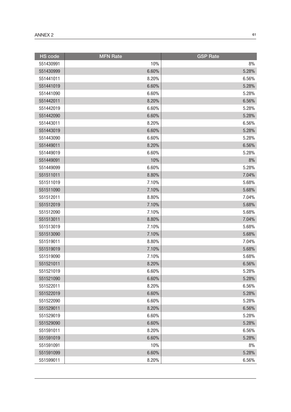| <b>HS</b> code | <b>MFN Rate</b> | <b>GSP Rate</b> |
|----------------|-----------------|-----------------|
| 551430991      | 10%             | 8%              |
| 551430999      | 6.60%           | 5.28%           |
| 551441011      | 8.20%           | 6.56%           |
| 551441019      | 6.60%           | 5.28%           |
| 551441090      | 6.60%           | 5.28%           |
| 551442011      | 8.20%           | 6.56%           |
| 551442019      | 6.60%           | 5.28%           |
| 551442090      | 6.60%           | 5.28%           |
| 551443011      | 8.20%           | 6.56%           |
| 551443019      | 6.60%           | 5.28%           |
| 551443090      | 6.60%           | 5.28%           |
| 551449011      | 8.20%           | 6.56%           |
| 551449019      | 6.60%           | 5.28%           |
| 551449091      | 10%             | 8%              |
| 551449099      | 6.60%           | 5.28%           |
| 551511011      | 8.80%           | 7.04%           |
| 551511019      | 7.10%           | 5.68%           |
| 551511090      | 7.10%           | 5.68%           |
| 551512011      | 8.80%           | 7.04%           |
| 551512019      | 7.10%           | 5.68%           |
| 551512090      | 7.10%           | 5.68%           |
| 551513011      | 8.80%           | 7.04%           |
| 551513019      | 7.10%           | 5.68%           |
| 551513090      | 7.10%           | 5.68%           |
| 551519011      | 8.80%           | 7.04%           |
| 551519019      | 7.10%           | 5.68%           |
| 551519090      | 7.10%           | 5.68%           |
| 551521011      | 8.20%           | 6.56%           |
| 551521019      | 6.60%           | 5.28%           |
| 551521090      | 6.60%           | 5.28%           |
| 551522011      | 8.20%           | 6.56%           |
| 551522019      | 6.60%           | 5.28%           |
| 551522090      | 6.60%           | 5.28%           |
| 551529011      | 8.20%           | 6.56%           |
| 551529019      | 6.60%           | 5.28%           |
| 551529090      | 6.60%           | 5.28%           |
| 551591011      | 8.20%           | 6.56%           |
| 551591019      | 6.60%           | 5.28%           |
| 551591091      | 10%             | 8%              |
| 551591099      | 6.60%           | 5.28%           |
| 551599011      | 8.20%           | 6.56%           |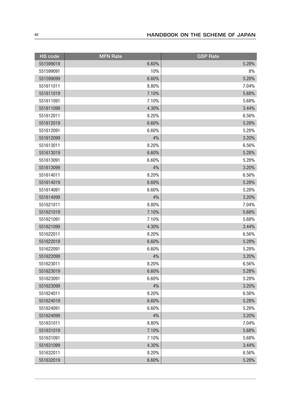| <b>HS</b> code | <b>MFN Rate</b> | <b>GSP</b> Rate |
|----------------|-----------------|-----------------|
| 551599019      | 6.60%           | 5.28%           |
| 551599091      | 10%             | 8%              |
| 551599099      | 6.60%           | 5.28%           |
| 551611011      | 8.80%           | 7.04%           |
| 551611019      | 7.10%           | 5.68%           |
| 551611091      | 7.10%           | 5.68%           |
| 551611099      | 4.30%           | 3.44%           |
| 551612011      | 8.20%           | 6.56%           |
| 551612019      | 6.60%           | 5.28%           |
| 551612091      | 6.60%           | 5.28%           |
| 551612099      | 4%              | 3.20%           |
| 551613011      | 8.20%           | 6.56%           |
| 551613019      | 6.60%           | 5.28%           |
| 551613091      | 6.60%           | 5.28%           |
| 551613099      | 4%              | 3.20%           |
| 551614011      | 8.20%           | 6.56%           |
| 551614019      | 6.60%           | 5.28%           |
| 551614091      | 6.60%           | 5.28%           |
| 551614099      | 4%              | 3.20%           |
| 551621011      | 8.80%           | 7.04%           |
| 551621019      | 7.10%           | 5.68%           |
| 551621091      | 7.10%           | 5.68%           |
| 551621099      | 4.30%           | 3.44%           |
| 551622011      | 8.20%           | 6.56%           |
| 551622019      | 6.60%           | 5.28%           |
| 551622091      | 6.60%           | 5.28%           |
| 551622099      | 4%              | 3.20%           |
| 551623011      | 8.20%           | 6.56%           |
| 551623019      | 6.60%           | 5.28%           |
| 551623091      | 6.60%           | 5.28%           |
| 551623099      | 4%              | 3.20%           |
| 551624011      | 8.20%           | 6.56%           |
| 551624019      | 6.60%           | 5.28%           |
| 551624091      | 6.60%           | 5.28%           |
| 551624099      | 4%              | 3.20%           |
| 551631011      | 8.80%           | 7.04%           |
| 551631019      | 7.10%           | 5.68%           |
| 551631091      | 7.10%           | 5.68%           |
| 551631099      | 4.30%           | 3.44%           |
| 551632011      | 8.20%           | 6.56%           |
| 551632019      | 6.60%           | 5.28%           |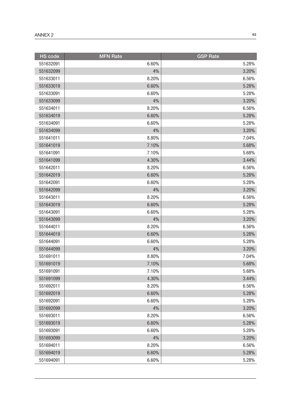| <b>HS</b> code | <b>MFN Rate</b> | <b>GSP Rate</b> |
|----------------|-----------------|-----------------|
| 551632091      | 6.60%           | 5.28%           |
| 551632099      | 4%              | 3.20%           |
| 551633011      | 8.20%           | 6.56%           |
| 551633019      | 6.60%           | 5.28%           |
| 551633091      | 6.60%           | 5.28%           |
| 551633099      | 4%              | 3.20%           |
| 551634011      | 8.20%           | 6.56%           |
| 551634019      | 6.60%           | 5.28%           |
| 551634091      | 6.60%           | 5.28%           |
| 551634099      | 4%              | 3.20%           |
| 551641011      | 8.80%           | 7.04%           |
| 551641019      | 7.10%           | 5.68%           |
| 551641091      | 7.10%           | 5.68%           |
| 551641099      | 4.30%           | 3.44%           |
| 551642011      | 8.20%           | 6.56%           |
| 551642019      | 6.60%           | 5.28%           |
| 551642091      | 6.60%           | 5.28%           |
| 551642099      | 4%              | 3.20%           |
| 551643011      | 8.20%           | 6.56%           |
| 551643019      | 6.60%           | 5.28%           |
| 551643091      | 6.60%           | 5.28%           |
| 551643099      | 4%              | 3.20%           |
| 551644011      | 8.20%           | 6.56%           |
| 551644019      | 6.60%           | 5.28%           |
| 551644091      | 6.60%           | 5.28%           |
| 551644099      | 4%              | 3.20%           |
| 551691011      | 8.80%           | 7.04%           |
| 551691019      | 7.10%           | 5.68%           |
| 551691091      | 7.10%           | 5.68%           |
| 551691099      | 4.30%           | 3.44%           |
| 551692011      | 8.20%           | 6.56%           |
| 551692019      | 6.60%           | 5.28%           |
| 551692091      | 6.60%           | 5.28%           |
| 551692099      | 4%              | 3.20%           |
| 551693011      | 8.20%           | 6.56%           |
| 551693019      | 6.60%           | 5.28%           |
| 551693091      | 6.60%           | 5.28%           |
| 551693099      | 4%              | 3.20%           |
| 551694011      | 8.20%           | 6.56%           |
| 551694019      | 6.60%           | 5.28%           |
| 551694091      | 6.60%           | 5.28%           |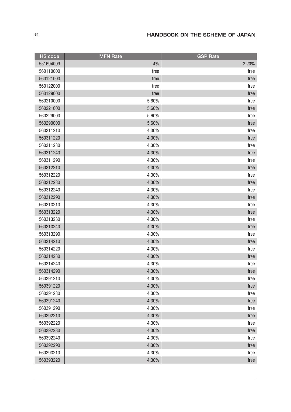| <b>HS</b> code | <b>MFN Rate</b> | <b>GSP Rate</b> |
|----------------|-----------------|-----------------|
| 551694099      | 4%              | 3.20%           |
| 560110000      | free            | free            |
| 560121000      | free            | free            |
| 560122000      | free            | free            |
| 560129000      | free            | free            |
| 560210000      | 5.60%           | free            |
| 560221000      | 5.60%           | free            |
| 560229000      | 5.60%           | free            |
| 560290000      | 5.60%           | free            |
| 560311210      | 4.30%           | free            |
| 560311220      | 4.30%           | free            |
| 560311230      | 4.30%           | free            |
| 560311240      | 4.30%           | free            |
| 560311290      | 4.30%           | free            |
| 560312210      | 4.30%           | free            |
| 560312220      | 4.30%           | free            |
| 560312230      | 4.30%           | free            |
| 560312240      | 4.30%           | free            |
| 560312290      | 4.30%           | free            |
| 560313210      | 4.30%           | free            |
| 560313220      | 4.30%           | free            |
| 560313230      | 4.30%           | free            |
| 560313240      | 4.30%           | free            |
| 560313290      | 4.30%           | free            |
| 560314210      | 4.30%           | free            |
| 560314220      | 4.30%           | free            |
| 560314230      | 4.30%           | free            |
| 560314240      | 4.30%           | free            |
| 560314290      | 4.30%           | free            |
| 560391210      | 4.30%           | free            |
| 560391220      | 4.30%           | free            |
| 560391230      | 4.30%           | free            |
| 560391240      | 4.30%           | free            |
| 560391290      | 4.30%           | free            |
| 560392210      | 4.30%           | free            |
| 560392220      | 4.30%           | free            |
| 560392230      | 4.30%           | free            |
| 560392240      | 4.30%           | free            |
| 560392290      | 4.30%           | free            |
| 560393210      | 4.30%           | free            |
| 560393220      | 4.30%           | free            |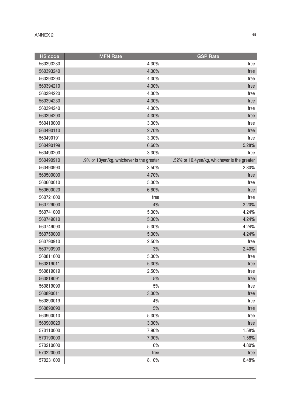| <b>HS code</b> | <b>MFN Rate</b>                            | <b>GSP Rate</b>                               |
|----------------|--------------------------------------------|-----------------------------------------------|
| 560393230      | 4.30%                                      | free                                          |
| 560393240      | 4.30%                                      | free                                          |
| 560393290      | 4.30%                                      | free                                          |
| 560394210      | 4.30%                                      | free                                          |
| 560394220      | 4.30%                                      | free                                          |
| 560394230      | 4.30%                                      | free                                          |
| 560394240      | 4.30%                                      | free                                          |
| 560394290      | 4.30%                                      | free                                          |
| 560410000      | 3.30%                                      | free                                          |
| 560490110      | 2.70%                                      | free                                          |
| 560490191      | 3.30%                                      | free                                          |
| 560490199      | 6.60%                                      | 5.28%                                         |
| 560490200      | 3.30%                                      | free                                          |
| 560490910      | 1.9% or 13yen/kg, whichever is the greater | 1.52% or 10.4yen/kg, whichever is the greater |
| 560490990      | 3.50%                                      | 2.80%                                         |
| 560500000      | 4.70%                                      | free                                          |
| 560600010      | 5.30%                                      | free                                          |
| 560600020      | 6.60%                                      | free                                          |
| 560721000      | free                                       | free                                          |
| 560729000      | 4%                                         | 3.20%                                         |
| 560741000      | 5.30%                                      | 4.24%                                         |
| 560749010      | 5.30%                                      | 4.24%                                         |
| 560749090      | 5.30%                                      | 4.24%                                         |
| 560750000      | 5.30%                                      | 4.24%                                         |
| 560790910      | 2.50%                                      | free                                          |
| 560790990      | 3%                                         | 2.40%                                         |
| 560811000      | 5.30%                                      | free                                          |
| 560819011      | 5.30%                                      | free                                          |
| 560819019      | 2.50%                                      | free                                          |
| 560819091      | $5%$                                       | free                                          |
| 560819099      | 5%                                         | free                                          |
| 560890011      | 3.30%                                      | free                                          |
| 560890019      | 4%                                         | free                                          |
| 560890090      | $5%$                                       | free                                          |
| 560900010      | 5.30%                                      | free                                          |
| 560900020      | 3.30%                                      | free                                          |
| 570110000      | 7.90%                                      | 1.58%                                         |
| 570190000      | 7.90%                                      | 1.58%                                         |
| 570210000      | 6%                                         | 4.80%                                         |
| 570220000      | free                                       | free                                          |
| 570231000      | 8.10%                                      | 6.48%                                         |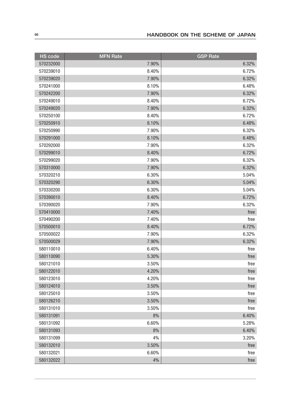| <b>HS</b> code | <b>MFN Rate</b> | <b>GSP Rate</b> |
|----------------|-----------------|-----------------|
| 570232000      | 7.90%           | 6.32%           |
| 570239010      | 8.40%           | 6.72%           |
| 570239020      | 7.90%           | 6.32%           |
| 570241000      | 8.10%           | 6.48%           |
| 570242200      | 7.90%           | 6.32%           |
| 570249010      | 8.40%           | 6.72%           |
| 570249020      | 7.90%           | 6.32%           |
| 570250100      | 8.40%           | 6.72%           |
| 570250910      | 8.10%           | 6.48%           |
| 570250990      | 7.90%           | 6.32%           |
| 570291000      | 8.10%           | 6.48%           |
| 570292000      | 7.90%           | 6.32%           |
| 570299010      | 8.40%           | 6.72%           |
| 570299020      | 7.90%           | 6.32%           |
| 570310000      | 7.90%           | 6.32%           |
| 570320210      | 6.30%           | 5.04%           |
| 570320290      | 6.30%           | 5.04%           |
| 570330200      | 6.30%           | 5.04%           |
| 570390010      | 8.40%           | 6.72%           |
| 570390020      | 7.90%           | 6.32%           |
| 570410000      | 7.40%           | free            |
| 570490200      | 7.40%           | free            |
| 570500010      | 8.40%           | 6.72%           |
| 570500022      | 7.90%           | 6.32%           |
| 570500029      | 7.90%           | 6.32%           |
| 580110010      | 6.40%           | free            |
| 580110090      | 5.30%           | free            |
| 580121010      | 3.50%           | free            |
| 580122010      | 4.20%           | free            |
| 580123010      | 4.20%           | free            |
| 580124010      | 3.50%           | free            |
| 580125010      | 3.50%           | free            |
| 580126210      | 3.50%           | free            |
| 580131010      | 3.50%           | free            |
| 580131091      | 8%              | 6.40%           |
| 580131092      | 6.60%           | 5.28%           |
| 580131093      | 8%              | 6.40%           |
| 580131099      | 4%              | 3.20%           |
| 580132010      | 3.50%           | free            |
| 580132021      | 6.60%           | free            |
| 580132022      | 4%              | free            |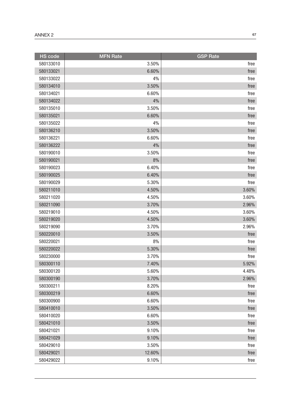| <b>HS</b> code | <b>MFN Rate</b> | <b>GSP Rate</b> |
|----------------|-----------------|-----------------|
| 580133010      | 3.50%           | free            |
| 580133021      | 6.60%           | free            |
| 580133022      | 4%              | free            |
| 580134010      | 3.50%           | free            |
| 580134021      | 6.60%           | free            |
| 580134022      | 4%              | free            |
| 580135010      | 3.50%           | free            |
| 580135021      | 6.60%           | free            |
| 580135022      | 4%              | free            |
| 580136210      | 3.50%           | free            |
| 580136221      | 6.60%           | free            |
| 580136222      | 4%              | free            |
| 580190010      | 3.50%           | free            |
| 580190021      | 8%              | free            |
| 580190023      | 6.40%           | free            |
| 580190025      | 6.40%           | free            |
| 580190029      | 5.30%           | free            |
| 580211010      | 4.50%           | 3.60%           |
| 580211020      | 4.50%           | 3.60%           |
| 580211090      | 3.70%           | 2.96%           |
| 580219010      | 4.50%           | 3.60%           |
| 580219020      | 4.50%           | 3.60%           |
| 580219090      | 3.70%           | 2.96%           |
| 580220010      | 3.50%           | free            |
| 580220021      | 8%              | free            |
| 580220022      | 5.30%           | free            |
| 580230000      | 3.70%           | free            |
| 580300110      | 7.40%           | 5.92%           |
| 580300120      | 5.60%           | 4.48%           |
| 580300190      | 3.70%           | 2.96%           |
| 580300211      | 8.20%           | free            |
| 580300219      | 6.60%           | free            |
| 580300900      | 6.60%           | free            |
| 580410010      | 3.50%           | free            |
| 580410020      | 6.60%           | free            |
| 580421010      | 3.50%           | free            |
| 580421021      | 9.10%           | free            |
| 580421029      | 9.10%           | free            |
| 580429010      | 3.50%           | free            |
| 580429021      | 12.60%          | free            |
| 580429022      | 9.10%           | free            |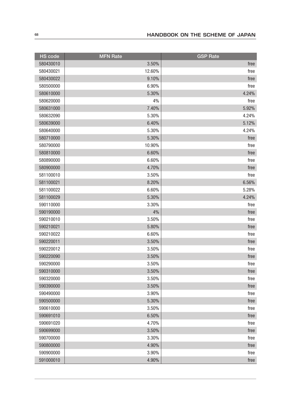| <b>HS code</b> | <b>MFN</b> Rate | <b>GSP Rate</b> |
|----------------|-----------------|-----------------|
| 580430010      | 3.50%           | free            |
| 580430021      | 12.60%          | free            |
| 580430022      | 9.10%           | free            |
| 580500000      | 6.90%           | free            |
| 580610000      | 5.30%           | 4.24%           |
| 580620000      | 4%              | free            |
| 580631000      | 7.40%           | 5.92%           |
| 580632090      | 5.30%           | 4.24%           |
| 580639000      | 6.40%           | 5.12%           |
| 580640000      | 5.30%           | 4.24%           |
| 580710000      | 5.30%           | free            |
| 580790000      | 10.90%          | free            |
| 580810000      | 6.60%           | free            |
| 580890000      | 6.60%           | free            |
| 580900000      | 4.70%           | free            |
| 581100010      | 3.50%           | free            |
| 581100021      | 8.20%           | 6.56%           |
| 581100022      | 6.60%           | 5.28%           |
| 581100029      | 5.30%           | 4.24%           |
| 590110000      | 3.30%           | free            |
| 590190000      | 4%              | free            |
| 590210010      | 3.50%           | free            |
| 590210021      | 5.80%           | free            |
| 590210022      | 6.60%           | free            |
| 590220011      | 3.50%           | free            |
| 590220012      | 3.50%           | free            |
| 590220090      | 3.50%           | free            |
| 590290000      | 3.50%           | free            |
| 590310000      | 3.50%           | free            |
| 590320000      | 3.50%           | free            |
| 590390000      | 3.50%           | free            |
| 590490000      | 3.90%           | free            |
| 590500000      | 5.30%           | free            |
| 590610000      | 3.50%           | free            |
| 590691010      | 6.50%           | free            |
| 590691020      | 4.70%           | free            |
| 590699000      | 3.50%           | free            |
| 590700000      | 3.30%           | free            |
| 590800000      | 4.90%           | free            |
| 590900000      | 3.90%           | free            |
| 591000010      | 4.90%           | free            |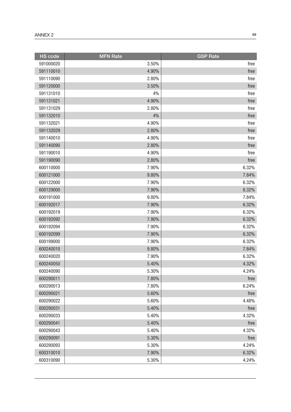| <b>HS</b> code | <b>MFN Rate</b> | <b>GSP Rate</b> |
|----------------|-----------------|-----------------|
| 591000020      | 3.50%           | free            |
| 591110010      | 4.90%           | free            |
| 591110090      | 2.80%           | free            |
| 591120000      | 3.50%           | free            |
| 591131010      | 4%              | free            |
| 591131021      | 4.90%           | free            |
| 591131029      | 2.80%           | free            |
| 591132010      | 4%              | free            |
| 591132021      | 4.90%           | free            |
| 591132029      | 2.80%           | free            |
| 591140010      | 4.90%           | free            |
| 591140090      | 2.80%           | free            |
| 591190010      | 4.90%           | free            |
| 591190090      | 2.80%           | free            |
| 600110000      | 7.90%           | 6.32%           |
| 600121000      | 9.80%           | 7.84%           |
| 600122000      | 7.90%           | 6.32%           |
| 600129000      | 7.90%           | 6.32%           |
| 600191000      | 9.80%           | 7.84%           |
| 600192017      | 7.90%           | 6.32%           |
| 600192019      | 7.90%           | 6.32%           |
| 600192092      | 7.90%           | 6.32%           |
| 600192094      | 7.90%           | 6.32%           |
| 600192099      | 7.90%           | 6.32%           |
| 600199000      | 7.90%           | 6.32%           |
| 600240010      | 9.80%           | 7.84%           |
| 600240020      | 7.90%           | 6.32%           |
| 600240050      | 5.40%           | 4.32%           |
| 600240090      | 5.30%           | 4.24%           |
| 600290011      | 7.80%           | free            |
| 600290013      | 7.80%           | 6.24%           |
| 600290021      | 5.60%           | free            |
| 600290022      | 5.60%           | 4.48%           |
| 600290031      | 5.40%           | free            |
| 600290033      | 5.40%           | 4.32%           |
| 600290041      | 5.40%           | free            |
| 600290043      | 5.40%           | 4.32%           |
| 600290091      | 5.30%           | free            |
| 600290093      | 5.30%           | 4.24%           |
| 600310010      | 7.90%           | 6.32%           |
| 600310090      | 5.30%           | 4.24%           |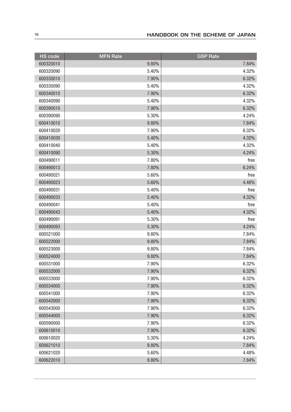| <b>HS</b> code | <b>MFN Rate</b> | <b>GSP Rate</b> |
|----------------|-----------------|-----------------|
| 600320010      | 9.80%           | 7.84%           |
| 600320090      | 5.40%           | 4.32%           |
| 600330010      | 7.90%           | 6.32%           |
| 600330090      | 5.40%           | 4.32%           |
| 600340010      | 7.90%           | 6.32%           |
| 600340090      | 5.40%           | 4.32%           |
| 600390010      | 7.90%           | 6.32%           |
| 600390090      | 5.30%           | 4.24%           |
| 600410010      | 9.80%           | 7.84%           |
| 600410020      | 7.90%           | 6.32%           |
| 600410030      | 5.40%           | 4.32%           |
| 600410040      | 5.40%           | 4.32%           |
| 600410090      | 5.30%           | 4.24%           |
| 600490011      | 7.80%           | free            |
| 600490013      | 7.80%           | 6.24%           |
| 600490021      | 5.60%           | free            |
| 600490023      | 5.60%           | 4.48%           |
| 600490031      | 5.40%           | free            |
| 600490033      | 5.40%           | 4.32%           |
| 600490041      | 5.40%           | free            |
| 600490043      | 5.40%           | 4.32%           |
| 600490091      | 5.30%           | free            |
| 600490093      | 5.30%           | 4.24%           |
| 600521000      | 9.80%           | 7.84%           |
| 600522000      | 9.80%           | 7.84%           |
| 600523000      | 9.80%           | 7.84%           |
| 600524000      | 9.80%           | 7.84%           |
| 600531000      | 7.90%           | 6.32%           |
| 600532000      | 7.90%           | 6.32%           |
| 600533000      | 7.90%           | 6.32%           |
| 600534000      | 7.90%           | 6.32%           |
| 600541000      | 7.90%           | 6.32%           |
| 600542000      | 7.90%           | 6.32%           |
| 600543000      | 7.90%           | 6.32%           |
| 600544000      | 7.90%           | 6.32%           |
| 600590000      | 7.90%           | 6.32%           |
| 600610010      | 7.90%           | 6.32%           |
| 600610020      | 5.30%           | 4.24%           |
| 600621010      | 9.80%           | 7.84%           |
| 600621020      | 5.60%           | 4.48%           |
| 600622010      | 9.80%           | 7.84%           |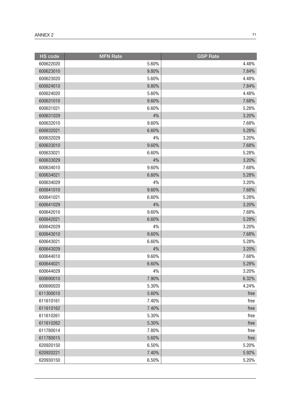| <b>HS</b> code | <b>MFN Rate</b> | <b>GSP Rate</b> |
|----------------|-----------------|-----------------|
| 600622020      | 5.60%           | 4.48%           |
| 600623010      | 9.80%           | 7.84%           |
| 600623020      | 5.60%           | 4.48%           |
| 600624010      | 9.80%           | 7.84%           |
| 600624020      | 5.60%           | 4.48%           |
| 600631010      | 9.60%           | 7.68%           |
| 600631021      | 6.60%           | 5.28%           |
| 600631029      | 4%              | 3.20%           |
| 600632010      | 9.60%           | 7.68%           |
| 600632021      | 6.60%           | 5.28%           |
| 600632029      | 4%              | 3.20%           |
| 600633010      | 9.60%           | 7.68%           |
| 600633021      | 6.60%           | 5.28%           |
| 600633029      | 4%              | 3.20%           |
| 600634010      | 9.60%           | 7.68%           |
| 600634021      | 6.60%           | 5.28%           |
| 600634029      | 4%              | 3.20%           |
| 600641010      | 9.60%           | 7.68%           |
| 600641021      | 6.60%           | 5.28%           |
| 600641029      | 4%              | 3.20%           |
| 600642010      | 9.60%           | 7.68%           |
| 600642021      | 6.60%           | 5.28%           |
| 600642029      | 4%              | 3.20%           |
| 600643010      | 9.60%           | 7.68%           |
| 600643021      | 6.60%           | 5.28%           |
| 600643029      | 4%              | 3.20%           |
| 600644010      | 9.60%           | 7.68%           |
| 600644021      | 6.60%           | 5.28%           |
| 600644029      | 4%              | 3.20%           |
| 600690010      | 7.90%           | 6.32%           |
| 600690020      | 5.30%           | 4.24%           |
| 611300010      | 5.60%           | free            |
| 611610161      | 7.40%           | free            |
| 611610162      | 7.40%           | free            |
| 611610261      | 5.30%           | free            |
| 611610262      | 5.30%           | free            |
| 611780014      | 7.80%           | free            |
| 611780015      | 5.60%           | free            |
| 620920150      | 6.50%           | 5.20%           |
| 620920221      | 7.40%           | 5.92%           |
| 620930150      | 6.50%           | 5.20%           |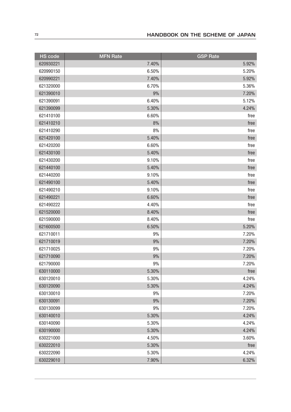| <b>HS</b> code | <b>MFN Rate</b> | <b>GSP Rate</b> |
|----------------|-----------------|-----------------|
| 620930221      | 7.40%           | 5.92%           |
| 620990150      | 6.50%           | 5.20%           |
| 620990221      | 7.40%           | 5.92%           |
| 621320000      | 6.70%           | 5.36%           |
| 621390010      | 9%              | 7.20%           |
| 621390091      | 6.40%           | 5.12%           |
| 621390099      | 5.30%           | 4.24%           |
| 621410100      | 6.60%           | free            |
| 621410210      | 8%              | free            |
| 621410290      | 8%              | free            |
| 621420100      | 5.40%           | free            |
| 621420200      | 6.60%           | free            |
| 621430100      | 5.40%           | free            |
| 621430200      | 9.10%           | free            |
| 621440100      | 5.40%           | free            |
| 621440200      | 9.10%           | free            |
| 621490100      | 5.40%           | free            |
| 621490210      | 9.10%           | free            |
| 621490221      | 6.60%           | free            |
| 621490222      | 4.40%           | free            |
| 621520000      | 8.40%           | free            |
| 621590000      | 8.40%           | free            |
| 621600500      | 6.50%           | 5.20%           |
| 621710011      | 9%              | 7.20%           |
| 621710019      | 9%              | 7.20%           |
| 621710025      | 9%              | 7.20%           |
| 621710090      | 9%              | 7.20%           |
| 621790000      | 9%              | 7.20%           |
| 630110000      | 5.30%           | free            |
| 630120010      | 5.30%           | 4.24%           |
| 630120090      | 5.30%           | 4.24%           |
| 630130010      | 9%              | 7.20%           |
| 630130091      | 9%              | 7.20%           |
| 630130099      | 9%              | 7.20%           |
| 630140010      | 5.30%           | 4.24%           |
| 630140090      | 5.30%           | 4.24%           |
| 630190000      | 5.30%           | 4.24%           |
| 630221000      | 4.50%           | 3.60%           |
| 630222010      | 5.30%           | free            |
| 630222090      | 5.30%           | 4.24%           |
| 630229010      | 7.90%           | 6.32%           |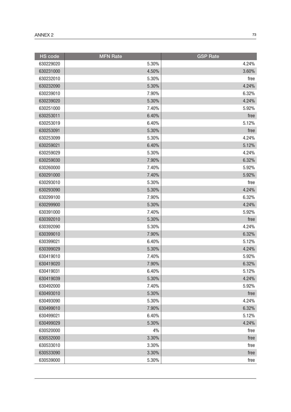| <b>HS</b> code | <b>MFN Rate</b> | <b>GSP Rate</b> |
|----------------|-----------------|-----------------|
| 630229020      | 5.30%           | 4.24%           |
| 630231000      | 4.50%           | 3.60%           |
| 630232010      | 5.30%           | free            |
| 630232090      | 5.30%           | 4.24%           |
| 630239010      | 7.90%           | 6.32%           |
| 630239020      | 5.30%           | 4.24%           |
| 630251000      | 7.40%           | 5.92%           |
| 630253011      | 6.40%           | free            |
| 630253019      | 6.40%           | 5.12%           |
| 630253091      | 5.30%           | free            |
| 630253099      | 5.30%           | 4.24%           |
| 630259021      | 6.40%           | 5.12%           |
| 630259029      | 5.30%           | 4.24%           |
| 630259030      | 7.90%           | 6.32%           |
| 630260000      | 7.40%           | 5.92%           |
| 630291000      | 7.40%           | 5.92%           |
| 630293010      | 5.30%           | free            |
| 630293090      | 5.30%           | 4.24%           |
| 630299100      | 7.90%           | 6.32%           |
| 630299900      | 5.30%           | 4.24%           |
| 630391000      | 7.40%           | 5.92%           |
| 630392010      | 5.30%           | free            |
| 630392090      | 5.30%           | 4.24%           |
| 630399010      | 7.90%           | 6.32%           |
| 630399021      | 6.40%           | 5.12%           |
| 630399029      | 5.30%           | 4.24%           |
| 630419010      | 7.40%           | 5.92%           |
| 630419020      | 7.90%           | 6.32%           |
| 630419031      | 6.40%           | 5.12%           |
| 630419039      | 5.30%           | 4.24%           |
| 630492000      | 7.40%           | 5.92%           |
| 630493010      | 5.30%           | free            |
| 630493090      | 5.30%           | 4.24%           |
| 630499010      | 7.90%           | 6.32%           |
| 630499021      | 6.40%           | 5.12%           |
| 630499029      | 5.30%           | 4.24%           |
| 630520000      | 4%              | free            |
| 630532000      | 3.30%           | free            |
| 630533010      | 3.30%           | free            |
| 630533090      | 3.30%           | free            |
| 630539000      | 5.30%           | free            |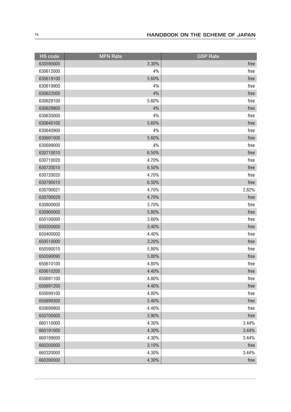| <b>HS</b> code | <b>MFN Rate</b> | <b>GSP Rate</b> |
|----------------|-----------------|-----------------|
| 630590000      | 3.30%           | free            |
| 630612000      | 4%              | free            |
| 630619100      | 5.60%           | free            |
| 630619900      | 4%              | free            |
| 630622000      | 4%              | free            |
| 630629100      | 5.60%           | free            |
| 630629900      | 4%              | free            |
| 630630000      | 4%              | free            |
| 630640100      | 5.60%           | free            |
| 630640900      | 4%              | free            |
| 630691000      | 5.60%           | free            |
| 630699000      | 4%              | free            |
| 630710010      | 6.50%           | free            |
| 630710020      | 4.70%           | free            |
| 630720010      | 6.50%           | free            |
| 630720020      | 4.70%           | free            |
| 630790010      | 6.50%           | free            |
| 630790021      | 4.70%           | 2.82%           |
| 630790029      | 4.70%           | free            |
| 630800000      | 3.70%           | free            |
| 630900000      | 5.80%           | free            |
| 650100000      | 3.60%           | free            |
| 650200000      | 3.40%           | free            |
| 650400000      | 4.40%           | free            |
| 650510000      | 3.20%           | free            |
| 650590010      | 5.80%           | free            |
| 650590090      | 5.80%           | free            |
| 650610100      | 4.80%           | free            |
| 650610200      | 4.40%           | free            |
| 650691100      | 4.80%           | free            |
| 650691200      | 4.40%           | free            |
| 650699100      | 4.80%           | free            |
| 650699300      | 5.40%           | free            |
| 650699900      | 4.40%           | free            |
| 650700000      | 3.90%           | free            |
| 660110000      | 4.30%           | 3.44%           |
| 660191000      | 4.30%           | 3.44%           |
| 660199000      | 4.30%           | 3.44%           |
| 660200000      | 3.10%           | free            |
| 660320000      | 4.30%           | 3.44%           |
| 660390000      | 4.30%           | free            |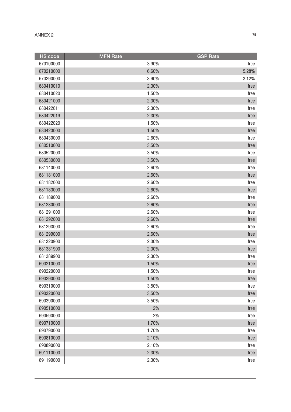| <b>HS code</b> | <b>MFN Rate</b> | <b>GSP Rate</b> |
|----------------|-----------------|-----------------|
| 670100000      | 3.90%           | free            |
| 670210000      | 6.60%           | 5.28%           |
| 670290000      | 3.90%           | 3.12%           |
| 680410010      | 2.30%           | free            |
| 680410020      | 1.50%           | free            |
| 680421000      | 2.30%           | free            |
| 680422011      | 2.30%           | free            |
| 680422019      | 2.30%           | free            |
| 680422020      | 1.50%           | free            |
| 680423000      | 1.50%           | free            |
| 680430000      | 2.60%           | free            |
| 680510000      | 3.50%           | free            |
| 680520000      | 3.50%           | free            |
| 680530000      | 3.50%           | free            |
| 681140000      | 2.60%           | free            |
| 681181000      | 2.60%           | free            |
| 681182000      | 2.60%           | free            |
| 681183000      | 2.60%           | free            |
| 681189000      | 2.60%           | free            |
| 681280000      | 2.60%           | free            |
| 681291000      | 2.60%           | free            |
| 681292000      | 2.60%           | free            |
| 681293000      | 2.60%           | free            |
| 681299000      | 2.60%           | free            |
| 681320900      | 2.30%           | free            |
| 681381900      | 2.30%           | free            |
| 681389900      | 2.30%           | free            |
| 690210000      | 1.50%           | free            |
| 690220000      | 1.50%           | free            |
| 690290000      | 1.50%           | free            |
| 690310000      | 3.50%           | free            |
| 690320000      | 3.50%           | free            |
| 690390000      | 3.50%           | free            |
| 690510000      | 2%              | free            |
| 690590000      | 2%              | free            |
| 690710000      | 1.70%           | free            |
| 690790000      | 1.70%           | free            |
| 690810000      | 2.10%           | free            |
| 690890000      | 2.10%           | free            |
| 691110000      | 2.30%           | free            |
| 691190000      | 2.30%           | free            |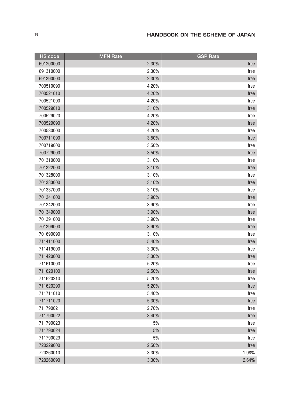| <b>HS code</b> | <b>MFN Rate</b> | <b>GSP Rate</b> |
|----------------|-----------------|-----------------|
| 691200000      | 2.30%           | free            |
| 691310000      | 2.30%           | free            |
| 691390000      | 2.30%           | free            |
| 700510090      | 4.20%           | free            |
| 700521010      | 4.20%           | free            |
| 700521090      | 4.20%           | free            |
| 700529010      | 3.10%           | free            |
| 700529020      | 4.20%           | free            |
| 700529090      | 4.20%           | free            |
| 700530000      | 4.20%           | free            |
| 700711090      | 3.50%           | free            |
| 700719000      | 3.50%           | free            |
| 700729000      | 3.50%           | free            |
| 701310000      | 3.10%           | free            |
| 701322000      | 3.10%           | free            |
| 701328000      | 3.10%           | free            |
| 701333000      | 3.10%           | free            |
| 701337000      | 3.10%           | free            |
| 701341000      | 3.90%           | free            |
| 701342000      | 3.90%           | free            |
| 701349000      | 3.90%           | free            |
| 701391000      | 3.90%           | free            |
| 701399000      | 3.90%           | free            |
| 701690090      | 3.10%           | free            |
| 711411000      | 5.40%           | free            |
| 711419000      | 3.30%           | free            |
| 711420000      | 3.30%           | free            |
| 711610000      | 5.20%           | free            |
| 711620100      | 2.50%           | free            |
| 711620210      | 5.20%           | free            |
| 711620290      | 5.20%           | free            |
| 711711010      | 5.40%           | free            |
| 711711020      | 5.30%           | free            |
| 711790021      | 2.70%           | free            |
| 711790022      | 3.40%           | free            |
| 711790023      | 5%              | free            |
| 711790024      | $5%$            | free            |
| 711790029      | 5%              | free            |
| 720229000      | 2.50%           | free            |
| 720260010      | 3.30%           | 1.98%           |
| 720260090      | 3.30%           | 2.64%           |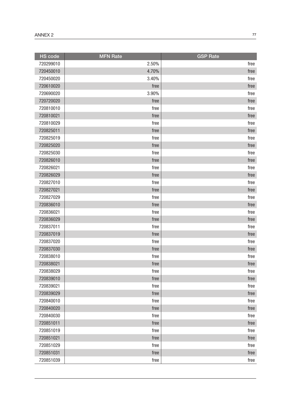| <b>HS</b> code | <b>MFN Rate</b> | <b>GSP Rate</b> |
|----------------|-----------------|-----------------|
| 720299010      | 2.50%           | free            |
| 720450010      | 4.70%           | free            |
| 720450020      | 3.40%           | free            |
| 720610020      | free            | free            |
| 720690020      | 3.90%           | free            |
| 720720020      | free            | free            |
| 720810010      | free            | free            |
| 720810021      | free            | free            |
| 720810029      | free            | free            |
| 720825011      | free            | free            |
| 720825019      | free            | free            |
| 720825020      | free            | free            |
| 720825030      | free            | free            |
| 720826010      | free            | free            |
| 720826021      | free            | free            |
| 720826029      | free            | free            |
| 720827010      | free            | free            |
| 720827021      | free            | free            |
| 720827029      | free            | free            |
| 720836010      | free            | free            |
| 720836021      | free            | free            |
| 720836029      | free            | free            |
| 720837011      | free            | free            |
| 720837019      | free            | free            |
| 720837020      | free            | free            |
| 720837030      | free            | free            |
| 720838010      | free            | free            |
| 720838021      | free            | free            |
| 720838029      | free            | free            |
| 720839010      | free            | free            |
| 720839021      | free            | free            |
| 720839029      | free            | free            |
| 720840010      | free            | free            |
| 720840020      | free            | free            |
| 720840030      | free            | free            |
| 720851011      | free            | free            |
| 720851019      | free            | free            |
| 720851021      | free            | free            |
| 720851029      | free            | free            |
| 720851031      | free            | free            |
| 720851039      | free            | free            |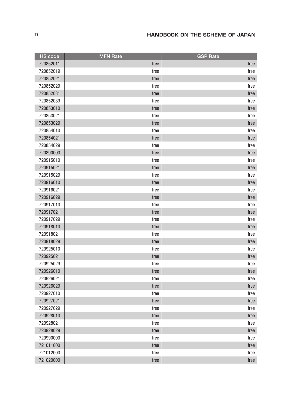| <b>HS code</b> | <b>MFN Rate</b> | <b>GSP Rate</b> |
|----------------|-----------------|-----------------|
| 720852011      | free            | free            |
| 720852019      | free            | free            |
| 720852021      | free            | free            |
| 720852029      | free            | free            |
| 720852031      | free            | free            |
| 720852039      | free            | free            |
| 720853010      | free            | free            |
| 720853021      | free            | free            |
| 720853029      | free            | free            |
| 720854010      | free            | free            |
| 720854021      | free            | free            |
| 720854029      | free            | free            |
| 720890000      | free            | free            |
| 720915010      | free            | free            |
| 720915021      | free            | free            |
| 720915029      | free            | free            |
| 720916010      | free            | free            |
| 720916021      | free            | free            |
| 720916029      | free            | free            |
| 720917010      | free            | free            |
| 720917021      | free            | free            |
| 720917029      | free            | free            |
| 720918010      | free            | free            |
| 720918021      | free            | free            |
| 720918029      | free            | free            |
| 720925010      | free            | free            |
| 720925021      | free            | free            |
| 720925029      | free            | free            |
| 720926010      | free            | free            |
| 720926021      | free            | free            |
| 720926029      | free            | free            |
| 720927010      | free            | free            |
| 720927021      | free            | free            |
| 720927029      | free            | free            |
| 720928010      | free            | free            |
| 720928021      | free            | free            |
| 720928029      | free            | free            |
| 720990000      | free            | free            |
| 721011000      | free            | free            |
| 721012000      | free            | free            |
| 721020000      | free            | free            |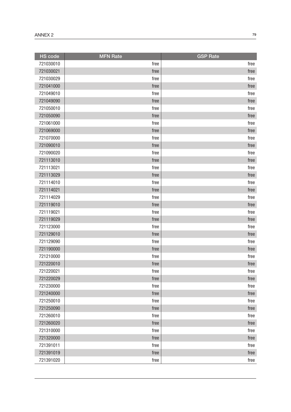| <b>HS</b> code | <b>MFN Rate</b> | <b>GSP Rate</b> |
|----------------|-----------------|-----------------|
| 721030010      | free            | free            |
| 721030021      | free            | free            |
| 721030029      | free            | free            |
| 721041000      | free            | free            |
| 721049010      | free            | free            |
| 721049090      | free            | free            |
| 721050010      | free            | free            |
| 721050090      | free            | free            |
| 721061000      | free            | free            |
| 721069000      | free            | free            |
| 721070000      | free            | free            |
| 721090010      | free            | free            |
| 721090020      | free            | free            |
| 721113010      | free            | free            |
| 721113021      | free            | free            |
| 721113029      | free            | free            |
| 721114010      | free            | free            |
| 721114021      | free            | free            |
| 721114029      | free            | free            |
| 721119010      | free            | free            |
| 721119021      | free            | free            |
| 721119029      | free            | free            |
| 721123000      | free            | free            |
| 721129010      | free            | free            |
| 721129090      | free            | free            |
| 721190000      | free            | free            |
| 721210000      | free            | free            |
| 721220010      | free            | free            |
| 721220021      | free            | free            |
| 721220029      | free            | free            |
| 721230000      | free            | free            |
| 721240000      | free            | free            |
| 721250010      | free            | free            |
| 721250090      | free            | free            |
| 721260010      | free            | free            |
| 721260020      | free            | free            |
| 721310000      | free            | free            |
| 721320000      | free            | free            |
| 721391011      | free            | free            |
| 721391019      | free            | free            |
| 721391020      | free            | free            |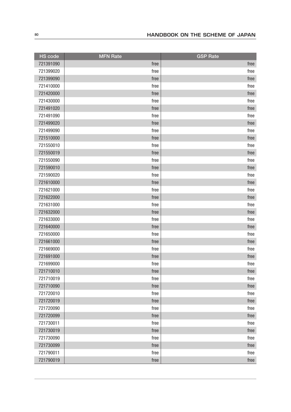| HS code   | <b>MFN Rate</b> | <b>GSP Rate</b> |
|-----------|-----------------|-----------------|
| 721391090 | free            | free            |
| 721399020 | free            | free            |
| 721399090 | free            | free            |
| 721410000 | free            | free            |
| 721420000 | free            | free            |
| 721430000 | free            | free            |
| 721491020 | free            | free            |
| 721491090 | free            | free            |
| 721499020 | free            | free            |
| 721499090 | free            | free            |
| 721510000 | free            | free            |
| 721550010 | free            | free            |
| 721550019 | free            | free            |
| 721550090 | free            | free            |
| 721590010 | free            | free            |
| 721590020 | free            | free            |
| 721610000 | free            | free            |
| 721621000 | free            | free            |
| 721622000 | free            | free            |
| 721631000 | free            | free            |
| 721632000 | free            | free            |
| 721633000 | free            | free            |
| 721640000 | free            | free            |
| 721650000 | free            | free            |
| 721661000 | free            | free            |
| 721669000 | free            | free            |
| 721691000 | free            | free            |
| 721699000 | free            | free            |
| 721710010 | free            | free            |
| 721710019 | free            | free            |
| 721710090 | free            | free            |
| 721720010 | free            | free            |
| 721720019 | free            | free            |
| 721720090 | free            | free            |
| 721720099 | free            | free            |
| 721730011 | free            | free            |
| 721730019 | free            | free            |
| 721730090 | free            | free            |
| 721730099 | free            | free            |
| 721790011 | free            | free            |
| 721790019 | free            | free            |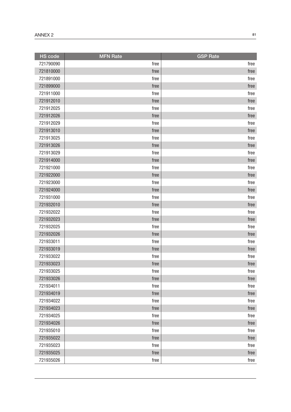| <b>HS code</b> | <b>MFN Rate</b> | <b>GSP Rate</b> |
|----------------|-----------------|-----------------|
| 721790090      | free            | free            |
| 721810000      | free            | free            |
| 721891000      | free            | free            |
| 721899000      | free            | free            |
| 721911000      | free            | free            |
| 721912010      | free            | free            |
| 721912025      | free            | free            |
| 721912026      | free            | free            |
| 721912029      | free            | free            |
| 721913010      | free            | free            |
| 721913025      | free            | free            |
| 721913026      | free            | free            |
| 721913029      | free            | free            |
| 721914000      | free            | free            |
| 721921000      | free            | free            |
| 721922000      | free            | free            |
| 721923000      | free            | free            |
| 721924000      | free            | free            |
| 721931000      | free            | free            |
| 721932010      | free            | free            |
| 721932022      | free            | free            |
| 721932023      | free            | free            |
| 721932025      | free            | free            |
| 721932026      | free            | free            |
| 721933011      | free            | free            |
| 721933019      | free            | free            |
| 721933022      | free            | free            |
| 721933023      | free            | free            |
| 721933025      | free            | free            |
| 721933026      | free            | free            |
| 721934011      | free            | free            |
| 721934019      | free            | free            |
| 721934022      | free            | free            |
| 721934023      | free            | free            |
| 721934025      | free            | free            |
| 721934026      | free            | free            |
| 721935010      | free            | free            |
| 721935022      | free            | free            |
| 721935023      | free            | free            |
| 721935025      | free            | free            |
| 721935026      | free            | free            |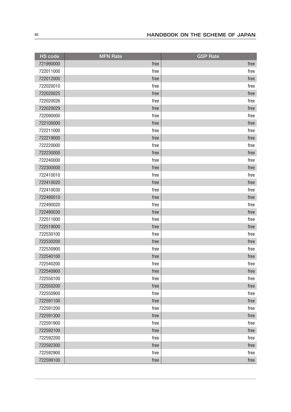| <b>HS</b> code | <b>MFN Rate</b> | <b>GSP Rate</b> |
|----------------|-----------------|-----------------|
| 721990000      | free            | free            |
| 722011000      | free            | free            |
| 722012000      | free            | free            |
| 722020010      | free            | free            |
| 722020025      | free            | free            |
| 722020026      | free            | free            |
| 722020029      | free            | free            |
| 722090000      | free            | free            |
| 722100000      | free            | free            |
| 722211000      | free            | free            |
| 722219000      | free            | free            |
| 722220000      | free            | free            |
| 722230000      | free            | free            |
| 722240000      | free            | free            |
| 722300000      | free            | free            |
| 722410010      | free            | free            |
| 722410020      | free            | free            |
| 722410030      | free            | free            |
| 722490010      | free            | free            |
| 722490020      | free            | free            |
| 722490030      | free            | free            |
| 722511000      | free            | free            |
| 722519000      | free            | free            |
| 722530100      | free            | free            |
| 722530200      | free            | free            |
| 722530900      | free            | free            |
| 722540100      | free            | free            |
| 722540200      | free            | free            |
| 722540900      | free            | free            |
| 722550100      | free            | free            |
| 722550200      | free            | free            |
| 722550900      | free            | free            |
| 722591100      | free            | free            |
| 722591200      | free            | free            |
| 722591300      | free            | free            |
| 722591900      | free            | free            |
| 722592100      | free            | free            |
| 722592200      | free            | free            |
| 722592300      | free            | free            |
| 722592900      | free            | free            |
| 722599100      | free            | free            |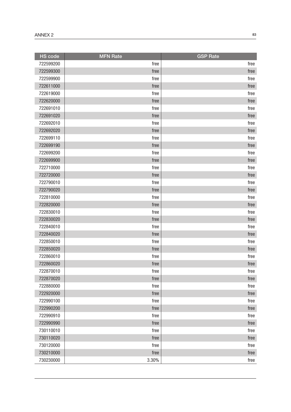| <b>HS</b> code | <b>MFN Rate</b> | <b>GSP</b> Rate |
|----------------|-----------------|-----------------|
| 722599200      | free            | free            |
| 722599300      | free            | free            |
| 722599900      | free            | free            |
| 722611000      | free            | free            |
| 722619000      | free            | free            |
| 722620000      | free            | free            |
| 722691010      | free            | free            |
| 722691020      | free            | free            |
| 722692010      | free            | free            |
| 722692020      | free            | free            |
| 722699110      | free            | free            |
| 722699190      | free            | free            |
| 722699200      | free            | free            |
| 722699900      | free            | free            |
| 722710000      | free            | free            |
| 722720000      | free            | free            |
| 722790010      | free            | free            |
| 722790020      | free            | free            |
| 722810000      | free            | free            |
| 722820000      | free            | free            |
| 722830010      | free            | free            |
| 722830020      | free            | free            |
| 722840010      | free            | free            |
| 722840020      | free            | free            |
| 722850010      | free            | free            |
| 722850020      | free            | free            |
| 722860010      | free            | free            |
| 722860020      | free            | free            |
| 722870010      | free            | free            |
| 722870020      | free            | free            |
| 722880000      | free            | free            |
| 722920000      | free            | free            |
| 722990100      | free            | free            |
| 722990200      | free            | free            |
| 722990910      | free            | free            |
| 722990990      | free            | free            |
| 730110010      | free            | free            |
| 730110020      | free            | free            |
| 730120000      | free            | free            |
| 730210000      | free            | free            |
| 730230000      | 3.30%           | free            |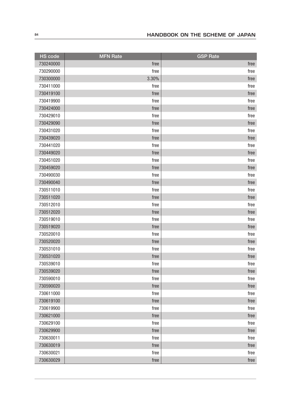| <b>HS</b> code | <b>MFN Rate</b> | <b>GSP Rate</b> |
|----------------|-----------------|-----------------|
| 730240000      | free            | free            |
| 730290000      | free            | free            |
| 730300000      | 3.30%           | free            |
| 730411000      | free            | free            |
| 730419100      | free            | free            |
| 730419900      | free            | free            |
| 730424000      | free            | free            |
| 730429010      | free            | free            |
| 730429090      | free            | free            |
| 730431020      | free            | free            |
| 730439020      | free            | free            |
| 730441020      | free            | free            |
| 730449020      | free            | free            |
| 730451020      | free            | free            |
| 730459020      | free            | free            |
| 730490030      | free            | free            |
| 730490040      | free            | free            |
| 730511010      | free            | free            |
| 730511020      | free            | free            |
| 730512010      | free            | free            |
| 730512020      | free            | free            |
| 730519010      | free            | free            |
| 730519020      | free            | free            |
| 730520010      | free            | free            |
| 730520020      | free            | free            |
| 730531010      | free            | free            |
| 730531020      | free            | free            |
| 730539010      | free            | free            |
| 730539020      | free            | free            |
| 730590010      | free            | free            |
| 730590020      | free            | free            |
| 730611000      | free            | free            |
| 730619100      | free            | free            |
| 730619900      | free            | free            |
| 730621000      | free            | free            |
| 730629100      | free            | free            |
| 730629900      | free            | free            |
| 730630011      | free            | free            |
| 730630019      | free            | free            |
| 730630021      | free            | free            |
| 730630029      | free            | free            |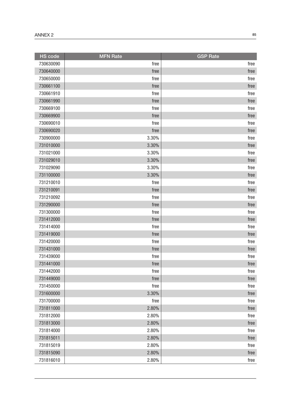| <b>HS</b> code | <b>MFN Rate</b> | <b>GSP Rate</b> |
|----------------|-----------------|-----------------|
| 730630090      | free            | free            |
| 730640000      | free            | free            |
| 730650000      | free            | free            |
| 730661100      | free            | free            |
| 730661910      | free            | free            |
| 730661990      | free            | free            |
| 730669100      | free            | free            |
| 730669900      | free            | free            |
| 730690010      | free            | free            |
| 730690020      | free            | free            |
| 730900000      | 3.30%           | free            |
| 731010000      | 3.30%           | free            |
| 731021000      | 3.30%           | free            |
| 731029010      | 3.30%           | free            |
| 731029090      | 3.30%           | free            |
| 731100000      | 3.30%           | free            |
| 731210010      | free            | free            |
| 731210091      | free            | free            |
| 731210092      | free            | free            |
| 731290000      | free            | free            |
| 731300000      | free            | free            |
| 731412000      | free            | free            |
| 731414000      | free            | free            |
| 731419000      | free            | free            |
| 731420000      | free            | free            |
| 731431000      | free            | free            |
| 731439000      | free            | free            |
| 731441000      | free            | free            |
| 731442000      | free            | free            |
| 731449000      | free            | free            |
| 731450000      | free            | free            |
| 731600000      | 3.30%           | free            |
| 731700000      | free            | free            |
| 731811000      | 2.80%           | free            |
| 731812000      | 2.80%           | free            |
| 731813000      | 2.80%           | free            |
| 731814000      | 2.80%           | free            |
| 731815011      | 2.80%           | free            |
| 731815019      | 2.80%           | free            |
| 731815090      | 2.80%           | free            |
| 731816010      | 2.80%           | free            |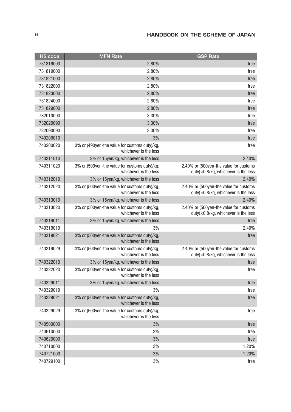| <b>HS</b> code | <b>MFN Rate</b>                                                        | <b>GSP Rate</b>                                                                  |
|----------------|------------------------------------------------------------------------|----------------------------------------------------------------------------------|
| 731816090      | 2.80%                                                                  | free                                                                             |
| 731819000      | 2.80%                                                                  | free                                                                             |
| 731821000      | 2.80%                                                                  | free                                                                             |
| 731822000      | 2.80%                                                                  | free                                                                             |
| 731823000      | 2.80%                                                                  | free                                                                             |
| 731824000      | 2.80%                                                                  | free                                                                             |
| 731829000      | 2.80%                                                                  | free                                                                             |
| 732010090      | 3.30%                                                                  | free                                                                             |
| 732020090      | 3.30%                                                                  | free                                                                             |
| 732090090      | 3.30%                                                                  | free                                                                             |
| 740200010      | 3%                                                                     | free                                                                             |
| 740200020      | 3% or (490yen-the value for customs duty)/kg,<br>whichever is the less | free                                                                             |
| 740311010      | 3% or 15yen/kg, whichever is the less                                  | 2.40%                                                                            |
| 740311020      | 3% or (500yen-the value for customs duty)/kg,<br>whichever is the less | 2.40% or (500yen-the value for customs<br>duty) × 0.8/kg, whichever is the less  |
| 740312010      | 3% or 15yen/kg, whichever is the less                                  | 2.40%                                                                            |
| 740312020      | 3% or (500yen-the value for customs duty)/kg,<br>whichever is the less | 2.40% or (500yen-the value for customs<br>duty)×0.8/kg, whichever is the less    |
| 740313010      | 3% or 15yen/kg, whichever is the less                                  | 2.40%                                                                            |
| 740313020      | 3% or (500yen-the value for customs duty)/kg,<br>whichever is the less | 2.40% or (500yen-the value for customs<br>duty)×0.8/kg, whichever is the less    |
| 740319011      | 3% or 15yen/kg, whichever is the less                                  | free                                                                             |
| 740319019      | 3%                                                                     | 2.40%                                                                            |
| 740319021      | 3% or (500yen-the value for customs duty)/kg,<br>whichever is the less | free                                                                             |
| 740319029      | 3% or (500yen-the value for customs duty)/kg,<br>whichever is the less | 2.40% or (500yen-the value for customs<br>$duty$ × 0.8/kg, whichever is the less |
| 740322010      | 3% or 15yen/kg, whichever is the less                                  | free                                                                             |
| 740322020      | 3% or (500yen-the value for customs duty)/kg<br>whichever is the less  | free                                                                             |
| 740329011      | 3% or 15yen/kg, whichever is the less                                  | free                                                                             |
| 740329019      | 3%                                                                     | free                                                                             |
| 740329021      | 3% or (500yen-the value for customs duty)/kg,<br>whichever is the less | free                                                                             |
| 740329029      | 3% or (500yen-the value for customs duty)/kg,<br>whichever is the less | free                                                                             |
| 740500000      | 3%                                                                     | free                                                                             |
| 740610000      | 3%                                                                     | free                                                                             |
| 740620000      | 3%                                                                     | free                                                                             |
| 740710000      | 3%                                                                     | 1.20%                                                                            |
| 740721000      | 3%                                                                     | 1.20%                                                                            |
| 740729100      | 3%                                                                     | free                                                                             |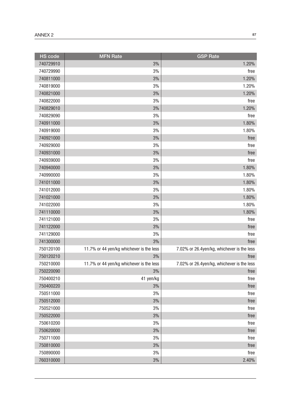| <b>HS code</b> | <b>MFN Rate</b>                          | <b>GSP Rate</b>                            |
|----------------|------------------------------------------|--------------------------------------------|
| 740729910      | 3%                                       | 1.20%                                      |
| 740729990      | 3%                                       | free                                       |
| 740811000      | 3%                                       | 1.20%                                      |
| 740819000      | 3%                                       | 1.20%                                      |
| 740821000      | 3%                                       | 1.20%                                      |
| 740822000      | 3%                                       | free                                       |
| 740829010      | 3%                                       | 1.20%                                      |
| 740829090      | 3%                                       | free                                       |
| 740911000      | 3%                                       | 1.80%                                      |
| 740919000      | 3%                                       | 1.80%                                      |
| 740921000      | 3%                                       | free                                       |
| 740929000      | 3%                                       | free                                       |
| 740931000      | 3%                                       | free                                       |
| 740939000      | 3%                                       | free                                       |
| 740940000      | 3%                                       | 1.80%                                      |
| 740990000      | 3%                                       | 1.80%                                      |
| 741011000      | 3%                                       | 1.80%                                      |
| 741012000      | 3%                                       | 1.80%                                      |
| 741021000      | 3%                                       | 1.80%                                      |
| 741022000      | 3%                                       | 1.80%                                      |
| 741110000      | 3%                                       | 1.80%                                      |
| 741121000      | 3%                                       | free                                       |
| 741122000      | 3%                                       | free                                       |
| 741129000      | 3%                                       | free                                       |
| 741300000      | 3%                                       | free                                       |
| 750120100      | 11.7% or 44 yen/kg whichever is the less | 7.02% or 26.4yen/kg, whichever is the less |
| 750120210      | 3%                                       | free                                       |
| 750210000      | 11.7% or 44 yen/kg whichever is the less | 7.02% or 26.4yen/kg, whichever is the less |
| 750220090      | 3%                                       | free                                       |
| 750400210      | 41 yen/kg                                | free                                       |
| 750400220      | 3%                                       | free                                       |
| 750511000      | 3%                                       | free                                       |
| 750512000      | 3%                                       | free                                       |
| 750521000      | 3%                                       | free                                       |
| 750522000      | 3%                                       | free                                       |
| 750610200      | 3%                                       | free                                       |
| 750620000      | 3%                                       | free                                       |
| 750711000      | 3%                                       | free                                       |
| 750810000      | 3%                                       | free                                       |
| 750890000      | 3%                                       | free                                       |
| 760310000      | 3%                                       | 2.40%                                      |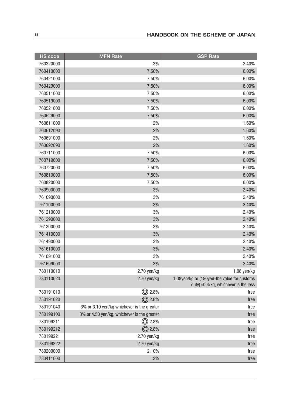| HS code   | <b>MFN Rate</b>                             | <b>GSP Rate</b>                                                                      |
|-----------|---------------------------------------------|--------------------------------------------------------------------------------------|
| 760320000 | 3%                                          | 2.40%                                                                                |
| 760410000 | 7.50%                                       | 6.00%                                                                                |
| 760421000 | 7.50%                                       | 6.00%                                                                                |
| 760429000 | 7.50%                                       | 6.00%                                                                                |
| 760511000 | 7.50%                                       | 6.00%                                                                                |
| 760519000 | 7.50%                                       | 6.00%                                                                                |
| 760521000 | 7.50%                                       | 6.00%                                                                                |
| 760529000 | 7.50%                                       | 6.00%                                                                                |
| 760611000 | 2%                                          | 1.60%                                                                                |
| 760612090 | 2%                                          | 1.60%                                                                                |
| 760691000 | 2%                                          | 1.60%                                                                                |
| 760692090 | 2%                                          | 1.60%                                                                                |
| 760711000 | 7.50%                                       | 6.00%                                                                                |
| 760719000 | 7.50%                                       | 6.00%                                                                                |
| 760720000 | 7.50%                                       | 6.00%                                                                                |
| 760810000 | 7.50%                                       | 6.00%                                                                                |
| 760820000 | 7.50%                                       | 6.00%                                                                                |
| 760900000 | 3%                                          | 2.40%                                                                                |
| 761090000 | 3%                                          | 2.40%                                                                                |
| 761100000 | 3%                                          | 2.40%                                                                                |
| 761210000 | 3%                                          | 2.40%                                                                                |
| 761290000 | 3%                                          | 2.40%                                                                                |
| 761300000 | 3%                                          | 2.40%                                                                                |
| 761410000 | 3%                                          | 2.40%                                                                                |
| 761490000 | 3%                                          | 2.40%                                                                                |
| 761610000 | 3%                                          | 2.40%                                                                                |
| 761691000 | 3%                                          | 2.40%                                                                                |
| 761699000 | 3%                                          | 2.40%                                                                                |
| 780110010 | 2.70 yen/kg                                 | $1.08$ yen/kg                                                                        |
| 780110020 | 2.70 yen/kg                                 | 1.08yen/kg or (180yen-the value for customs<br>duty) × 0.4/kg, whichever is the less |
| 780191010 | ◎<br>2.8%                                   | free                                                                                 |
| 780191020 | 2.8%<br>⊚                                   | free                                                                                 |
| 780191040 | 3% or 3.10 yen/kg whichever is the greater  | free                                                                                 |
| 780199100 | 3% or 4.50 yen/kg, whichever is the greater | free                                                                                 |
| 780199211 | <b>◎</b> 2.8%                               | free                                                                                 |
| 780199212 | <b>◎</b> 2.8%                               | free                                                                                 |
| 780199221 | 2.70 yen/kg                                 | free                                                                                 |
| 780199222 | 2.70 yen/kg                                 | free                                                                                 |
| 780200000 | 2.10%                                       | free                                                                                 |
| 780411000 | 3%                                          | free                                                                                 |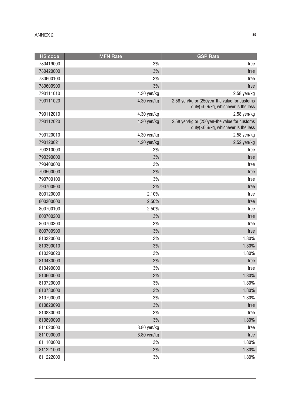| <b>HS code</b> | <b>MFN Rate</b> | <b>GSP Rate</b>                                                                        |
|----------------|-----------------|----------------------------------------------------------------------------------------|
| 780419000      | 3%              | free                                                                                   |
| 780420000      | 3%              | free                                                                                   |
| 780600100      | 3%              | free                                                                                   |
| 780600900      | 3%              | free                                                                                   |
| 790111010      | 4.30 yen/kg     | $2.58$ yen/kg                                                                          |
| 790111020      | 4.30 yen/kg     | 2.58 yen/kg or (250yen-the value for customs<br>$duty$ × 0.6/kg, whichever is the less |
| 790112010      | 4.30 yen/kg     | $2.58$ yen/kg                                                                          |
| 790112020      | 4.30 yen/kg     | 2.58 yen/kg or (250yen-the value for customs<br>duty)×0.6/kg, whichever is the less    |
| 790120010      | 4.30 yen/kg     | $2.58$ yen/kg                                                                          |
| 790120021      | 4.20 yen/kg     | 2.52 yen/kg                                                                            |
| 790310000      | 3%              | free                                                                                   |
| 790390000      | 3%              | free                                                                                   |
| 790400000      | 3%              | free                                                                                   |
| 790500000      | 3%              | free                                                                                   |
| 790700100      | 3%              | free                                                                                   |
| 790700900      | 3%              | free                                                                                   |
| 800120000      | 2.10%           | free                                                                                   |
| 800300000      | 2.50%           | free                                                                                   |
| 800700100      | 2.50%           | free                                                                                   |
| 800700200      | 3%              | free                                                                                   |
| 800700300      | 3%              | free                                                                                   |
| 800700900      | 3%              | free                                                                                   |
| 810320000      | 3%              | 1.80%                                                                                  |
| 810390010      | 3%              | 1.80%                                                                                  |
| 810390020      | 3%              | 1.80%                                                                                  |
| 810430000      | 3%              | free                                                                                   |
| 810490000      | 3%              | free                                                                                   |
| 810600000      | 3%              | 1.80%                                                                                  |
| 810720000      | 3%              | 1.80%                                                                                  |
| 810730000      | 3%              | 1.80%                                                                                  |
| 810790000      | 3%              | 1.80%                                                                                  |
| 810820090      | 3%              | free                                                                                   |
| 810830090      | 3%              | free                                                                                   |
| 810890090      | 3%              | 1.80%                                                                                  |
| 811020000      | 8.80 yen/kg     | free                                                                                   |
| 811090000      | 8.80 yen/kg     | free                                                                                   |
| 811100000      | 3%              | 1.80%                                                                                  |
| 811221000      | 3%              | 1.80%                                                                                  |
| 811222000      | 3%              | 1.80%                                                                                  |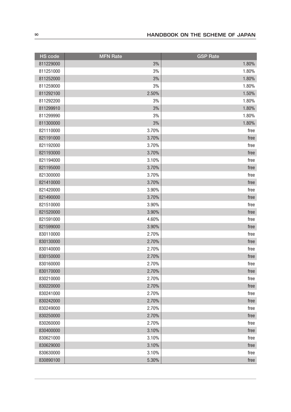| <b>HS</b> code | <b>MFN</b> Rate | <b>GSP Rate</b> |
|----------------|-----------------|-----------------|
| 811229000      | 3%              | 1.80%           |
| 811251000      | 3%              | 1.80%           |
| 811252000      | 3%              | 1.80%           |
| 811259000      | 3%              | 1.80%           |
| 811292100      | 2.50%           | 1.50%           |
| 811292200      | 3%              | 1.80%           |
| 811299910      | 3%              | 1.80%           |
| 811299990      | 3%              | 1.80%           |
| 811300000      | 3%              | 1.80%           |
| 821110000      | 3.70%           | free            |
| 821191000      | 3.70%           | free            |
| 821192000      | 3.70%           | free            |
| 821193000      | 3.70%           | free            |
| 821194000      | 3.10%           | free            |
| 821195000      | 3.70%           | free            |
| 821300000      | 3.70%           | free            |
| 821410000      | 3.70%           | free            |
| 821420000      | 3.90%           | free            |
| 821490000      | 3.70%           | free            |
| 821510000      | 3.90%           | free            |
| 821520000      | 3.90%           | free            |
| 821591000      | 4.60%           | free            |
| 821599000      | 3.90%           | free            |
| 830110000      | 2.70%           | free            |
| 830130000      | 2.70%           | free            |
| 830140000      | 2.70%           | free            |
| 830150000      | 2.70%           | free            |
| 830160000      | 2.70%           | free            |
| 830170000      | 2.70%           | free            |
| 830210000      | 2.70%           | free            |
| 830220000      | 2.70%           | free            |
| 830241000      | 2.70%           | free            |
| 830242000      | 2.70%           | free            |
| 830249000      | 2.70%           | free            |
| 830250000      | 2.70%           | free            |
| 830260000      | 2.70%           | free            |
| 830400000      | 3.10%           | free            |
| 830621000      | 3.10%           | free            |
| 830629000      | 3.10%           | free            |
| 830630000      | 3.10%           | free            |
| 830890100      | 5.30%           | free            |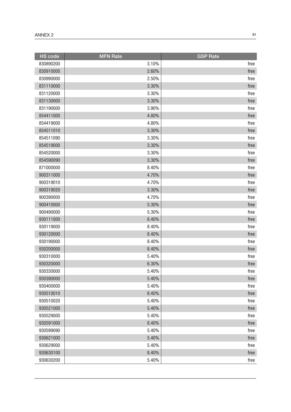| <b>HS</b> code | <b>MFN Rate</b> | <b>GSP Rate</b> |
|----------------|-----------------|-----------------|
| 830890200      | 3.10%           | free            |
| 830910000      | 2.60%           | free            |
| 830990000      | 2.50%           | free            |
| 831110000      | 3.30%           | free            |
| 831120000      | 3.30%           | free            |
| 831130000      | 3.30%           | free            |
| 831190000      | 3.90%           | free            |
| 854411000      | 4.80%           | free            |
| 854419000      | 4.80%           | free            |
| 854511010      | 3.30%           | free            |
| 854511090      | 3.30%           | free            |
| 854519000      | 3.30%           | free            |
| 854520000      | 3.30%           | free            |
| 854590090      | 3.30%           | free            |
| 871000000      | 8.40%           | free            |
| 900311000      | 4.70%           | free            |
| 900319010      | 4.70%           | free            |
| 900319020      | 3.30%           | free            |
| 900390000      | 4.70%           | free            |
| 900410000      | 5.30%           | free            |
| 900490000      | 5.30%           | free            |
| 930111000      | 8.40%           | free            |
| 930119000      | 8.40%           | free            |
| 930120000      | 8.40%           | free            |
| 930190000      | 8.40%           | free            |
| 930200000      | 8.40%           | free            |
| 930310000      | 5.40%           | free            |
| 930320000      | 6.30%           | free            |
| 930330000      | 5.40%           | free            |
| 930390000      | 5.40%           | free            |
| 930400000      | 5.40%           | free            |
| 930510010      | 8.40%           | free            |
| 930510020      | 5.40%           | free            |
| 930521000      | 5.40%           | free            |
| 930529000      | 5.40%           | free            |
| 930591000      | 8.40%           | free            |
| 930599090      | 5.40%           | free            |
| 930621000      | 5.40%           | free            |
| 930629000      | 5.40%           | free            |
| 930630100      | 8.40%           | free            |
| 930630200      | 5.40%           | free            |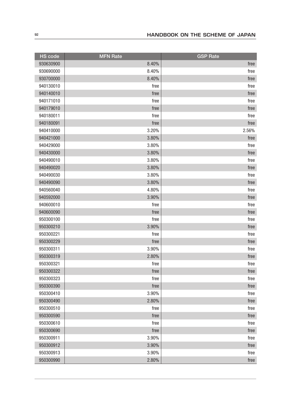| <b>HS</b> code | <b>MFN Rate</b> | <b>GSP Rate</b> |
|----------------|-----------------|-----------------|
| 930630900      | 8.40%           | free            |
| 930690000      | 8.40%           | free            |
| 930700000      | 8.40%           | free            |
| 940130010      | free            | free            |
| 940140010      | free            | free            |
| 940171010      | free            | free            |
| 940179010      | free            | free            |
| 940180011      | free            | free            |
| 940180091      | free            | free            |
| 940410000      | 3.20%           | 2.56%           |
| 940421000      | 3.80%           | free            |
| 940429000      | 3.80%           | free            |
| 940430000      | 3.80%           | free            |
| 940490010      | 3.80%           | free            |
| 940490020      | 3.80%           | free            |
| 940490030      | 3.80%           | free            |
| 940490090      | 3.80%           | free            |
| 940560040      | 4.80%           | free            |
| 940592000      | 3.90%           | free            |
| 940600010      | free            | free            |
| 940600090      | free            | free            |
| 950300100      | free            | free            |
| 950300210      | 3.90%           | free            |
| 950300221      | free            | free            |
| 950300229      | free            | free            |
| 950300311      | 3.90%           | free            |
| 950300319      | 2.80%           | free            |
| 950300321      | free            | free            |
| 950300322      | free            | free            |
| 950300323      | free            | free            |
| 950300390      | free            | free            |
| 950300410      | 3.90%           | free            |
| 950300490      | 2.80%           | free            |
| 950300510      | free            | free            |
| 950300590      | free            | free            |
| 950300610      | free            | free            |
| 950300690      | free            | free            |
| 950300911      | 3.90%           | free            |
| 950300912      | 3.90%           | free            |
| 950300913      | 3.90%           | free            |
| 950300990      | 2.80%           | free            |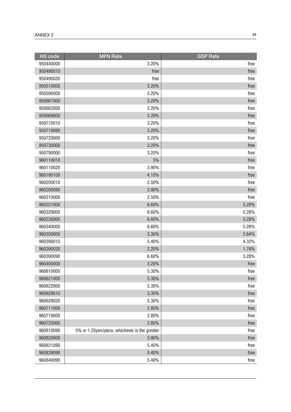| <b>HS</b> code | <b>MFN Rate</b>                               | <b>GSP Rate</b> |
|----------------|-----------------------------------------------|-----------------|
| 950440000      | 3.20%                                         | free            |
| 950490010      | free                                          | free            |
| 950490020      | free                                          | free            |
| 950510000      | 3.20%                                         | free            |
| 950590000      | 3.20%                                         | free            |
| 950661000      | 3.20%                                         | free            |
| 950662000      | 3.20%                                         | free            |
| 950669000      | 3.20%                                         | free            |
| 950710010      | 3.20%                                         | free            |
| 950710090      | 3.20%                                         | free            |
| 950720000      | 3.20%                                         | free            |
| 950730000      | 3.20%                                         | free            |
| 950790000      | 3.20%                                         | free            |
| 960110010      | 5%                                            | free            |
| 960110020      | 3.90%                                         | free            |
| 960190100      | 4.10%                                         | free            |
| 960200010      | 2.50%                                         | free            |
| 960200090      | 3.90%                                         | free            |
| 960310000      | 2.50%                                         | free            |
| 960321000      | 6.60%                                         | 5.28%           |
| 960329000      | 6.60%                                         | 5.28%           |
| 960330000      | 6.60%                                         | 5.28%           |
| 960340000      | 6.60%                                         | 5.28%           |
| 960350000      | 3.30%                                         | 2.64%           |
| 960390010      | 5.40%                                         | 4.32%           |
| 960390020      | 2.20%                                         | 1.76%           |
| 960390090      | 6.60%                                         | 5.28%           |
| 960400000      | 3.20%                                         | free            |
| 960610000      | 5.30%                                         | free            |
| 960621000      | 5.30%                                         | free            |
| 960622000      | 5.30%                                         | free            |
| 960629010      | 3.30%                                         | free            |
| 960629020      | 5.30%                                         | free            |
| 960711000      | 2.80%                                         | free            |
| 960719000      | 2.80%                                         | free            |
| 960720000      | 2.80%                                         | free            |
| 960810090      | 5% or 1.25yen/piece, whichever is the greater | free            |
| 960820000      | 3.90%                                         | free            |
| 960831090      | 5.40%                                         | free            |
| 960839090      | 5.40%                                         | free            |
| 960840090      | 5.40%                                         | free            |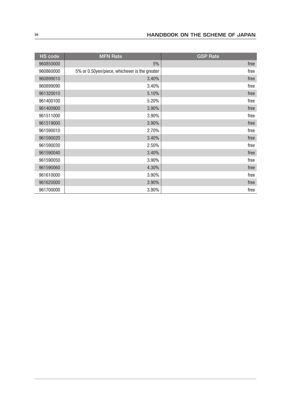| <b>HS code</b> | <b>MFN Rate</b>                               | <b>GSP Rate</b> |
|----------------|-----------------------------------------------|-----------------|
| 960850000      | 5%                                            | free            |
| 960860000      | 5% or 0.50yen/piece, whichever is the greater | free            |
| 960899010      | 3.40%                                         | free            |
| 960899090      | 3.40%                                         | free            |
| 961320010      | 5.10%                                         | free            |
| 961400100      | 5.20%                                         | free            |
| 961400900      | 3.90%                                         | free            |
| 961511000      | 3.90%                                         | free            |
| 961519000      | 3.90%                                         | free            |
| 961590010      | 2.70%                                         | free            |
| 961590020      | 3.40%                                         | free            |
| 961590030      | 2.50%                                         | free            |
| 961590040      | 3.40%                                         | free            |
| 961590050      | 3.90%                                         | free            |
| 961590060      | 4.30%                                         | free            |
| 961610000      | 3.90%                                         | free            |
| 961620000      | 3.90%                                         | free            |
| 961700000      | 3.90%                                         | free            |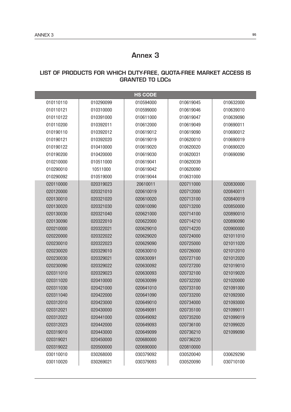## Annex 3

## LIST OF PRODUCTS FOR WHICH DUTY-FREE, QUOTA-FREE MARKET ACCESS IS GRANTED TO LDCs

|           |           | <b>HS CODE</b> |           |           |
|-----------|-----------|----------------|-----------|-----------|
| 010110110 | 010290099 | 010594000      | 010619045 | 010632000 |
| 010110121 | 010310000 | 010599000      | 010619046 | 010639010 |
| 010110122 | 010391000 | 010611000      | 010619047 | 010639090 |
| 010110200 | 010392011 | 010612000      | 010619049 | 010690011 |
| 010190110 | 010392012 | 010619012      | 010619090 | 010690012 |
| 010190121 | 010392020 | 010619019      | 010620010 | 010690019 |
| 010190122 | 010410000 | 010619020      | 010620020 | 010690020 |
| 010190200 | 010420000 | 010619030      | 010620031 | 010690090 |
| 010210000 | 010511000 | 010619041      | 010620039 |           |
| 010290010 | 10511000  | 010619042      | 010620090 |           |
| 010290092 | 010519000 | 010619044      | 010631000 |           |
| 020110000 | 020319023 | 20610011       | 020711000 | 020830000 |
| 020120000 | 020321010 | 020610019      | 020712000 | 020840011 |
| 020130010 | 020321020 | 020610020      | 020713100 | 020840019 |
| 020130020 | 020321030 | 020610090      | 020713200 | 020850000 |
| 020130030 | 020321040 | 020621000      | 020714100 | 020890010 |
| 020130090 | 020322010 | 020622000      | 020714210 | 020890090 |
| 020210000 | 020322021 | 020629010      | 020714220 | 020900000 |
| 020220000 | 020322022 | 020629020      | 020724000 | 021011010 |
| 020230010 | 020322023 | 020629090      | 020725000 | 021011020 |
| 020230020 | 020329010 | 020630010      | 020726000 | 021012010 |
| 020230030 | 020329021 | 020630091      | 020727100 | 021012020 |
| 020230090 | 020329022 | 020630092      | 020727200 | 021019010 |
| 020311010 | 020329023 | 020630093      | 020732100 | 021019020 |
| 020311020 | 020410000 | 020630099      | 020732200 | 021020000 |
| 020311030 | 020421000 | 020641010      | 020733100 | 021091000 |
| 020311040 | 020422000 | 020641090      | 020733200 | 021092000 |
| 020312010 | 020423000 | 020649010      | 020734000 | 021093000 |
| 020312021 | 020430000 | 020649091      | 020735100 | 021099011 |
| 020312022 | 020441000 | 020649092      | 020735200 | 021099019 |
| 020312023 | 020442000 | 020649093      | 020736100 | 021099020 |
| 020319010 | 020443000 | 020649099      | 020736210 | 021099090 |
| 020319021 | 020450000 | 020680000      | 020736220 |           |
| 020319022 | 020500000 | 020690000      | 020810000 |           |
| 030110010 | 030268000 | 030379092      | 030520040 | 030629290 |
| 030110020 | 030269021 | 030379093      | 030520090 | 030710100 |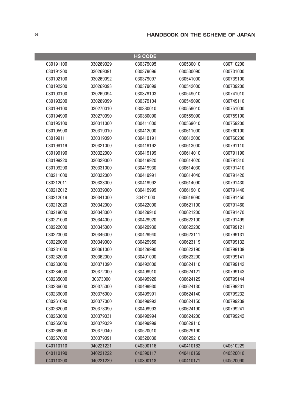| <b>HS CODE</b> |           |           |           |           |
|----------------|-----------|-----------|-----------|-----------|
| 030191100      | 030269029 | 030379095 | 030530010 | 030710200 |
| 030191200      | 030269091 | 030379096 | 030530090 | 030731000 |
| 030192100      | 030269092 | 030379097 | 030541000 | 030739100 |
| 030192200      | 030269093 | 030379099 | 030542000 | 030739200 |
| 030193100      | 030269094 | 030379103 | 030549010 | 030741010 |
| 030193200      | 030269099 | 030379104 | 030549090 | 030749110 |
| 030194100      | 030270010 | 030380010 | 030559010 | 030751000 |
| 030194900      | 030270090 | 030380090 | 030559090 | 030759100 |
| 030195100      | 030311000 | 030411000 | 030569010 | 030759200 |
| 030195900      | 030319010 | 030412000 | 030611000 | 030760100 |
| 030199111      | 030319090 | 030419191 | 030612000 | 030760200 |
| 030199119      | 030321000 | 030419192 | 030613000 | 030791110 |
| 030199190      | 030322000 | 030419199 | 030614010 | 030791190 |
| 030199220      | 030329000 | 030419920 | 030614020 | 030791310 |
| 030199290      | 030331000 | 030419930 | 030614030 | 030791410 |
| 030211000      | 030332000 | 030419991 | 030614040 | 030791420 |
| 030212011      | 030333000 | 030419992 | 030614090 | 030791430 |
| 030212012      | 030339000 | 030419999 | 030619010 | 030791440 |
| 030212019      | 030341000 | 30421000  | 030619090 | 030791450 |
| 030212020      | 030342000 | 030422000 | 030621100 | 030791460 |
| 030219000      | 030343000 | 030429910 | 030621200 | 030791470 |
| 030221000      | 030344000 | 030429920 | 030622100 | 030791499 |
| 030222000      | 030345000 | 030429930 | 030622200 | 030799121 |
| 030223000      | 030346000 | 030429940 | 030623111 | 030799131 |
| 030229000      | 030349000 | 030429950 | 030623119 | 030799132 |
| 030231000      | 030361000 | 030429990 | 030623190 | 030799139 |
| 030232000      | 030362000 | 030491000 | 030623200 | 030799141 |
| 030233000      | 030371090 | 030492000 | 030624110 | 030799142 |
| 030234000      | 030372000 | 030499910 | 030624121 | 030799143 |
| 030235000      | 30373000  | 030499920 | 030624129 | 030799144 |
| 030236000      | 030375000 | 030499930 | 030624130 | 030799231 |
| 030239000      | 030376000 | 030499991 | 030624140 | 030799232 |
| 030261090      | 030377000 | 030499992 | 030624150 | 030799239 |
| 030262000      | 030378090 | 030499993 | 030624190 | 030799241 |
| 030263000      | 030379031 | 030499994 | 030624200 | 030799242 |
| 030265000      | 030379039 | 030499999 | 030629110 |           |
| 030266000      | 030379040 | 030520010 | 030629190 |           |
| 030267000      | 030379091 | 030520030 | 030629210 |           |
| 040110110      | 040221221 | 040390116 | 040410162 | 040510229 |
| 040110190      | 040221222 | 040390117 | 040410169 | 040520010 |
| 040110200      | 040221229 | 040390118 | 040410171 | 040520090 |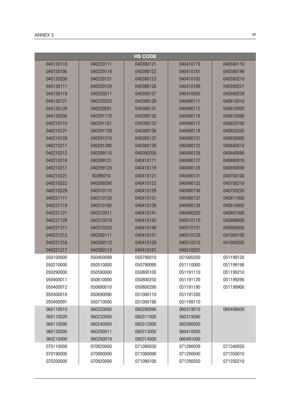|           |           | <b>HS CODE</b> |           |           |
|-----------|-----------|----------------|-----------|-----------|
| 040120110 | 040229111 | 040390121      | 040410179 | 040590110 |
| 040120190 | 040229119 | 040390122      | 040410181 | 040590190 |
| 040120200 | 040229121 | 040390123      | 040410182 | 040590210 |
| 040130111 | 040229129 | 040390126      | 040410189 | 040590221 |
| 040130119 | 040229211 | 040390127      | 040410200 | 040590229 |
| 040130121 | 040229220 | 040390128      | 040490111 | 040610010 |
| 040130129 | 040229291 | 040390131      | 040490112 | 040610020 |
| 040130200 | 040291110 | 040390132      | 040490116 | 040610090 |
| 040210110 | 040291121 | 040390133      | 040490117 | 040620100 |
| 040210121 | 040291129 | 040390136      | 040490118 | 040620200 |
| 040210129 | 040291210 | 040390137      | 040490121 | 040630000 |
| 040210211 | 040291290 | 040390138      | 040490122 | 040640010 |
| 040210212 | 040299110 | 040390200      | 040490126 | 040640090 |
| 040210216 | 040299121 | 040410111      | 040490127 | 040690010 |
| 040210217 | 040299129 | 040410119      | 040490128 | 040690090 |
| 040210221 | 40299210  | 040410121      | 040490131 | 040700100 |
| 040210222 | 040299290 | 040410122      | 040490132 | 040700210 |
| 040210229 | 040310110 | 040410129      | 040490136 | 040700220 |
| 040221111 | 040310120 | 040410131      | 040490137 | 040811000 |
| 040221119 | 040310190 | 040410139      | 040490138 | 040819000 |
| 040221121 | 040310211 | 040410141      | 040490200 | 040891000 |
| 040221129 | 040310219 | 040410142      | 040510110 | 040899000 |
| 040221211 | 040310220 | 040410149      | 040510121 | 040900000 |
| 040221212 | 040390111 | 040410151      | 040510129 | 041000100 |
| 040221216 | 040390112 | 040410159      | 040510210 | 041000200 |
| 040221217 | 040390113 | 040410161      | 040510221 |           |
| 050100000 | 050400099 | 050790010      | 051000200 | 051199120 |
| 050210000 | 050510000 | 050790090      | 051110000 | 051199190 |
| 050290000 | 050590000 | 050800100      | 051191110 | 051199210 |
| 050400011 | 050610000 | 050800250      | 051191120 | 051199290 |
| 050400012 | 050690010 | 050800290      | 051191190 | 051199900 |
| 050400019 | 050690090 | 051000110      | 051191200 |           |
| 050400091 | 050710000 | 051000190      | 051199110 |           |
| 060110010 | 060220000 | 060290090      | 060319010 | 060499000 |
| 060110020 | 060230000 | 060311000      | 060319090 |           |
| 060110090 | 060240000 | 060312000      | 060390000 |           |
| 060120000 | 060290011 | 060313000      | 060410000 |           |
| 060210000 | 060290019 | 060314000      | 060491000 |           |
| 070110000 | 070820000 | 071080030      | 071290039 | 071340020 |
| 070190000 | 070890000 | 071080090      | 071290040 | 071350010 |
| 070200000 | 070920000 | 071090100      | 071290050 | 071350210 |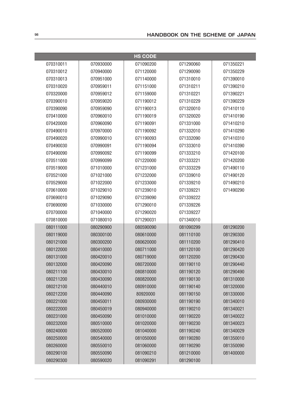|           |           | <b>HS CODE</b> |           |           |
|-----------|-----------|----------------|-----------|-----------|
| 070310011 | 070930000 | 071090200      | 071290060 | 071350221 |
| 070310012 | 070940000 | 071120000      | 071290090 | 071350229 |
| 070310013 | 070951000 | 071140000      | 071310010 | 071390010 |
| 070310020 | 070959011 | 071151000      | 071310211 | 071390210 |
| 070320000 | 070959012 | 071159000      | 071310221 | 071390221 |
| 070390010 | 070959020 | 071190012      | 071310229 | 071390229 |
| 070390090 | 070959090 | 071190013      | 071320010 | 071410110 |
| 070410000 | 070960010 | 071190019      | 071320020 | 071410190 |
| 070420000 | 070960090 | 071190091      | 071331000 | 071410210 |
| 070490010 | 070970000 | 071190092      | 071332010 | 071410290 |
| 070490020 | 070990010 | 071190093      | 071332090 | 071410310 |
| 070490030 | 070990091 | 071190094      | 071333010 | 071410390 |
| 070490090 | 070990092 | 071190099      | 071333210 | 071420100 |
| 070511000 | 070990099 | 071220000      | 071333221 | 071420200 |
| 070519000 | 071010000 | 071231000      | 071333229 | 071490110 |
| 070521000 | 071021000 | 071232000      | 071339010 | 071490120 |
| 070529000 | 071022000 | 071233000      | 071339210 | 071490210 |
| 070610000 | 071029010 | 071239010      | 071339221 | 071490290 |
| 070690010 | 071029090 | 071239090      | 071339222 |           |
| 070690090 | 071030000 | 071290010      | 071339226 |           |
| 070700000 | 071040000 | 071290020      | 071339227 |           |
| 070810000 | 071080010 | 071290031      | 071340010 |           |
| 080111000 | 080290900 | 080590090      | 081090299 | 081290200 |
| 080119000 | 080300100 | 080610000      | 081110100 | 081290300 |
| 080121000 | 080300200 | 080620000      | 081110200 | 081290410 |
| 080122000 | 080410000 | 080711000      | 081120100 | 081290420 |
| 080131000 | 080420010 | 080719000      | 081120200 | 081290430 |
| 080132000 | 080420090 | 080720000      | 081190110 | 081290440 |
| 080211100 | 080430010 | 080810000      | 081190120 | 081290490 |
| 080211200 | 080430090 | 080820000      | 081190130 | 081310000 |
| 080212100 | 080440010 | 080910000      | 081190140 | 081320000 |
| 080212200 | 080440090 | 80920000       | 081190150 | 081330000 |
| 080221000 | 080450011 | 080930000      | 081190190 | 081340010 |
| 080222000 | 080450019 | 080940000      | 081190210 | 081340021 |
| 080231000 | 080450090 | 081010000      | 081190220 | 081340022 |
| 080232000 | 080510000 | 081020000      | 081190230 | 081340023 |
| 080240000 | 080520000 | 081040000      | 081190240 | 081340029 |
| 080250000 | 080540000 | 081050000      | 081190280 | 081350010 |
| 080260000 | 080550010 | 081060000      | 081190290 | 081350090 |
| 080290100 | 080550090 | 081090210      | 081210000 | 081400000 |
| 080290300 | 080590020 | 081090291      | 081290100 |           |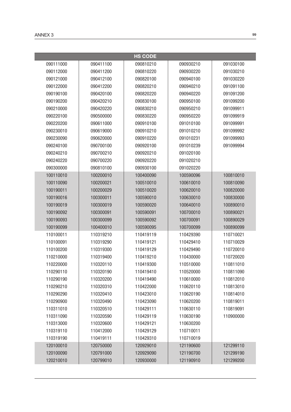|           |           | <b>HS CODE</b> |           |           |
|-----------|-----------|----------------|-----------|-----------|
| 090111000 | 090411100 | 090810210      | 090930210 | 091030100 |
| 090112000 | 090411200 | 090810220      | 090930220 | 091030210 |
| 090121000 | 090412100 | 090820100      | 090940100 | 091030220 |
| 090122000 | 090412200 | 090820210      | 090940210 | 091091100 |
| 090190100 | 090420100 | 090820220      | 090940220 | 091091200 |
| 090190200 | 090420210 | 090830100      | 090950100 | 091099200 |
| 090210000 | 090420220 | 090830210      | 090950210 | 091099911 |
| 090220100 | 090500000 | 090830220      | 090950220 | 091099919 |
| 090220200 | 090611000 | 090910100      | 091010100 | 091099991 |
| 090230010 | 090619000 | 090910210      | 091010210 | 091099992 |
| 090230090 | 090620000 | 090910220      | 091010231 | 091099993 |
| 090240100 | 090700100 | 090920100      | 091010239 | 091099994 |
| 090240210 | 090700210 | 090920210      | 091020100 |           |
| 090240220 | 090700220 | 090920220      | 091020210 |           |
| 090300000 | 090810100 | 090930100      | 091020220 |           |
| 100110010 | 100200010 | 100400090      | 100590096 | 100810010 |
| 100110090 | 100200021 | 100510010      | 100610010 | 100810090 |
| 100190011 | 100200029 | 100510020      | 100620010 | 100820000 |
| 100190016 | 100300011 | 100590010      | 100630010 | 100830000 |
| 100190019 | 100300019 | 100590020      | 100640010 | 100890010 |
| 100190092 | 100300091 | 100590091      | 100700010 | 100890021 |
| 100190093 | 100300099 | 100590092      | 100700091 | 100890029 |
| 100190099 | 100400010 | 100590095      | 100700099 | 100890099 |
| 110100011 | 110319210 | 110419119      | 110429390 | 110710021 |
| 110100091 | 110319290 | 110419121      | 110429410 | 110710029 |
| 110100200 | 110319300 | 110419129      | 110429490 | 110720010 |
| 110210000 | 110319400 | 110419210      | 110430000 | 110720020 |
| 110220000 | 110320110 | 110419300      | 110510000 | 110811010 |
| 110290110 | 110320190 | 110419410      | 110520000 | 110811090 |
| 110290190 | 110320200 | 110419490      | 110610000 | 110812010 |
| 110290210 | 110320310 | 110422000      | 110620110 | 110813010 |
| 110290290 | 110320410 | 110423010      | 110620190 | 110814010 |
| 110290900 | 110320490 | 110423090      | 110620200 | 110819011 |
| 110311010 | 110320510 | 110429111      | 110630110 | 110819091 |
| 110311090 | 110320590 | 110429119      | 110630190 | 110900000 |
| 110313000 | 110320600 | 110429121      | 110630200 |           |
| 110319110 | 110412000 | 110429129      | 110710011 |           |
| 110319190 | 110419111 | 110429310      | 110710019 |           |
| 120100010 | 120750000 | 120929010      | 121190600 | 121299110 |
| 120100090 | 120791000 | 120929090      | 121190700 | 121299190 |
| 120210010 | 120799010 | 120930000      | 121190910 | 121299200 |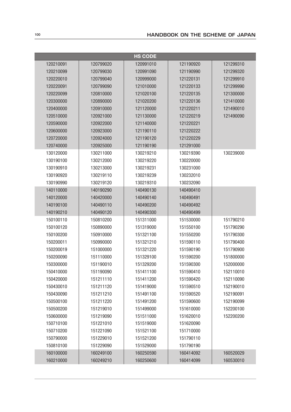|           |           | <b>HS CODE</b> |           |           |
|-----------|-----------|----------------|-----------|-----------|
| 120210091 | 120799020 | 120991010      | 121190920 | 121299310 |
| 120210099 | 120799030 | 120991090      | 121190990 | 121299320 |
| 120220010 | 120799040 | 120999000      | 121220131 | 121299910 |
| 120220091 | 120799090 | 121010000      | 121220133 | 121299990 |
| 120220099 | 120810000 | 121020100      | 121220135 | 121300000 |
| 120300000 | 120890000 | 121020200      | 121220136 | 121410000 |
| 120400000 | 120910000 | 121120000      | 121220211 | 121490010 |
| 120510000 | 120921000 | 121130000      | 121220219 | 121490090 |
| 120590000 | 120922000 | 121140000      | 121220221 |           |
| 120600000 | 120923000 | 121190110      | 121220222 |           |
| 120720000 | 120924000 | 121190120      | 121220229 |           |
| 120740000 | 120925000 | 121190190      | 121291000 |           |
| 130120000 | 130211000 | 130219210      | 130219390 | 130239000 |
| 130190100 | 130212000 | 130219220      | 130220000 |           |
| 130190910 | 130213000 | 130219231      | 130231000 |           |
| 130190920 | 130219110 | 130219239      | 130232010 |           |
| 130190990 | 130219120 | 130219310      | 130232090 |           |
| 140110000 | 140190290 | 140490130      | 140490410 |           |
| 140120000 | 140420000 | 140490140      | 140490491 |           |
| 140190100 | 140490110 | 140490200      | 140490492 |           |
| 140190210 | 140490120 | 140490300      | 140490499 |           |
| 150100110 | 150810200 | 151311000      | 151530000 | 151790210 |
| 150100120 | 150890000 | 151319000      | 151550100 | 151790290 |
| 150100200 | 150910000 | 151321100      | 151550200 | 151790300 |
| 150200011 | 150990000 | 151321210      | 151590110 | 151790400 |
| 150200019 | 151000000 | 151321220      | 151590190 | 151790900 |
| 150200090 | 151110000 | 151329100      | 151590200 | 151800000 |
| 150300000 | 151190010 | 151329200      | 151590300 | 152000000 |
| 150410000 | 151190090 | 151411100      | 151590410 | 152110010 |
| 150420000 | 151211110 | 151411200      | 151590420 | 152110090 |
| 150430010 | 151211120 | 151419000      | 151590510 | 152190010 |
| 150430090 | 151211210 | 151491100      | 151590520 | 152190091 |
| 150500100 | 151211220 | 151491200      | 151590600 | 152190099 |
| 150500200 | 151219010 | 151499000      | 151610000 | 152200100 |
| 150600000 | 151219090 | 151511000      | 151620010 | 152200200 |
| 150710100 | 151221010 | 151519000      | 151620090 |           |
| 150710200 | 151221090 | 151521100      | 151710000 |           |
| 150790000 | 151229010 | 151521200      | 151790110 |           |
| 150810100 | 151229090 | 151529000      | 151790190 |           |
| 160100000 | 160249100 | 160250590      | 160414092 | 160520029 |
| 160210000 | 160249210 | 160250600      | 160414099 | 160530010 |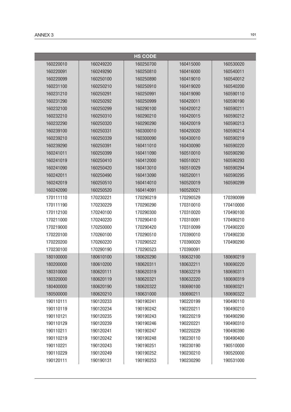|           |           | <b>HS CODE</b> |           |           |
|-----------|-----------|----------------|-----------|-----------|
| 160220010 | 160249220 | 160250700      | 160415000 | 160530020 |
| 160220091 | 160249290 | 160250810      | 160416000 | 160540011 |
| 160220099 | 160250100 | 160250890      | 160419010 | 160540012 |
| 160231100 | 160250210 | 160250910      | 160419020 | 160540200 |
| 160231210 | 160250291 | 160250991      | 160419090 | 160590110 |
| 160231290 | 160250292 | 160250999      | 160420011 | 160590190 |
| 160232100 | 160250299 | 160290100      | 160420012 | 160590211 |
| 160232210 | 160250310 | 160290210      | 160420015 | 160590212 |
| 160232290 | 160250320 | 160290290      | 160420019 | 160590213 |
| 160239100 | 160250331 | 160300010      | 160420020 | 160590214 |
| 160239210 | 160250339 | 160300090      | 160430010 | 160590219 |
| 160239290 | 160250391 | 160411010      | 160430090 | 160590220 |
| 160241011 | 160250399 | 160411090      | 160510010 | 160590290 |
| 160241019 | 160250410 | 160412000      | 160510021 | 160590293 |
| 160241090 | 160250420 | 160413010      | 160510029 | 160590294 |
| 160242011 | 160250490 | 160413090      | 160520011 | 160590295 |
| 160242019 | 160250510 | 160414010      | 160520019 | 160590299 |
| 160242090 | 160250520 | 160414091      | 160520021 |           |
| 170111110 | 170230221 | 170290219      | 170290529 | 170390099 |
| 170111190 | 170230229 | 170290290      | 170310010 | 170410000 |
| 170112100 | 170240100 | 170290300      | 170310020 | 170490100 |
| 170211000 | 170240220 | 170290410      | 170310091 | 170490210 |
| 170219000 | 170250000 | 170290420      | 170310099 | 170490220 |
| 170220100 | 170260100 | 170290510      | 170390010 | 170490230 |
| 170220200 | 170260220 | 170290522      | 170390020 | 170490290 |
| 170230100 | 170290190 | 170290523      | 170390091 |           |
| 180100000 | 180610100 | 180620290      | 180632100 | 180690219 |
| 180200000 | 180610200 | 180620311      | 180632211 | 180690220 |
| 180310000 | 180620111 | 180620319      | 180632219 | 180690311 |
| 180320000 | 180620119 | 180620321      | 180632220 | 180690319 |
| 180400000 | 180620190 | 180620322      | 180690100 | 180690321 |
| 180500000 | 180620210 | 180631000      | 180690211 | 180690322 |
| 190110111 | 190120233 | 190190241      | 190220199 | 190490110 |
| 190110119 | 190120234 | 190190242      | 190220211 | 190490210 |
| 190110121 | 190120235 | 190190243      | 190220219 | 190490290 |
| 190110129 | 190120239 | 190190246      | 190220221 | 190490310 |
| 190110211 | 190120241 | 190190247      | 190220229 | 190490390 |
| 190110219 | 190120242 | 190190248      | 190230110 | 190490400 |
| 190110221 | 190120243 | 190190251      | 190230190 | 190510000 |
| 190110229 | 190120249 | 190190252      | 190230210 | 190520000 |
| 190120111 | 190190131 | 190190253      | 190230290 | 190531000 |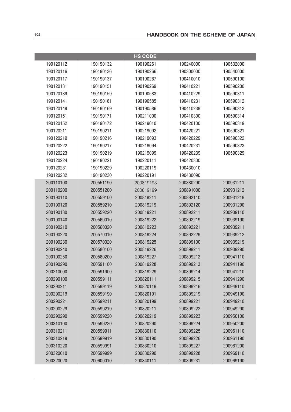|           |           | <b>HS CODE</b> |           |           |
|-----------|-----------|----------------|-----------|-----------|
| 190120112 | 190190132 | 190190261      | 190240000 | 190532000 |
| 190120116 | 190190136 | 190190266      | 190300000 | 190540000 |
| 190120117 | 190190137 | 190190267      | 190410010 | 190590100 |
| 190120131 | 190190151 | 190190269      | 190410221 | 190590200 |
| 190120139 | 190190159 | 190190583      | 190410229 | 190590311 |
| 190120141 | 190190161 | 190190585      | 190410231 | 190590312 |
| 190120149 | 190190169 | 190190586      | 190410239 | 190590313 |
| 190120151 | 190190171 | 190211000      | 190410300 | 190590314 |
| 190120152 | 190190172 | 190219010      | 190420100 | 190590319 |
| 190120211 | 190190211 | 190219092      | 190420221 | 190590321 |
| 190120219 | 190190216 | 190219093      | 190420229 | 190590322 |
| 190120222 | 190190217 | 190219094      | 190420231 | 190590323 |
| 190120223 | 190190219 | 190219099      | 190420239 | 190590329 |
| 190120224 | 190190221 | 190220111      | 190420300 |           |
| 190120231 | 190190229 | 190220119      | 190430010 |           |
| 190120232 | 190190230 | 190220191      | 190430090 |           |
| 200110100 | 200551190 | 200819193      | 200880290 | 200931211 |
| 200110200 | 200551200 | 200819199      | 200891000 | 200931212 |
| 200190110 | 200559100 | 200819211      | 200892110 | 200931219 |
| 200190120 | 200559210 | 200819219      | 200892120 | 200931290 |
| 200190130 | 200559220 | 200819221      | 200892211 | 200939110 |
| 200190140 | 200560010 | 200819222      | 200892219 | 200939190 |
| 200190210 | 200560020 | 200819223      | 200892221 | 200939211 |
| 200190220 | 200570010 | 200819224      | 200892229 | 200939212 |
| 200190230 | 200570020 | 200819225      | 200899100 | 200939219 |
| 200190240 | 200580100 | 200819226      | 200899211 | 200939290 |
| 200190250 | 200580200 | 200819227      | 200899212 | 200941110 |
| 200190290 | 200591100 | 200819228      | 200899213 | 200941190 |
| 200210000 | 200591900 | 200819229      | 200899214 | 200941210 |
| 200290100 | 200599111 | 200820111      | 200899215 | 200941290 |
| 200290211 | 200599119 | 200820119      | 200899216 | 200949110 |
| 200290219 | 200599190 | 200820191      | 200899219 | 200949190 |
| 200290221 | 200599211 | 200820199      | 200899221 | 200949210 |
| 200290229 | 200599219 | 200820211      | 200899222 | 200949290 |
| 200290290 | 200599220 | 200820219      | 200899223 | 200950100 |
| 200310100 | 200599230 | 200820290      | 200899224 | 200950200 |
| 200310211 | 200599911 | 200830110      | 200899225 | 200961110 |
| 200310219 | 200599919 | 200830190      | 200899226 | 200961190 |
| 200310220 | 200599991 | 200830210      | 200899227 | 200961200 |
| 200320010 | 200599999 | 200830290      | 200899228 | 200969110 |
| 200320020 | 200600010 | 200840111      | 200899231 | 200969190 |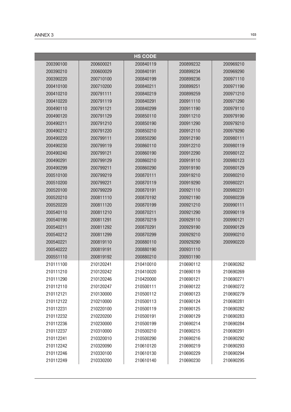|           |           | <b>HS CODE</b> |           |           |
|-----------|-----------|----------------|-----------|-----------|
| 200390100 | 200600021 | 200840119      | 200899232 | 200969210 |
| 200390210 | 200600029 | 200840191      | 200899234 | 200969290 |
| 200390220 | 200710100 | 200840199      | 200899236 | 200971110 |
| 200410100 | 200710200 | 200840211      | 200899251 | 200971190 |
| 200410210 | 200791111 | 200840219      | 200899259 | 200971210 |
| 200410220 | 200791119 | 200840291      | 200911110 | 200971290 |
| 200490110 | 200791121 | 200840299      | 200911190 | 200979110 |
| 200490120 | 200791129 | 200850110      | 200911210 | 200979190 |
| 200490211 | 200791210 | 200850190      | 200911290 | 200979210 |
| 200490212 | 200791220 | 200850210      | 200912110 | 200979290 |
| 200490220 | 200799111 | 200850290      | 200912190 | 200980111 |
| 200490230 | 200799119 | 200860110      | 200912210 | 200980119 |
| 200490240 | 200799121 | 200860190      | 200912290 | 200980122 |
| 200490291 | 200799129 | 200860210      | 200919110 | 200980123 |
| 200490299 | 200799211 | 200860290      | 200919190 | 200980129 |
| 200510100 | 200799219 | 200870111      | 200919210 | 200980210 |
| 200510200 | 200799221 | 200870119      | 200919290 | 200980221 |
| 200520100 | 200799229 | 200870191      | 200921110 | 200980231 |
| 200520210 | 200811110 | 200870192      | 200921190 | 200980239 |
| 200520220 | 200811120 | 200870199      | 200921210 | 200990111 |
| 200540110 | 200811210 | 200870211      | 200921290 | 200990119 |
| 200540190 | 200811291 | 200870219      | 200929110 | 200990121 |
| 200540211 | 200811292 | 200870291      | 200929190 | 200990129 |
| 200540212 | 200811299 | 200870299      | 200929210 | 200990210 |
| 200540221 | 200819110 | 200880110      | 200929290 | 200990220 |
| 200540222 | 200819191 | 200880190      | 200931110 |           |
| 200551110 | 200819192 | 200880210      | 200931190 |           |
| 210111100 | 210120241 | 210410010      | 210690112 | 210690262 |
| 210111210 | 210120242 | 210410020      | 210690119 | 210690269 |
| 210111290 | 210120246 | 210420000      | 210690121 | 210690271 |
| 210112110 | 210120247 | 210500111      | 210690122 | 210690272 |
| 210112121 | 210130000 | 210500112      | 210690123 | 210690279 |
| 210112122 | 210210000 | 210500113      | 210690124 | 210690281 |
| 210112231 | 210220100 | 210500119      | 210690125 | 210690282 |
| 210112232 | 210220200 | 210500191      | 210690129 | 210690283 |
| 210112236 | 210230000 | 210500199      | 210690214 | 210690284 |
| 210112237 | 210310000 | 210500210      | 210690215 | 210690291 |
| 210112241 | 210320010 | 210500290      | 210690216 | 210690292 |
| 210112242 | 210320090 | 210610120      | 210690219 | 210690293 |
| 210112246 | 210330100 | 210610130      | 210690229 | 210690294 |
| 210112249 | 210330200 | 210610140      | 210690230 | 210690295 |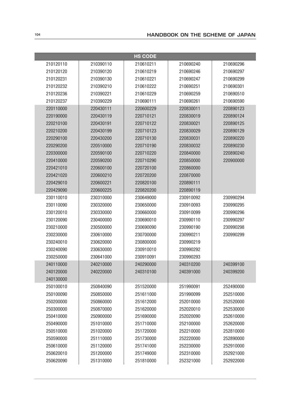|           |           | <b>HS CODE</b> |           |           |
|-----------|-----------|----------------|-----------|-----------|
| 210120110 | 210390110 | 210610211      | 210690240 | 210690296 |
| 210120120 | 210390120 | 210610219      | 210690246 | 210690297 |
| 210120231 | 210390130 | 210610221      | 210690247 | 210690299 |
| 210120232 | 210390210 | 210610222      | 210690251 | 210690301 |
| 210120236 | 210390221 | 210610229      | 210690259 | 210690510 |
| 210120237 | 210390229 | 210690111      | 210690261 | 210690590 |
| 220110000 | 220430111 | 220600229      | 220830011 | 220890123 |
| 220190000 | 220430119 | 220710121      | 220830019 | 220890124 |
| 220210100 | 220430191 | 220710122      | 220830021 | 220890125 |
| 220210200 | 220430199 | 220710123      | 220830029 | 220890129 |
| 220290100 | 220430200 | 220710130      | 220830031 | 220890220 |
| 220290200 | 220510000 | 220710190      | 220830032 | 220890230 |
| 220300000 | 220590100 | 220710220      | 220840000 | 220890240 |
| 220410000 | 220590200 | 220710290      | 220850000 | 220900000 |
| 220421010 | 220600100 | 220720100      | 220860000 |           |
| 220421020 | 220600210 | 220720200      | 220870000 |           |
| 220429010 | 220600221 | 220820100      | 220890111 |           |
| 220429090 | 220600225 | 220820200      | 220890119 |           |
| 230110010 | 230310000 | 230649000      | 230910092 | 230990294 |
| 230110090 | 230320000 | 230650000      | 230910093 | 230990295 |
| 230120010 | 230330000 | 230660000      | 230910099 | 230990296 |
| 230120090 | 230400000 | 230690010      | 230990110 | 230990297 |
| 230210000 | 230500000 | 230690090      | 230990190 | 230990298 |
| 230230000 | 230610000 | 230700000      | 230990211 | 230990299 |
| 230240010 | 230620000 | 230800000      | 230990219 |           |
| 230240090 | 230630000 | 230910010      | 230990292 |           |
| 230250000 | 230641000 | 230910091      | 230990293 |           |
| 240110000 | 240210000 | 240290000      | 240310200 | 240399100 |
| 240120000 | 240220000 | 240310100      | 240391000 | 240399200 |
| 240130000 |           |                |           |           |
| 250100010 | 250840090 | 251520000      | 251990091 | 252490000 |
| 250100090 | 250850000 | 251611000      | 251990099 | 252510000 |
| 250200000 | 250860000 | 251612000      | 252010000 | 252520000 |
| 250300000 | 250870000 | 251620000      | 252020010 | 252530000 |
| 250410000 | 250900000 | 251690000      | 252020090 | 252610000 |
| 250490000 | 251010000 | 251710000      | 252100000 | 252620000 |
| 250510000 | 251020000 | 251720000      | 252210000 | 252810000 |
| 250590000 | 251110000 | 251730000      | 252220000 | 252890000 |
| 250610000 | 251120000 | 251741000      | 252230000 | 252910000 |
| 250620010 | 251200000 | 251749000      | 252310000 | 252921000 |
| 250620090 | 251310000 | 251810000      | 252321000 | 252922000 |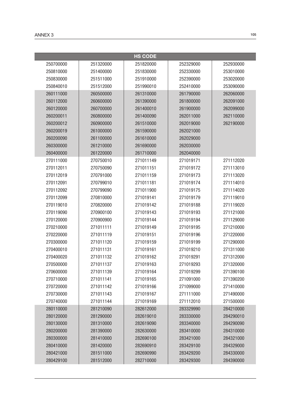| <b>HS CODE</b> |           |           |           |           |
|----------------|-----------|-----------|-----------|-----------|
| 250700000      | 251320000 | 251820000 | 252329000 | 252930000 |
| 250810000      | 251400000 | 251830000 | 252330000 | 253010000 |
| 250830000      | 251511000 | 251910000 | 252390000 | 253020000 |
| 250840010      | 251512000 | 251990010 | 252410000 | 253090000 |
| 260111000      | 260500000 | 261310000 | 261790000 | 262060000 |
| 260112000      | 260600000 | 261390000 | 261800000 | 262091000 |
| 260120000      | 260700000 | 261400010 | 261900000 | 262099000 |
| 260200011      | 260800000 | 261400090 | 262011000 | 262110000 |
| 260200012      | 260900000 | 261510000 | 262019000 | 262190000 |
| 260200019      | 261000000 | 261590000 | 262021000 |           |
| 260200090      | 261100000 | 261610000 | 262029000 |           |
| 260300000      | 261210000 | 261690000 | 262030000 |           |
| 260400000      | 261220000 | 261710000 | 262040000 |           |
| 270111000      | 270750010 | 271011149 | 271019171 | 271112020 |
| 270112011      | 270750090 | 271011151 | 271019172 | 271113010 |
| 270112019      | 270791000 | 271011159 | 271019173 | 271113020 |
| 270112091      | 270799010 | 271011181 | 271019174 | 271114010 |
| 270112092      | 270799090 | 271011900 | 271019175 | 271114020 |
| 270112099      | 270810000 | 271019141 | 271019179 | 271119010 |
| 270119010      | 270820000 | 271019142 | 271019188 | 271119020 |
| 270119090      | 270900100 | 271019143 | 271019193 | 271121000 |
| 270120000      | 270900900 | 271019144 | 271019194 | 271129000 |
| 270210000      | 271011111 | 271019149 | 271019195 | 271210000 |
| 270220000      | 271011119 | 271019151 | 271019196 | 271220000 |
| 270300000      | 271011120 | 271019159 | 271019199 | 271290000 |
| 270400010      | 271011131 | 271019161 | 271019210 | 271311000 |
| 270400020      | 271011132 | 271019162 | 271019291 | 271312000 |
| 270500000      | 271011137 | 271019163 | 271019293 | 271320000 |
| 270600000      | 271011139 | 271019164 | 271019299 | 271390100 |
| 270710000      | 271011141 | 271019165 | 271091000 | 271390200 |
| 270720000      | 271011142 | 271019166 | 271099000 | 271410000 |
| 270730000      | 271011143 | 271019167 | 271111000 | 271490000 |
| 270740000      | 271011144 | 271019169 | 271112010 | 271500000 |
| 280110000      | 281210090 | 282612000 | 283329990 | 284210000 |
| 280120000      | 281290000 | 282619010 | 283330000 | 284290010 |
| 280130000      | 281310000 | 282619090 | 283340000 | 284290090 |
| 280200000      | 281390000 | 282630000 | 283410000 | 284310000 |
| 280300000      | 281410000 | 282690100 | 283421000 | 284321000 |
| 280410000      | 281420000 | 282690910 | 283429100 | 284329000 |
| 280421000      | 281511000 | 282690990 | 283429200 | 284330000 |
| 280429100      | 281512000 | 282710000 | 283429300 | 284390000 |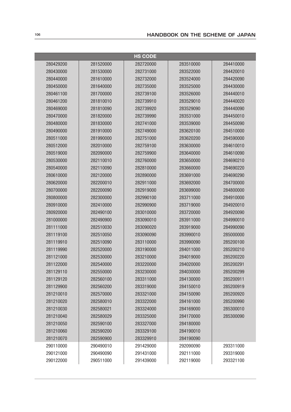| <b>HS CODE</b> |           |           |           |           |
|----------------|-----------|-----------|-----------|-----------|
| 280429200      | 281520000 | 282720000 | 283510000 | 284410000 |
| 280430000      | 281530000 | 282731000 | 283522000 | 284420010 |
| 280440000      | 281610000 | 282732000 | 283524000 | 284420090 |
| 280450000      | 281640000 | 282735000 | 283525000 | 284430000 |
| 280461100      | 281700000 | 282739100 | 283526000 | 284440010 |
| 280461200      | 281810010 | 282739910 | 283529010 | 284440020 |
| 280469000      | 281810090 | 282739920 | 283529090 | 284440090 |
| 280470000      | 281820000 | 282739990 | 283531000 | 284450010 |
| 280480000      | 281830000 | 282741000 | 283539000 | 284450090 |
| 280490000      | 281910000 | 282749000 | 283620100 | 284510000 |
| 280511000      | 281990000 | 282751000 | 283620200 | 284590000 |
| 280512000      | 282010000 | 282759100 | 283630000 | 284610010 |
| 280519000      | 282090000 | 282759900 | 283640000 | 284610090 |
| 280530000      | 282110010 | 282760000 | 283650000 | 284690210 |
| 280540000      | 282110090 | 282810000 | 283660000 | 284690220 |
| 280610000      | 282120000 | 282890000 | 283691000 | 284690290 |
| 280620000      | 282200010 | 282911000 | 283692000 | 284700000 |
| 280700000      | 282200090 | 282919000 | 283699000 | 284800000 |
| 280800000      | 282300000 | 282990100 | 283711000 | 284910000 |
| 280910000      | 282410000 | 282990900 | 283719000 | 284920010 |
| 280920000      | 282490100 | 283010000 | 283720000 | 284920090 |
| 281000000      | 282490900 | 283090010 | 283911000 | 284990010 |
| 281111000      | 282510030 | 283090020 | 283919000 | 284990090 |
| 281119100      | 282510050 | 283090090 | 283990010 | 285000000 |
| 281119910      | 282510090 | 283110000 | 283990090 | 285200100 |
| 281119990      | 282520000 | 283190000 | 284011000 | 285200210 |
| 281121000      | 282530000 | 283210000 | 284019000 | 285200220 |
| 281122000      | 282540000 | 283220000 | 284020000 | 285200291 |
| 281129110      | 282550000 | 283230000 | 284030000 | 285200299 |
| 281129120      | 282560100 | 283311000 | 284130000 | 285200911 |
| 281129900      | 282560200 | 283319000 | 284150010 | 285200919 |
| 281210010      | 282570000 | 283321000 | 284150090 | 285200920 |
| 281210020      | 282580010 | 283322000 | 284161000 | 285200990 |
| 281210030      | 282580021 | 283324000 | 284169000 | 285300010 |
| 281210040      | 282580029 | 283325000 | 284170000 | 285300090 |
| 281210050      | 282590100 | 283327000 | 284180000 |           |
| 281210060      | 282590200 | 283329100 | 284190010 |           |
| 281210070      | 282590900 | 283329910 | 284190090 |           |
| 290110000      | 290490010 | 291429000 | 292090090 | 293311000 |
| 290121000      | 290490090 | 291431000 | 292111000 | 293319000 |
| 290122000      | 290511000 | 291439000 | 292119000 | 293321100 |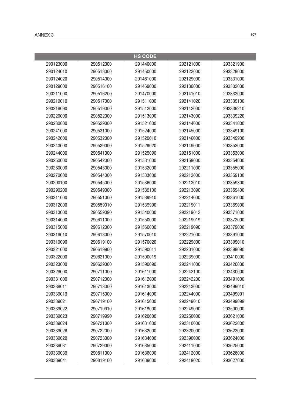|           |           | <b>HS CODE</b> |           |           |
|-----------|-----------|----------------|-----------|-----------|
| 290123000 | 290512000 | 291440000      | 292121000 | 293321900 |
| 290124010 | 290513000 | 291450000      | 292122000 | 293329000 |
| 290124020 | 290514000 | 291461000      | 292129000 | 293331000 |
| 290129000 | 290516100 | 291469000      | 292130000 | 293332000 |
| 290211000 | 290516200 | 291470000      | 292141010 | 293333000 |
| 290219010 | 290517000 | 291511000      | 292141020 | 293339100 |
| 290219090 | 290519000 | 291512000      | 292142000 | 293339210 |
| 290220000 | 290522000 | 291513000      | 292143000 | 293339220 |
| 290230000 | 290529000 | 291521000      | 292144000 | 293341000 |
| 290241000 | 290531000 | 291524000      | 292145000 | 293349100 |
| 290242000 | 290532000 | 291529010      | 292146000 | 293349900 |
| 290243000 | 290539000 | 291529020      | 292149000 | 293352000 |
| 290244000 | 290541000 | 291529090      | 292151000 | 293353000 |
| 290250000 | 290542000 | 291531000      | 292159000 | 293354000 |
| 290260000 | 290543000 | 291532000      | 292211000 | 293355000 |
| 290270000 | 290544000 | 291533000      | 292212000 | 293359100 |
| 290290100 | 290545000 | 291536000      | 292213010 | 293359300 |
| 290290200 | 290549000 | 291539100      | 292213090 | 293359400 |
| 290311000 | 290551000 | 291539910      | 292214000 | 293361000 |
| 290312000 | 290559010 | 291539990      | 292219011 | 293369000 |
| 290313000 | 290559090 | 291540000      | 292219012 | 293371000 |
| 290314000 | 290611000 | 291550000      | 292219019 | 293372000 |
| 290315000 | 290612000 | 291560000      | 292219090 | 293379000 |
| 290319010 | 290613000 | 291570010      | 292221000 | 293391000 |
| 290319090 | 290619100 | 291570020      | 292229000 | 293399010 |
| 290321000 | 290619900 | 291590011      | 292231000 | 293399090 |
| 290322000 | 290621000 | 291590019      | 292239000 | 293410000 |
| 290323000 | 290629000 | 291590090      | 292241000 | 293420000 |
| 290329000 | 290711000 | 291611000      | 292242100 | 293430000 |
| 290331000 | 290712000 | 291612000      | 292242200 | 293491000 |
| 290339011 | 290713000 | 291613000      | 292243000 | 293499010 |
| 290339019 | 290715000 | 291614000      | 292244000 | 293499091 |
| 290339021 | 290719100 | 291615000      | 292249010 | 293499099 |
| 290339022 | 290719910 | 291619000      | 292249090 | 293500000 |
| 290339023 | 290719990 | 291620000      | 292250000 | 293621000 |
| 290339024 | 290721000 | 291631000      | 292310000 | 293622000 |
| 290339026 | 290722000 | 291632000      | 292320000 | 293623000 |
| 290339029 | 290723000 | 291634000      | 292390000 | 293624000 |
| 290339031 | 290729000 | 291635000      | 292411000 | 293625000 |
| 290339039 | 290811000 | 291636000      | 292412000 | 293626000 |
| 290339041 | 290819100 | 291639000      | 292419020 | 293627000 |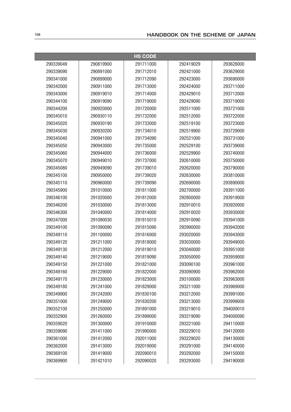|           |           | <b>HS CODE</b> |           |           |
|-----------|-----------|----------------|-----------|-----------|
| 290339049 | 290819900 | 291711000      | 292419029 | 293628000 |
| 290339090 | 290891000 | 291712010      | 292421000 | 293629000 |
| 290341000 | 290899000 | 291712090      | 292423000 | 293690000 |
| 290342000 | 290911000 | 291713000      | 292424000 | 293711000 |
| 290343000 | 290919010 | 291714000      | 292429010 | 293712000 |
| 290344100 | 290919090 | 291719000      | 292429090 | 293719000 |
| 290344200 | 290920000 | 291720000      | 292511000 | 293721000 |
| 290345010 | 290930110 | 291732000      | 292512000 | 293722000 |
| 290345020 | 290930190 | 291733000      | 292519100 | 293723000 |
| 290345030 | 290930200 | 291734010      | 292519900 | 293729000 |
| 290345040 | 290941000 | 291734090      | 292521000 | 293731000 |
| 290345050 | 290943000 | 291735000      | 292529100 | 293739000 |
| 290345060 | 290944000 | 291736000      | 292529900 | 293740000 |
| 290345070 | 290949010 | 291737000      | 292610000 | 293750000 |
| 290345080 | 290949090 | 291739010      | 292620000 | 293790000 |
| 290345100 | 290950000 | 291739020      | 292630000 | 293810000 |
| 290345110 | 290960000 | 291739090      | 292690000 | 293890000 |
| 290345900 | 291010000 | 291811000      | 292700000 | 293911000 |
| 290346100 | 291020000 | 291812000      | 292800000 | 293919000 |
| 290346200 | 291030000 | 291813000      | 292910010 | 293920000 |
| 290346300 | 291040000 | 291814000      | 292910020 | 293930000 |
| 290347000 | 291090030 | 291815010      | 292910090 | 293941000 |
| 290349100 | 291090090 | 291815090      | 292990000 | 293942000 |
| 290349110 | 291100000 | 291816000      | 293020000 | 293943000 |
| 290349120 | 291211000 | 291818000      | 293030000 | 293949000 |
| 290349130 | 291212000 | 291819010      | 293040000 | 293951000 |
| 290349140 | 291219000 | 291819090      | 293050000 | 293959000 |
| 290349150 | 291221000 | 291821000      | 293090100 | 293961000 |
| 290349160 | 291229000 | 291822000      | 293090900 | 293962000 |
| 290349170 | 291230000 | 291823000      | 293100000 | 293963000 |
| 290349180 | 291241000 | 291829000      | 293211000 | 293969000 |
| 290349900 | 291242000 | 291830100      | 293212000 | 293991000 |
| 290351000 | 291249000 | 291830200      | 293213000 | 293999000 |
| 290352100 | 291250000 | 291891000      | 293219010 | 294000010 |
| 290352900 | 291260000 | 291899000      | 293219090 | 294000090 |
| 290359020 | 291300000 | 291910000      | 293221000 | 294110000 |
| 290359090 | 291411000 | 291990000      | 293229010 | 294120000 |
| 290361000 | 291412000 | 292011000      | 293229020 | 294130000 |
| 290362000 | 291413000 | 292019000      | 293291000 | 294140000 |
| 290369100 | 291419000 | 292090010      | 293292000 | 294150000 |
| 290369900 | 291421010 | 292090020      | 293293000 | 294190000 |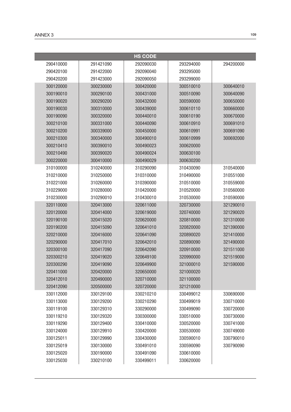|           |           | <b>HS CODE</b> |           |           |
|-----------|-----------|----------------|-----------|-----------|
| 290410000 | 291421090 | 292090030      | 293294000 | 294200000 |
| 290420100 | 291422000 | 292090040      | 293295000 |           |
| 290420200 | 291423000 | 292090050      | 293299000 |           |
| 300120000 | 300230000 | 300420000      | 300510010 | 300640010 |
| 300190010 | 300290100 | 300431000      | 300510090 | 300640090 |
| 300190020 | 300290200 | 300432000      | 300590000 | 300650000 |
| 300190030 | 300310000 | 300439000      | 300610110 | 300660000 |
| 300190090 | 300320000 | 300440010      | 300610190 | 300670000 |
| 300210100 | 300331000 | 300440090      | 300610910 | 300691010 |
| 300210200 | 300339000 | 300450000      | 300610991 | 300691090 |
| 300210300 | 300340000 | 300490010      | 300610999 | 300692000 |
| 300210410 | 300390010 | 300490023      | 300620000 |           |
| 300210490 | 300390020 | 300490024      | 300630100 |           |
| 300220000 | 300410000 | 300490029      | 300630200 |           |
| 310100000 | 310240000 | 310290090      | 310430090 | 310540000 |
| 310210000 | 310250000 | 310310000      | 310490000 | 310551000 |
| 310221000 | 310260000 | 310390000      | 310510000 | 310559000 |
| 310229000 | 310280000 | 310420000      | 310520000 | 310560000 |
| 310230000 | 310290010 | 310430010      | 310530000 | 310590000 |
| 320110000 | 320413000 | 320611000      | 320730000 | 321290010 |
| 320120000 | 320414000 | 320619000      | 320740000 | 321290020 |
| 320190100 | 320415020 | 320620000      | 320810000 | 321310000 |
| 320190200 | 320415090 | 320641010      | 320820000 | 321390000 |
| 320210000 | 320416000 | 320641090      | 320890020 | 321410000 |
| 320290000 | 320417010 | 320642010      | 320890090 | 321490000 |
| 320300100 | 320417090 | 320642090      | 320910000 | 321511000 |
| 320300210 | 320419020 | 320649100      | 320990000 | 321519000 |
| 320300290 | 320419090 | 320649900      | 321000010 | 321590000 |
| 320411000 | 320420000 | 320650000      | 321000020 |           |
| 320412010 | 320490000 | 320710000      | 321100000 |           |
| 320412090 | 320500000 | 320720000      | 321210000 |           |
| 330112000 | 330129100 | 330210210      | 330499012 | 330690000 |
| 330113000 | 330129200 | 330210290      | 330499019 | 330710000 |
| 330119100 | 330129310 | 330290000      | 330499090 | 330720000 |
| 330119210 | 330129320 | 330300000      | 330510000 | 330730000 |
| 330119290 | 330129400 | 330410000      | 330520000 | 330741000 |
| 330124000 | 330129910 | 330420000      | 330530000 | 330749000 |
| 330125011 | 330129990 | 330430000      | 330590010 | 330790010 |
| 330125019 | 330130000 | 330491010      | 330590090 | 330790090 |
| 330125020 | 330190000 | 330491090      | 330610000 |           |
| 330125030 | 330210100 | 330499011      | 330620000 |           |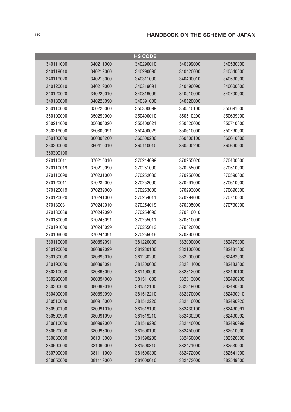|           |           | <b>HS CODE</b> |           |           |  |  |
|-----------|-----------|----------------|-----------|-----------|--|--|
| 340111000 | 340211000 | 340290010      | 340399000 | 340530000 |  |  |
| 340119010 | 340212000 | 340290090      | 340420000 | 340540000 |  |  |
| 340119020 | 340213000 | 340311000      | 340490010 | 340590000 |  |  |
| 340120010 | 340219000 | 340319091      | 340490090 | 340600000 |  |  |
| 340120020 | 340220010 | 340319099      | 340510000 | 340700000 |  |  |
| 340130000 | 340220090 | 340391000      | 340520000 |           |  |  |
| 350110000 | 350220000 | 350300099      | 350510100 | 350691000 |  |  |
| 350190000 | 350290000 | 350400010      | 350510200 | 350699000 |  |  |
| 350211000 | 350300020 | 350400021      | 350520000 | 350710000 |  |  |
| 350219000 | 350300091 | 350400029      | 350610000 | 350790000 |  |  |
| 360100000 | 360300200 | 360300200      | 360500100 | 360610000 |  |  |
| 360200000 | 360410010 | 360410010      | 360500200 | 360690000 |  |  |
| 360300100 |           |                |           |           |  |  |
| 370110011 | 370210010 | 370244099      | 370255020 | 370400000 |  |  |
| 370110019 | 370210090 | 370251000      | 370255090 | 370510000 |  |  |
| 370110090 | 370231000 | 370252030      | 370256000 | 370590000 |  |  |
| 370120011 | 370232000 | 370252090      | 370291000 | 370610000 |  |  |
| 370120019 | 370239000 | 370253000      | 370293000 | 370690000 |  |  |
| 370120020 | 370241000 | 370254011      | 370294000 | 370710000 |  |  |
| 370130031 | 370242010 | 370254019      | 370295000 | 370790000 |  |  |
| 370130039 | 370242090 | 370254090      | 370310010 |           |  |  |
| 370130090 | 370243091 | 370255011      | 370310090 |           |  |  |
| 370191000 | 370243099 | 370255012      | 370320000 |           |  |  |
| 370199000 | 370244091 | 370255019      | 370390000 |           |  |  |
| 380110000 | 380892091 | 381220000      | 382000000 | 382479000 |  |  |
| 380120000 | 380892099 | 381230100      | 382100000 | 382481000 |  |  |
| 380130000 | 380893010 | 381230200      | 382200000 | 382482000 |  |  |
| 380190000 | 380893091 | 381300000      | 382311000 | 382483000 |  |  |
| 380210000 | 380893099 | 381400000      | 382312000 | 382490100 |  |  |
| 380290000 | 380894000 | 381511000      | 382313000 | 382490200 |  |  |
| 380300000 | 380899010 | 381512100      | 382319000 | 382490300 |  |  |
| 380400000 | 380899090 | 381512210      | 382370000 | 382490910 |  |  |
| 380510000 | 380910000 | 381512220      | 382410000 | 382490920 |  |  |
| 380590100 | 380991010 | 381519100      | 382430100 | 382490991 |  |  |
| 380590900 | 380991090 | 381519210      | 382430200 | 382490992 |  |  |
| 380610000 | 380992000 | 381519290      | 382440000 | 382490999 |  |  |
| 380620000 | 380993000 | 381590100      | 382450000 | 382510000 |  |  |
| 380630000 | 381010000 | 381590200      | 382460000 | 382520000 |  |  |
| 380690000 | 381090000 | 381590310      | 382471000 | 382530000 |  |  |
| 380700000 | 381111000 | 381590390      | 382472000 | 382541000 |  |  |
| 380850000 | 381119000 | 381600010      | 382473000 | 382549000 |  |  |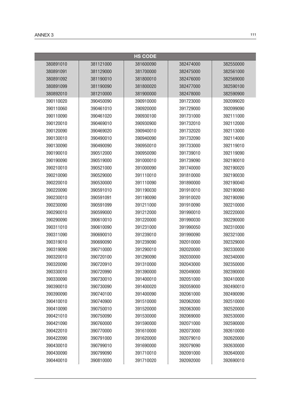|           |           | <b>HS CODE</b> |           |           |
|-----------|-----------|----------------|-----------|-----------|
| 380891010 | 381121000 | 381600090      | 382474000 | 382550000 |
| 380891091 | 381129000 | 381700000      | 382475000 | 382561000 |
| 380891092 | 381190010 | 381800010      | 382476000 | 382569000 |
| 380891099 | 381190090 | 381800020      | 382477000 | 382590100 |
| 380892010 | 381210000 | 381900000      | 382478000 | 382590900 |
| 390110020 | 390450090 | 390910000      | 391723000 | 392099020 |
| 390110060 | 390461010 | 390920000      | 391729000 | 392099090 |
| 390110090 | 390461020 | 390930100      | 391731000 | 392111000 |
| 390120010 | 390469010 | 390930900      | 391732010 | 392112000 |
| 390120090 | 390469020 | 390940010      | 391732020 | 392113000 |
| 390130010 | 390490010 | 390940090      | 391732090 | 392114000 |
| 390130090 | 390490090 | 390950010      | 391733000 | 392119010 |
| 390190010 | 390512000 | 390950090      | 391739010 | 392119090 |
| 390190090 | 390519000 | 391000010      | 391739090 | 392190010 |
| 390210010 | 390521000 | 391000090      | 391740000 | 392190020 |
| 390210090 | 390529000 | 391110010      | 391810000 | 392190030 |
| 390220010 | 390530000 | 391110090      | 391890000 | 392190040 |
| 390220090 | 390591010 | 391190030      | 391910010 | 392190060 |
| 390230010 | 390591091 | 391190090      | 391910020 | 392190090 |
| 390230090 | 390591099 | 391211000      | 391910090 | 392210000 |
| 390290010 | 390599000 | 391212000      | 391990010 | 392220000 |
| 390290090 | 390610010 | 391220000      | 391990030 | 392290000 |
| 390311010 | 390610090 | 391231000      | 391990050 | 392310000 |
| 390311090 | 390690010 | 391239010      | 391990090 | 392321000 |
| 390319010 | 390690090 | 391239090      | 392010000 | 392329000 |
| 390319090 | 390710000 | 391290010      | 392020000 | 392330000 |
| 390320010 | 390720100 | 391290090      | 392030000 | 392340000 |
| 390320090 | 390720910 | 391310000      | 392043000 | 392350000 |
| 390330010 | 390720990 | 391390000      | 392049000 | 392390000 |
| 390330090 | 390730010 | 391400010      | 392051000 | 392410000 |
| 390390010 | 390730090 | 391400020      | 392059000 | 392490010 |
| 390390090 | 390740100 | 391400090      | 392061000 | 392490090 |
| 390410010 | 390740900 | 391510000      | 392062000 | 392510000 |
| 390410090 | 390750010 | 391520000      | 392063000 | 392520000 |
| 390421010 | 390750090 | 391530000      | 392069000 | 392530000 |
| 390421090 | 390760000 | 391590000      | 392071000 | 392590000 |
| 390422010 | 390770000 | 391610000      | 392073000 | 392610000 |
| 390422090 | 390791000 | 391620000      | 392079010 | 392620000 |
| 390430010 | 390799010 | 391690000      | 392079090 | 392630000 |
| 390430090 | 390799090 | 391710010      | 392091000 | 392640000 |
| 390440010 | 390810000 | 391710020      | 392092000 | 392690010 |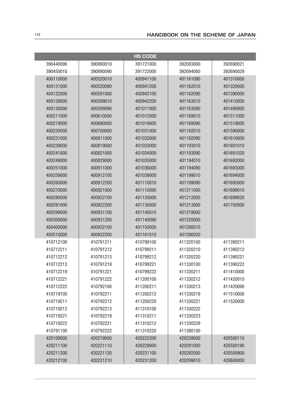|           |           | <b>HS CODE</b> |           |           |
|-----------|-----------|----------------|-----------|-----------|
| 390440090 | 390890010 | 391721000      | 392093000 | 392690021 |
| 390450010 | 390890090 | 391722000      | 392094000 | 392690029 |
| 400110000 | 400520010 | 400941100      | 401161090 | 401310000 |
| 400121000 | 400520090 | 400941200      | 401162010 | 401320000 |
| 400122000 | 400591000 | 400942100      | 401162090 | 401390000 |
| 400129000 | 400599010 | 400942200      | 401163010 | 401410000 |
| 400130000 | 400599090 | 401011000      | 401163090 | 401490000 |
| 400211000 | 400610000 | 401012000      | 401169010 | 401511000 |
| 400219000 | 400690000 | 401019000      | 401169090 | 401519000 |
| 400220000 | 400700000 | 401031000      | 401192010 | 401590000 |
| 400231000 | 400811000 | 401032000      | 401192090 | 401610000 |
| 400239000 | 400819000 | 401033000      | 401193010 | 401691010 |
| 400241000 | 400821000 | 401034000      | 401193090 | 401691020 |
| 400249000 | 400829000 | 401035000      | 401194010 | 401692000 |
| 400251000 | 400911000 | 401036000      | 401194090 | 401693000 |
| 400259000 | 400912100 | 401039000      | 401199010 | 401694000 |
| 400260000 | 400912200 | 401110010      | 401199090 | 401695000 |
| 400270000 | 400921000 | 401110090      | 401211000 | 401699010 |
| 400280000 | 400922100 | 401120000      | 401212000 | 401699020 |
| 400291000 | 400922200 | 401130000      | 401213000 | 401700000 |
| 400299000 | 400931100 | 401140010      | 401219000 |           |
| 400300000 | 400931200 | 401140090      | 401220000 |           |
| 400400000 | 400932100 | 401150000      | 401290010 |           |
| 400510000 | 400932200 | 401161010      | 401290020 |           |
| 410712100 | 410791211 | 410799100      | 411320100 | 411390211 |
| 410712211 | 410791212 | 410799211      | 411320210 | 411390212 |
| 410712212 | 410791213 | 410799212      | 411320220 | 411390221 |
| 410712213 | 410791219 | 410799221      | 411330100 | 411390222 |
| 410712219 | 410791221 | 410799222      | 411330211 | 411410000 |
| 410712221 | 410791222 | 411200100      | 411330212 | 411420010 |
| 410712222 | 410792100 | 411200211      | 411330213 | 411420090 |
| 410719100 | 410792211 | 411200212      | 411330219 | 411510000 |
| 410719211 | 410792212 | 411200220      | 411330221 | 411520000 |
| 410719212 | 410792213 | 411310100      | 411330222 |           |
| 410719221 | 410792219 | 411310211      | 411330223 |           |
| 410719222 | 410792221 | 411310212      | 411330229 |           |
| 410791100 | 410792222 | 411310220      | 411390100 |           |
| 420100000 | 420219000 | 420222200      | 420239000 | 420500110 |
| 420211100 | 420221110 | 420229000      | 420291000 | 420500190 |
| 420211200 | 420221120 | 420231100      | 420292000 | 420500900 |
| 420212100 | 420221210 | 420231200      | 420299010 | 420600000 |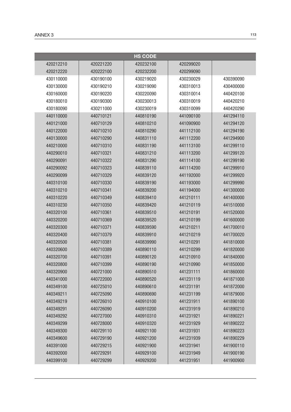|           |           | <b>HS CODE</b> |           |           |
|-----------|-----------|----------------|-----------|-----------|
| 420212210 | 420221220 | 420232100      | 420299020 |           |
| 420212220 | 420222100 | 420232200      | 420299090 |           |
| 430110000 | 430190100 | 430219020      | 430230029 | 430390090 |
| 430130000 | 430190210 | 430219090      | 430310013 | 430400000 |
| 430160000 | 430190220 | 430220090      | 430310014 | 440420100 |
| 430180010 | 430190300 | 430230013      | 430310019 | 440420210 |
| 430180090 | 430211000 | 430230019      | 430310099 | 440420290 |
| 440110000 | 440710121 | 440810190      | 441090100 | 441294110 |
| 440121000 | 440710129 | 440810210      | 441090900 | 441294120 |
| 440122000 | 440710210 | 440810290      | 441112100 | 441294190 |
| 440130000 | 440710290 | 440831110      | 441112200 | 441294900 |
| 440210000 | 440710310 | 440831190      | 441113100 | 441299110 |
| 440290010 | 440710321 | 440831210      | 441113200 | 441299120 |
| 440290091 | 440710322 | 440831290      | 441114100 | 441299190 |
| 440290092 | 440710323 | 440839110      | 441114200 | 441299910 |
| 440290099 | 440710329 | 440839120      | 441192000 | 441299920 |
| 440310100 | 440710330 | 440839190      | 441193000 | 441299990 |
| 440310210 | 440710341 | 440839200      | 441194000 | 441300000 |
| 440310220 | 440710349 | 440839410      | 441210111 | 441400000 |
| 440310230 | 440710350 | 440839420      | 441210119 | 441510000 |
| 440320100 | 440710361 | 440839510      | 441210191 | 441520000 |
| 440320200 | 440710369 | 440839520      | 441210199 | 441600000 |
| 440320300 | 440710371 | 440839590      | 441210211 | 441700010 |
| 440320400 | 440710379 | 440839910      | 441210219 | 441700020 |
| 440320500 | 440710381 | 440839990      | 441210291 | 441810000 |
| 440320600 | 440710389 | 440890110      | 441210299 | 441820000 |
| 440320700 | 440710391 | 440890120      | 441210910 | 441840000 |
| 440320800 | 440710399 | 440890190      | 441210990 | 441850000 |
| 440320900 | 440721000 | 440890510      | 441231111 | 441860000 |
| 440341000 | 440722000 | 440890520      | 441231119 | 441871000 |
| 440349100 | 440725010 | 440890610      | 441231191 | 441872000 |
| 440349211 | 440725090 | 440890690      | 441231199 | 441879000 |
| 440349219 | 440726010 | 440910100      | 441231911 | 441890100 |
| 440349291 | 440726090 | 440910200      | 441231919 | 441890210 |
| 440349292 | 440727000 | 440910310      | 441231921 | 441890221 |
| 440349299 | 440728000 | 440910320      | 441231929 | 441890222 |
| 440349300 | 440729110 | 440921100      | 441231931 | 441890223 |
| 440349600 | 440729190 | 440921200      | 441231939 | 441890229 |
| 440391000 | 440729215 | 440921900      | 441231941 | 441900110 |
| 440392000 | 440729291 | 440929100      | 441231949 | 441900190 |
| 440399100 | 440729299 | 440929200      | 441231951 | 441900900 |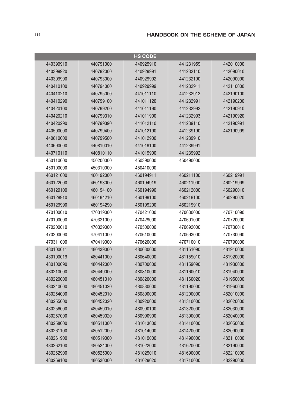| <b>HS CODE</b> |           |           |           |           |
|----------------|-----------|-----------|-----------|-----------|
| 440399910      | 440791000 | 440929910 | 441231959 | 442010000 |
| 440399920      | 440792000 | 440929991 | 441232110 | 442090010 |
| 440399990      | 440793000 | 440929992 | 441232190 | 442090090 |
| 440410100      | 440794000 | 440929999 | 441232911 | 442110000 |
| 440410210      | 440795000 | 441011110 | 441232912 | 442190100 |
| 440410290      | 440799100 | 441011120 | 441232991 | 442190200 |
| 440420100      | 440799200 | 441011190 | 441232992 | 442190910 |
| 440420210      | 440799310 | 441011900 | 441232993 | 442190920 |
| 440420290      | 440799390 | 441012110 | 441239110 | 442190991 |
| 440500000      | 440799400 | 441012190 | 441239190 | 442190999 |
| 440610000      | 440799500 | 441012900 | 441239910 |           |
| 440690000      | 440810010 | 441019100 | 441239991 |           |
| 440710110      | 440810110 | 441019900 | 441239992 |           |
| 450110000      | 450200000 | 450390000 | 450490000 |           |
| 450190000      | 450310000 | 450410000 |           |           |
| 460121000      | 460192000 | 460194911 | 460211100 | 460219991 |
| 460122000      | 460193000 | 460194919 | 460211900 | 460219999 |
| 460129100      | 460194100 | 460194990 | 460212000 | 460290010 |
| 460129910      | 460194210 | 460199100 | 460219100 | 460290020 |
| 460129990      | 460194290 | 460199200 | 460219910 |           |
| 470100010      | 470319000 | 470421000 | 470630000 | 470710090 |
| 470100090      | 470321000 | 470429000 | 470691000 | 470720000 |
| 470200010      | 470329000 | 470500000 | 470692000 | 470730010 |
| 470200090      | 470411000 | 470610000 | 470693000 | 470730090 |
| 470311000      | 470419000 | 470620000 | 470710010 | 470790000 |
| 480100011      | 480439000 | 480630000 | 481151090 | 481910000 |
| 480100019      | 480441000 | 480640000 | 481159010 | 481920000 |
| 480100090      | 480442000 | 480700000 | 481159090 | 481930000 |
| 480210000      | 480449000 | 480810000 | 481160010 | 481940000 |
| 480220000      | 480451010 | 480820000 | 481160020 | 481950000 |
| 480240000      | 480451020 | 480830000 | 481190000 | 481960000 |
| 480254000      | 480452010 | 480890000 | 481200000 | 482010000 |
| 480255000      | 480452020 | 480920000 | 481310000 | 482020000 |
| 480256000      | 480459010 | 480990100 | 481320000 | 482030000 |
| 480257000      | 480459020 | 480990900 | 481390000 | 482040000 |
| 480258000      | 480511000 | 481013000 | 481410000 | 482050000 |
| 480261100      | 480512000 | 481014000 | 481420000 | 482090000 |
| 480261900      | 480519000 | 481019000 | 481490000 | 482110000 |
| 480262100      | 480524000 | 481022000 | 481620000 | 482190000 |
| 480262900      | 480525000 | 481029010 | 481690000 | 482210000 |
| 480269100      | 480530000 | 481029020 | 481710000 | 482290000 |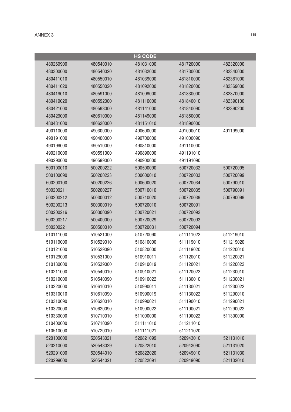|           |           | <b>HS CODE</b> |           |           |
|-----------|-----------|----------------|-----------|-----------|
| 480269900 | 480540010 | 481031000      | 481720000 | 482320000 |
| 480300000 | 480540020 | 481032000      | 481730000 | 482340000 |
| 480411010 | 480550010 | 481039000      | 481810000 | 482361000 |
| 480411020 | 480550020 | 481092000      | 481820000 | 482369000 |
| 480419010 | 480591000 | 481099000      | 481830000 | 482370000 |
| 480419020 | 480592000 | 481110000      | 481840010 | 482390100 |
| 480421000 | 480593000 | 481141000      | 481840090 | 482390200 |
| 480429000 | 480610000 | 481149000      | 481850000 |           |
| 480431000 | 480620000 | 481151010      | 481890000 |           |
| 490110000 | 490300000 | 490600000      | 491000010 | 491199000 |
| 490191000 | 490400000 | 490700000      | 491000090 |           |
| 490199000 | 490510000 | 490810000      | 491110000 |           |
| 490210000 | 490591000 | 490890000      | 491191010 |           |
| 490290000 | 490599000 | 490900000      | 491191090 |           |
| 500100010 | 500200222 | 500500090      | 500720032 | 500720095 |
| 500100090 | 500200223 | 500600010      | 500720033 | 500720099 |
| 500200100 | 500200226 | 500600020      | 500720034 | 500790010 |
| 500200211 | 500200227 | 500710010      | 500720035 | 500790091 |
| 500200212 | 500300012 | 500710020      | 500720039 | 500790099 |
| 500200213 | 500300019 | 500720010      | 500720091 |           |
| 500200216 | 500300090 | 500720021      | 500720092 |           |
| 500200217 | 500400000 | 500720029      | 500720093 |           |
| 500200221 | 500500010 | 500720031      | 500720094 |           |
| 510111000 | 510521000 | 510720090      | 511111022 | 511219010 |
| 510119000 | 510529010 | 510810000      | 511119010 | 511219020 |
| 510121000 | 510529090 | 510820000      | 511119020 | 511220010 |
| 510129000 | 510531000 | 510910011      | 511120010 | 511220021 |
| 510130000 | 510539000 | 510910019      | 511120021 | 511220022 |
| 510211000 | 510540010 | 510910021      | 511120022 | 511230010 |
| 510219000 | 510540090 | 510910022      | 511130010 | 511230021 |
| 510220000 | 510610010 | 510990011      | 511130021 | 511230022 |
| 510310010 | 510610090 | 510990019      | 511130022 | 511290010 |
| 510310090 | 510620010 | 510990021      | 511190010 | 511290021 |
| 510320000 | 510620090 | 510990022      | 511190021 | 511290022 |
| 510330000 | 510710010 | 511000000      | 511190022 | 511300000 |
| 510400000 | 510710090 | 511111010      | 511211010 |           |
| 510510000 | 510720010 | 511111021      | 511211020 |           |
| 520100000 | 520543021 | 520821099      | 520943010 | 521131010 |
| 520210000 | 520543029 | 520822010      | 520943090 | 521131020 |
| 520291000 | 520544010 | 520822020      | 520949010 | 521131030 |
| 520299000 | 520544021 | 520822091      | 520949090 | 521132010 |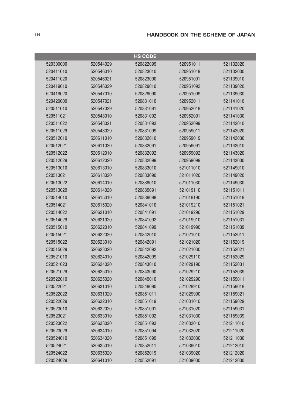| <b>HS CODE</b> |           |           |           |           |
|----------------|-----------|-----------|-----------|-----------|
| 520300000      | 520544029 | 520822099 | 520951011 | 521132020 |
| 520411010      | 520546010 | 520823010 | 520951019 | 521132030 |
| 520411020      | 520546021 | 520823090 | 520951091 | 521139010 |
| 520419010      | 520546029 | 520829010 | 520951092 | 521139020 |
| 520419020      | 520547010 | 520829090 | 520951099 | 521139030 |
| 520420000      | 520547021 | 520831010 | 520952011 | 521141010 |
| 520511010      | 520547029 | 520831091 | 520952019 | 521141020 |
| 520511021      | 520548010 | 520831092 | 520952091 | 521141030 |
| 520511022      | 520548021 | 520831093 | 520952099 | 521142010 |
| 520511029      | 520548029 | 520831099 | 520959011 | 521142020 |
| 520512010      | 520611010 | 520832010 | 520959019 | 521142030 |
| 520512021      | 520611020 | 520832091 | 520959091 | 521143010 |
| 520512022      | 520612010 | 520832092 | 520959092 | 521143020 |
| 520512029      | 520612020 | 520832099 | 520959099 | 521143030 |
| 520513010      | 520613010 | 520833010 | 521011010 | 521149010 |
| 520513021      | 520613020 | 520833090 | 521011020 | 521149020 |
| 520513022      | 520614010 | 520839010 | 521011030 | 521149030 |
| 520513029      | 520614020 | 520839091 | 521019110 | 521151011 |
| 520514010      | 520615010 | 520839099 | 521019190 | 521151019 |
| 520514021      | 520615020 | 520841010 | 521019210 | 521151021 |
| 520514022      | 520621010 | 520841091 | 521019290 | 521151029 |
| 520514029      | 520621020 | 520841092 | 521019910 | 521151031 |
| 520515010      | 520622010 | 520841099 | 521019990 | 521151039 |
| 520515021      | 520622020 | 520842010 | 521021010 | 521152011 |
| 520515022      | 520623010 | 520842091 | 521021020 | 521152019 |
| 520515029      | 520623020 | 520842092 | 521021030 | 521152021 |
| 520521010      | 520624010 | 520842099 | 521029110 | 521152029 |
| 520521023      | 520624020 | 520843010 | 521029190 | 521152031 |
| 520521029      | 520625010 | 520843090 | 521029210 | 521152039 |
| 520522010      | 520625020 | 520849010 | 521029290 | 521159011 |
| 520522021      | 520631010 | 520849090 | 521029910 | 521159019 |
| 520522022      | 520631020 | 520851011 | 521029990 | 521159021 |
| 520522029      | 520632010 | 520851019 | 521031010 | 521159029 |
| 520523010      | 520632020 | 520851091 | 521031020 | 521159031 |
| 520523021      | 520633010 | 520851092 | 521031030 | 521159039 |
| 520523022      | 520633020 | 520851093 | 521032010 | 521211010 |
| 520523029      | 520634010 | 520851094 | 521032020 | 521211020 |
| 520524010      | 520634020 | 520851099 | 521032030 | 521211030 |
| 520524021      | 520635010 | 520852011 | 521039010 | 521212010 |
| 520524022      | 520635020 | 520852019 | 521039020 | 521212020 |
| 520524029      | 520641010 | 520852091 | 521039030 | 521212030 |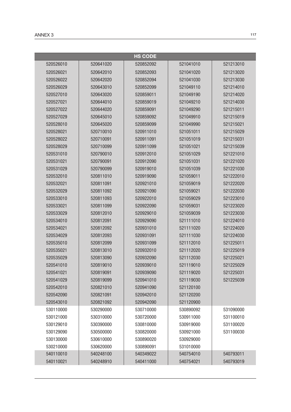|           |           | <b>HS CODE</b> |           |           |
|-----------|-----------|----------------|-----------|-----------|
| 520526010 | 520641020 | 520852092      | 521041010 | 521213010 |
| 520526021 | 520642010 | 520852093      | 521041020 | 521213020 |
| 520526022 | 520642020 | 520852094      | 521041030 | 521213030 |
| 520526029 | 520643010 | 520852099      | 521049110 | 521214010 |
| 520527010 | 520643020 | 520859011      | 521049190 | 521214020 |
| 520527021 | 520644010 | 520859019      | 521049210 | 521214030 |
| 520527022 | 520644020 | 520859091      | 521049290 | 521215011 |
| 520527029 | 520645010 | 520859092      | 521049910 | 521215019 |
| 520528010 | 520645020 | 520859099      | 521049990 | 521215021 |
| 520528021 | 520710010 | 520911010      | 521051011 | 521215029 |
| 520528022 | 520710091 | 520911091      | 521051019 | 521215031 |
| 520528029 | 520710099 | 520911099      | 521051021 | 521215039 |
| 520531010 | 520790010 | 520912010      | 521051029 | 521221010 |
| 520531021 | 520790091 | 520912090      | 521051031 | 521221020 |
| 520531029 | 520790099 | 520919010      | 521051039 | 521221030 |
| 520532010 | 520811010 | 520919090      | 521059011 | 521222010 |
| 520532021 | 520811091 | 520921010      | 521059019 | 521222020 |
| 520532029 | 520811092 | 520921090      | 521059021 | 521222030 |
| 520533010 | 520811093 | 520922010      | 521059029 | 521223010 |
| 520533021 | 520811099 | 520922090      | 521059031 | 521223020 |
| 520533029 | 520812010 | 520929010      | 521059039 | 521223030 |
| 520534010 | 520812091 | 520929090      | 521111010 | 521224010 |
| 520534021 | 520812092 | 520931010      | 521111020 | 521224020 |
| 520534029 | 520812093 | 520931091      | 521111030 | 521224030 |
| 520535010 | 520812099 | 520931099      | 521112010 | 521225011 |
| 520535021 | 520813010 | 520932010      | 521112020 | 521225019 |
| 520535029 | 520813090 | 520932090      | 521112030 | 521225021 |
| 520541010 | 520819010 | 520939010      | 521119010 | 521225029 |
| 520541021 | 520819091 | 520939090      | 521119020 | 521225031 |
| 520541029 | 520819099 | 520941010      | 521119030 | 521225039 |
| 520542010 | 520821010 | 520941090      | 521120100 |           |
| 520542090 | 520821091 | 520942010      | 521120200 |           |
| 520543010 | 520821092 | 520942090      | 521120900 |           |
| 530110000 | 530290000 | 530710000      | 530890092 | 531090000 |
| 530121000 | 530310000 | 530720000      | 530911000 | 531100010 |
| 530129010 | 530390000 | 530810000      | 530919000 | 531100020 |
| 530129090 | 530500000 | 530820000      | 530921000 | 531100030 |
| 530130000 | 530610000 | 530890020      | 530929000 |           |
| 530210000 | 530620000 | 530890091      | 531010000 |           |
| 540110010 | 540248100 | 540349022      | 540754010 | 540793011 |
| 540110021 | 540248910 | 540411000      | 540754021 | 540793019 |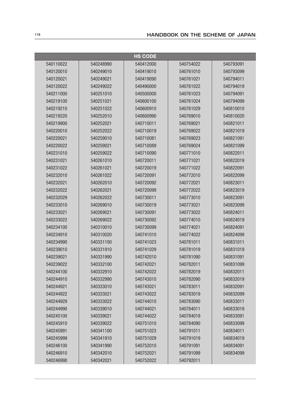| <b>HS CODE</b> |           |           |           |           |
|----------------|-----------|-----------|-----------|-----------|
| 540110022      | 540248990 | 540412000 | 540754022 | 540793091 |
| 540120010      | 540249010 | 540419010 | 540761010 | 540793099 |
| 540120021      | 540249021 | 540419090 | 540761021 | 540794011 |
| 540120022      | 540249022 | 540490000 | 540761022 | 540794019 |
| 540211000      | 540251010 | 540500000 | 540761023 | 540794091 |
| 540219100      | 540251021 | 540600100 | 540761024 | 540794099 |
| 540219210      | 540251022 | 540600910 | 540761029 | 540810010 |
| 540219220      | 540252010 | 540600990 | 540769010 | 540810020 |
| 540219900      | 540252021 | 540710011 | 540769021 | 540821011 |
| 540220010      | 540252022 | 540710019 | 540769022 | 540821019 |
| 540220021      | 540259010 | 540710081 | 540769023 | 540821091 |
| 540220022      | 540259021 | 540710089 | 540769024 | 540821099 |
| 540231010      | 540259022 | 540710090 | 540771010 | 540822011 |
| 540231021      | 540261010 | 540720011 | 540771021 | 540822019 |
| 540231022      | 540261021 | 540720019 | 540771022 | 540822091 |
| 540232010      | 540261022 | 540720091 | 540772010 | 540822099 |
| 540232021      | 540262010 | 540720092 | 540772021 | 540823011 |
| 540232022      | 540262021 | 540720099 | 540772022 | 540823019 |
| 540232029      | 540262022 | 540730011 | 540773010 | 540823091 |
| 540233010      | 540269010 | 540730019 | 540773021 | 540823099 |
| 540233021      | 540269021 | 540730091 | 540773022 | 540824011 |
| 540233022      | 540269022 | 540730092 | 540774010 | 540824019 |
| 540234100      | 540310010 | 540730099 | 540774021 | 540824091 |
| 540234910      | 540310020 | 540741010 | 540774022 | 540824099 |
| 540234990      | 540331100 | 540741023 | 540781011 | 540831011 |
| 540239010      | 540331910 | 540741029 | 540781019 | 540831019 |
| 540239021      | 540331990 | 540742010 | 540781090 | 540831091 |
| 540239022      | 540332100 | 540742021 | 540782011 | 540831099 |
| 540244100      | 540332910 | 540742022 | 540782019 | 540832011 |
| 540244910      | 540332990 | 540743010 | 540782090 | 540832019 |
| 540244921      | 540333010 | 540743021 | 540783011 | 540832091 |
| 540244922      | 540333021 | 540743022 | 540783019 | 540832099 |
| 540244929      | 540333022 | 540744010 | 540783090 | 540833011 |
| 540244990      | 540339010 | 540744021 | 540784011 | 540833019 |
| 540245100      | 540339021 | 540744022 | 540784019 | 540833091 |
| 540245910      | 540339022 | 540751010 | 540784090 | 540833099 |
| 540245991      | 540341100 | 540751023 | 540791011 | 540834011 |
| 540245999      | 540341910 | 540751029 | 540791019 | 540834019 |
| 540246100      | 540341990 | 540752010 | 540791091 | 540834091 |
| 540246910      | 540342010 | 540752021 | 540791099 | 540834099 |
| 540246990      | 540342021 | 540752022 | 540792011 |           |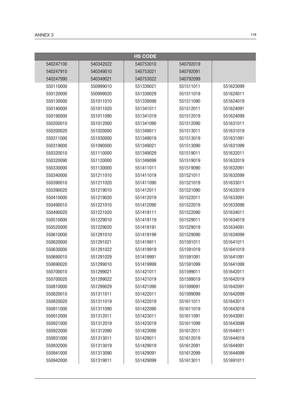|           |           | <b>HS CODE</b> |           |           |
|-----------|-----------|----------------|-----------|-----------|
| 540247100 | 540342022 | 540753010      | 540792019 |           |
| 540247910 | 540349010 | 540753021      | 540792091 |           |
| 540247990 | 540349021 | 540753022      | 540792099 |           |
| 550110000 | 550999010 | 551339021      | 551511011 | 551623099 |
| 550120000 | 550999020 | 551339029      | 551511019 | 551624011 |
| 550130000 | 551011010 | 551339099      | 551511090 | 551624019 |
| 550140000 | 551011020 | 551341011      | 551512011 | 551624091 |
| 550190000 | 551011090 | 551341019      | 551512019 | 551624099 |
| 550200010 | 551012000 | 551341090      | 551512090 | 551631011 |
| 550200020 | 551020000 | 551349011      | 551513011 | 551631019 |
| 550311000 | 551030000 | 551349019      | 551513019 | 551631091 |
| 550319000 | 551090000 | 551349021      | 551513090 | 551631099 |
| 550320010 | 551110000 | 551349029      | 551519011 | 551632011 |
| 550320090 | 551120000 | 551349099      | 551519019 | 551632019 |
| 550330000 | 551130000 | 551411011      | 551519090 | 551632091 |
| 550340000 | 551211010 | 551411019      | 551521011 | 551632099 |
| 550390010 | 551211020 | 551411090      | 551521019 | 551633011 |
| 550390020 | 551219010 | 551412011      | 551521090 | 551633019 |
| 550410000 | 551219020 | 551412019      | 551522011 | 551633091 |
| 550490010 | 551221010 | 551412090      | 551522019 | 551633099 |
| 550490020 | 551221020 | 551419111      | 551522090 | 551634011 |
| 550510000 | 551229010 | 551419119      | 551529011 | 551634019 |
| 550520000 | 551229020 | 551419191      | 551529019 | 551634091 |
| 550610000 | 551291010 | 551419199      | 551529090 | 551634099 |
| 550620000 | 551291021 | 551419911      | 551591011 | 551641011 |
| 550630000 | 551291022 | 551419919      | 551591019 | 551641019 |
| 550690010 | 551291029 | 551419991      | 551591091 | 551641091 |
| 550690020 | 551299010 | 551419999      | 551591099 | 551641099 |
| 550700010 | 551299021 | 551421011      | 551599011 | 551642011 |
| 550700020 | 551299022 | 551421019      | 551599019 | 551642019 |
| 550810000 | 551299029 | 551421090      | 551599091 | 551642091 |
| 550820010 | 551311011 | 551422011      | 551599099 | 551642099 |
| 550820020 | 551311019 | 551422019      | 551611011 | 551643011 |
| 550911000 | 551311090 | 551422090      | 551611019 | 551643019 |
| 550912000 | 551312011 | 551423011      | 551611091 | 551643091 |
| 550921000 | 551312019 | 551423019      | 551611099 | 551643099 |
| 550922000 | 551312090 | 551423090      | 551612011 | 551644011 |
| 550931000 | 551313011 | 551429011      | 551612019 | 551644019 |
| 550932000 | 551313019 | 551429019      | 551612091 | 551644091 |
| 550941000 | 551313090 | 551429091      | 551612099 | 551644099 |
| 550942000 | 551319011 | 551429099      | 551613011 | 551691011 |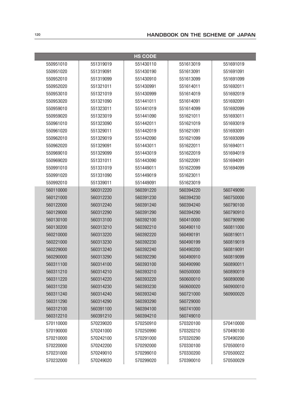|           |           | <b>HS CODE</b> |           |           |
|-----------|-----------|----------------|-----------|-----------|
| 550951010 | 551319019 | 551430110      | 551613019 | 551691019 |
| 550951020 | 551319091 | 551430190      | 551613091 | 551691091 |
| 550952010 | 551319099 | 551430910      | 551613099 | 551691099 |
| 550952020 | 551321011 | 551430991      | 551614011 | 551692011 |
| 550953010 | 551321019 | 551430999      | 551614019 | 551692019 |
| 550953020 | 551321090 | 551441011      | 551614091 | 551692091 |
| 550959010 | 551323011 | 551441019      | 551614099 | 551692099 |
| 550959020 | 551323019 | 551441090      | 551621011 | 551693011 |
| 550961010 | 551323090 | 551442011      | 551621019 | 551693019 |
| 550961020 | 551329011 | 551442019      | 551621091 | 551693091 |
| 550962010 | 551329019 | 551442090      | 551621099 | 551693099 |
| 550962020 | 551329091 | 551443011      | 551622011 | 551694011 |
| 550969010 | 551329099 | 551443019      | 551622019 | 551694019 |
| 550969020 | 551331011 | 551443090      | 551622091 | 551694091 |
| 550991010 | 551331019 | 551449011      | 551622099 | 551694099 |
| 550991020 | 551331090 | 551449019      | 551623011 |           |
| 550992010 | 551339011 | 551449091      | 551623019 |           |
| 560110000 | 560312220 | 560391220      | 560394220 | 560749090 |
| 560121000 | 560312230 | 560391230      | 560394230 | 560750000 |
| 560122000 | 560312240 | 560391240      | 560394240 | 560790100 |
| 560129000 | 560312290 | 560391290      | 560394290 | 560790910 |
| 560130100 | 560313100 | 560392100      | 560410000 | 560790990 |
| 560130200 | 560313210 | 560392210      | 560490110 | 560811000 |
| 560210000 | 560313220 | 560392220      | 560490191 | 560819011 |
| 560221000 | 560313230 | 560392230      | 560490199 | 560819019 |
| 560229000 | 560313240 | 560392240      | 560490200 | 560819091 |
| 560290000 | 560313290 | 560392290      | 560490910 | 560819099 |
| 560311100 | 560314100 | 560393100      | 560490990 | 560890011 |
| 560311210 | 560314210 | 560393210      | 560500000 | 560890019 |
| 560311220 | 560314220 | 560393220      | 560600010 | 560890090 |
| 560311230 | 560314230 | 560393230      | 560600020 | 560900010 |
| 560311240 | 560314240 | 560393240      | 560721000 | 560900020 |
| 560311290 | 560314290 | 560393290      | 560729000 |           |
| 560312100 | 560391100 | 560394100      | 560741000 |           |
| 560312210 | 560391210 | 560394210      | 560749010 |           |
| 570110000 | 570239020 | 570250910      | 570320100 | 570410000 |
| 570190000 | 570241000 | 570250990      | 570320210 | 570490100 |
| 570210000 | 570242100 | 570291000      | 570320290 | 570490200 |
| 570220000 | 570242200 | 570292000      | 570330100 | 570500010 |
| 570231000 | 570249010 | 570299010      | 570330200 | 570500022 |
| 570232000 | 570249020 | 570299020      | 570390010 | 570500029 |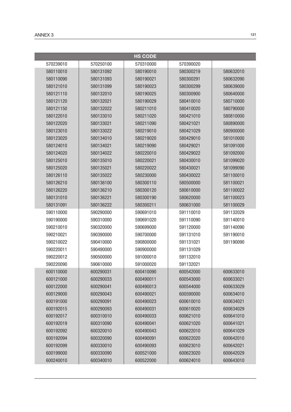| <b>HS CODE</b> |           |           |           |           |
|----------------|-----------|-----------|-----------|-----------|
| 570239010      | 570250100 | 570310000 | 570390020 |           |
| 580110010      | 580131092 | 580190010 | 580300219 | 580632010 |
| 580110090      | 580131093 | 580190021 | 580300291 | 580632090 |
| 580121010      | 580131099 | 580190023 | 580300299 | 580639000 |
| 580121110      | 580132010 | 580190025 | 580300900 | 580640000 |
| 580121120      | 580132021 | 580190029 | 580410010 | 580710000 |
| 580121150      | 580132022 | 580211010 | 580410020 | 580790000 |
| 580122010      | 580133010 | 580211020 | 580421010 | 580810000 |
| 580122020      | 580133021 | 580211090 | 580421021 | 580890000 |
| 580123010      | 580133022 | 580219010 | 580421029 | 580900000 |
| 580123020      | 580134010 | 580219020 | 580429010 | 581010000 |
| 580124010      | 580134021 | 580219090 | 580429021 | 581091000 |
| 580124020      | 580134022 | 580220010 | 580429022 | 581092000 |
| 580125010      | 580135010 | 580220021 | 580430010 | 581099020 |
| 580125020      | 580135021 | 580220022 | 580430021 | 581099090 |
| 580126110      | 580135022 | 580230000 | 580430022 | 581100010 |
| 580126210      | 580136100 | 580300110 | 580500000 | 581100021 |
| 580126220      | 580136210 | 580300120 | 580610000 | 581100022 |
| 580131010      | 580136221 | 580300190 | 580620000 | 581100023 |
| 580131091      | 580136222 | 580300211 | 580631000 | 581100029 |
| 590110000      | 590290000 | 590691010 | 591110010 | 591132029 |
| 590190000      | 590310000 | 590691020 | 591110090 | 591140010 |
| 590210010      | 590320000 | 590699000 | 591120000 | 591140090 |
| 590210021      | 590390000 | 590700000 | 591131010 | 591190010 |
| 590210022      | 590410000 | 590800000 | 591131021 | 591190090 |
| 590220011      | 590490000 | 590900000 | 591131029 |           |
| 590220012      | 590500000 | 591000010 | 591132010 |           |
| 590220090      | 590610000 | 591000020 | 591132021 |           |
| 600110000      | 600290031 | 600410090 | 600542000 | 600633010 |
| 600121000      | 600290033 | 600490011 | 600543000 | 600633021 |
| 600122000      | 600290041 | 600490013 | 600544000 | 600633029 |
| 600129000      | 600290043 | 600490021 | 600590000 | 600634010 |
| 600191000      | 600290091 | 600490023 | 600610010 | 600634021 |
| 600192015      | 600290093 | 600490031 | 600610020 | 600634029 |
| 600192017      | 600310010 | 600490033 | 600621010 | 600641010 |
| 600192019      | 600310090 | 600490041 | 600621020 | 600641021 |
| 600192092      | 600320010 | 600490043 | 600622010 | 600641029 |
| 600192094      | 600320090 | 600490091 | 600622020 | 600642010 |
| 600192099      | 600330010 | 600490093 | 600623010 | 600642021 |
| 600199000      | 600330090 | 600521000 | 600623020 | 600642029 |
| 600240010      | 600340010 | 600522000 | 600624010 | 600643010 |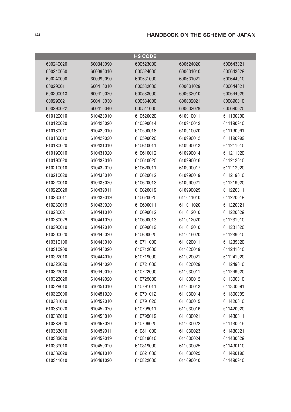| <b>HS CODE</b> |           |           |           |           |
|----------------|-----------|-----------|-----------|-----------|
| 600240020      | 600340090 | 600523000 | 600624020 | 600643021 |
| 600240050      | 600390010 | 600524000 | 600631010 | 600643029 |
| 600240090      | 600390090 | 600531000 | 600631021 | 600644010 |
| 600290011      | 600410010 | 600532000 | 600631029 | 600644021 |
| 600290013      | 600410020 | 600533000 | 600632010 | 600644029 |
| 600290021      | 600410030 | 600534000 | 600632021 | 600690010 |
| 600290022      | 600410040 | 600541000 | 600632029 | 600690020 |
| 610120010      | 610423010 | 610520020 | 610910011 | 611190290 |
| 610120020      | 610423020 | 610590014 | 610910012 | 611190910 |
| 610130011      | 610429010 | 610590018 | 610910020 | 611190991 |
| 610130019      | 610429020 | 610590020 | 610990012 | 611190999 |
| 610130020      | 610431010 | 610610011 | 610990013 | 611211010 |
| 610190010      | 610431020 | 610610012 | 610990014 | 611211020 |
| 610190020      | 610432010 | 610610020 | 610990016 | 611212010 |
| 610210010      | 610432020 | 610620011 | 610990017 | 611212020 |
| 610210020      | 610433010 | 610620012 | 610990019 | 611219010 |
| 610220010      | 610433020 | 610620013 | 610990021 | 611219020 |
| 610220020      | 610439011 | 610620019 | 610990029 | 611220011 |
| 610230011      | 610439019 | 610620020 | 611011010 | 611220019 |
| 610230019      | 610439020 | 610690011 | 611011020 | 611220021 |
| 610230021      | 610441010 | 610690012 | 611012010 | 611220029 |
| 610230029      | 610441020 | 610690013 | 611012020 | 611231010 |
| 610290010      | 610442010 | 610690019 | 611019010 | 611231020 |
| 610290020      | 610442020 | 610690020 | 611019020 | 611239010 |
| 610310100      | 610443010 | 610711000 | 611020011 | 611239020 |
| 610310900      | 610443020 | 610712000 | 611020019 | 611241010 |
| 610322010      | 610444010 | 610719000 | 611020021 | 611241020 |
| 610322020      | 610444020 | 610721000 | 611020029 | 611249010 |
| 610323010      | 610449010 | 610722000 | 611030011 | 611249020 |
| 610323020      | 610449020 | 610729000 | 611030012 | 611300010 |
| 610329010      | 610451010 | 610791011 | 611030013 | 611300091 |
| 610329090      | 610451020 | 610791012 | 611030014 | 611300099 |
| 610331010      | 610452010 | 610791020 | 611030015 | 611420010 |
| 610331020      | 610452020 | 610799011 | 611030016 | 611420020 |
| 610332010      | 610453010 | 610799019 | 611030021 | 611430011 |
| 610332020      | 610453020 | 610799020 | 611030022 | 611430019 |
| 610333010      | 610459011 | 610811000 | 611030023 | 611430021 |
| 610333020      | 610459019 | 610819010 | 611030024 | 611430029 |
| 610339010      | 610459020 | 610819090 | 611030025 | 611490110 |
| 610339020      | 610461010 | 610821000 | 611030029 | 611490190 |
| 610341010      | 610461020 | 610822000 | 611090010 | 611490910 |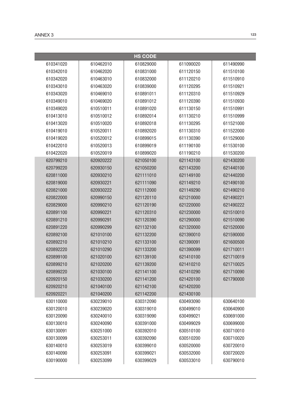|           |           | <b>HS CODE</b> |           |           |
|-----------|-----------|----------------|-----------|-----------|
| 610341020 | 610462010 | 610829000      | 611090020 | 611490990 |
| 610342010 | 610462020 | 610831000      | 611120150 | 611510100 |
| 610342020 | 610463010 | 610832000      | 611120210 | 611510910 |
| 610343010 | 610463020 | 610839000      | 611120295 | 611510921 |
| 610343020 | 610469010 | 610891011      | 611120310 | 611510929 |
| 610349010 | 610469020 | 610891012      | 611120390 | 611510930 |
| 610349020 | 610510011 | 610891020      | 611130150 | 611510991 |
| 610413010 | 610510012 | 610892014      | 611130210 | 611510999 |
| 610413020 | 610510020 | 610892018      | 611130295 | 611521000 |
| 610419010 | 610520011 | 610892020      | 611130310 | 611522000 |
| 610419020 | 610520012 | 610899015      | 611130390 | 611529000 |
| 610422010 | 610520013 | 610899019      | 611190100 | 611530100 |
| 610422020 | 610520019 | 610899020      | 611190210 | 611530200 |
| 620799210 | 620920222 | 621050100      | 621143100 | 621430200 |
| 620799220 | 620930150 | 621050200      | 621143200 | 621440100 |
| 620811000 | 620930210 | 621111010      | 621149100 | 621440200 |
| 620819000 | 620930221 | 621111090      | 621149210 | 621490100 |
| 620821000 | 620930222 | 621112000      | 621149290 | 621490210 |
| 620822000 | 620990150 | 621120110      | 621210000 | 621490221 |
| 620829000 | 620990210 | 621120190      | 621220000 | 621490222 |
| 620891100 | 620990221 | 621120310      | 621230000 | 621510010 |
| 620891210 | 620990291 | 621120390      | 621290000 | 621510090 |
| 620891220 | 620990299 | 621132100      | 621320000 | 621520000 |
| 620892100 | 621010100 | 621132200      | 621390010 | 621590000 |
| 620892210 | 621010210 | 621133100      | 621390091 | 621600500 |
| 620892220 | 621010290 | 621133200      | 621390099 | 621710011 |
| 620899100 | 621020100 | 621139100      | 621410100 | 621710019 |
| 620899210 | 621020200 | 621139200      | 621410210 | 621710025 |
| 620899220 | 621030100 | 621141100      | 621410290 | 621710090 |
| 620920150 | 621030200 | 621141200      | 621420100 | 621790000 |
| 620920210 | 621040100 | 621142100      | 621420200 |           |
| 620920221 | 621040200 | 621142200      | 621430100 |           |
| 630110000 | 630239010 | 630312090      | 630493090 | 630640100 |
| 630120010 | 630239020 | 630319010      | 630499010 | 630640900 |
| 630120090 | 630240010 | 630319090      | 630499021 | 630691000 |
| 630130010 | 630240090 | 630391000      | 630499029 | 630699000 |
| 630130091 | 630251000 | 630392010      | 630510100 | 630710010 |
| 630130099 | 630253011 | 630392090      | 630510200 | 630710020 |
| 630140010 | 630253019 | 630399010      | 630520000 | 630720010 |
| 630140090 | 630253091 | 630399021      | 630532000 | 630720020 |
| 630190000 | 630253099 | 630399029      | 630533010 | 630790010 |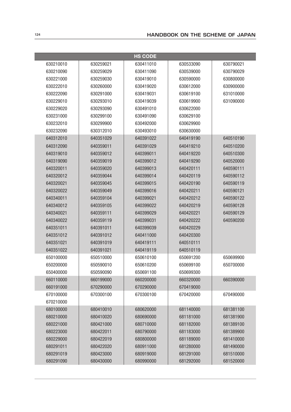| <b>HS CODE</b> |           |           |           |           |
|----------------|-----------|-----------|-----------|-----------|
| 630210010      | 630259021 | 630411010 | 630533090 | 630790021 |
| 630210090      | 630259029 | 630411090 | 630539000 | 630790029 |
| 630221000      | 630259030 | 630419010 | 630590000 | 630800000 |
| 630222010      | 630260000 | 630419020 | 630612000 | 630900000 |
| 630222090      | 630291000 | 630419031 | 630619100 | 631010000 |
| 630229010      | 630293010 | 630419039 | 630619900 | 631090000 |
| 630229020      | 630293090 | 630491010 | 630622000 |           |
| 630231000      | 630299100 | 630491090 | 630629100 |           |
| 630232010      | 630299900 | 630492000 | 630629900 |           |
| 630232090      | 630312010 | 630493010 | 630630000 |           |
| 640312010      | 640351029 | 640391022 | 640419190 | 640510190 |
| 640312090      | 640359011 | 640391029 | 640419210 | 640510200 |
| 640319010      | 640359012 | 640399011 | 640419220 | 640510300 |
| 640319090      | 640359019 | 640399012 | 640419290 | 640520000 |
| 640320011      | 640359020 | 640399013 | 640420111 | 640590111 |
| 640320012      | 640359044 | 640399014 | 640420119 | 640590112 |
| 640320021      | 640359045 | 640399015 | 640420190 | 640590119 |
| 640320022      | 640359049 | 640399016 | 640420211 | 640590121 |
| 640340011      | 640359104 | 640399021 | 640420212 | 640590122 |
| 640340012      | 640359105 | 640399022 | 640420219 | 640590128 |
| 640340021      | 640359111 | 640399029 | 640420221 | 640590129 |
| 640340022      | 640359119 | 640399031 | 640420222 | 640590200 |
| 640351011      | 640391011 | 640399039 | 640420229 |           |
| 640351012      | 640391012 | 640411000 | 640420300 |           |
| 640351021      | 640391019 | 640419111 | 640510111 |           |
| 640351022      | 640391021 | 640419119 | 640510119 |           |
| 650100000      | 650510000 | 650610100 | 650691200 | 650699900 |
| 650200000      | 650590010 | 650610200 | 650699100 | 650700000 |
| 650400000      | 650590090 | 650691100 | 650699300 |           |
| 660110000      | 660199000 | 660200000 | 660320000 | 660390000 |
| 660191000      | 670290000 | 670290000 | 670419000 |           |
| 670100000      | 670300100 | 670300100 | 670420000 | 670490000 |
| 670210000      |           |           |           |           |
| 680100000      | 680410010 | 680620000 | 681140000 | 681381100 |
| 680210000      | 680410020 | 680690000 | 681181000 | 681381900 |
| 680221000      | 680421000 | 680710000 | 681182000 | 681389100 |
| 680223000      | 680422011 | 680790000 | 681183000 | 681389900 |
| 680229000      | 680422019 | 680800000 | 681189000 | 681410000 |
| 680291011      | 680422020 | 680911000 | 681280000 | 681490000 |
| 680291019      | 680423000 | 680919000 | 681291000 | 681510000 |
| 680291090      | 680430000 | 680990000 | 681292000 | 681520000 |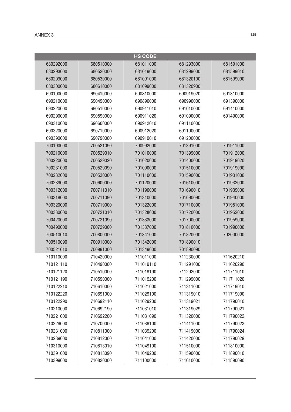|           |           | <b>HS CODE</b> |           |           |
|-----------|-----------|----------------|-----------|-----------|
| 680292000 | 680510000 | 681011000      | 681293000 | 681591000 |
| 680293000 | 680520000 | 681019000      | 681299000 | 681599010 |
| 680299000 | 680530000 | 681091000      | 681320100 | 681599090 |
| 680300000 | 680610000 | 681099000      | 681320900 |           |
| 690100000 | 690410000 | 690810000      | 690919020 | 691310000 |
| 690210000 | 690490000 | 690890000      | 690990000 | 691390000 |
| 690220000 | 690510000 | 690911010      | 691010000 | 691410000 |
| 690290000 | 690590000 | 690911020      | 691090000 | 691490000 |
| 690310000 | 690600000 | 690912010      | 691110000 |           |
| 690320000 | 690710000 | 690912020      | 691190000 |           |
| 690390000 | 690790000 | 690919010      | 691200000 |           |
| 700100000 | 700521090 | 700992000      | 701391000 | 701911000 |
| 700210000 | 700529010 | 701010000      | 701399000 | 701912000 |
| 700220000 | 700529020 | 701020000      | 701400000 | 701919020 |
| 700231000 | 700529090 | 701090000      | 701510000 | 701919090 |
| 700232000 | 700530000 | 701110000      | 701590000 | 701931000 |
| 700239000 | 700600000 | 701120000      | 701610000 | 701932000 |
| 700312000 | 700711010 | 701190000      | 701690010 | 701939000 |
| 700319000 | 700711090 | 701310000      | 701690090 | 701940000 |
| 700320000 | 700719000 | 701322000      | 701710000 | 701951000 |
| 700330000 | 700721010 | 701328000      | 701720000 | 701952000 |
| 700420000 | 700721090 | 701333000      | 701790000 | 701959000 |
| 700490000 | 700729000 | 701337000      | 701810000 | 701990000 |
| 700510010 | 700800000 | 701341000      | 701820000 | 702000000 |
| 700510090 | 700910000 | 701342000      | 701890010 |           |
| 700521010 | 700991000 | 701349000      | 701890090 |           |
| 710110000 | 710420000 | 711011000      | 711230090 | 711620210 |
| 710121110 | 710490000 | 711019110      | 711291000 | 711620290 |
| 710121120 | 710510000 | 711019190      | 711292000 | 711711010 |
| 710121190 | 710590000 | 711019200      | 711299000 | 711711020 |
| 710122210 | 710610000 | 711021000      | 711311000 | 711719010 |
| 710122220 | 710691000 | 711029100      | 711319010 | 711719090 |
| 710122290 | 710692110 | 711029200      | 711319021 | 711790010 |
| 710210000 | 710692190 | 711031010      | 711319029 | 711790021 |
| 710221000 | 710692200 | 711031090      | 711320000 | 711790022 |
| 710229000 | 710700000 | 711039100      | 711411000 | 711790023 |
| 710231000 | 710811000 | 711039200      | 711419000 | 711790024 |
| 710239000 | 710812000 | 711041000      | 711420000 | 711790029 |
| 710310000 | 710813010 | 711049100      | 711510000 | 711810000 |
| 710391000 | 710813090 | 711049200      | 711590000 | 711890010 |
| 710399000 | 710820000 | 711100000      | 711610000 | 711890090 |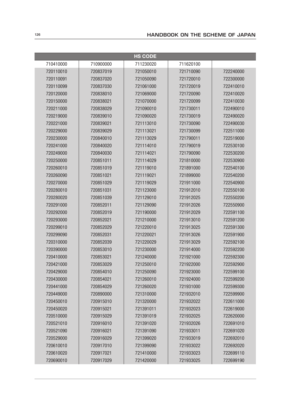| <b>HS CODE</b> |           |           |           |           |
|----------------|-----------|-----------|-----------|-----------|
| 710410000      | 710900000 | 711230020 | 711620100 |           |
| 720110010      | 720837019 | 721050010 | 721710090 | 722240000 |
| 720110091      | 720837020 | 721050090 | 721720010 | 722300000 |
| 720110099      | 720837030 | 721061000 | 721720019 | 722410010 |
| 720120000      | 720838010 | 721069000 | 721720090 | 722410020 |
| 720150000      | 720838021 | 721070000 | 721720099 | 722410030 |
| 720211000      | 720838029 | 721090010 | 721730011 | 722490010 |
| 720219000      | 720839010 | 721090020 | 721730019 | 722490020 |
| 720221000      | 720839021 | 721113010 | 721730090 | 722490030 |
| 720229000      | 720839029 | 721113021 | 721730099 | 722511000 |
| 720230000      | 720840010 | 721113029 | 721790011 | 722519000 |
| 720241000      | 720840020 | 721114010 | 721790019 | 722530100 |
| 720249000      | 720840030 | 721114021 | 721790090 | 722530200 |
| 720250000      | 720851011 | 721114029 | 721810000 | 722530900 |
| 720260010      | 720851019 | 721119010 | 721891000 | 722540100 |
| 720260090      | 720851021 | 721119021 | 721899000 | 722540200 |
| 720270000      | 720851029 | 721119029 | 721911000 | 722540900 |
| 720280010      | 720851031 | 721123000 | 721912010 | 722550100 |
| 720280020      | 720851039 | 721129010 | 721912025 | 722550200 |
| 720291000      | 720852011 | 721129090 | 721912026 | 722550900 |
| 720292000      | 720852019 | 721190000 | 721912029 | 722591100 |
| 720293000      | 720852021 | 721210000 | 721913010 | 722591200 |
| 720299010      | 720852029 | 721220010 | 721913025 | 722591300 |
| 720299090      | 720852031 | 721220021 | 721913026 | 722591900 |
| 720310000      | 720852039 | 721220029 | 721913029 | 722592100 |
| 720390000      | 720853010 | 721230000 | 721914000 | 722592200 |
| 720410000      | 720853021 | 721240000 | 721921000 | 722592300 |
| 720421000      | 720853029 | 721250010 | 721922000 | 722592900 |
| 720429000      | 720854010 | 721250090 | 721923000 | 722599100 |
| 720430000      | 720854021 | 721260010 | 721924000 | 722599200 |
| 720441000      | 720854029 | 721260020 | 721931000 | 722599300 |
| 720449000      | 720890000 | 721310000 | 721932010 | 722599900 |
| 720450010      | 720915010 | 721320000 | 721932022 | 722611000 |
| 720450020      | 720915021 | 721391011 | 721932023 | 722619000 |
| 720510000      | 720915029 | 721391019 | 721932025 | 722620000 |
| 720521010      | 720916010 | 721391020 | 721932026 | 722691010 |
| 720521090      | 720916021 | 721391090 | 721933011 | 722691020 |
| 720529000      | 720916029 | 721399020 | 721933019 | 722692010 |
| 720610010      | 720917010 | 721399090 | 721933022 | 722692020 |
| 720610020      | 720917021 | 721410000 | 721933023 | 722699110 |
| 720690010      | 720917029 | 721420000 | 721933025 | 722699190 |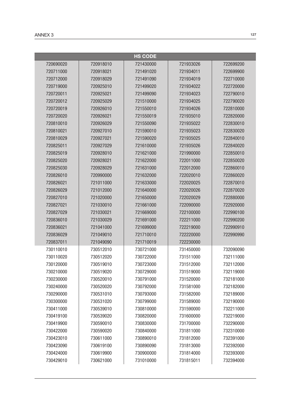|           |           | <b>HS CODE</b> |           |           |
|-----------|-----------|----------------|-----------|-----------|
| 720690020 | 720918010 | 721430000      | 721933026 | 722699200 |
| 720711000 | 720918021 | 721491020      | 721934011 | 722699900 |
| 720712000 | 720918029 | 721491090      | 721934019 | 722710000 |
| 720719000 | 720925010 | 721499020      | 721934022 | 722720000 |
| 720720011 | 720925021 | 721499090      | 721934023 | 722790010 |
| 720720012 | 720925029 | 721510000      | 721934025 | 722790020 |
| 720720019 | 720926010 | 721550010      | 721934026 | 722810000 |
| 720720020 | 720926021 | 721550019      | 721935010 | 722820000 |
| 720810010 | 720926029 | 721550090      | 721935022 | 722830010 |
| 720810021 | 720927010 | 721590010      | 721935023 | 722830020 |
| 720810029 | 720927021 | 721590020      | 721935025 | 722840010 |
| 720825011 | 720927029 | 721610000      | 721935026 | 722840020 |
| 720825019 | 720928010 | 721621000      | 721990000 | 722850010 |
| 720825020 | 720928021 | 721622000      | 722011000 | 722850020 |
| 720825030 | 720928029 | 721631000      | 722012000 | 722860010 |
| 720826010 | 720990000 | 721632000      | 722020010 | 722860020 |
| 720826021 | 721011000 | 721633000      | 722020025 | 722870010 |
| 720826029 | 721012000 | 721640000      | 722020026 | 722870020 |
| 720827010 | 721020000 | 721650000      | 722020029 | 722880000 |
| 720827021 | 721030010 | 721661000      | 722090000 | 722920000 |
| 720827029 | 721030021 | 721669000      | 722100000 | 722990100 |
| 720836010 | 721030029 | 721691000      | 722211000 | 722990200 |
| 720836021 | 721041000 | 721699000      | 722219000 | 722990910 |
| 720836029 | 721049010 | 721710010      | 722220000 | 722990990 |
| 720837011 | 721049090 | 721710019      | 722230000 |           |
| 730110010 | 730512010 | 730721000      | 731450000 | 732090090 |
| 730110020 | 730512020 | 730722000      | 731511000 | 732111000 |
| 730120000 | 730519010 | 730723000      | 731512000 | 732112000 |
| 730210000 | 730519020 | 730729000      | 731519000 | 732119000 |
| 730230000 | 730520010 | 730791000      | 731520000 | 732181000 |
| 730240000 | 730520020 | 730792000      | 731581000 | 732182000 |
| 730290000 | 730531010 | 730793000      | 731582000 | 732189000 |
| 730300000 | 730531020 | 730799000      | 731589000 | 732190000 |
| 730411000 | 730539010 | 730810000      | 731590000 | 732211000 |
| 730419100 | 730539020 | 730820000      | 731600000 | 732219000 |
| 730419900 | 730590010 | 730830000      | 731700000 | 732290000 |
| 730422000 | 730590020 | 730840000      | 731811000 | 732310000 |
| 730423010 | 730611000 | 730890010      | 731812000 | 732391000 |
| 730423090 | 730619100 | 730890090      | 731813000 | 732392000 |
| 730424000 | 730619900 | 730900000      | 731814000 | 732393000 |
| 730429010 | 730621000 | 731010000      | 731815011 | 732394000 |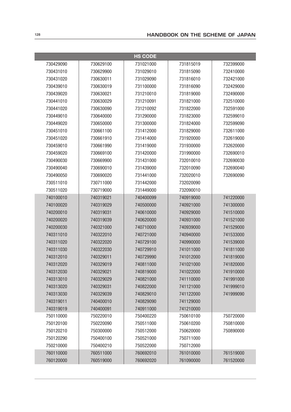|           |           | <b>HS CODE</b> |           |           |
|-----------|-----------|----------------|-----------|-----------|
| 730429090 | 730629100 | 731021000      | 731815019 | 732399000 |
| 730431010 | 730629900 | 731029010      | 731815090 | 732410000 |
| 730431020 | 730630011 | 731029090      | 731816010 | 732421000 |
| 730439010 | 730630019 | 731100000      | 731816090 | 732429000 |
| 730439020 | 730630021 | 731210010      | 731819000 | 732490000 |
| 730441010 | 730630029 | 731210091      | 731821000 | 732510000 |
| 730441020 | 730630090 | 731210092      | 731822000 | 732591000 |
| 730449010 | 730640000 | 731290000      | 731823000 | 732599010 |
| 730449020 | 730650000 | 731300000      | 731824000 | 732599090 |
| 730451010 | 730661100 | 731412000      | 731829000 | 732611000 |
| 730451020 | 730661910 | 731414000      | 731920000 | 732619000 |
| 730459010 | 730661990 | 731419000      | 731930000 | 732620000 |
| 730459020 | 730669100 | 731420000      | 731990000 | 732690010 |
| 730490030 | 730669900 | 731431000      | 732010010 | 732690030 |
| 730490040 | 730690010 | 731439000      | 732010090 | 732690040 |
| 730490050 | 730690020 | 731441000      | 732020010 | 732690090 |
| 730511010 | 730711000 | 731442000      | 732020090 |           |
| 730511020 | 730719000 | 731449000      | 732090010 |           |
| 740100010 | 740319021 | 740400099      | 740919000 | 741220000 |
| 740100020 | 740319029 | 740500000      | 740921000 | 741300000 |
| 740200010 | 740319031 | 740610000      | 740929000 | 741510000 |
| 740200020 | 740319039 | 740620000      | 740931000 | 741521000 |
| 740200030 | 740321000 | 740710000      | 740939000 | 741529000 |
| 740311010 | 740322010 | 740721000      | 740940000 | 741533000 |
| 740311020 | 740322020 | 740729100      | 740990000 | 741539000 |
| 740311030 | 740322030 | 740729910      | 741011000 | 741811000 |
| 740312010 | 740329011 | 740729990      | 741012000 | 741819000 |
| 740312020 | 740329019 | 740811000      | 741021000 | 741820000 |
| 740312030 | 740329021 | 740819000      | 741022000 | 741910000 |
| 740313010 | 740329029 | 740821000      | 741110000 | 741991000 |
| 740313020 | 740329031 | 740822000      | 741121000 | 741999010 |
| 740313030 | 740329039 | 740829010      | 741122000 | 741999090 |
| 740319011 | 740400010 | 740829090      | 741129000 |           |
| 740319019 | 740400091 | 740911000      | 741210000 |           |
| 750110000 | 750220010 | 750400220      | 750610100 | 750720000 |
| 750120100 | 750220090 | 750511000      | 750610200 | 750810000 |
| 750120210 | 750300000 | 750512000      | 750620000 | 750890000 |
| 750120290 | 750400100 | 750521000      | 750711000 |           |
| 750210000 | 750400210 | 750522000      | 750712000 |           |
| 760110000 | 760511000 | 760692010      | 761010000 | 761519000 |
| 760120000 | 760519000 | 760692020      | 761090000 | 761520000 |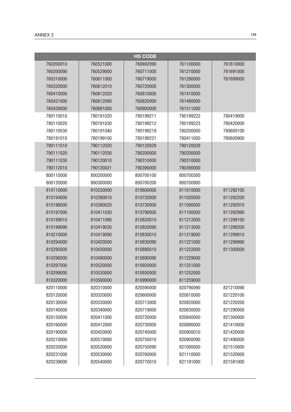|           |           | <b>HS CODE</b> |           |           |
|-----------|-----------|----------------|-----------|-----------|
| 760200010 | 760521000 | 760692090      | 761100000 | 761610000 |
| 760200090 | 760529000 | 760711000      | 761210000 | 761691000 |
| 760310000 | 760611000 | 760719000      | 761290000 | 761699000 |
| 760320000 | 760612010 | 760720000      | 761300000 |           |
| 760410000 | 760612020 | 760810000      | 761410000 |           |
| 760421000 | 760612090 | 760820000      | 761490000 |           |
| 760429000 | 760691000 | 760900000      | 761511000 |           |
| 780110010 | 780191020 | 780199211      | 780199222 | 780419000 |
| 780110020 | 780191030 | 780199212      | 780199223 | 780420000 |
| 780110030 | 780191040 | 780199219      | 780200000 | 780600100 |
| 780191010 | 780199100 | 780199221      | 780411000 | 780600900 |
| 790111010 | 790112020 | 790120029      | 790120029 |           |
| 790111020 | 790112030 | 790200000      | 790200000 |           |
| 790111030 | 790120010 | 790310000      | 790310000 |           |
| 790112010 | 790120021 | 790390000      | 790390000 |           |
| 800110000 | 800200000 | 800700100      | 800700300 |           |
| 800120000 | 800300000 | 800700200      | 800700900 |           |
| 810110000 | 810330000 | 810600000      | 811010000 | 811292100 |
| 810194000 | 810390010 | 810720000      | 811020000 | 811292200 |
| 810196000 | 810390020 | 810730000      | 811090000 | 811292910 |
| 810197000 | 810411030 | 810790000      | 811100000 | 811292990 |
| 810199010 | 810411090 | 810820010      | 811212000 | 811299100 |
| 810199090 | 810419030 | 810820090      | 811213000 | 811299200 |
| 810210000 | 810419090 | 810830010      | 811219000 | 811299910 |
| 810294000 | 810420000 | 810830090      | 811221000 | 811299990 |
| 810295000 | 810430000 | 810890010      | 811222000 | 811300000 |
| 810296000 | 810490000 | 810890090      | 811229000 |           |
| 810297000 | 810520000 | 810920000      | 811251000 |           |
| 810299000 | 810530000 | 810930000      | 811252000 |           |
| 810320000 | 810590000 | 810990000      | 811259000 |           |
| 820110000 | 820310000 | 820590000      | 820790090 | 821210090 |
| 820120000 | 820320000 | 820600000      | 820810000 | 821220100 |
| 820130000 | 820330000 | 820713000      | 820820000 | 821220200 |
| 820140000 | 820340000 | 820719000      | 820830000 | 821290000 |
| 820150000 | 820411000 | 820720000      | 820840000 | 821300000 |
| 820160000 | 820412000 | 820730000      | 820890000 | 821410000 |
| 820190000 | 820420000 | 820740000      | 820900010 | 821420000 |
| 820210000 | 820510000 | 820750010      | 820900090 | 821490000 |
| 820220000 | 820520000 | 820750090      | 821000000 | 821510000 |
| 820231000 | 820530000 | 820760000      | 821110000 | 821520000 |
| 820239000 | 820540000 | 820770010      | 821191000 | 821591000 |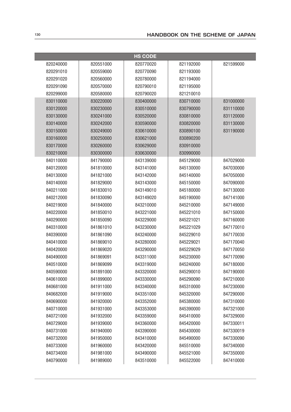|           |           | <b>HS CODE</b> |           |           |
|-----------|-----------|----------------|-----------|-----------|
| 820240000 | 820551000 | 820770020      | 821192000 | 821599000 |
| 820291010 | 820559000 | 820770090      | 821193000 |           |
| 820291020 | 820560000 | 820780000      | 821194000 |           |
| 820291090 | 820570000 | 820790010      | 821195000 |           |
| 820299000 | 820580000 | 820790020      | 821210010 |           |
| 830110000 | 830220000 | 830400000      | 830710000 | 831000000 |
| 830120000 | 830230000 | 830510000      | 830790000 | 831110000 |
| 830130000 | 830241000 | 830520000      | 830810000 | 831120000 |
| 830140000 | 830242000 | 830590000      | 830820000 | 831130000 |
| 830150000 | 830249000 | 830610000      | 830890100 | 831190000 |
| 830160000 | 830250000 | 830621000      | 830890200 |           |
| 830170000 | 830260000 | 830629000      | 830910000 |           |
| 830210000 | 830300000 | 830630000      | 830990000 |           |
| 840110000 | 841790000 | 843139000      | 845129000 | 847029000 |
| 840120000 | 841810000 | 843141000      | 845130000 | 847030000 |
| 840130000 | 841821000 | 843142000      | 845140000 | 847050000 |
| 840140000 | 841829000 | 843143000      | 845150000 | 847090000 |
| 840211000 | 841830010 | 843149010      | 845180000 | 847130000 |
| 840212000 | 841830090 | 843149020      | 845190000 | 847141000 |
| 840219000 | 841840000 | 843210000      | 845210000 | 847149000 |
| 840220000 | 841850010 | 843221000      | 845221010 | 847150000 |
| 840290000 | 841850090 | 843229000      | 845221021 | 847160000 |
| 840310000 | 841861010 | 843230000      | 845221029 | 847170010 |
| 840390000 | 841861090 | 843240000      | 845229010 | 847170030 |
| 840410000 | 841869010 | 843280000      | 845229021 | 847170040 |
| 840420000 | 841869020 | 843290000      | 845229029 | 847170050 |
| 840490000 | 841869091 | 843311000      | 845230000 | 847170090 |
| 840510000 | 841869099 | 843319000      | 845240000 | 847180000 |
| 840590000 | 841891000 | 843320000      | 845290010 | 847190000 |
| 840610000 | 841899000 | 843330000      | 845290090 | 847210000 |
| 840681000 | 841911000 | 843340000      | 845310000 | 847230000 |
| 840682000 | 841919000 | 843351000      | 845320000 | 847290000 |
| 840690000 | 841920000 | 843352000      | 845380000 | 847310000 |
| 840710000 | 841931000 | 843353000      | 845390000 | 847321000 |
| 840721000 | 841932000 | 843359000      | 845410000 | 847329000 |
| 840729000 | 841939000 | 843360000      | 845420000 | 847330011 |
| 840731000 | 841940000 | 843390000      | 845430000 | 847330019 |
| 840732000 | 841950000 | 843410000      | 845490000 | 847330090 |
| 840733000 | 841960000 | 843420000      | 845510000 | 847340000 |
| 840734000 | 841981000 | 843490000      | 845521000 | 847350000 |
| 840790000 | 841989000 | 843510000      | 845522000 | 847410000 |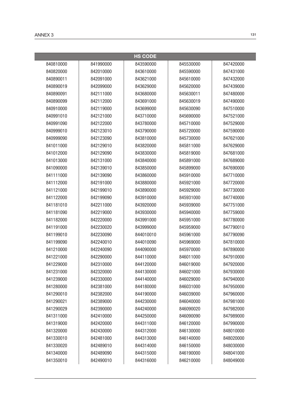|           |           | <b>HS CODE</b> |           |           |
|-----------|-----------|----------------|-----------|-----------|
| 840810000 | 841990000 | 843590000      | 845530000 | 847420000 |
| 840820000 | 842010000 | 843610000      | 845590000 | 847431000 |
| 840890011 | 842091000 | 843621000      | 845610000 | 847432000 |
| 840890019 | 842099000 | 843629000      | 845620000 | 847439000 |
| 840890091 | 842111000 | 843680000      | 845630011 | 847480000 |
| 840890099 | 842112000 | 843691000      | 845630019 | 847490000 |
| 840910000 | 842119000 | 843699000      | 845630090 | 847510000 |
| 840991010 | 842121000 | 843710000      | 845690000 | 847521000 |
| 840991090 | 842122000 | 843780000      | 845710000 | 847529000 |
| 840999010 | 842123010 | 843790000      | 845720000 | 847590000 |
| 840999090 | 842123090 | 843810000      | 845730000 | 847621000 |
| 841011000 | 842129010 | 843820000      | 845811000 | 847629000 |
| 841012000 | 842129090 | 843830000      | 845819000 | 847681000 |
| 841013000 | 842131000 | 843840000      | 845891000 | 847689000 |
| 841090000 | 842139010 | 843850000      | 845899000 | 847690000 |
| 841111000 | 842139090 | 843860000      | 845910000 | 847710000 |
| 841112000 | 842191000 | 843880000      | 845921000 | 847720000 |
| 841121000 | 842199010 | 843890000      | 845929000 | 847730000 |
| 841122000 | 842199090 | 843910000      | 845931000 | 847740000 |
| 841181010 | 842211000 | 843920000      | 845939000 | 847751000 |
| 841181090 | 842219000 | 843930000      | 845940000 | 847759000 |
| 841182000 | 842220000 | 843991000      | 845951000 | 847780000 |
| 841191000 | 842230020 | 843999000      | 845959000 | 847790010 |
| 841199010 | 842230090 | 844010010      | 845961000 | 847790090 |
| 841199090 | 842240010 | 844010090      | 845969000 | 847810000 |
| 841210000 | 842240090 | 844090000      | 845970000 | 847890000 |
| 841221000 | 842290000 | 844110000      | 846011000 | 847910000 |
| 841229000 | 842310000 | 844120000      | 846019000 | 847920000 |
| 841231000 | 842320000 | 844130000      | 846021000 | 847930000 |
| 841239000 | 842330000 | 844140000      | 846029000 | 847940000 |
| 841280000 | 842381000 | 844180000      | 846031000 | 847950000 |
| 841290010 | 842382000 | 844190000      | 846039000 | 847960000 |
| 841290021 | 842389000 | 844230000      | 846040000 | 847981000 |
| 841290029 | 842390000 | 844240000      | 846090020 | 847982000 |
| 841311000 | 842410000 | 844250000      | 846090090 | 847989000 |
| 841319000 | 842420000 | 844311000      | 846120000 | 847990000 |
| 841320000 | 842430000 | 844312000      | 846130000 | 848010000 |
| 841330010 | 842481000 | 844313000      | 846140000 | 848020000 |
| 841330020 | 842489010 | 844314000      | 846150000 | 848030000 |
| 841340000 | 842489090 | 844315000      | 846190000 | 848041000 |
| 841350010 | 842490010 | 844316000      | 846210000 | 848049000 |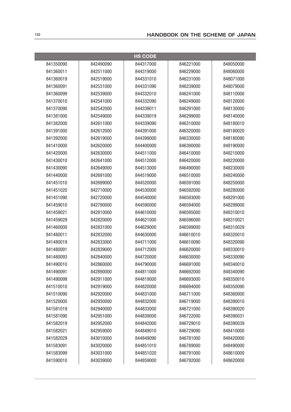|           |           | <b>HS CODE</b> |           |           |
|-----------|-----------|----------------|-----------|-----------|
| 841350090 | 842490090 | 844317000      | 846221000 | 848050000 |
| 841360011 | 842511000 | 844319000      | 846229000 | 848060000 |
| 841360019 | 842519000 | 844331010      | 846231000 | 848071000 |
| 841360091 | 842531000 | 844331090      | 846239000 | 848079000 |
| 841360099 | 842539000 | 844332010      | 846241000 | 848110000 |
| 841370010 | 842541000 | 844332090      | 846249000 | 848120000 |
| 841370090 | 842542000 | 844339011      | 846291000 | 848130000 |
| 841381000 | 842549000 | 844339019      | 846299000 | 848140000 |
| 841382000 | 842611000 | 844339090      | 846310000 | 848180010 |
| 841391000 | 842612000 | 844391000      | 846320000 | 848180020 |
| 841392000 | 842619000 | 844399000      | 846330000 | 848180090 |
| 841410000 | 842620000 | 844400000      | 846390000 | 848190000 |
| 841420000 | 842630000 | 844511000      | 846410000 | 848210000 |
| 841430010 | 842641000 | 844512000      | 846420000 | 848220000 |
| 841430090 | 842649000 | 844513000      | 846490000 | 848230000 |
| 841440000 | 842691000 | 844519000      | 846510000 | 848240000 |
| 841451010 | 842699000 | 844520000      | 846591000 | 848250000 |
| 841451020 | 842710000 | 844530000      | 846592000 | 848280000 |
| 841451090 | 842720000 | 844540000      | 846593000 | 848291000 |
| 841459010 | 842790000 | 844590000      | 846594000 | 848299000 |
| 841459021 | 842810000 | 844610000      | 846595000 | 848310010 |
| 841459029 | 842820000 | 844621000      | 846596000 | 848310021 |
| 841460000 | 842831000 | 844629000      | 846599000 | 848310029 |
| 841480011 | 842832000 | 844630000      | 846610010 | 848320010 |
| 841480019 | 842833000 | 844711000      | 846610090 | 848320090 |
| 841480091 | 842839000 | 844712000      | 846620000 | 848330010 |
| 841480093 | 842840000 | 844720000      | 846630000 | 848330090 |
| 841490010 | 842860000 | 844790000      | 846691000 | 848340010 |
| 841490091 | 842890000 | 844811000      | 846692000 | 848340090 |
| 841490099 | 842911000 | 844819000      | 846693000 | 848350010 |
| 841510010 | 842919000 | 844820000      | 846694000 | 848350090 |
| 841510090 | 842920000 | 844831000      | 846711000 | 848360000 |
| 841520000 | 842930000 | 844832000      | 846719000 | 848390010 |
| 841581019 | 842940000 | 844833000      | 846721000 | 848390020 |
| 841581090 | 842951000 | 844839000      | 846722000 | 848390031 |
| 841582019 | 842952000 | 844842000      | 846729010 | 848390039 |
| 841582021 | 842959000 | 844849010      | 846729090 | 848410000 |
| 841582029 | 843010000 | 844849090      | 846781000 | 848420000 |
| 841583091 | 843020000 | 844851010      | 846789000 | 848490000 |
| 841583099 | 843031000 | 844851020      | 846791000 | 848610000 |
| 841590010 | 843039000 | 844859000      | 846792000 | 848620000 |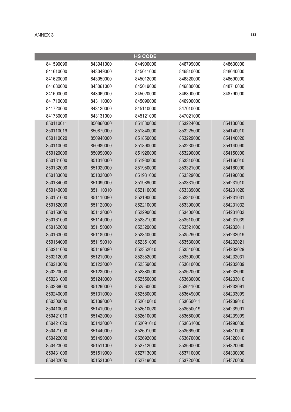|           |           | <b>HS CODE</b> |           |           |
|-----------|-----------|----------------|-----------|-----------|
| 841590090 | 843041000 | 844900000      | 846799000 | 848630000 |
| 841610000 | 843049000 | 845011000      | 846810000 | 848640000 |
| 841620000 | 843050000 | 845012000      | 846820000 | 848690000 |
| 841630000 | 843061000 | 845019000      | 846880000 | 848710000 |
| 841690000 | 843069000 | 845020000      | 846890000 | 848790000 |
| 841710000 | 843110000 | 845090000      | 846900000 |           |
| 841720000 | 843120000 | 845110000      | 847010000 |           |
| 841780000 | 843131000 | 845121000      | 847021000 |           |
| 850110011 | 850860000 | 851830000      | 853224000 | 854130000 |
| 850110019 | 850870000 | 851840000      | 853225000 | 854140010 |
| 850110020 | 850940000 | 851850000      | 853229000 | 854140020 |
| 850110090 | 850980000 | 851890000      | 853230000 | 854140090 |
| 850120000 | 850990000 | 851920000      | 853290000 | 854150000 |
| 850131000 | 851010000 | 851930000      | 853310000 | 854160010 |
| 850132000 | 851020000 | 851950000      | 853321000 | 854160090 |
| 850133000 | 851030000 | 851981000      | 853329000 | 854190000 |
| 850134000 | 851090000 | 851989000      | 853331000 | 854231010 |
| 850140000 | 851110010 | 852110000      | 853339000 | 854231020 |
| 850151000 | 851110090 | 852190000      | 853340000 | 854231031 |
| 850152000 | 851120000 | 852210000      | 853390000 | 854231032 |
| 850153000 | 851130000 | 852290000      | 853400000 | 854231033 |
| 850161000 | 851140000 | 852321000      | 853510000 | 854231039 |
| 850162000 | 851150000 | 852329000      | 853521000 | 854232011 |
| 850163000 | 851180000 | 852340000      | 853529000 | 854232019 |
| 850164000 | 851190010 | 852351000      | 853530000 | 854232021 |
| 850211000 | 851190090 | 852352010      | 853540000 | 854232029 |
| 850212000 | 851210000 | 852352090      | 853590000 | 854232031 |
| 850213000 | 851220000 | 852359000      | 853610000 | 854232039 |
| 850220000 | 851230000 | 852380000      | 853620000 | 854232090 |
| 850231000 | 851240000 | 852550000      | 853630000 | 854233010 |
| 850239000 | 851290000 | 852560000      | 853641000 | 854233091 |
| 850240000 | 851310000 | 852580000      | 853649000 | 854233099 |
| 850300000 | 851390000 | 852610010      | 853650011 | 854239010 |
| 850410000 | 851410000 | 852610020      | 853650019 | 854239091 |
| 850421010 | 851420000 | 852610090      | 853650090 | 854239099 |
| 850421020 | 851430000 | 852691010      | 853661000 | 854290000 |
| 850421090 | 851440000 | 852691090      | 853669000 | 854310000 |
| 850422000 | 851490000 | 852692000      | 853670000 | 854320010 |
| 850423000 | 851511000 | 852712000      | 853690000 | 854320090 |
| 850431000 | 851519000 | 852713000      | 853710000 | 854330000 |
| 850432000 | 851521000 | 852719000      | 853720000 | 854370000 |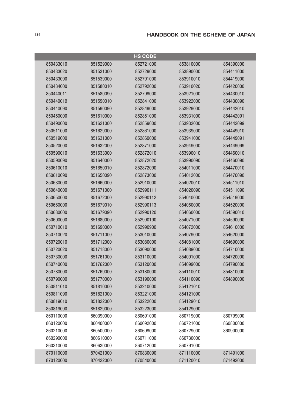|           |           | <b>HS CODE</b> |           |           |
|-----------|-----------|----------------|-----------|-----------|
| 850433010 | 851529000 | 852721000      | 853810000 | 854390000 |
| 850433020 | 851531000 | 852729000      | 853890000 | 854411000 |
| 850433090 | 851539000 | 852791000      | 853910010 | 854419000 |
| 850434000 | 851580010 | 852792000      | 853910020 | 854420000 |
| 850440011 | 851580090 | 852799000      | 853921000 | 854430010 |
| 850440019 | 851590010 | 852841000      | 853922000 | 854430090 |
| 850440090 | 851590090 | 852849000      | 853929000 | 854442010 |
| 850450000 | 851610000 | 852851000      | 853931000 | 854442091 |
| 850490000 | 851621000 | 852859000      | 853932000 | 854442099 |
| 850511000 | 851629000 | 852861000      | 853939000 | 854449010 |
| 850519000 | 851631000 | 852869000      | 853941000 | 854449091 |
| 850520000 | 851632000 | 852871000      | 853949000 | 854449099 |
| 850590010 | 851633000 | 852872010      | 853990010 | 854460010 |
| 850590090 | 851640000 | 852872020      | 853990090 | 854460090 |
| 850610010 | 851650010 | 852872090      | 854011000 | 854470010 |
| 850610090 | 851650090 | 852873000      | 854012000 | 854470090 |
| 850630000 | 851660000 | 852910000      | 854020010 | 854511010 |
| 850640000 | 851671000 | 852990111      | 854020090 | 854511090 |
| 850650000 | 851672000 | 852990112      | 854040000 | 854519000 |
| 850660000 | 851679010 | 852990113      | 854050000 | 854520000 |
| 850680000 | 851679090 | 852990120      | 854060000 | 854590010 |
| 850690000 | 851680000 | 852990190      | 854071000 | 854590090 |
| 850710010 | 851690000 | 852990900      | 854072000 | 854610000 |
| 850710020 | 851711000 | 853010000      | 854079000 | 854620000 |
| 850720010 | 851712000 | 853080000      | 854081000 | 854690000 |
| 850720020 | 851718000 | 853090000      | 854089000 | 854710000 |
| 850730000 | 851761000 | 853110000      | 854091000 | 854720000 |
| 850740000 | 851762000 | 853120000      | 854099000 | 854790000 |
| 850780000 | 851769000 | 853180000      | 854110010 | 854810000 |
| 850790000 | 851770000 | 853190000      | 854110090 | 854890000 |
| 850811010 | 851810000 | 853210000      | 854121010 |           |
| 850811090 | 851821000 | 853221000      | 854121090 |           |
| 850819010 | 851822000 | 853222000      | 854129010 |           |
| 850819090 | 851829000 | 853223000      | 854129090 |           |
| 860110000 | 860390000 | 860691000      | 860719000 | 860799000 |
| 860120000 | 860400000 | 860692000      | 860721000 | 860800000 |
| 860210000 | 860500000 | 860699000      | 860729000 | 860900000 |
| 860290000 | 860610000 | 860711000      | 860730000 |           |
| 860310000 | 860630000 | 860712000      | 860791000 |           |
| 870110000 | 870421000 | 870830090      | 871110000 | 871491000 |
| 870120000 | 870422000 | 870840000      | 871120010 | 871492000 |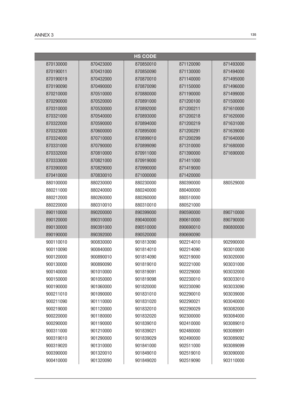|           |           | <b>HS CODE</b> |           |           |
|-----------|-----------|----------------|-----------|-----------|
| 870130000 | 870423000 | 870850010      | 871120090 | 871493000 |
| 870190011 | 870431000 | 870850090      | 871130000 | 871494000 |
| 870190019 | 870432000 | 870870010      | 871140000 | 871495000 |
| 870190090 | 870490000 | 870870090      | 871150000 | 871496000 |
| 870210000 | 870510000 | 870880000      | 871190000 | 871499000 |
| 870290000 | 870520000 | 870891000      | 871200100 | 871500000 |
| 870310000 | 870530000 | 870892000      | 871200211 | 871610000 |
| 870321000 | 870540000 | 870893000      | 871200218 | 871620000 |
| 870322000 | 870590000 | 870894000      | 871200219 | 871631000 |
| 870323000 | 870600000 | 870895000      | 871200291 | 871639000 |
| 870324000 | 870710000 | 870899010      | 871200299 | 871640000 |
| 870331000 | 870790000 | 870899090      | 871310000 | 871680000 |
| 870332000 | 870810000 | 870911000      | 871390000 | 871690000 |
| 870333000 | 870821000 | 870919000      | 871411000 |           |
| 870390000 | 870829000 | 870990000      | 871419000 |           |
| 870410000 | 870830010 | 871000000      | 871420000 |           |
| 880100000 | 880230000 | 880230000      | 880390000 | 880529000 |
| 880211000 | 880240000 | 880240000      | 880400000 |           |
| 880212000 | 880260000 | 880260000      | 880510000 |           |
| 880220000 | 880310010 | 880310010      | 880521000 |           |
| 890110000 | 890200000 | 890399000      | 890590000 | 890710000 |
| 890120000 | 890310000 | 890400000      | 890610000 | 890790000 |
| 890130000 | 890391000 | 890510000      | 890690010 | 890800000 |
| 890190000 | 890392000 | 890520000      | 890690090 |           |
| 900110010 | 900830000 | 901813090      | 902214010 | 902990000 |
| 900110090 | 900840000 | 901814010      | 902214090 | 903010000 |
| 900120000 | 900890010 | 901814090      | 902219000 | 903020000 |
| 900130000 | 900890090 | 901819010      | 902221000 | 903031000 |
| 900140000 | 901010000 | 901819091      | 902229000 | 903032000 |
| 900150000 | 901050000 | 901819098      | 902230010 | 903033010 |
| 900190000 | 901060000 | 901820000      | 902230090 | 903033090 |
| 900211010 | 901090000 | 901831010      | 902290010 | 903039000 |
| 900211090 | 901110000 | 901831020      | 902290021 | 903040000 |
| 900219000 | 901120000 | 901832010      | 902290029 | 903082000 |
| 900220000 | 901180000 | 901832020      | 902300000 | 903084000 |
| 900290000 | 901190000 | 901839010      | 902410000 | 903089010 |
| 900311000 | 901210000 | 901839021      | 902480000 | 903089091 |
| 900319010 | 901290000 | 901839029      | 902490000 | 903089092 |
| 900319020 | 901310000 | 901841000      | 902511000 | 903089099 |
| 900390000 | 901320010 | 901849010      | 902519010 | 903090000 |
| 900410000 | 901320090 | 901849020      | 902519090 | 903110000 |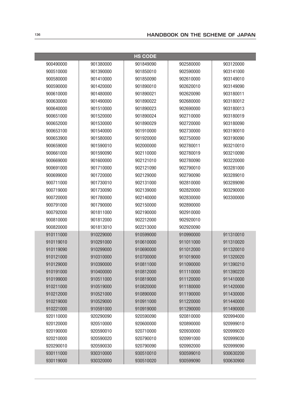|           |           | <b>HS CODE</b> |           |           |
|-----------|-----------|----------------|-----------|-----------|
| 900490000 | 901380000 | 901849090      | 902580000 | 903120000 |
| 900510000 | 901390000 | 901850010      | 902590000 | 903141000 |
| 900580000 | 901410000 | 901850090      | 902610000 | 903149010 |
| 900590000 | 901420000 | 901890010      | 902620010 | 903149090 |
| 900610000 | 901480000 | 901890021      | 902620090 | 903180011 |
| 900630000 | 901490000 | 901890022      | 902680000 | 903180012 |
| 900640000 | 901510000 | 901890023      | 902690000 | 903180013 |
| 900651000 | 901520000 | 901890024      | 902710000 | 903180019 |
| 900652000 | 901530000 | 901890029      | 902720000 | 903180090 |
| 900653100 | 901540000 | 901910000      | 902730000 | 903190010 |
| 900653900 | 901580000 | 901920000      | 902750000 | 903190090 |
| 900659000 | 901590010 | 902000000      | 902780011 | 903210010 |
| 900661000 | 901590090 | 902110000      | 902780019 | 903210090 |
| 900669000 | 901600000 | 902121010      | 902780090 | 903220000 |
| 900691000 | 901710000 | 902121090      | 902790010 | 903281000 |
| 900699000 | 901720000 | 902129000      | 902790090 | 903289010 |
| 900711000 | 901730010 | 902131000      | 902810000 | 903289090 |
| 900719000 | 901730090 | 902139000      | 902820000 | 903290000 |
| 900720000 | 901780000 | 902140000      | 902830000 | 903300000 |
| 900791000 | 901790000 | 902150000      | 902890000 |           |
| 900792000 | 901811000 | 902190000      | 902910000 |           |
| 900810000 | 901812000 | 902212000      | 902920010 |           |
| 900820000 | 901813010 | 902213000      | 902920090 |           |
| 910111000 | 910229000 | 910599000      | 910990000 | 911310010 |
| 910119010 | 910291000 | 910610000      | 911011000 | 911310020 |
| 910119090 | 910299000 | 910690000      | 911012000 | 911320010 |
| 910121000 | 910310000 | 910700000      | 911019000 | 911320020 |
| 910129000 | 910390000 | 910811000      | 911090000 | 911390210 |
| 910191000 | 910400000 | 910812000      | 911110000 | 911390220 |
| 910199000 | 910511000 | 910819000      | 911120000 | 911410000 |
| 910211000 | 910519000 | 910820000      | 911180000 | 911420000 |
| 910212000 | 910521000 | 910890000      | 911190000 | 911430000 |
| 910219000 | 910529000 | 910911000      | 911220000 | 911440000 |
| 910221000 | 910591000 | 910919000      | 911290000 | 911490000 |
| 920110000 | 920290090 | 920590090      | 920810000 | 920994000 |
| 920120000 | 920510000 | 920600000      | 920890000 | 920999010 |
| 920190000 | 920590010 | 920710000      | 920930000 | 920999020 |
| 920210000 | 920590020 | 920790010      | 920991000 | 920999030 |
| 920290010 | 920590030 | 920790090      | 920992000 | 920999090 |
| 930111000 | 930310000 | 930510010      | 930599010 | 930630200 |
| 930119000 | 930320000 | 930510020      | 930599090 | 930630900 |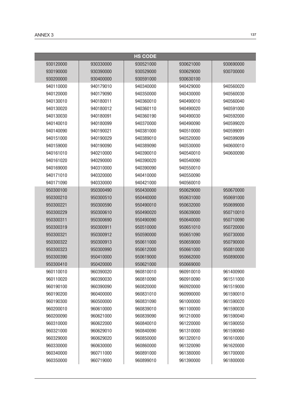|           |           | <b>HS CODE</b> |           |           |
|-----------|-----------|----------------|-----------|-----------|
| 930120000 | 930330000 | 930521000      | 930621000 | 930690000 |
| 930190000 | 930390000 | 930529000      | 930629000 | 930700000 |
| 930200000 | 930400000 | 930591000      | 930630100 |           |
| 940110000 | 940179010 | 940340000      | 940429000 | 940560020 |
| 940120000 | 940179090 | 940350000      | 940430000 | 940560030 |
| 940130010 | 940180011 | 940360010      | 940490010 | 940560040 |
| 940130020 | 940180012 | 940360110      | 940490020 | 940591000 |
| 940130030 | 940180091 | 940360190      | 940490030 | 940592000 |
| 940140010 | 940180099 | 940370000      | 940490090 | 940599020 |
| 940140090 | 940190021 | 940381000      | 940510000 | 940599091 |
| 940151000 | 940190029 | 940389010      | 940520000 | 940599099 |
| 940159000 | 940190090 | 940389090      | 940530000 | 940600010 |
| 940161010 | 940210000 | 940390010      | 940540010 | 940600090 |
| 940161020 | 940290000 | 940390020      | 940540090 |           |
| 940169000 | 940310000 | 940390090      | 940550010 |           |
| 940171010 | 940320000 | 940410000      | 940550090 |           |
| 940171090 | 940330000 | 940421000      | 940560010 |           |
| 950300100 | 950300490 | 950430000      | 950629000 | 950670000 |
| 950300210 | 950300510 | 950440000      | 950631000 | 950691000 |
| 950300221 | 950300590 | 950490010      | 950632000 | 950699000 |
| 950300229 | 950300610 | 950490020      | 950639000 | 950710010 |
| 950300311 | 950300690 | 950490090      | 950640000 | 950710090 |
| 950300319 | 950300911 | 950510000      | 950651010 | 950720000 |
| 950300321 | 950300912 | 950590000      | 950651090 | 950730000 |
| 950300322 | 950300913 | 950611000      | 950659000 | 950790000 |
| 950300323 | 950300990 | 950612000      | 950661000 | 950810000 |
| 950300390 | 950410000 | 950619000      | 950662000 | 950890000 |
| 950300410 | 950420000 | 950621000      | 950669000 |           |
| 960110010 | 960390020 | 960810010      | 960910010 | 961400900 |
| 960110020 | 960390030 | 960810090      | 960910090 | 961511000 |
| 960190100 | 960390090 | 960820000      | 960920000 | 961519000 |
| 960190200 | 960400000 | 960831010      | 960990000 | 961590010 |
| 960190300 | 960500000 | 960831090      | 961000000 | 961590020 |
| 960200010 | 960610000 | 960839010      | 961100000 | 961590030 |
| 960200090 | 960621000 | 960839090      | 961210000 | 961590040 |
| 960310000 | 960622000 | 960840010      | 961220000 | 961590050 |
| 960321000 | 960629010 | 960840090      | 961310000 | 961590060 |
| 960329000 | 960629020 | 960850000      | 961320010 | 961610000 |
| 960330000 | 960630000 | 960860000      | 961320090 | 961620000 |
| 960340000 | 960711000 | 960891000      | 961380000 | 961700000 |
| 960350000 | 960719000 | 960899010      | 961390000 | 961800000 |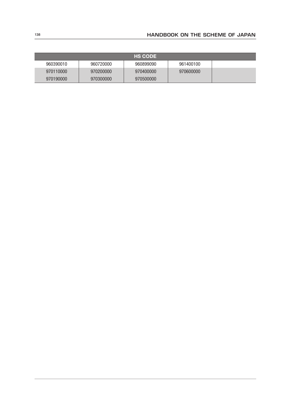|           |           | <b>HS CODE</b> |           |  |
|-----------|-----------|----------------|-----------|--|
| 960390010 | 960720000 | 960899090      | 961400100 |  |
| 970110000 | 970200000 | 970400000      | 970600000 |  |
| 970190000 | 970300000 | 970500000      |           |  |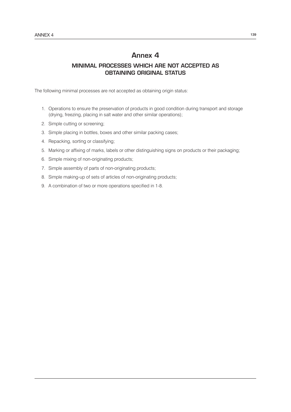## Annex 4

## MINIMAL PROCESSES WHICH ARE NOT ACCEPTED AS OBTAINING ORIGINAL STATUS

The following minimal processes are not accepted as obtaining origin status:

- 1. Operations to ensure the preservation of products in good condition during transport and storage (drying, freezing, placing in salt water and other similar operations);
- 2. Simple cutting or screening;
- 3. Simple placing in bottles, boxes and other similar packing cases;
- 4. Repacking, sorting or classifying;
- 5. Marking or affixing of marks, labels or other distinguishing signs on products or their packaging;
- 6. Simple mixing of non-originating products;
- 7. Simple assembly of parts of non-originating products;
- 8. Simple making-up of sets of articles of non-originating products;
- 9. A combination of two or more operations specified in 1-8.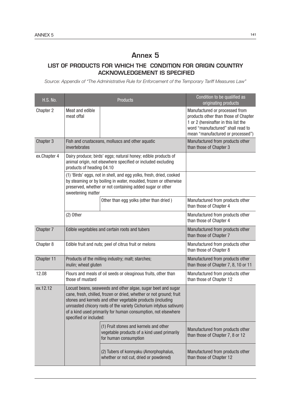## Annex 5

## LIST OF PRODUCTS FOR WHICH THE CONDITION FOR ORIGIN COUNTRY ACKNOWLEDGEMENT IS SPECIFIED

*Source: Appendix of "The Administrative Rule for Enforcement of the Temporary Tariff Measures Law"*

| <b>H.S. No.</b> |                                                                                    | <b>Products</b>                                                                                                                                                                                                                                                                                                                         | Condition to be qualified as<br>originating products                                                                                                                                     |
|-----------------|------------------------------------------------------------------------------------|-----------------------------------------------------------------------------------------------------------------------------------------------------------------------------------------------------------------------------------------------------------------------------------------------------------------------------------------|------------------------------------------------------------------------------------------------------------------------------------------------------------------------------------------|
| Chapter 2       | Meat and edible<br>meat offal                                                      |                                                                                                                                                                                                                                                                                                                                         | Manufactured or processed from<br>products other than those of Chapter<br>1 or 2 (hereinafter in this list the<br>word "manufactured" shall read to<br>mean "manufactured or processed") |
| Chapter 3       | invertebrates                                                                      | Fish and crustaceans, molluscs and other aquatic                                                                                                                                                                                                                                                                                        | Manufactured from products other<br>than those of Chapter 3                                                                                                                              |
| ex.Chapter 4    | products of heading 04.10                                                          | Dairy produce; birds' eggs; natural honey; edible products of<br>animal origin, not elsewhere specified or included excluding                                                                                                                                                                                                           |                                                                                                                                                                                          |
|                 | sweetening matter                                                                  | (1) 'Birds' eggs, not in shell, and egg yolks, fresh, dried, cooked<br>by steaming or by boiling in water, moulded, frozen or otherwise<br>preserved, whether or not containing added sugar or other                                                                                                                                    |                                                                                                                                                                                          |
|                 |                                                                                    | Other than egg yolks (other than dried)                                                                                                                                                                                                                                                                                                 | Manufactured from products other<br>than those of Chapter 4                                                                                                                              |
|                 | $(2)$ Other                                                                        |                                                                                                                                                                                                                                                                                                                                         | Manufactured from products other<br>than those of Chapter 4                                                                                                                              |
| Chapter 7       | Edible vegetables and certain roots and tubers                                     |                                                                                                                                                                                                                                                                                                                                         | Manufactured from products other<br>than those of Chapter 7                                                                                                                              |
| Chapter 8       | Edible fruit and nuts; peel of citrus fruit or melons                              |                                                                                                                                                                                                                                                                                                                                         | Manufactured from products other<br>than those of Chapter 8                                                                                                                              |
| Chapter 11      | Products of the milling industry; malt; starches;<br>inulin; wheat gluten          |                                                                                                                                                                                                                                                                                                                                         | Manufactured from products other<br>than those of Chapter 7, 8, 10 or 11                                                                                                                 |
| 12.08           | Flours and meals of oil seeds or oleaginous fruits, other than<br>those of mustard |                                                                                                                                                                                                                                                                                                                                         | Manufactured from products other<br>than those of Chapter 12                                                                                                                             |
| ex.12.12        | specified or included:                                                             | Locust beans, seaweeds and other algae, sugar beet and sugar<br>cane, fresh, chilled, frozen or dried, whether or not ground; fruit<br>stones and kernels and other vegetable products (including<br>unroasted chicory roots of the variety Cichorium intybus sativum)<br>of a kind used primarily for human consumption, not elsewhere |                                                                                                                                                                                          |
|                 |                                                                                    | (1) Fruit stones and kernels and other<br>vegetable products of a kind used primarily<br>for human consumption                                                                                                                                                                                                                          | Manufactured from products other<br>than those of Chapter 7, 8 or 12                                                                                                                     |
|                 |                                                                                    | (2) Tubers of konnyaku (Amorphophalus,<br>whether or not cut, dried or powdered)                                                                                                                                                                                                                                                        | Manufactured from products other<br>than those of Chapter 12                                                                                                                             |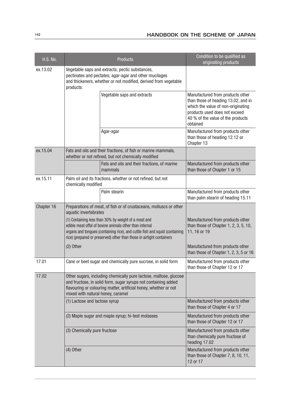| <b>H.S. No.</b> |                                                                                                                                                                                                                                                                         | <b>Products</b>                                                                                                      | Condition to be qualified as<br>originating products                                                                                                                                            |
|-----------------|-------------------------------------------------------------------------------------------------------------------------------------------------------------------------------------------------------------------------------------------------------------------------|----------------------------------------------------------------------------------------------------------------------|-------------------------------------------------------------------------------------------------------------------------------------------------------------------------------------------------|
| ex.13.02        | Vegetable saps and extracts; pectic substances,<br>pectinates and pectates; agar-agar and other mucilages<br>and thickeners, whether or not modified, derived from vegetable<br>products:                                                                               |                                                                                                                      |                                                                                                                                                                                                 |
|                 |                                                                                                                                                                                                                                                                         | Vegetable saps and extracts                                                                                          | Manufactured from products other<br>than those of heading 13.02, and in<br>which the value of non-originating<br>products used does not exceed<br>40 % of the value of the products<br>obtained |
|                 |                                                                                                                                                                                                                                                                         | Agar-agar                                                                                                            | Manufactured from products other<br>than those of heading 12.12 or<br>Chapter 13                                                                                                                |
| ex.15.04        |                                                                                                                                                                                                                                                                         | Fats and oils and their fractions, of fish or marine mammals,<br>whether or not refined, but not chemically modified |                                                                                                                                                                                                 |
|                 |                                                                                                                                                                                                                                                                         | Fats and oils and their fractions, of marine<br>mammals                                                              | Manufactured from products other<br>than those of Chapter 1 or 15                                                                                                                               |
| ex.15.11        | chemically modified                                                                                                                                                                                                                                                     | Palm oil and its fractions, whether or not refined, but not                                                          |                                                                                                                                                                                                 |
|                 |                                                                                                                                                                                                                                                                         | Palm stearin                                                                                                         | Manufactured from products other<br>than palm stearin of heading 15.11                                                                                                                          |
| Chapter 16      | Preparations of meat, of fish or of crustaceans, molluscs or other<br>aquatic invertebrates                                                                                                                                                                             |                                                                                                                      |                                                                                                                                                                                                 |
|                 | (1) Containing less than 30% by weight of a meat and<br>edible meat offal of bovine animals other than internal<br>organs and tongues (containing rice), and cuttle fish and squid (containing<br>rice) (prepared or preserved) other than those in airtight containers |                                                                                                                      | Manufactured from products other<br>than those of Chapter $1, 2, 3, 5, 10$ ,<br>11, 16 or 19                                                                                                    |
|                 | $(2)$ Other                                                                                                                                                                                                                                                             |                                                                                                                      | Manufactured from products other<br>than those of Chapter 1, 2, 3, 5 or 16                                                                                                                      |
| 17.01           | Cane or beet sugar and chemically pure sucrose, in solid form                                                                                                                                                                                                           |                                                                                                                      | Manufactured from products other<br>than those of Chapter 12 or 17                                                                                                                              |
| 17.02           | Other sugars, including chemically pure lactose, maltose, glucose<br>and fructose, in solid form, sugar syrups not containing added<br>flavouring or colouring matter, artificial honey, whether or not<br>mixed with natural honey, caramel                            |                                                                                                                      |                                                                                                                                                                                                 |
|                 | (1) Lactose and lactose syrup                                                                                                                                                                                                                                           |                                                                                                                      | Manufactured from products other<br>than those of Chapter 4 or 17                                                                                                                               |
|                 |                                                                                                                                                                                                                                                                         | (2) Maple sugar and maple syrup; hi-test molasses                                                                    | Manufactured from products other<br>than those of Chapter 12 or 17                                                                                                                              |
|                 | (3) Chemically pure fructose                                                                                                                                                                                                                                            |                                                                                                                      | Manufactured from products other<br>than chemically pure fructose of<br>heading 17.02                                                                                                           |
|                 | $(4)$ Other                                                                                                                                                                                                                                                             |                                                                                                                      | Manufactured from products other<br>than those of Chapter 7, 8, 10, 11,<br>12 or 17                                                                                                             |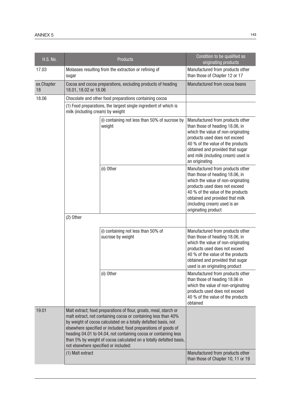| <b>H.S. No.</b>  | <b>Products</b>                                                                                                                                                                                                                                                                                                                                                                                                                                          | Condition to be qualified as<br>originating products                                                                                                                                                                                                                        |  |
|------------------|----------------------------------------------------------------------------------------------------------------------------------------------------------------------------------------------------------------------------------------------------------------------------------------------------------------------------------------------------------------------------------------------------------------------------------------------------------|-----------------------------------------------------------------------------------------------------------------------------------------------------------------------------------------------------------------------------------------------------------------------------|--|
| 17.03            | Molasses resulting from the extraction or refining of<br>sugar                                                                                                                                                                                                                                                                                                                                                                                           | Manufactured from products other<br>than those of Chapter 12 or 17                                                                                                                                                                                                          |  |
| ex.Chapter<br>18 | Cocoa and cocoa preparations, excluding products of heading<br>18.01, 18.02 or 18.06                                                                                                                                                                                                                                                                                                                                                                     | Manufactured from cocoa beans                                                                                                                                                                                                                                               |  |
| 18.06            | Chocolate and other food preparations containing cocoa                                                                                                                                                                                                                                                                                                                                                                                                   |                                                                                                                                                                                                                                                                             |  |
|                  | (1) Food preparations, the largest single ingredient of which is<br>milk (including cream) by weight                                                                                                                                                                                                                                                                                                                                                     |                                                                                                                                                                                                                                                                             |  |
|                  | (i) containing not less than 50% of sucrose by<br>weight                                                                                                                                                                                                                                                                                                                                                                                                 | Manufactured from products other<br>than those of heading 18.06, in<br>which the value of non-originating<br>products used does not exceed<br>40 % of the value of the products<br>obtained and provided that sugar<br>and milk (including cream) used is<br>an originating |  |
|                  | (ii) Other                                                                                                                                                                                                                                                                                                                                                                                                                                               | Manufactured from products other<br>than those of heading 18.06, in<br>which the value of non-originating<br>products used does not exceed<br>40 % of the value of the products<br>obtained and provided that milk<br>(including cream) used is an<br>originating product   |  |
|                  | (2) Other                                                                                                                                                                                                                                                                                                                                                                                                                                                |                                                                                                                                                                                                                                                                             |  |
|                  | (i) containing not less than 50% of<br>sucrose by weight                                                                                                                                                                                                                                                                                                                                                                                                 | Manufactured from products other<br>than those of heading 18.06, in<br>which the value of non-originating<br>products used does not exceed<br>40 % of the value of the products<br>obtained and provided that sugar<br>used is an originating product                       |  |
|                  | (ii) Other                                                                                                                                                                                                                                                                                                                                                                                                                                               | Manufactured from products other<br>than those of heading 18.06 in<br>which the value of non-originating<br>products used does not exceed<br>40 % of the value of the products<br>obtained                                                                                  |  |
| 19.01            | Malt extract; food preparations of flour, groats, meal, starch or<br>malt extract, not containing cocoa or containing less than 40%<br>by weight of cocoa calculated on a totally defatted basis, not<br>elsewhere specified or included; food preparations of goods of<br>heading 04.01 to 04.04, not containing cocoa or containing less<br>than 5% by weight of cocoa calculated on a totally defatted basis,<br>not elsewhere specified or included: |                                                                                                                                                                                                                                                                             |  |
|                  | (1) Malt extract                                                                                                                                                                                                                                                                                                                                                                                                                                         | Manufactured from products other<br>than those of Chapter 10, 11 or 19                                                                                                                                                                                                      |  |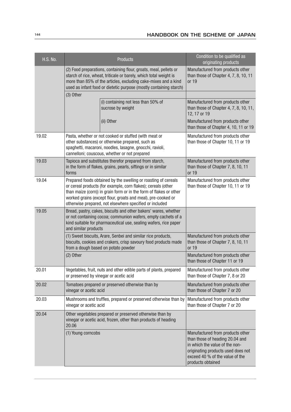| <b>H.S. No.</b> |                                                                                                                                                                                                                                                                                                                                  | <b>Products</b>                                                                                                                                                                                                        | Condition to be qualified as<br>originating products                                                                                                                                                |
|-----------------|----------------------------------------------------------------------------------------------------------------------------------------------------------------------------------------------------------------------------------------------------------------------------------------------------------------------------------|------------------------------------------------------------------------------------------------------------------------------------------------------------------------------------------------------------------------|-----------------------------------------------------------------------------------------------------------------------------------------------------------------------------------------------------|
|                 | (2) Food preparations, containing flour, groats, meal, pellets or<br>starch of rice, wheat, triticale or barely, which total weight is<br>more than 85% of the articles, excluding cake-mixes and a kind<br>used as infant food or dietetic purpose (mostly containing starch)                                                   |                                                                                                                                                                                                                        | Manufactured from products other<br>than those of Chapter 4, 7, 8, 10, 11<br>or 19                                                                                                                  |
|                 | (3) Other                                                                                                                                                                                                                                                                                                                        |                                                                                                                                                                                                                        |                                                                                                                                                                                                     |
|                 |                                                                                                                                                                                                                                                                                                                                  | (i) containing not less than 50% of<br>sucrose by weight                                                                                                                                                               | Manufactured from products other<br>than those of Chapter $4, 7, 8, 10, 11,$<br>12, 17 or 19                                                                                                        |
|                 |                                                                                                                                                                                                                                                                                                                                  | (ii) Other                                                                                                                                                                                                             | Manufactured from products other<br>than those of Chapter 4, 10, 11 or 19                                                                                                                           |
| 19.02           |                                                                                                                                                                                                                                                                                                                                  | Pasta, whether or not cooked or stuffed (with meat or<br>other substances) or otherwise prepared, such as<br>spaghetti, macaroni, noodles, lasagne, gnocchi, ravioli,<br>cannelloni; couscous, whether or not prepared | Manufactured from products other<br>than those of Chapter 10, 11 or 19                                                                                                                              |
| 19.03           | forms                                                                                                                                                                                                                                                                                                                            | Tapioca and substitutes therefor prepared from starch,<br>in the form of flakes, grains, pearls, siftings or in similar                                                                                                | Manufactured from products other<br>than those of Chapter 7, 8, 10, 11<br>or 19                                                                                                                     |
| 19.04           | Prepared foods obtained by the swelling or roasting of cereals<br>or cereal products (for example, corn flakes); cereals (other<br>than maize (corn)) in grain form or in the form of flakes or other<br>worked grains (except flour, groats and meal), pre-cooked or<br>otherwise prepared, not elsewhere specified or included |                                                                                                                                                                                                                        | Manufactured from products other<br>than those of Chapter 10, 11 or 19                                                                                                                              |
| 19.05           | Bread, pastry, cakes, biscuits and other bakers' wares, whether<br>or not containing cocoa; communion wafers, empty cachets of a<br>kind suitable for pharmaceutical use, sealing wafers, rice paper<br>and similar products                                                                                                     |                                                                                                                                                                                                                        |                                                                                                                                                                                                     |
|                 | (1) Sweet biscuits, Arare, Senbei and similar rice products,<br>biscuits, cookies and crakers, crisp savoury food products made<br>from a dough based on potato powder                                                                                                                                                           |                                                                                                                                                                                                                        | Manufactured from products other<br>than those of Chapter 7, 8, 10, 11<br>or 19                                                                                                                     |
|                 | (2) Other                                                                                                                                                                                                                                                                                                                        |                                                                                                                                                                                                                        | Manufactured from products other<br>than those of Chapter 11 or 19                                                                                                                                  |
| 20.01           |                                                                                                                                                                                                                                                                                                                                  | Vegetables, fruit, nuts and other edible parts of plants, prepared<br>or preserved by vinegar or acetic acid                                                                                                           | Manufactured from products other<br>than those of Chapter 7, 8 or 20                                                                                                                                |
| 20.02           | Tomatoes prepared or preserved otherwise than by<br>vinegar or acetic acid                                                                                                                                                                                                                                                       |                                                                                                                                                                                                                        | Manufactured from products other<br>than those of Chapter 7 or 20                                                                                                                                   |
| 20.03           | Mushrooms and truffles, prepared or preserved otherwise than by<br>vinegar or acetic acid                                                                                                                                                                                                                                        |                                                                                                                                                                                                                        | Manufactured from products other<br>than those of Chapter 7 or 20                                                                                                                                   |
| 20.04           | 20.06                                                                                                                                                                                                                                                                                                                            | Other vegetables prepared or preserved otherwise than by<br>vinegar or acetic acid, frozen, other than products of heading                                                                                             |                                                                                                                                                                                                     |
|                 | (1) Young corncobs                                                                                                                                                                                                                                                                                                               |                                                                                                                                                                                                                        | Manufactured from products other<br>than those of heading 20.04 and<br>in which the value of the non-<br>originating products used does not<br>exceed 40 % of the value of the<br>products obtained |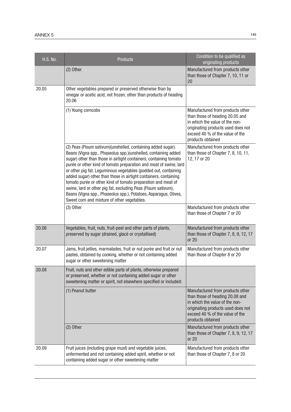| <b>H.S. No.</b> | <b>Products</b>                                                                                                                                                                                                                                                                                                                                                                                                                                                                                                                                                                                                                                                     | Condition to be qualified as<br>originating products                                                                                                                                                |
|-----------------|---------------------------------------------------------------------------------------------------------------------------------------------------------------------------------------------------------------------------------------------------------------------------------------------------------------------------------------------------------------------------------------------------------------------------------------------------------------------------------------------------------------------------------------------------------------------------------------------------------------------------------------------------------------------|-----------------------------------------------------------------------------------------------------------------------------------------------------------------------------------------------------|
|                 | $(2)$ Other                                                                                                                                                                                                                                                                                                                                                                                                                                                                                                                                                                                                                                                         | Manufactured from products other<br>than those of Chapter 7, 10, 11 or<br>20                                                                                                                        |
| 20.05           | Other vegetables prepared or preserved otherwise than by<br>vinegar or acetic acid, not frozen, other than products of heading<br>20.06                                                                                                                                                                                                                                                                                                                                                                                                                                                                                                                             |                                                                                                                                                                                                     |
|                 | (1) Young corncobs                                                                                                                                                                                                                                                                                                                                                                                                                                                                                                                                                                                                                                                  | Manufactured from products other<br>than those of heading 20.05 and<br>in which the value of the non-<br>originating products used does not<br>exceed 40 % of the value of the<br>products obtained |
|                 | (2) Peas (Pisum sativum)(unshelled, containing added sugar).<br>Beans (Vigna spp., Phaseolus spp.)(unshelled, containing added<br>sugar) other than those in airtight containers, containing tomato<br>purée or other kind of tomato preparation and meat of swine, lard<br>or other pig fat. Leguminous vegetables (podded out, containing<br>added sugar) other than those in airtight containers, containing<br>tomato purée or other kind of tomato preparation and meat of<br>swine, lard or other pig fat, excluding Peas (Pisum sativum),<br>Beans (Vigna spp., Phaseolus spp.), Potatoes, Asparagus, Olives,<br>Sweet corn and mixture of other vegetables. | Manufactured from products other<br>than those of Chapter 7, 8, 10, 11,<br>12, 17 or 20                                                                                                             |
|                 | $(3)$ Other                                                                                                                                                                                                                                                                                                                                                                                                                                                                                                                                                                                                                                                         | Manufactured from products other<br>than those of Chapter 7 or 20                                                                                                                                   |
| 20.06           | Vegetables, fruit, nuts, fruit-peel and other parts of plants,<br>preserved by sugar (drained, glacé or crystallised)                                                                                                                                                                                                                                                                                                                                                                                                                                                                                                                                               | Manufactured from products other<br>than those of Chapter $7, 8, 9, 12, 17$<br>or 20                                                                                                                |
| 20.07           | Jams, fruit jellies, marmalades, fruit or nut purée and fruit or nut<br>pastes, obtained by cooking, whether or not containing added<br>sugar or other sweetening matter                                                                                                                                                                                                                                                                                                                                                                                                                                                                                            | Manufactured from products other<br>than those of Chapter 8 or 20                                                                                                                                   |
| 20.08           | Fruit, nuts and other edible parts of plants, otherwise prepared<br>or preserved, whether or not containing added sugar or other<br>sweetening matter or spirit, not elsewhere specified or included:                                                                                                                                                                                                                                                                                                                                                                                                                                                               |                                                                                                                                                                                                     |
|                 | (1) Peanut butter                                                                                                                                                                                                                                                                                                                                                                                                                                                                                                                                                                                                                                                   | Manufactured from products other<br>than those of heading 20.08 and<br>in which the value of the non-<br>originating products used does not<br>exceed 40 % of the value of the<br>products obtained |
|                 | $(2)$ Other                                                                                                                                                                                                                                                                                                                                                                                                                                                                                                                                                                                                                                                         | Manufactured from products other<br>than those of Chapter $7, 8, 9, 12, 17$<br>or 20                                                                                                                |
| 20.09           | Fruit juices (including grape must) and vegetable juices,<br>unfermented and not containing added spirit, whether or not<br>containing added sugar or other sweetening matter                                                                                                                                                                                                                                                                                                                                                                                                                                                                                       | Manufactured from products other<br>than those of Chapter 7, 8 or 20                                                                                                                                |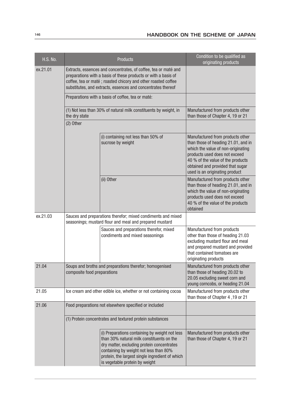| <b>H.S. No.</b> |                                                                                                                         | <b>Products</b>                                                                                                                                                                                                                                                          | Condition to be qualified as<br>originating products                                                                                                                                                                                                      |
|-----------------|-------------------------------------------------------------------------------------------------------------------------|--------------------------------------------------------------------------------------------------------------------------------------------------------------------------------------------------------------------------------------------------------------------------|-----------------------------------------------------------------------------------------------------------------------------------------------------------------------------------------------------------------------------------------------------------|
| ex.21.01        |                                                                                                                         | Extracts, essences and concentrates, of coffee, tea or maté and<br>preparations with a basis of these products or with a basis of<br>coffee, tea or maté ; roasted chicory and other roasted coffee<br>substitutes, and extracts, essences and concentrates thereof      |                                                                                                                                                                                                                                                           |
|                 |                                                                                                                         | Preparations with a basis of coffee, tea or maté:                                                                                                                                                                                                                        |                                                                                                                                                                                                                                                           |
|                 | the dry state                                                                                                           | (1) Not less than 30% of natural milk constituents by weight, in                                                                                                                                                                                                         | Manufactured from products other<br>than those of Chapter 4, 19 or 21                                                                                                                                                                                     |
|                 | (2) Other                                                                                                               |                                                                                                                                                                                                                                                                          |                                                                                                                                                                                                                                                           |
|                 |                                                                                                                         | (i) containing not less than 50% of<br>sucrose by weight                                                                                                                                                                                                                 | Manufactured from products other<br>than those of heading 21.01, and in<br>which the value of non-originating<br>products used does not exceed<br>40 % of the value of the products<br>obtained and provided that sugar<br>used is an originating product |
|                 |                                                                                                                         | (ii) Other                                                                                                                                                                                                                                                               | Manufactured from products other<br>than those of heading 21.01, and in<br>which the value of non-originating<br>products used does not exceed<br>40 % of the value of the products<br>obtained                                                           |
| ex.21.03        | Sauces and preparations therefor; mixed condiments and mixed<br>seasonings; mustard flour and meal and prepared mustard |                                                                                                                                                                                                                                                                          |                                                                                                                                                                                                                                                           |
|                 |                                                                                                                         | Sauces and preparations therefor, mixed<br>condiments and mixed seasonings                                                                                                                                                                                               | Manufactured from products<br>other than those of heading 21.03<br>excluding mustard flour and meal<br>and prepared mustard and provided<br>that contained tomatoes are<br>originating products                                                           |
| 21.04           | Soups and broths and preparations therefor; homogenised<br>composite food preparations                                  |                                                                                                                                                                                                                                                                          | Manufactured from products other<br>than those of heading 20.02 to<br>20.05 excluding sweet corn and<br>young corncobs, or heading 21.04                                                                                                                  |
| 21.05           | Ice cream and other edible ice, whether or not containing cocoa                                                         |                                                                                                                                                                                                                                                                          | Manufactured from products other<br>than those of Chapter 4, 19 or 21                                                                                                                                                                                     |
| 21.06           | Food preparations not elsewhere specified or included                                                                   |                                                                                                                                                                                                                                                                          |                                                                                                                                                                                                                                                           |
|                 |                                                                                                                         | (1) Protein concentrates and textured protein substances                                                                                                                                                                                                                 |                                                                                                                                                                                                                                                           |
|                 |                                                                                                                         | (i) Preparations containing by weight not less<br>than 30% natural milk constituents on the<br>dry matter, excluding protein concentrates<br>containing by weight not less than 80%<br>protein, the largest single ingredient of which<br>is vegetable protein by weight | Manufactured from products other<br>than those of Chapter 4, 19 or 21                                                                                                                                                                                     |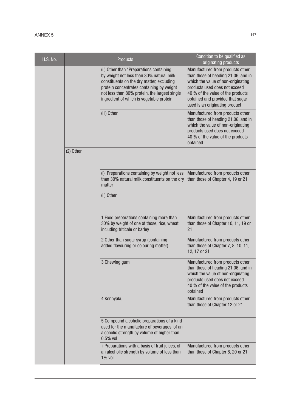| <b>H.S. No.</b> |             | <b>Products</b>                                                                                                                                                                                                                                                             | Condition to be qualified as<br>originating products                                                                                                                                                                                                      |
|-----------------|-------------|-----------------------------------------------------------------------------------------------------------------------------------------------------------------------------------------------------------------------------------------------------------------------------|-----------------------------------------------------------------------------------------------------------------------------------------------------------------------------------------------------------------------------------------------------------|
|                 |             | (ii) Other than "Preparations containing<br>by weight not less than 30% natural milk<br>constituents on the dry matter, excluding<br>protein concentrates containing by weight<br>not less than 80% protein, the largest single<br>ingredient of which is vegetable protein | Manufactured from products other<br>than those of heading 21.06, and in<br>which the value of non-originating<br>products used does not exceed<br>40 % of the value of the products<br>obtained and provided that sugar<br>used is an originating product |
|                 |             | (iii) Other                                                                                                                                                                                                                                                                 | Manufactured from products other<br>than those of heading 21.06, and in<br>which the value of non-originating<br>products used does not exceed<br>40 % of the value of the products<br>obtained                                                           |
|                 | $(2)$ Other |                                                                                                                                                                                                                                                                             |                                                                                                                                                                                                                                                           |
|                 |             | (i) Preparations containing by weight not less<br>than 30% natural milk constituents on the dry<br>matter                                                                                                                                                                   | Manufactured from products other<br>than those of Chapter 4, 19 or 21                                                                                                                                                                                     |
|                 |             | (ii) Other                                                                                                                                                                                                                                                                  |                                                                                                                                                                                                                                                           |
|                 |             | 1 Food preparations containing more than<br>30% by weight of one of those, rice, wheat<br>including triticale or barley                                                                                                                                                     | Manufactured from products other<br>than those of Chapter 10, 11, 19 or<br>21                                                                                                                                                                             |
|                 |             | 2 Other than sugar syrup (containing<br>added flavouring or colouring matter)                                                                                                                                                                                               | Manufactured from products other<br>than those of Chapter 7, 8, 10, 11,<br>12, 17 or 21                                                                                                                                                                   |
|                 |             | 3 Chewing gum                                                                                                                                                                                                                                                               | Manufactured from products other<br>than those of heading 21.06, and in<br>which the value of non-originating<br>products used does not exceed<br>40 % of the value of the products<br>obtained                                                           |
|                 |             | 4 Konnyaku                                                                                                                                                                                                                                                                  | Manufactured from products other<br>than those of Chapter 12 or 21                                                                                                                                                                                        |
|                 |             | 5 Compound alcoholic preparations of a kind<br>used for the manufacture of beverages, of an<br>alcoholic strength by volume of higher than<br>$0.5%$ vol                                                                                                                    |                                                                                                                                                                                                                                                           |
|                 |             | i Preparations with a basis of fruit juices, of<br>an alcoholic strength by volume of less than<br>1% vol                                                                                                                                                                   | Manufactured from products other<br>than those of Chapter 8, 20 or 21                                                                                                                                                                                     |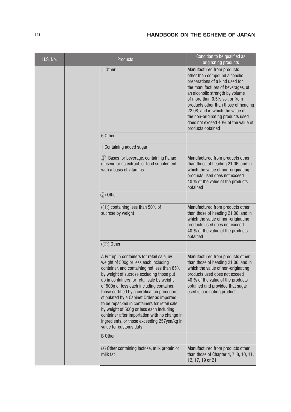| <b>H.S. No.</b> |                                                                                                                                                                                                                                                                                                                                                                                                                                                                                                                                                                                               | <b>Products</b>                                                                                                                                                                                                                                        | Condition to be qualified as<br>originating products                                                                                                                                                                                                                                                                                                                                  |
|-----------------|-----------------------------------------------------------------------------------------------------------------------------------------------------------------------------------------------------------------------------------------------------------------------------------------------------------------------------------------------------------------------------------------------------------------------------------------------------------------------------------------------------------------------------------------------------------------------------------------------|--------------------------------------------------------------------------------------------------------------------------------------------------------------------------------------------------------------------------------------------------------|---------------------------------------------------------------------------------------------------------------------------------------------------------------------------------------------------------------------------------------------------------------------------------------------------------------------------------------------------------------------------------------|
|                 |                                                                                                                                                                                                                                                                                                                                                                                                                                                                                                                                                                                               | ii Other                                                                                                                                                                                                                                               | Manufactured from products<br>other than compound alcoholic<br>preparations of a kind used for<br>the manufactures of beverages, of<br>an alcoholic strength by volume<br>of more than 0.5% vol, or from<br>products other than those of heading<br>22.08, and in which the value of<br>the non-originating products used<br>does not exceed 40% of the value of<br>products obtained |
|                 |                                                                                                                                                                                                                                                                                                                                                                                                                                                                                                                                                                                               | 6 Other                                                                                                                                                                                                                                                |                                                                                                                                                                                                                                                                                                                                                                                       |
|                 |                                                                                                                                                                                                                                                                                                                                                                                                                                                                                                                                                                                               | i Containing added sugar                                                                                                                                                                                                                               |                                                                                                                                                                                                                                                                                                                                                                                       |
|                 |                                                                                                                                                                                                                                                                                                                                                                                                                                                                                                                                                                                               | Bases for beverage, containing Panax<br>$\left( \parallel \right)$<br>ginseng or its extract, or food supplement<br>with a basis of vitamins                                                                                                           | Manufactured from products other<br>than those of heading 21.06, and in<br>which the value of non-originating<br>products used does not exceed<br>40 % of the value of the products<br>obtained                                                                                                                                                                                       |
|                 |                                                                                                                                                                                                                                                                                                                                                                                                                                                                                                                                                                                               | 2) Other                                                                                                                                                                                                                                               |                                                                                                                                                                                                                                                                                                                                                                                       |
|                 | $(1)$ containing less than 50% of<br>sucrose by weight                                                                                                                                                                                                                                                                                                                                                                                                                                                                                                                                        | Manufactured from products other<br>than those of heading 21.06, and in<br>which the value of non-originating<br>products used does not exceed<br>40 % of the value of the products<br>obtained                                                        |                                                                                                                                                                                                                                                                                                                                                                                       |
|                 | $(\circled{2})$ Other                                                                                                                                                                                                                                                                                                                                                                                                                                                                                                                                                                         |                                                                                                                                                                                                                                                        |                                                                                                                                                                                                                                                                                                                                                                                       |
|                 | A Put up in containers for retail sale, by<br>weight of 500g or less each including<br>container, and containing not less than 85%<br>by weight of sucrose excluding those put<br>up in containers for retail sale by weight<br>of 500g or less each including container,<br>those certified by a certification procedure<br>stipulated by a Cabinet Order as imported<br>to be repacked in containers for retail sale<br>by weight of 500g or less each including<br>container after importation with no change in<br>ingredients, or those exceeding 257yen/kg in<br>value for customs duty | Manufactured from products other<br>than those of heading 21.06, and in<br>which the value of non-originating<br>products used does not exceed<br>40 % of the value of the products<br>obtained and provided that sugar<br>used is originating product |                                                                                                                                                                                                                                                                                                                                                                                       |
|                 |                                                                                                                                                                                                                                                                                                                                                                                                                                                                                                                                                                                               | <b>B</b> Other                                                                                                                                                                                                                                         |                                                                                                                                                                                                                                                                                                                                                                                       |
|                 |                                                                                                                                                                                                                                                                                                                                                                                                                                                                                                                                                                                               | (a) Other containing lactose, milk protein or<br>milk fat                                                                                                                                                                                              | Manufactured from products other<br>than those of Chapter 4, $7, 8, 10, 11,$<br>12, 17, 19 or 21                                                                                                                                                                                                                                                                                      |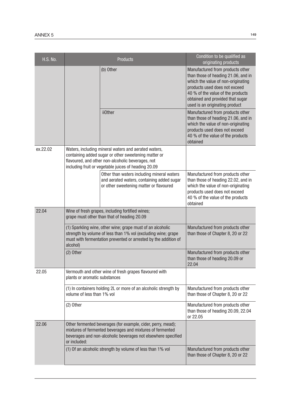| <b>H.S. No.</b> |                                                                                                                                                                                                            | <b>Products</b>                                                                                                                                                                                                           | Condition to be qualified as<br>originating products                                                                                                                                                                                                      |
|-----------------|------------------------------------------------------------------------------------------------------------------------------------------------------------------------------------------------------------|---------------------------------------------------------------------------------------------------------------------------------------------------------------------------------------------------------------------------|-----------------------------------------------------------------------------------------------------------------------------------------------------------------------------------------------------------------------------------------------------------|
|                 |                                                                                                                                                                                                            | (b) Other                                                                                                                                                                                                                 | Manufactured from products other<br>than those of heading 21.06, and in<br>which the value of non-originating<br>products used does not exceed<br>40 % of the value of the products<br>obtained and provided that sugar<br>used is an originating product |
|                 |                                                                                                                                                                                                            | ii0ther                                                                                                                                                                                                                   | Manufactured from products other<br>than those of heading 21.06, and in<br>which the value of non-originating<br>products used does not exceed<br>40 % of the value of the products<br>obtained                                                           |
| ex.22.02        |                                                                                                                                                                                                            | Waters, including mineral waters and aerated waters,<br>containing added sugar or other sweetening matter or<br>flavoured, and other non-alcoholic beverages, not<br>including fruit or vegetable juices of heading 20.09 |                                                                                                                                                                                                                                                           |
|                 |                                                                                                                                                                                                            | Other than waters including mineral waters<br>and aerated waters, containing added sugar<br>or other sweetening matter or flavoured                                                                                       | Manufactured from products other<br>than those of heading 22.02, and in<br>which the value of non-originating<br>products used does not exceed<br>40 % of the value of the products<br>obtained                                                           |
| 22.04           | Wine of fresh grapes, including fortified wines;<br>grape must other than that of heading 20.09                                                                                                            |                                                                                                                                                                                                                           |                                                                                                                                                                                                                                                           |
|                 | (1) Sparkling wine, other wine; grape must of an alcoholic<br>strength by volume of less than 1% vol (excluding wine; grape<br>must with fermentation prevented or arrested by the addition of<br>alcohol) |                                                                                                                                                                                                                           | Manufactured from products other<br>than those of Chapter 8, 20 or 22                                                                                                                                                                                     |
|                 | $(2)$ Other                                                                                                                                                                                                |                                                                                                                                                                                                                           | Manufactured from products other<br>than those of heading 20.09 or<br>22.04                                                                                                                                                                               |
| 22.05           | Vermouth and other wine of fresh grapes flavoured with<br>plants or aromatic substances                                                                                                                    |                                                                                                                                                                                                                           |                                                                                                                                                                                                                                                           |
|                 | (1) In containers holding 2L or more of an alcoholic strength by<br>volume of less than 1% vol                                                                                                             |                                                                                                                                                                                                                           | Manufactured from products other<br>than those of Chapter 8, 20 or 22                                                                                                                                                                                     |
|                 | (2) Other                                                                                                                                                                                                  |                                                                                                                                                                                                                           | Manufactured from products other<br>than those of heading 20.09, 22.04<br>or 22.05                                                                                                                                                                        |
| 22.06           | Other fermented beverages (for example, cider, perry, mead);<br>mixtures of fermented beverages and mixtures of fermented<br>beverages and non-alcoholic beverages not elsewhere specified<br>or included: |                                                                                                                                                                                                                           |                                                                                                                                                                                                                                                           |
|                 |                                                                                                                                                                                                            | (1) Of an alcoholic strength by volume of less than 1% vol                                                                                                                                                                | Manufactured from products other<br>than those of Chapter 8, 20 or 22                                                                                                                                                                                     |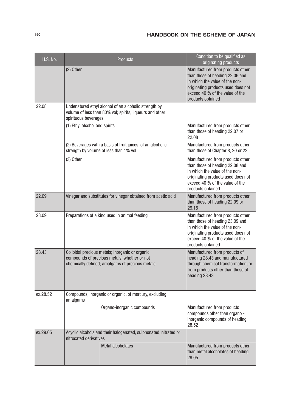| <b>H.S. No.</b> |                                                                    | <b>Products</b>                                                                                                                                    | Condition to be qualified as<br>originating products                                                                                                                                                |
|-----------------|--------------------------------------------------------------------|----------------------------------------------------------------------------------------------------------------------------------------------------|-----------------------------------------------------------------------------------------------------------------------------------------------------------------------------------------------------|
|                 | $(2)$ Other                                                        |                                                                                                                                                    | Manufactured from products other<br>than those of heading 22.06 and<br>in which the value of the non-<br>originating products used does not<br>exceed 40 % of the value of the<br>products obtained |
| 22.08           | spirituous beverages:                                              | Undenatured ethyl alcohol of an alcoholic strength by<br>volume of less than 80% vol; spirits, liqueurs and other                                  |                                                                                                                                                                                                     |
|                 | (1) Ethyl alcohol and spirits                                      |                                                                                                                                                    | Manufactured from products other<br>than those of heading 22.07 or<br>22.08                                                                                                                         |
|                 |                                                                    | (2) Beverages with a basis of fruit juices, of an alcoholic<br>strength by volume of less than 1% vol                                              | Manufactured from products other<br>than those of Chapter 8, 20 or 22                                                                                                                               |
|                 | $(3)$ Other                                                        |                                                                                                                                                    | Manufactured from products other<br>than those of heading 22.08 and<br>in which the value of the non-<br>originating products used does not<br>exceed 40 % of the value of the<br>products obtained |
| 22.09           | Vinegar and substitutes for vinegar obtained from acetic acid      |                                                                                                                                                    | Manufactured from products other<br>than those of heading 22.09 or<br>29.15                                                                                                                         |
| 23.09           | Preparations of a kind used in animal feeding                      |                                                                                                                                                    | Manufactured from products other<br>than those of heading 23.09 and<br>in which the value of the non-<br>originating products used does not<br>exceed 40 % of the value of the<br>products obtained |
| 28.43           |                                                                    | Colloidal precious metals; inorganic or organic<br>compounds of precious metals, whether or not<br>chemically defined; amalgams of precious metals | Manufactured from products of<br>heading 28.43 and manufactured<br>through chemical transformation, or<br>from products other than those of<br>heading 28.43                                        |
| ex.28.52        | Compounds, inorganic or organic, of mercury, excluding<br>amalgams |                                                                                                                                                    |                                                                                                                                                                                                     |
|                 |                                                                    | Organo-inorganic compounds                                                                                                                         | Manufactured from products<br>compounds other than organo -<br>inorganic compounds of heading<br>28.52                                                                                              |
| ex.29.05        | nitrosated derivatives                                             | Acyclic alcohols and their halogenated, sulphonated, nitrated or                                                                                   |                                                                                                                                                                                                     |
|                 |                                                                    | <b>Metal alcoholates</b>                                                                                                                           | Manufactured from products other<br>than metal alcoholates of heading<br>29.05                                                                                                                      |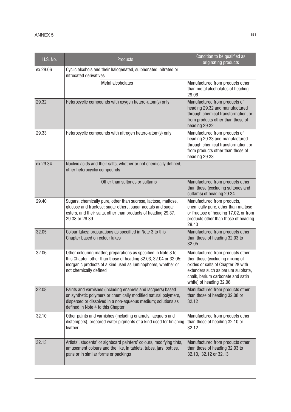| <b>H.S. No.</b> | Products                                                                                                                                                                                                                           |                                                                                                                                           | Condition to be qualified as<br>originating products                                                                                                                                                            |
|-----------------|------------------------------------------------------------------------------------------------------------------------------------------------------------------------------------------------------------------------------------|-------------------------------------------------------------------------------------------------------------------------------------------|-----------------------------------------------------------------------------------------------------------------------------------------------------------------------------------------------------------------|
| ex.29.06        | nitrosated derivatives                                                                                                                                                                                                             | Cyclic alcohols and their halogenated, sulphonated, nitrated or                                                                           |                                                                                                                                                                                                                 |
|                 |                                                                                                                                                                                                                                    | <b>Metal alcoholates</b>                                                                                                                  | Manufactured from products other<br>than metal alcoholates of heading<br>29.06                                                                                                                                  |
| 29.32           |                                                                                                                                                                                                                                    | Heterocyclic compounds with oxygen hetero-atom(s) only                                                                                    | Manufactured from products of<br>heading 29.32 and manufactured<br>through chemical transformation, or<br>from products other than those of<br>heading 29.32                                                    |
| 29.33           |                                                                                                                                                                                                                                    | Heterocyclic compounds with nitrogen hetero-atom(s) only                                                                                  | Manufactured from products of<br>heading 29.33 and manufactured<br>through chemical transformation, or<br>from products other than those of<br>heading 29.33                                                    |
| ex.29.34        | other heterocyclic compounds                                                                                                                                                                                                       | Nucleic acids and their salts, whether or not chemically defined,                                                                         |                                                                                                                                                                                                                 |
|                 |                                                                                                                                                                                                                                    | Other than sultones or sultams                                                                                                            | Manufactured from products other<br>than those (excluding sultones and<br>sultams) of heading 29.34                                                                                                             |
| 29.40           | Sugars, chemically pure, other than sucrose, lactose, maltose,<br>glucose and fructose; sugar ethers, sugar acetals and sugar<br>esters, and their salts, other than products of heading 29.37,<br>29.38 or 29.39                  |                                                                                                                                           | Manufactured from products,<br>chemically pure, other than maltose<br>or fructose of heading 17.02, or from<br>products other than those of heading<br>29.40                                                    |
| 32.05           | Colour lakes; preparations as specified in Note 3 to this<br>Chapter based on colour lakes                                                                                                                                         |                                                                                                                                           | Manufactured from products other<br>than those of heading 32.03 to<br>32.05                                                                                                                                     |
| 32.06           | Other colouring matter; preparations as specified in Note 3 to<br>this Chapter, other than those of heading 32.03, 32.04 or 32.05;<br>inorganic products of a kind used as luminophores, whether or<br>not chemically defined      |                                                                                                                                           | Manufactured from products other<br>then those (excluding mixing of<br>oxides or salts of Chapter 28 with<br>extenders such as barium sulphate,<br>chalk, barium carbonate and satin<br>white) of heading 32.06 |
| 32.08           | Paints and varnishes (including enamels and lacquers) based<br>on synthetic polymers or chemically modified natural polymers,<br>dispersed or dissolved in a non-aqueous medium; solutions as<br>defined in Note 4 to this Chapter |                                                                                                                                           | Manufactured from products other<br>than those of heading 32.08 or<br>32.12                                                                                                                                     |
| 32.10           | Other paints and varnishes (including enamels, lacquers and<br>distempers); prepared water pigments of a kind used for finishing<br>leather                                                                                        |                                                                                                                                           | Manufactured from products other<br>than those of heading 32.10 or<br>32.12                                                                                                                                     |
| 32.13           | pans or in similar forms or packings                                                                                                                                                                                               | Artists', students' or signboard painters' colours, modifying tints,<br>amusement colours and the like, in tablets, tubes, jars, bottles, | Manufactured from products other<br>than those of heading 32.03 to<br>32.10, 32.12 or 32.13                                                                                                                     |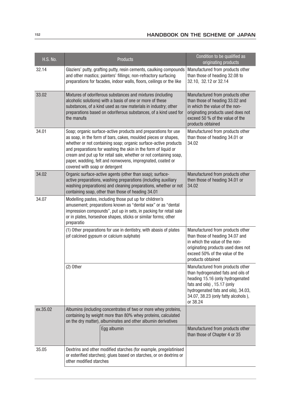| <b>H.S. No.</b> |                                                                                                                                                                                                                                                                                                                                                                                                                                            | <b>Products</b>                                                                                                                                                                                                                                               | Condition to be qualified as<br>originating products                                                                                                                                                                                |
|-----------------|--------------------------------------------------------------------------------------------------------------------------------------------------------------------------------------------------------------------------------------------------------------------------------------------------------------------------------------------------------------------------------------------------------------------------------------------|---------------------------------------------------------------------------------------------------------------------------------------------------------------------------------------------------------------------------------------------------------------|-------------------------------------------------------------------------------------------------------------------------------------------------------------------------------------------------------------------------------------|
| 32.14           |                                                                                                                                                                                                                                                                                                                                                                                                                                            | Glaziers' putty, grafting putty, resin cements, caulking compounds<br>and other mastics; painters' fillings; non-refractory surfacing<br>preparations for facades, indoor walls, floors, ceilings or the like                                                 | Manufactured from products other<br>than those of heading 32.08 to<br>32.10, 32.12 or 32.14                                                                                                                                         |
| 33.02           | the manufa                                                                                                                                                                                                                                                                                                                                                                                                                                 | Mixtures of odoriferous substances and mixtures (including<br>alcoholic solutions) with a basis of one or more of these<br>substances, of a kind used as raw materials in industry; other<br>preparations based on odoriferous substances, of a kind used for | Manufactured from products other<br>than those of heading 33.02 and<br>in which the value of the non-<br>originating products used does not<br>exceed 50 % of the value of the<br>products obtained                                 |
| 34.01           | Soap; organic surface-active products and preparations for use<br>as soap, in the form of bars, cakes, moulded pieces or shapes,<br>whether or not containing soap; organic surface-active products<br>and preparations for washing the skin in the form of liquid or<br>cream and put up for retail sale, whether or not containing soap,<br>paper, wadding, felt and nonwovens, impregnated, coated or<br>covered with soap or detergent |                                                                                                                                                                                                                                                               | Manufactured from products other<br>than those of heading 34.01 or<br>34.02                                                                                                                                                         |
| 34.02           |                                                                                                                                                                                                                                                                                                                                                                                                                                            | Organic surface-active agents (other than soap); surface-<br>active preparations, washing preparations (including auxiliary<br>washing preparations) and cleaning preparations, whether or not<br>containing soap, other than those of heading 34.01          | Manufactured from products other<br>then those of heading 34.01 or<br>34.02                                                                                                                                                         |
| 34.07           | Modelling pastes, including those put up for children's<br>amusement; preparations known as "dental wax" or as "dental<br>impression compounds", put up in sets, in packing for retail sale<br>or in plates, horseshoe shapes, sticks or similar forms; other<br>preparatio                                                                                                                                                                |                                                                                                                                                                                                                                                               |                                                                                                                                                                                                                                     |
|                 | (1) Other preparations for use in dentistry, with abasis of plates<br>(of calcined gypsum or calcium sulphate)                                                                                                                                                                                                                                                                                                                             |                                                                                                                                                                                                                                                               | Manufactured from products other<br>than those of heading 34.07 and<br>in which the value of the non-<br>originating products used does not<br>exceed 50% of the value of the<br>products obtained                                  |
|                 | $(2)$ Other                                                                                                                                                                                                                                                                                                                                                                                                                                |                                                                                                                                                                                                                                                               | Manufactured from products other<br>than hydrogenated fats and oils of<br>heading 15.16 (only hydrogenated<br>fats and oils), 15.17 (only<br>hydrogenated fats and oils), 34.03,<br>34.07, 38.23 (only fatty alcohols),<br>or 38.24 |
| ex.35.02        | Albumins (including concentrates of two or more whey proteins,<br>containing by weight more than 80% whey proteins, calculated<br>on the dry matter), albuminates and other albumin derivatives                                                                                                                                                                                                                                            |                                                                                                                                                                                                                                                               |                                                                                                                                                                                                                                     |
|                 |                                                                                                                                                                                                                                                                                                                                                                                                                                            | Egg albumin                                                                                                                                                                                                                                                   | Manufactured from products other<br>than those of Chapter 4 or 35                                                                                                                                                                   |
| 35.05           | other modified starches                                                                                                                                                                                                                                                                                                                                                                                                                    | Dextrins and other modified starches (for example, pregelatinised<br>or esterified starches); glues based on starches, or on dextrins or                                                                                                                      |                                                                                                                                                                                                                                     |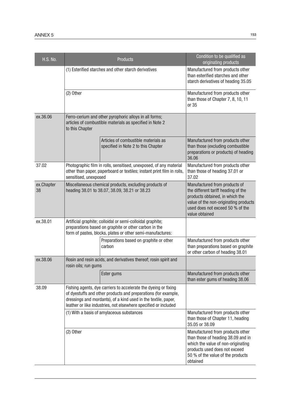| <b>H.S. No.</b>  |                                                                                                                                                                                                                                                                        | <b>Products</b>                                                             | Condition to be qualified as<br>originating products                                                                                                                                                   |
|------------------|------------------------------------------------------------------------------------------------------------------------------------------------------------------------------------------------------------------------------------------------------------------------|-----------------------------------------------------------------------------|--------------------------------------------------------------------------------------------------------------------------------------------------------------------------------------------------------|
|                  | (1) Esterified starches and other starch derivatives                                                                                                                                                                                                                   |                                                                             | Manufactured from products other<br>than esterified starches and other<br>starch derivatives of heading 35.05                                                                                          |
|                  | $(2)$ Other                                                                                                                                                                                                                                                            |                                                                             | Manufactured from products other<br>than those of Chapter 7, 8, 10, 11<br>or 35                                                                                                                        |
| ex.36.06         | Ferro-cerium and other pyrophoric alloys in all forms;<br>articles of combustible materials as specified in Note 2<br>to this Chapter                                                                                                                                  |                                                                             |                                                                                                                                                                                                        |
|                  |                                                                                                                                                                                                                                                                        | Articles of combustible materials as<br>specified in Note 2 to this Chapter | Manufactured from products other<br>than those (excluding combustible<br>preparations or products) of heading<br>36.06                                                                                 |
| 37.02            | Photographic film in rolls, sensitised, unexposed, of any material<br>other than paper, paperboard or textiles; instant print film in rolls,<br>sensitised, unexposed                                                                                                  |                                                                             | Manufactured from products other<br>than those of heading 37.01 or<br>37.02                                                                                                                            |
| ex.Chapter<br>38 | Miscellaneous chemical products, excluding products of<br>heading 38.01 to 38.07, 38.09, 38.21 or 38.23                                                                                                                                                                |                                                                             | Manufactured from products of<br>the different tariff heading of the<br>products obtained, in which the<br>value of the non-originating products<br>used does not exceed 50 % of the<br>value obtained |
| ex.38.01         | Artificial graphite; colloidal or semi-colloidal graphite;<br>preparations based on graphite or other carbon in the<br>form of pastes, blocks, plates or other semi-manufactures:                                                                                      |                                                                             |                                                                                                                                                                                                        |
|                  |                                                                                                                                                                                                                                                                        | Preparations based on graphite or other<br>carbon                           | Manufactured from products other<br>than preparations based on graphite<br>or other carbon of heading 38.01                                                                                            |
| ex.38.06         | rosin oils; run gums                                                                                                                                                                                                                                                   | Rosin and resin acids, and derivatives thereof; rosin spirit and            |                                                                                                                                                                                                        |
|                  |                                                                                                                                                                                                                                                                        | Ester gums                                                                  | Manufactured from products other<br>than ester gums of heading 38.06                                                                                                                                   |
| 38.09            | Fishing agents, dye carriers to accelerate the dyeing or fixing<br>of dyestuffs and other products and preparations (for example,<br>dressings and mordants), of a kind used in the textile, paper,<br>leather or like industries, not elsewhere specified or included |                                                                             |                                                                                                                                                                                                        |
|                  |                                                                                                                                                                                                                                                                        | (1) With a basis of amylaceous substances                                   | Manufactured from products other<br>than those of Chapter 11, heading<br>35.05 or 38.09                                                                                                                |
|                  | $(2)$ Other                                                                                                                                                                                                                                                            |                                                                             | Manufactured from products other<br>than those of heading 38.09 and in<br>which the value of non-originating<br>products used does not exceed<br>50 % of the value of the products<br>obtained         |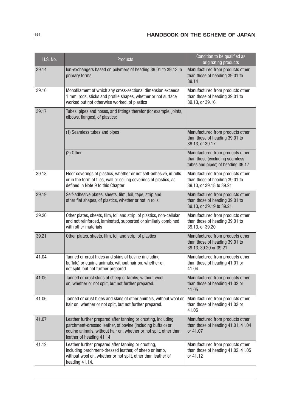| <b>H.S. No.</b> | <b>Products</b>                                                                                                                                                                                                                                                       | Condition to be qualified as<br>originating products                                                    |  |  |
|-----------------|-----------------------------------------------------------------------------------------------------------------------------------------------------------------------------------------------------------------------------------------------------------------------|---------------------------------------------------------------------------------------------------------|--|--|
| 39.14           | Ion-exchangers based on polymers of heading 39.01 to 39.13 in<br>primary forms                                                                                                                                                                                        | Manufactured from products other<br>than those of heading 39.01 to<br>39.14                             |  |  |
| 39.16           | Monofilament of which any cross-sectional dimension exceeds<br>Manufactured from products other<br>1 mm, rods, sticks and profile shapes, whether or not surface<br>than those of heading 39.01 to<br>39.13, or 39.16<br>worked but not otherwise worked, of plastics |                                                                                                         |  |  |
| 39.17           | Tubes, pipes and hoses, and fittings therefor (for example, joints,<br>elbows, flanges), of plastics:                                                                                                                                                                 |                                                                                                         |  |  |
|                 | (1) Seamless tubes and pipes                                                                                                                                                                                                                                          | Manufactured from products other<br>than those of heading 39.01 to<br>39.13, or 39.17                   |  |  |
|                 | $(2)$ Other                                                                                                                                                                                                                                                           | Manufactured from products other<br>than those (excluding seamless<br>tubes and pipes) of heading 39.17 |  |  |
| 39.18           | Floor coverings of plastics, whether or not self-adhesive, in rolls<br>or in the form of tiles; wall or ceiling coverings of plastics, as<br>defined in Note 9 to this Chapter                                                                                        | Manufactured from products other<br>than those of heading 39.01 to<br>39.13, or 39.18 to 39.21          |  |  |
| 39.19           | Self-adhesive plates, sheets, film, foil, tape, strip and<br>other flat shapes, of plastics, whether or not in rolls                                                                                                                                                  | Manufactured from products other<br>than those of heading 39.01 to<br>39.13, or 39.19 to 39.21          |  |  |
| 39.20           | Other plates, sheets, film, foil and strip, of plastics, non-cellular<br>and not reinforced, laminated, supported or similarly combined<br>with other materials                                                                                                       | Manufactured from products other<br>than those of heading 39.01 to<br>39.13, or 39.20                   |  |  |
| 39.21           | Other plates, sheets, film, foil and strip, of plastics                                                                                                                                                                                                               | Manufactured from products other<br>than those of heading 39.01 to<br>39.13, 39.20 or 39.21             |  |  |
| 41.04           | Tanned or crust hides and skins of bovine (including<br>buffalo) or equine animals, without hair on, whether or<br>not split, but not further prepared.                                                                                                               | Manufactured from products other<br>than those of heading 41.01 or<br>41.04                             |  |  |
| 41.05           | Tanned or crust skins of sheep or lambs, without wool<br>on, whether or not split, but not further prepared.                                                                                                                                                          | Manufactured from products other<br>than those of heading 41.02 or<br>41.05                             |  |  |
| 41.06           | Tanned or crust hides and skins of other animals, without wool or<br>hair on, whether or not split, but not further prepared.                                                                                                                                         | Manufactured from products other<br>than those of heading 41.03 or<br>41.06                             |  |  |
| 41.07           | Leather further prepared after tanning or crusting, including<br>parchment-dressed leather, of bovine (including buffalo) or<br>equine animals, without hair on, whether or not split, other than<br>leather of heading 41.14                                         | Manufactured from products other<br>than those of heading 41.01, 41.04<br>or 41.07                      |  |  |
| 41.12           | Leather further prepared after tanning or crusting,<br>including parchment-dressed leather, of sheep or lamb,<br>without wool on, whether or not split, other than leather of<br>heading 41.14.                                                                       | Manufactured from products other<br>than those of heading 41.02, 41.05<br>or 41.12                      |  |  |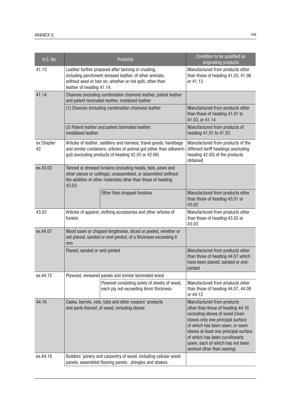| <b>H.S. No.</b>  |                                                                                                                                                                                                         | <b>Products</b>                                                                                                                                                                               | Condition to be qualified as<br>originating products                                                                                                                                                                                                                                                                    |
|------------------|---------------------------------------------------------------------------------------------------------------------------------------------------------------------------------------------------------|-----------------------------------------------------------------------------------------------------------------------------------------------------------------------------------------------|-------------------------------------------------------------------------------------------------------------------------------------------------------------------------------------------------------------------------------------------------------------------------------------------------------------------------|
| 41.13            | Leather further prepared after tanning or crusting,<br>including parchment-dressed leather, of other animals,<br>without wool or hair on, whether or not split, other than<br>leather of heading 41.14. |                                                                                                                                                                                               | Manufactured from products other<br>than those of heading 41.03, 41.06<br>or 41.13                                                                                                                                                                                                                                      |
| 41.14            |                                                                                                                                                                                                         | Chamois (including combination chamois) leather, patent leather<br>and patent laminated leather, metalized leather                                                                            |                                                                                                                                                                                                                                                                                                                         |
|                  |                                                                                                                                                                                                         | (1) Chamois (including combination chamois) leather                                                                                                                                           | Manufactured from products other<br>than those of heading 41.01 to<br>41.03, or 41.14                                                                                                                                                                                                                                   |
|                  | metallised leather                                                                                                                                                                                      | (2) Patent leather and patent laminated leather;                                                                                                                                              | Manufactured from products of<br>heading 41.01 to 41.03                                                                                                                                                                                                                                                                 |
| ex.Chapter<br>42 | Articles of leather; saddlery and harness; travel goods, handbags<br>and similar containers; articles of animal gut (other than silkworm<br>gut) (excluding products of heading 42.05 or 42.06)         |                                                                                                                                                                                               | Manufactured from products of the<br>different tariff headings (excluding<br>heading 42.05) of the products<br>obtained                                                                                                                                                                                                 |
| ex.43.02         | 43.03:                                                                                                                                                                                                  | Tanned or dressed furskins (including heads, tails, paws and<br>other pieces or cuttings), unassembled, or assembled (without<br>the addition of other materials) other than those of heading |                                                                                                                                                                                                                                                                                                                         |
|                  |                                                                                                                                                                                                         | Other than dropped furskins                                                                                                                                                                   | Manufactured from products other<br>than those of heading 43.01 or<br>43.02                                                                                                                                                                                                                                             |
| 43.03            | Articles of apparel, clothing accessories and other articles of<br>furskin                                                                                                                              |                                                                                                                                                                                               | Manufactured from products other<br>than those of heading 43.02 or<br>43.03                                                                                                                                                                                                                                             |
| ex.44.07         | Wood sawn or chipped lengthwise, sliced or peeled, whether or<br>not planed, sanded or end-jointed, of a thickness exceeding 6<br>mm                                                                    |                                                                                                                                                                                               |                                                                                                                                                                                                                                                                                                                         |
|                  | Planed, sanded or end-jointed                                                                                                                                                                           |                                                                                                                                                                                               | Manufactured from products other<br>than those of heading 44.07 which<br>have been planed, sanded or end-<br>jointed                                                                                                                                                                                                    |
| ex.44.12         |                                                                                                                                                                                                         | Plywood, veneered panels and similar laminated wood                                                                                                                                           |                                                                                                                                                                                                                                                                                                                         |
|                  |                                                                                                                                                                                                         | Plywood consisting solely of sheets of wood,<br>each ply not exceeding 6mm thickness                                                                                                          | Manufactured from products other<br>than those of heading 44.07, 44.08<br>or 44.12                                                                                                                                                                                                                                      |
| 44.16            |                                                                                                                                                                                                         | Casks, barrels, vats, tubs and other coopers' products<br>and parts thereof, of wood, including staves                                                                                        | Manufactured from products<br>other than those of heading 44.16<br>excluding staves of wood (riven<br>staves only one principal surface<br>of which has been sawn, or sawn<br>staves at least one principal surface<br>of which has been curvilinearly<br>sawn, each of which has not been<br>worked other than sawing) |
| ex.44.18         |                                                                                                                                                                                                         | Builders' joinery and carpentry of wood, including cellular wood<br>panels, assembled flooring panels, shingles and shakes.                                                                   |                                                                                                                                                                                                                                                                                                                         |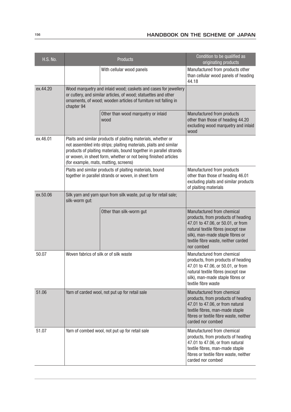| <b>H.S. No.</b> | <b>Products</b>                                                                                                                                                                                                     |                                                                                                                                                                                                                                                                             | Condition to be qualified as<br>originating products                                                                                                                                                                                 |
|-----------------|---------------------------------------------------------------------------------------------------------------------------------------------------------------------------------------------------------------------|-----------------------------------------------------------------------------------------------------------------------------------------------------------------------------------------------------------------------------------------------------------------------------|--------------------------------------------------------------------------------------------------------------------------------------------------------------------------------------------------------------------------------------|
|                 |                                                                                                                                                                                                                     | With cellular wood panels                                                                                                                                                                                                                                                   | Manufactured from products other<br>than cellular wood panels of heading<br>44.18                                                                                                                                                    |
| ex.44.20        | Wood marquetry and inlaid wood; caskets and cases for jewellery<br>or cutlery, and similar articles, of wood; statuettes and other<br>ornaments, of wood; wooden articles of furniture not falling in<br>chapter 94 |                                                                                                                                                                                                                                                                             |                                                                                                                                                                                                                                      |
|                 |                                                                                                                                                                                                                     | Other than wood marquetry or inlaid<br>wood                                                                                                                                                                                                                                 | Manufactured from products<br>other than those of heading 44.20<br>excluding wood marquetry and inlaid<br>wood                                                                                                                       |
| ex.46.01        | (for example, mats, matting, screens)                                                                                                                                                                               | Plaits and similar products of plaiting materials, whether or<br>not assembled into strips; plaiting materials, plaits and similar<br>products of plaiting materials, bound together in parallel strands<br>or woven, in sheet form, whether or not being finished articles |                                                                                                                                                                                                                                      |
|                 |                                                                                                                                                                                                                     | Plaits and similar products of plaiting materials, bound<br>together in parallel strands or woven, in sheet form                                                                                                                                                            | Manufactured from products<br>other than those of heading 46.01<br>excluding plaits and similar products<br>of plaiting materials                                                                                                    |
| ex.50.06        | silk-worm gut:                                                                                                                                                                                                      | Silk yarn and yarn spun from silk waste, put up for retail sale;                                                                                                                                                                                                            |                                                                                                                                                                                                                                      |
|                 |                                                                                                                                                                                                                     | Other than silk-worm gut                                                                                                                                                                                                                                                    | Manufactured from chemical<br>products, from products of heading<br>47.01 to 47.06, or 50.01, or from<br>natural textile fibres (except raw<br>silk), man-made staple fibres or<br>textile fibre waste, neither carded<br>nor combed |
| 50.07           | Woven fabrics of silk or of silk waste                                                                                                                                                                              |                                                                                                                                                                                                                                                                             | Manufactured from chemical<br>products, from products of heading<br>47.01 to 47.06, or 50.01, or from<br>natural textile fibres (except raw<br>silk), man-made staple fibres or<br>textile fibre waste                               |
| 51.06           | Yarn of carded wool, not put up for retail sale                                                                                                                                                                     |                                                                                                                                                                                                                                                                             | Manufactured from chemical<br>products, from products of heading<br>47.01 to 47.06, or from natural<br>textile fibres, man-made staple<br>fibres or textile fibre waste, neither<br>carded nor combed                                |
| 51.07           | Yarn of combed wool, not put up for retail sale                                                                                                                                                                     |                                                                                                                                                                                                                                                                             | Manufactured from chemical<br>products, from products of heading<br>47.01 to 47.06, or from natural<br>textile fibres, man-made staple<br>fibres or textile fibre waste, neither<br>carded nor combed                                |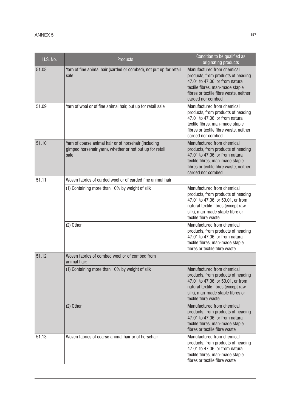| <b>H.S. No.</b> | <b>Products</b>                                                                                                           | Condition to be qualified as<br>originating products                                                                                                                                                   |
|-----------------|---------------------------------------------------------------------------------------------------------------------------|--------------------------------------------------------------------------------------------------------------------------------------------------------------------------------------------------------|
| 51.08           | Yarn of fine animal hair (carded or combed), not put up for retail<br>sale                                                | Manufactured from chemical<br>products, from products of heading<br>47.01 to 47.06, or from natural<br>textile fibres, man-made staple<br>fibres or textile fibre waste, neither<br>carded nor combed  |
| 51.09           | Yarn of wool or of fine animal hair, put up for retail sale                                                               | Manufactured from chemical<br>products, from products of heading<br>47.01 to 47.06, or from natural<br>textile fibres, man-made staple<br>fibres or textile fibre waste, neither<br>carded nor combed  |
| 51.10           | Yarn of coarse animal hair or of horsehair (including<br>gimped horsehair yarn), whether or not put up for retail<br>sale | Manufactured from chemical<br>products, from products of heading<br>47.01 to 47.06, or from natural<br>textile fibres, man-made staple<br>fibres or textile fibre waste, neither<br>carded nor combed  |
| 51.11           | Woven fabrics of carded wool or of carded fine animal hair:                                                               |                                                                                                                                                                                                        |
|                 | (1) Containing more than 10% by weight of silk                                                                            | Manufactured from chemical<br>products, from products of heading<br>47.01 to 47.06, or 50.01, or from<br>natural textile fibres (except raw<br>silk), man-made staple fibre or<br>textile fibre waste  |
|                 | (2) Other                                                                                                                 | Manufactured from chemical<br>products, from products of heading<br>47.01 to 47.06, or from natural<br>textile fibres, man-made staple<br>fibres or textile fibre waste                                |
| 51.12           | Woven fabrics of combed wool or of combed from<br>animal hair:                                                            |                                                                                                                                                                                                        |
|                 | (1) Containing more than 10% by weight of silk                                                                            | Manufactured from chemical<br>products, from products of heading<br>47.01 to 47.06, or 50.01, or from<br>natural textile fibres (except raw<br>silk), man-made staple fibres or<br>textile fibre waste |
|                 | $(2)$ Other                                                                                                               | Manufactured from chemical<br>products, from products of heading<br>47.01 to 47.06, or from natural<br>textile fibres, man-made staple<br>fibres or textile fibre waste                                |
| 51.13           | Woven fabrics of coarse animal hair or of horsehair                                                                       | Manufactured from chemical<br>products, from products of heading<br>47.01 to 47.06, or from natural<br>textile fibres, man-made staple<br>fibres or textile fibre waste                                |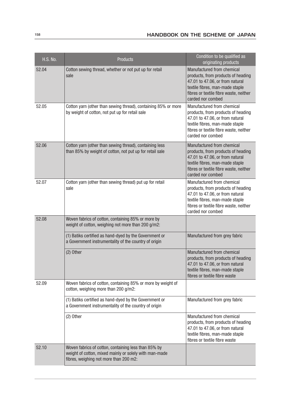| <b>H.S. No.</b> | <b>Products</b>                                                                                                                                          | Condition to be qualified as<br>originating products                                                                                                                                                  |
|-----------------|----------------------------------------------------------------------------------------------------------------------------------------------------------|-------------------------------------------------------------------------------------------------------------------------------------------------------------------------------------------------------|
| 52.04           | Cotton sewing thread, whether or not put up for retail<br>sale                                                                                           | Manufactured from chemical<br>products, from products of heading<br>47.01 to 47.06, or from natural<br>textile fibres, man-made staple<br>fibres or textile fibre waste, neither<br>carded nor combed |
| 52.05           | Cotton yarn (other than sewing thread), containing 85% or more<br>by weight of cotton, not put up for retail sale                                        | Manufactured from chemical<br>products, from products of heading<br>47.01 to 47.06, or from natural<br>textile fibres, man-made staple<br>fibres or textile fibre waste, neither<br>carded nor combed |
| 52.06           | Cotton yarn (other than sewing thread), containing less<br>than 85% by weight of cotton, not put up for retail sale                                      | Manufactured from chemical<br>products, from products of heading<br>47.01 to 47.06, or from natural<br>textile fibres, man-made staple<br>fibres or textile fibre waste, neither<br>carded nor combed |
| 52.07           | Cotton yarn (other than sewing thread) put up for retail<br>sale                                                                                         | Manufactured from chemical<br>products, from products of heading<br>47.01 to 47.06, or from natural<br>textile fibres, man-made staple<br>fibres or textile fibre waste, neither<br>carded nor combed |
| 52.08           | Woven fabrics of cotton, containing 85% or more by<br>weight of cotton, weighing not more than 200 g/m2:                                                 |                                                                                                                                                                                                       |
|                 | (1) Batiks certified as hand-dyed by the Government or<br>a Government instrumentality of the country of origin                                          | Manufactured from grey fabric                                                                                                                                                                         |
|                 | $(2)$ Other                                                                                                                                              | Manufactured from chemical<br>products, from products of heading<br>47.01 to 47.06, or from natural<br>textile fibres, man-made staple<br>fibres or textile fibre waste                               |
| 52.09           | Woven fabrics of cotton, containing 85% or more by weight of<br>cotton, weighing more than 200 g/m2:                                                     |                                                                                                                                                                                                       |
|                 | (1) Batiks certified as hand-dyed by the Government or<br>a Government instrumentality of the country of origin                                          | Manufactured from grey fabric                                                                                                                                                                         |
|                 | $(2)$ Other                                                                                                                                              | Manufactured from chemical<br>products, from products of heading<br>47.01 to 47.06, or from natural<br>textile fibres, man-made staple<br>fibres or textile fibre waste                               |
| 52.10           | Woven fabrics of cotton, containing less than 85% by<br>weight of cotton, mixed mainly or solely with man-made<br>fibres, weighing not more than 200 m2: |                                                                                                                                                                                                       |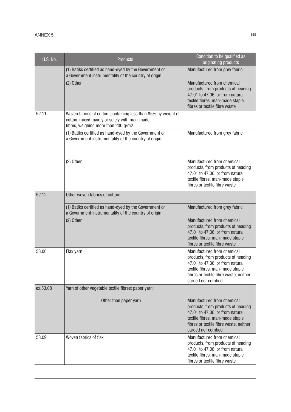| <b>H.S. No.</b> |                                      | <b>Products</b>                                                                                                 | Condition to be qualified as<br>originating products                                                                                                                                                     |
|-----------------|--------------------------------------|-----------------------------------------------------------------------------------------------------------------|----------------------------------------------------------------------------------------------------------------------------------------------------------------------------------------------------------|
|                 | (2) Other                            | (1) Batiks certified as hand-dyed by the Government or<br>a Government instrumentality of the country of origin | Manufactured from grey fabric<br>Manufactured from chemical<br>products, from products of heading<br>47.01 to 47.06, or from natural<br>textile fibres, man-made staple<br>fibres or textile fibre waste |
| 52.11           | fibres, weighing more than 200 g/m2: | Woven fabrics of cotton, containing less than 85% by weight of<br>cotton, mixed mainly or solely with man-made  |                                                                                                                                                                                                          |
|                 |                                      | (1) Batiks certified as hand-dyed by the Government or<br>a Government instrumentality of the country of origin | Manufactured from grey fabric                                                                                                                                                                            |
|                 | $(2)$ Other                          |                                                                                                                 | Manufactured from chemical<br>products, from products of heading<br>47.01 to 47.06, or from natural<br>textile fibres, man-made staple<br>fibres or textile fibre waste                                  |
| 52.12           | Other woven fabrics of cotton:       |                                                                                                                 |                                                                                                                                                                                                          |
|                 |                                      | (1) Batiks certified as hand-dyed by the Government or<br>a Government instrumentality of the country of origin | Manufactured from grey fabric                                                                                                                                                                            |
|                 | (2) Other                            |                                                                                                                 | Manufactured from chemical<br>products, from products of heading<br>47.01 to 47.06, or from natural<br>textile fibres, man-made staple<br>fibres or textile fibre waste                                  |
| 53.06           | Flax yarn                            |                                                                                                                 | Manufactured from chemical<br>products, from products of heading<br>47.01 to 47.06, or from natural<br>textile fibres, man-made staple<br>fibres or textile fibre waste, neither<br>carded nor combed    |
| ex.53.08        |                                      | Yarn of other vegetable textile fibres; paper yarn:                                                             |                                                                                                                                                                                                          |
|                 |                                      | Other than paper yarn                                                                                           | Manufactured from chemical<br>products, from products of heading<br>47.01 to 47.06, or from natural<br>textile fibres, man-made staple<br>fibres or textile fibre waste, neither<br>carded nor combed    |
| 53.09           | Woven fabrics of flax                |                                                                                                                 | Manufactured from chemical<br>products, from products of heading<br>47.01 to 47.06, or from natural<br>textile fibres, man-made staple<br>fibres or textile fibre waste                                  |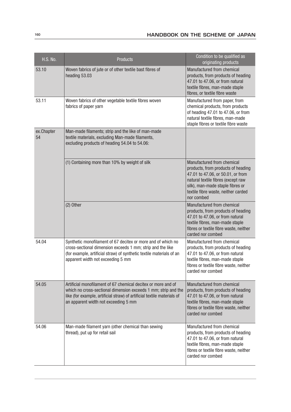| <b>H.S. No.</b>  | <b>Products</b>                                                                                                                                                                                                                                    | Condition to be qualified as<br>originating products                                                                                                                                                                                 |
|------------------|----------------------------------------------------------------------------------------------------------------------------------------------------------------------------------------------------------------------------------------------------|--------------------------------------------------------------------------------------------------------------------------------------------------------------------------------------------------------------------------------------|
| 53.10            | Woven fabrics of jute or of other textile bast fibres of<br>heading 53.03                                                                                                                                                                          | Manufactured from chemical<br>products, from products of heading<br>47.01 to 47.06, or from natural<br>textile fibres, man-made staple<br>fibres, or textile fibre waste                                                             |
| 53.11            | Woven fabrics of other vegetable textile fibres woven<br>fabrics of paper yarn                                                                                                                                                                     | Manufactured from paper, from<br>chemical products, from products<br>of heading 47.01 to 47.06, or from<br>natural textile fibres, man-made<br>staple fibres or textile fibre waste                                                  |
| ex.Chapter<br>54 | Man-made filaments; strip and the like of man-made<br>textile materials, excluding Man-made filaments,<br>excluding products of heading 54.04 to 54.06:                                                                                            |                                                                                                                                                                                                                                      |
|                  | (1) Containing more than 10% by weight of silk                                                                                                                                                                                                     | Manufactured from chemical<br>products, from products of heading<br>47.01 to 47.06, or 50.01, or from<br>natural textile fibres (except raw<br>silk), man-made staple fibres or<br>textile fibre waste, neither carded<br>nor combed |
|                  | (2) Other                                                                                                                                                                                                                                          | Manufactured from chemical<br>products, from products of heading<br>47.01 to 47.06, or from natural<br>textile fibres, man-made staple<br>fibres or textile fibre waste, neither<br>carded nor combed                                |
| 54.04            | Synthetic monofilament of 67 decitex or more and of which no<br>cross-sectional dimension exceeds 1 mm; strip and the like<br>(for example, artificial straw) of synthetic textile materials of an<br>apparent width not exceeding 5 mm            | Manufactured from chemical<br>products, from products of heading<br>47.01 to 47.06, or from natural<br>textile fibres, man-made staple<br>fibres or textile fibre waste, neither<br>carded nor combed                                |
| 54.05            | Artificial monofilament of 67 chemical decitex or more and of<br>which no cross-sectional dimension exceeds 1 mm; strip and the<br>like (for example, artificial straw) of artificial textile materials of<br>an apparent width not exceeding 5 mm | Manufactured from chemical<br>products, from products of heading<br>47.01 to 47.06, or from natural<br>textile fibres, man-made staple<br>fibres or textile fibre waste, neither<br>carded nor combed                                |
| 54.06            | Man-made filament yarn (other chemical than sewing<br>thread), put up for retail sail                                                                                                                                                              | Manufactured from chemical<br>products, from products of heading<br>47.01 to 47.06, or from natural<br>textile fibres, man-made staple<br>fibres or textile fibre waste, neither<br>carded nor combed                                |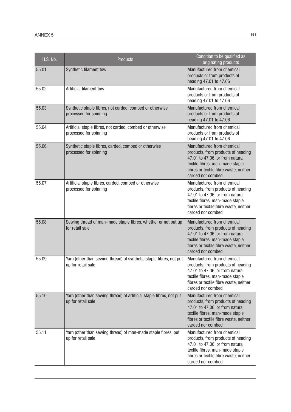| <b>H.S. No.</b> | Products                                                                                   | Condition to be qualified as<br>originating products                                                                                                                                                  |
|-----------------|--------------------------------------------------------------------------------------------|-------------------------------------------------------------------------------------------------------------------------------------------------------------------------------------------------------|
| 55.01           | Synthetic filament tow                                                                     | Manufactured from chemical<br>products or from products of<br>heading 47.01 to 47.06                                                                                                                  |
| 55.02           | Artificial filament tow                                                                    | Manufactured from chemical<br>products or from products of<br>heading 47.01 to 47.06                                                                                                                  |
| 55.03           | Synthetic staple fibres, not carded, combed or otherwise<br>processed for spinning         | Manufactured from chemical<br>products or from products of<br>heading 47.01 to 47.06                                                                                                                  |
| 55.04           | Artificial staple fibres, not carded, combed or otherwise<br>processed for spinning        | Manufactured from chemical<br>products or from products of<br>heading 47.01 to 47.06                                                                                                                  |
| 55.06           | Synthetic staple fibres, carded, combed or otherwise<br>processed for spinning             | Manufactured from chemical<br>products, from products of heading<br>47.01 to 47.06, or from natural<br>textile fibres, man-made staple<br>fibres or textile fibre waste, neither<br>carded nor combed |
| 55.07           | Artificial staple fibres, carded, combed or otherwise<br>processed for spinning            | Manufactured from chemical<br>products, from products of heading<br>47.01 to 47.06, or from natural<br>textile fibres, man-made staple<br>fibres or textile fibre waste, neither<br>carded nor combed |
| 55.08           | Sewing thread of man-made staple fibres, whether or not put up<br>for retail sale          | Manufactured from chemical<br>products, from products of heading<br>47.01 to 47.06, or from natural<br>textile fibres, man-made staple<br>fibres or textile fibre waste, neither<br>carded nor combed |
| 55.09           | Yarn (other than sewing thread) of synthetic staple fibres, not put<br>up for retail sale  | Manufactured from chemical<br>products, from products of heading<br>47.01 to 47.06, or from natural<br>textile fibres, man-made staple<br>fibres or textile fibre waste, neither<br>carded nor combed |
| 55.10           | Yarn (other than sewing thread) of artificial staple fibres, not put<br>up for retail sale | Manufactured from chemical<br>products, from products of heading<br>47.01 to 47.06, or from natural<br>textile fibres, man-made staple<br>fibres or textile fibre waste, neither<br>carded nor combed |
| 55.11           | Yarn (other than sewing thread) of man-made staple fibres, put<br>up for retail sale       | Manufactured from chemical<br>products, from products of heading<br>47.01 to 47.06, or from natural<br>textile fibres, man-made staple<br>fibres or textile fibre waste, neither<br>carded nor combed |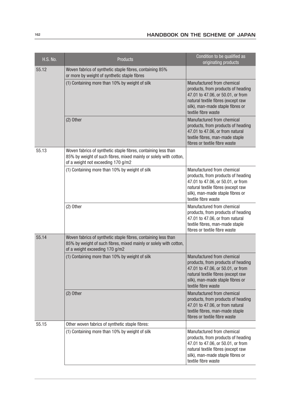| <b>H.S. No.</b> | <b>Products</b>                                                                                                                                                           | Condition to be qualified as<br>originating products                                                                                                                                                   |
|-----------------|---------------------------------------------------------------------------------------------------------------------------------------------------------------------------|--------------------------------------------------------------------------------------------------------------------------------------------------------------------------------------------------------|
| 55.12           | Woven fabrics of synthetic staple fibres, containing 85%<br>or more by weight of synthetic staple fibres                                                                  |                                                                                                                                                                                                        |
|                 | (1) Containing more than 10% by weight of silk                                                                                                                            | Manufactured from chemical<br>products, from products of heading<br>47.01 to 47.06, or 50.01, or from<br>natural textile fibres (except raw<br>silk), man-made staple fibres or<br>textile fibre waste |
|                 | $(2)$ Other                                                                                                                                                               | Manufactured from chemical<br>products, from products of heading<br>47.01 to 47.06, or from natural<br>textile fibres, man-made staple<br>fibres or textile fibre waste                                |
| 55.13           | Woven fabrics of synthetic staple fibres, containing less than<br>85% by weight of such fibres, mixed mainly or solely with cotton,<br>of a weight not exceeding 170 g/m2 |                                                                                                                                                                                                        |
|                 | (1) Containing more than 10% by weight of silk                                                                                                                            | Manufactured from chemical<br>products, from products of heading<br>47.01 to 47.06, or 50.01, or from<br>natural textile fibres (except raw<br>silk), man-made staple fibres or<br>textile fibre waste |
|                 | (2) Other                                                                                                                                                                 | Manufactured from chemical<br>products, from products of heading<br>47.01 to 47.06, or from natural<br>textile fibres, man-made staple<br>fibres or textile fibre waste                                |
| 55.14           | Woven fabrics of synthetic staple fibres, containing less than<br>85% by weight of such fibres, mixed mainly or solely with cotton,<br>of a weight exceeding 170 g/m2     |                                                                                                                                                                                                        |
|                 | (1) Containing more than 10% by weight of silk                                                                                                                            | Manufactured from chemical<br>products, from products of heading<br>47.01 to 47.06, or 50.01, or from<br>natural textile fibres (except raw<br>silk), man-made staple fibres or<br>textile fibre waste |
|                 | $(2)$ Other                                                                                                                                                               | Manufactured from chemical<br>products, from products of heading<br>47.01 to 47.06, or from natural<br>textile fibres, man-made staple<br>fibres or textile fibre waste                                |
| 55.15           | Other woven fabrics of synthetic staple fibres:                                                                                                                           |                                                                                                                                                                                                        |
|                 | (1) Containing more than 10% by weight of silk                                                                                                                            | Manufactured from chemical<br>products, from products of heading<br>47.01 to 47.06, or 50.01, or from<br>natural textile fibres (except raw<br>silk), man-made staple fibres or<br>textile fibre waste |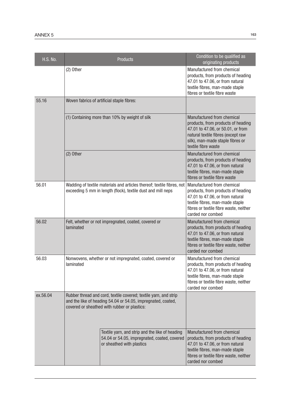| <b>H.S. No.</b> |                                                                                                                                                                                  | <b>Products</b>                                                                                                              | Condition to be qualified as<br>originating products                                                                                                                                                   |
|-----------------|----------------------------------------------------------------------------------------------------------------------------------------------------------------------------------|------------------------------------------------------------------------------------------------------------------------------|--------------------------------------------------------------------------------------------------------------------------------------------------------------------------------------------------------|
|                 | $(2)$ Other                                                                                                                                                                      |                                                                                                                              | Manufactured from chemical<br>products, from products of heading<br>47.01 to 47.06, or from natural<br>textile fibres, man-made staple<br>fibres or textile fibre waste                                |
| 55.16           |                                                                                                                                                                                  | Woven fabrics of artificial staple fibres:                                                                                   |                                                                                                                                                                                                        |
|                 |                                                                                                                                                                                  | (1) Containing more than 10% by weight of silk                                                                               | Manufactured from chemical<br>products, from products of heading<br>47.01 to 47.06, or 50.01, or from<br>natural textile fibres (except raw<br>silk), man-made staple fibres or<br>textile fibre waste |
|                 | (2) Other                                                                                                                                                                        |                                                                                                                              | Manufactured from chemical<br>products, from products of heading<br>47.01 to 47.06, or from natural<br>textile fibres, man-made staple<br>fibres or textile fibre waste                                |
| 56.01           | Wadding of textile materials and articles thereof; textile fibres, not<br>exceeding 5 mm in length (flock), textile dust and mill neps                                           |                                                                                                                              | Manufactured from chemical<br>products, from products of heading<br>47.01 to 47.06, or from natural<br>textile fibres, man-made staple<br>fibres or textile fibre waste, neither<br>carded nor combed  |
| 56.02           | Felt, whether or not impregnated, coated, covered or<br>laminated                                                                                                                |                                                                                                                              | Manufactured from chemical<br>products, from products of heading<br>47.01 to 47.06, or from natural<br>textile fibres, man-made staple<br>fibres or textile fibre waste, neither<br>carded nor combed  |
| 56.03           | Nonwovens, whether or not impregnated, coated, covered or<br>laminated                                                                                                           |                                                                                                                              | Manufactured from chemical<br>products, from products of heading<br>47.01 to 47.06, or from natural<br>textile fibres, man-made staple<br>fibres or textile fibre waste, neither<br>carded nor combed  |
| ex.56.04        | Rubber thread and cord, textile covered; textile yarn, and strip<br>and the like of heading 54.04 or 54.05, impregnated, coated,<br>covered or sheathed with rubber or plastics: |                                                                                                                              |                                                                                                                                                                                                        |
|                 |                                                                                                                                                                                  | Textile yarn, and strip and the like of heading<br>54.04 or 54.05, impregnated, coated, covered<br>or sheathed with plastics | Manufactured from chemical<br>products, from products of heading<br>47.01 to 47.06, or from natural<br>textile fibres, man-made staple<br>fibres or textile fibre waste, neither<br>carded nor combed  |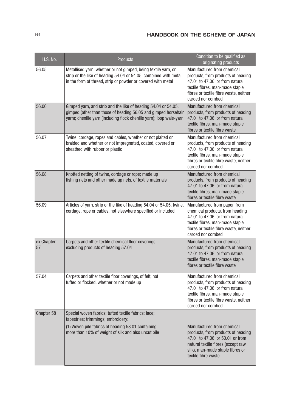| <b>H.S. No.</b>  | <b>Products</b>                                                                                                                                                                                          | Condition to be qualified as<br>originating products                                                                                                                                                  |
|------------------|----------------------------------------------------------------------------------------------------------------------------------------------------------------------------------------------------------|-------------------------------------------------------------------------------------------------------------------------------------------------------------------------------------------------------|
| 56.05            | Metallised yarn, whether or not gimped, being textile yarn, or<br>strip or the like of heading 54.04 or 54.05, combined with metal<br>in the form of thread, strip or powder or covered with metal       | Manufactured from chemical<br>products, from products of heading<br>47.01 to 47.06, or from natural<br>textile fibres, man-made staple<br>fibres or textile fibre waste, neither<br>carded nor combed |
| 56.06            | Gimped yarn, and strip and the like of heading 54.04 or 54.05,<br>gimped (other than those of heading 56.05 and gimped horsehair<br>yarn); chenille yarn (including flock chenille yarn); loop wale-yarn | Manufactured from chemical<br>products, from products of heading<br>47.01 to 47.06, or from natural<br>textile fibres, man-made staple<br>fibres or textile fibre waste                               |
| 56.07            | Twine, cordage, ropes and cables, whether or not plaited or<br>braided and whether or not impregnated, coated, covered or<br>sheathed with rubber or plastic                                             | Manufactured from chemical<br>products, from products of heading<br>47.01 to 47.06, or from natural<br>textile fibres, man-made staple<br>fibres or textile fibre waste, neither<br>carded nor combed |
| 56.08            | Knotted netting of twine, cordage or rope; made up<br>fishing nets and other made up nets, of textile materials                                                                                          | Manufactured from chemical<br>products, from products of heading<br>47.01 to 47.06, or from natural<br>textile fibres, man-made staple<br>fibres or textile fibre waste                               |
| 56.09            | Articles of yarn, strip or the like of heading 54.04 or 54.05, twine,<br>cordage, rope or cables, not elsewhere specified or included                                                                    | Manufactured from paper, from<br>chemical products, from heading<br>47.01 to 47.06, or from natural<br>textile fibres, man-made staple<br>fibres or textile fibre waste, neither<br>carded nor combed |
| ex.Chapter<br>57 | Carpets and other textile chemical floor coverings,<br>excluding products of heading 57.04                                                                                                               | Manufactured from chemical<br>products, from products of heading<br>47.01 to 47.06, or from natural<br>textile fibres, man-made staple<br>fibres or textile fibre waste                               |
| 57.04            | Carpets and other textile floor coverings, of felt, not<br>tufted or flocked, whether or not made up                                                                                                     | Manufactured from chemical<br>products, from products of heading<br>47.01 to 47.06, or from natural<br>textile fibres, man-made staple<br>fibres or textile fibre waste, neither<br>carded nor combed |
| Chapter 58       | Special woven fabrics; tufted textile fabrics; lace;<br>tapestries; trimmings; embroidery:                                                                                                               |                                                                                                                                                                                                       |
|                  | (1) Woven pile fabrics of heading 58.01 containing<br>more than 10% of weight of silk and also uncut pile                                                                                                | Manufactured from chemical<br>products, from products of heading<br>47.01 to 47.06, or 50.01 or from<br>natural textile fibres (except raw<br>silk), man-made staple fibres or<br>textile fibre waste |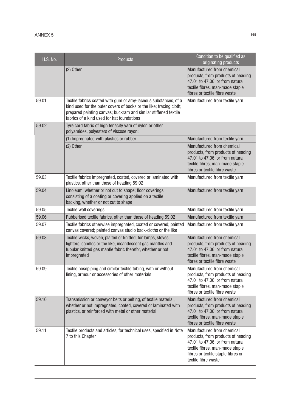| <b>H.S. No.</b> | <b>Products</b>                                                                                                                                                                                                                                         | Condition to be qualified as<br>originating products                                                                                                                                                |
|-----------------|---------------------------------------------------------------------------------------------------------------------------------------------------------------------------------------------------------------------------------------------------------|-----------------------------------------------------------------------------------------------------------------------------------------------------------------------------------------------------|
|                 | $(2)$ Other                                                                                                                                                                                                                                             | Manufactured from chemical<br>products, from products of heading<br>47.01 to 47.06, or from natural<br>textile fibres, man-made staple<br>fibres or textile fibre waste                             |
| 59.01           | Textile fabrics coated with gum or amy-laceous substances, of a<br>kind used for the outer covers of books or the like; tracing cloth;<br>prepared painting canvas; buckram and similar stiffened textile<br>fabrics of a kind used for hat foundations | Manufactured from textile yarn                                                                                                                                                                      |
| 59.02           | Tyre cord fabric of high tenacity yarn of nylon or other<br>polyamides, polyesters of viscose rayon:                                                                                                                                                    |                                                                                                                                                                                                     |
|                 | (1) Impregnated with plastics or rubber                                                                                                                                                                                                                 | Manufactured from textile yarn                                                                                                                                                                      |
|                 | $(2)$ Other                                                                                                                                                                                                                                             | Manufactured from chemical<br>products, from products of heading<br>47.01 to 47.06, or from natural<br>textile fibres, man-made staple<br>fibres or textile fibre waste                             |
| 59.03           | Textile fabrics impregnated, coated, covered or laminated with<br>plastics, other than those of heading 59.02                                                                                                                                           | Manufactured from textile yarn                                                                                                                                                                      |
| 59.04           | Linoleum, whether or not cut to shape; floor coverings<br>consisting of a coating or covering applied on a textile<br>backing, whether or not cut to shape                                                                                              | Manufactured from textile yarn                                                                                                                                                                      |
| 59.05           | Textile wall coverings                                                                                                                                                                                                                                  | Manufactured from textile yarn                                                                                                                                                                      |
| 59.06           | Rubberised textile fabrics, other than those of heading 59.02                                                                                                                                                                                           | Manufactured from textile yarn                                                                                                                                                                      |
| 59.07           | Textile fabrics otherwise impregnated, coated or covered; painted<br>canvas covered; painted canvas studio back-cloths or the like                                                                                                                      | Manufactured from textile yarn                                                                                                                                                                      |
| 59.08           | Textile wicks, woven, plaited or knitted, for lamps, stoves,<br>lighters, candles or the like; incandescent gas mantles and<br>tubular knitted gas mantle fabric therefor, whether or not<br>impregnated                                                | Manufactured from chemical<br>products, from products of heading<br>47.01 to 47.06, or from natural<br>textile fibres, man-made staple<br>fibres or textile fibre waste                             |
| 59.09           | Textile hosepiping and similar textile tubing, with or without<br>lining, armour or accessories of other materials                                                                                                                                      | Manufactured from chemical<br>products, from products of heading<br>47.01 to 47.06, or from natural<br>textile fibres, man-made staple<br>fibres or textile fibre waste                             |
| 59.10           | Transmission or conveyor belts or belting, of textile material,<br>whether or not impregnated, coated, covered or laminated with<br>plastics, or reinforced with metal or other material                                                                | Manufactured from chemical<br>products, from products of heading<br>47.01 to 47.06, or from natural<br>textile fibres, man-made staple<br>fibres or textile fibre waste                             |
| 59.11           | Textile products and articles, for technical uses, specified in Note<br>7 to this Chapter                                                                                                                                                               | Manufactured from chemical<br>products, from products of heading<br>47.01 to 47.06, or from natural<br>textile fibres, man-made staple<br>fibres or textile staple fibres or<br>textile fibre waste |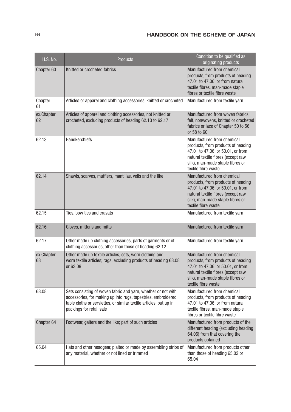| <b>H.S. No.</b>  | Products                                                                                                                                                                                                                         | Condition to be qualified as<br>originating products                                                                                                                                                   |
|------------------|----------------------------------------------------------------------------------------------------------------------------------------------------------------------------------------------------------------------------------|--------------------------------------------------------------------------------------------------------------------------------------------------------------------------------------------------------|
| Chapter 60       | Knitted or crocheted fabrics                                                                                                                                                                                                     | Manufactured from chemical<br>products, from products of heading<br>47.01 to 47.06, or from natural<br>textile fibres, man-made staple<br>fibres or textile fibre waste                                |
| Chapter<br>61    | Articles or apparel and clothing accessories, knitted or crocheted                                                                                                                                                               | Manufactured from textile yarn                                                                                                                                                                         |
| ex.Chapter<br>62 | Articles of apparel and clothing accessories, not knitted or<br>crocheted, excluding products of heading 62.13 to 62.17                                                                                                          | Manufactured from woven fabrics,<br>felt, nonwovens, knitted or crocheted<br>fabrics or lace of Chapter 50 to 56<br>or 58 to 60                                                                        |
| 62.13            | Handkerchiefs                                                                                                                                                                                                                    | Manufactured from chemical<br>products, from products of heading<br>47.01 to 47.06, or 50.01, or from<br>natural textile fibres (except raw<br>silk), man-made staple fibres or<br>textile fibre waste |
| 62.14            | Shawls, scarves, mufflers, mantillas, veils and the like                                                                                                                                                                         | Manufactured from chemical<br>products, from products of heading<br>47.01 to 47.06, or 50.01, or from<br>natural textile fibres (except raw<br>silk), man-made staple fibres or<br>textile fibre waste |
| 62.15            | Ties, bow ties and cravats                                                                                                                                                                                                       | Manufactured from textile yarn                                                                                                                                                                         |
| 62.16            | Gloves, mittens and mitts                                                                                                                                                                                                        | Manufactured from textile yarn                                                                                                                                                                         |
| 62.17            | Other made up clothing accessories; parts of garments or of<br>clothing accessories, other than those of heading 62.12                                                                                                           | Manufactured from textile yarn                                                                                                                                                                         |
| ex.Chapter<br>63 | Other made up textile articles; sets; worn clothing and<br>worn textile articles; rags, excluding products of heading 63.08<br>or 63.09                                                                                          | Manufactured from chemical<br>products, from products of heading<br>47.01 to 47.06, or 50.01, or from<br>natural textile fibres (except raw<br>silk), man-made staple fibres or<br>textile fibre waste |
| 63.08            | Sets consisting of woven fabric and yarn, whether or not with<br>accessories, for making up into rugs, tapestries, embroidered<br>table cloths or serviettes, or similar textile articles, put up in<br>packings for retail sale | Manufactured from chemical<br>products, from products of heading<br>47.01 to 47.06, or from natural<br>textile fibres, man-made staple<br>fibres or textile fibre waste                                |
| Chapter 64       | Footwear, gaiters and the like; part of such articles                                                                                                                                                                            | Manufactured from products of the<br>different heading (excluding heading<br>64.06) from that covering the<br>products obtained                                                                        |
| 65.04            | Hats and other headgear, plaited or made by assembling strips of<br>any material, whether or not lined or trimmed                                                                                                                | Manufactured from products other<br>than those of heading 65.02 or<br>65.04                                                                                                                            |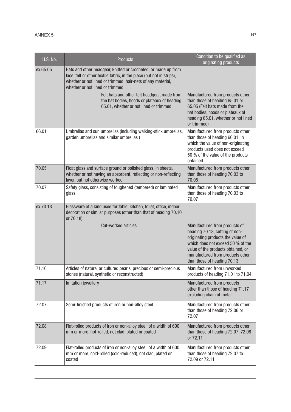| <b>H.S. No.</b> |                                                                                                                                                                                                                                           | <b>Products</b>                                                                                                                        | Condition to be qualified as<br>originating products                                                                                                                                                                                               |
|-----------------|-------------------------------------------------------------------------------------------------------------------------------------------------------------------------------------------------------------------------------------------|----------------------------------------------------------------------------------------------------------------------------------------|----------------------------------------------------------------------------------------------------------------------------------------------------------------------------------------------------------------------------------------------------|
| ex.65.05        | Hats and other headgear, knitted or crocheted, or made up from<br>lace, felt or other textile fabric, in the piece (but not in strips),<br>whether or not lined or trimmed; hair-nets of any material,<br>whether or not lined or trimmed |                                                                                                                                        |                                                                                                                                                                                                                                                    |
|                 |                                                                                                                                                                                                                                           | Felt hats and other felt headgear, made from<br>the hat bodies, hoods or plateaux of heading<br>65.01, whether or not lined or trimmed | Manufactured from products other<br>than those of heading 65.01 or<br>65.05 (Felt hats made from the<br>hat bodies, hoods or plateaux of<br>heading 65.01, whether or not lined<br>or trimmed)                                                     |
| 66.01           | Umbrellas and sun umbrellas (including walking-stick umbrellas,<br>garden umbrellas and similar umbrellas)                                                                                                                                |                                                                                                                                        | Manufactured from products other<br>than those of heading 66.01, in<br>which the value of non-originating<br>products used does not exceed<br>50 % of the value of the products<br>obtained                                                        |
| 70.05           | Float glass and surface ground or polished glass, in sheets,<br>whether or not having an absorbent, reflecting or non-reflecting<br>layer, but not otherwise worked                                                                       |                                                                                                                                        | Manufactured from products other<br>than those of heading 70.03 to<br>70.05                                                                                                                                                                        |
| 70.07           | Safety glass, consisting of toughened (tempered) or laminated<br>glass                                                                                                                                                                    |                                                                                                                                        | Manufactured from products other<br>than those of heading 70.03 to<br>70.07                                                                                                                                                                        |
| ex.70.13        | Glassware of a kind used for table, kitchen, toilet, office, indoor<br>decoration or similar purposes (other than that of heading 70.10<br>or 70.18)                                                                                      |                                                                                                                                        |                                                                                                                                                                                                                                                    |
|                 |                                                                                                                                                                                                                                           | Cut-worked articles                                                                                                                    | Manufactured from products of<br>heading 70.13, cutting of non-<br>originating products the value of<br>which does not exceed 50 % of the<br>value of the products obtained, or<br>manufactured from products other<br>than those of heading 70.13 |
| 71.16           |                                                                                                                                                                                                                                           | Articles of natural or cultured pearls, precious or semi-precious<br>stones (natural, synthetic or reconstructed)                      | Manufactured from unworked<br>products of heading 71.01 to 71.04                                                                                                                                                                                   |
| 71.17           | Imitation jewellery                                                                                                                                                                                                                       |                                                                                                                                        | Manufactured from products<br>other than those of heading 71.17<br>excluding chain of metal                                                                                                                                                        |
| 72.07           | Semi-finished products of iron or non-alloy steel                                                                                                                                                                                         |                                                                                                                                        | Manufactured from products other<br>than those of heading 72.06 or<br>72.07                                                                                                                                                                        |
| 72.08           | Flat-rolled products of iron or non-alloy steel, of a width of 600<br>mm or more, hot-rolled, not clad, plated or coated                                                                                                                  |                                                                                                                                        | Manufactured from products other<br>than those of heading 72.07, 72.08<br>or 72.11                                                                                                                                                                 |
| 72.09           | coated                                                                                                                                                                                                                                    | Flat-rolled products of iron or non-alloy steel, of a width of 600<br>mm or more, cold-rolled (cold-reduced), not clad, plated or      | Manufactured from products other<br>than those of heading 72.07 to<br>72.09 or 72.11                                                                                                                                                               |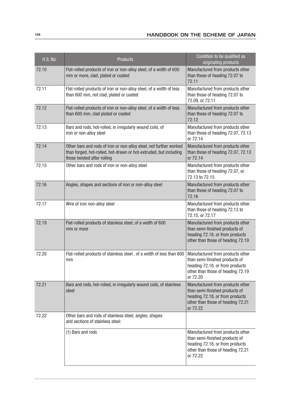| <b>H.S. No.</b> | <b>Products</b>                                                                                                                                                        | Condition to be qualified as<br>originating products                                                                                                   |
|-----------------|------------------------------------------------------------------------------------------------------------------------------------------------------------------------|--------------------------------------------------------------------------------------------------------------------------------------------------------|
| 72.10           | Flat-rolled products of iron or non-alloy steel, of a width of 600<br>mm or more, clad, plated or coated                                                               | Manufactured from products other<br>than those of heading 72.07 to<br>72.11                                                                            |
| 72.11           | Flat-rolled products of iron or non-alloy steel, of a width of less<br>than 600 mm, not clad, plated or coated                                                         | Manufactured from products other<br>than those of heading 72.07 to<br>72.09, or 72.11                                                                  |
| 72.12           | Flat-rolled products of iron or non-alloy steel, of a width of less<br>than 600 mm, clad plated or coated                                                              | Manufactured from products other<br>than those of heading 72.07 to<br>72.12                                                                            |
| 72.13           | Bars and rods, hot-rolled, in irregularly wound coils, of<br>iron or non-alloy steel                                                                                   | Manufactured from products other<br>than those of heading 72.07, 72.13<br>or 72.14                                                                     |
| 72.14           | Other bars and rods of iron or non-alloy steel, not further worked<br>than forged, hot-rolled, hot-drawn or hot-extruded, but including<br>those twisted after rolling | Manufactured from products other<br>than those of heading 72.07, 72.13<br>or 72.14                                                                     |
| 72.15           | Other bars and rods of iron or non-alloy steel                                                                                                                         | Manufactured from products other<br>than those of heading 72.07, or<br>72.13 to 72.15                                                                  |
| 72.16           | Angles, shapes and sections of iron or non-alloy steel                                                                                                                 | Manufactured from products other<br>than those of heading 72.07 to<br>72.16                                                                            |
| 72.17           | Wire of iron non-alloy steel                                                                                                                                           | Manufactured from products other<br>than those of heading 72.13 to<br>72.15, or 72.17                                                                  |
| 72.19           | Flat-rolled products of stainless steel, of a width of 600<br>mm or more                                                                                               | Manufactured from products other<br>than semi-finished products of<br>heading 72.18, or from products<br>other than those of heading 72.19             |
| 72.20           | Flat-rolled products of stainless steel, of a width of less than 600<br>mm                                                                                             | Manufactured from products other<br>than semi-finished products of<br>heading 72.18, or from products<br>other than those of heading 72.19<br>or 72.20 |
| 72.21           | Bars and rods, hot-rolled, in irregularly wound coils, of stainless<br>steel                                                                                           | Manufactured from products other<br>than semi-finished products of<br>heading 72.18, or from products<br>other than those of heading 72.21<br>or 72.22 |
| 72.22           | Other bars and rods of stainless steel; angles, shapes<br>and sections of stainless steel:                                                                             |                                                                                                                                                        |
|                 | (1) Bars and rods                                                                                                                                                      | Manufactured from products other<br>than semi-finished products of<br>heading 72.18, or from products<br>other than those of heading 72.21<br>or 72.22 |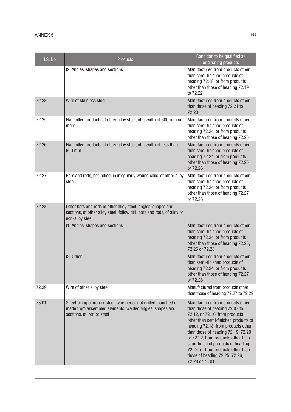| <b>H.S. No.</b> | Products                                                                                                                                                    | Condition to be qualified as<br>originating products                                                                                                                                                                                                                                                                                                                                          |
|-----------------|-------------------------------------------------------------------------------------------------------------------------------------------------------------|-----------------------------------------------------------------------------------------------------------------------------------------------------------------------------------------------------------------------------------------------------------------------------------------------------------------------------------------------------------------------------------------------|
|                 | (2) Angles, shapes and sections                                                                                                                             | Manufactured from products other<br>than semi-finished products of<br>heading 72.18, or from products<br>other than those of heading 72.19<br>to 72.22                                                                                                                                                                                                                                        |
| 72.23           | Wire of stainless steel                                                                                                                                     | Manufactured from products other<br>than those of heading 72.21 to<br>72.23                                                                                                                                                                                                                                                                                                                   |
| 72.25           | Flat-rolled products of other alloy steel, of a width of 600 mm or<br>more                                                                                  | Manufactured from products other<br>than semi-finished products of<br>heading 72.24, or from products<br>other than those of heading 72.25                                                                                                                                                                                                                                                    |
| 72.26           | Flat-rolled products of other alloy steel, of a width of less than<br>600 mm                                                                                | Manufactured from products other<br>than semi-finished products of<br>heading 72.24, or from products<br>other than those of heading 72.25<br>or 72.26                                                                                                                                                                                                                                        |
| 72.27           | Bars and rods, hot-rolled, in irregularly wound coils, of other alloy<br>steel                                                                              | Manufactured from products other<br>than semi-finished products of<br>heading 72.24, or from products<br>other than those of heading 72.27<br>or 72.28                                                                                                                                                                                                                                        |
| 72.28           | Other bars and rods of other alloy steel; angles, shapes and<br>sections, of other alloy steel; follow drill bars and rods, of alloy or<br>non-alloy steel: |                                                                                                                                                                                                                                                                                                                                                                                               |
|                 | (1) Angles, shapes and sections                                                                                                                             | Manufactured from products other<br>than semi-finished products of<br>heading 72.24, or from products<br>other than those of heading 72.25,<br>72.26 or 72.28                                                                                                                                                                                                                                 |
|                 | (2) Other                                                                                                                                                   | Manufactured from products other<br>than semi-finished products of<br>heading 72.24, or from products<br>other than those of heading 72.27<br>or 72.28                                                                                                                                                                                                                                        |
| 72.29           | Wire of other alloy steel                                                                                                                                   | Manufactured from products other<br>than those of heading 72.27 to 72.29                                                                                                                                                                                                                                                                                                                      |
| 73.01           | Sheet piling of iron or steel, whether or not drilled, punched or<br>made from assembled elements; welded angles, shapes and<br>sections, of iron or steel  | Manufactured from products other<br>than those of heading 72.07 to<br>72.12, or 72.16, from products<br>other than semi-finished products of<br>heading 72.18, from products other<br>than those of heading 72.19, 72.20<br>or 72.22, from products other than<br>semi-finished products of heading<br>72.24, or from products other than<br>those of heading 72.25, 72.26,<br>72.28 or 73.01 |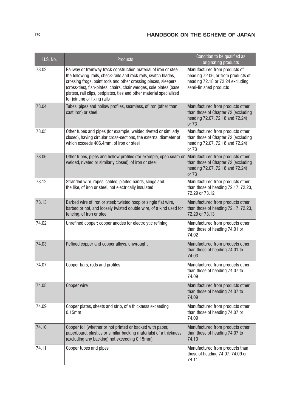| <b>H.S. No.</b> | <b>Products</b>                                                                                                                                                                                                                                                                                                                                                                     | Condition to be qualified as<br>originating products                                                                              |
|-----------------|-------------------------------------------------------------------------------------------------------------------------------------------------------------------------------------------------------------------------------------------------------------------------------------------------------------------------------------------------------------------------------------|-----------------------------------------------------------------------------------------------------------------------------------|
| 73.02           | Railway or tramway track construction material of iron or steel,<br>the following: rails, check-rails and rack rails, switch blades,<br>crossing frogs, point rods and other crossing pieces, sleepers<br>(cross-ties), fish-plates, chairs, chair wedges, sole plates (base<br>plates), rail clips, bedplates, ties and other material specialized<br>for jointing or fixing rails | Manufactured from products of<br>heading 72.06, or from products of<br>heading 72.18 or 72.24 excluding<br>semi-finished products |
| 73.04           | Tubes, pipes and hollow profiles, seamless, of iron (other than<br>cast iron) or steel                                                                                                                                                                                                                                                                                              | Manufactured from products other<br>than those of Chapter 72 (excluding<br>heading 72.07, 72.18 and 72.24)<br>or 73               |
| 73.05           | Other tubes and pipes (for example, welded riveted or similarly<br>closed), having circular cross-sections, the external diameter of<br>which exceeds 406.4mm, of iron or steel                                                                                                                                                                                                     | Manufactured from products other<br>than those of Chapter 72 (excluding<br>heading 72.07, 72.18 and 72.24)<br>or 73               |
| 73.06           | Other tubes, pipes and hollow profiles (for example, open seam or<br>welded, riveted or similarly closed), of iron or steel                                                                                                                                                                                                                                                         | Manufactured from products other<br>than those of Chapter 72 (excluding<br>heading 72.07, 72.18 and 72.24)<br>or 73               |
| 73.12           | Stranded wire, ropes, cables, plaited bands, slings and<br>the like, of iron or steel, not electrically insulated                                                                                                                                                                                                                                                                   | Manufactured from products other<br>than those of heading 72.17, 72.23,<br>72.29 or 73.12                                         |
| 73.13           | Barbed wire of iron or steel; twisted hoop or single flat wire,<br>barbed or not, and loosely twisted double wire, of a kind used for<br>fencing, of iron or steel                                                                                                                                                                                                                  | Manufactured from products other<br>than those of heading 72.17, 72.23,<br>72.29 or 73.13                                         |
| 74.02           | Unrefined copper; copper anodes for electrolytic refining                                                                                                                                                                                                                                                                                                                           | Manufactured from products other<br>than those of heading 74.01 or<br>74.02                                                       |
| 74.03           | Refined copper and copper alloys, unwrought                                                                                                                                                                                                                                                                                                                                         | Manufactured from products other<br>than those of heading 74.01 to<br>74.03                                                       |
| 74.07           | Copper bars, rods and profiles                                                                                                                                                                                                                                                                                                                                                      | Manufactured from products other<br>than those of heading 74.07 to<br>74.09                                                       |
| 74.08           | Copper wire                                                                                                                                                                                                                                                                                                                                                                         | Manufactured from products other<br>than those of heading 74.07 to<br>74.09                                                       |
| 74.09           | Copper plates, sheets and strip, of a thickness exceeding<br>$0.15$ mm                                                                                                                                                                                                                                                                                                              | Manufactured from products other<br>than those of heading 74.07 or<br>74.09                                                       |
| 74.10           | Copper foil (whether or not printed or backed with paper,<br>paperboard, plastics or similar backing materials) of a thickness<br>(excluding any backing) not exceeding 0.15mm)                                                                                                                                                                                                     | Manufactured from products other<br>than those of heading 74.07 to<br>74.10                                                       |
| 74.11           | Copper tubes and pipes                                                                                                                                                                                                                                                                                                                                                              | Manufactured from products than<br>those of heading 74.07, 74.09 or<br>74.11                                                      |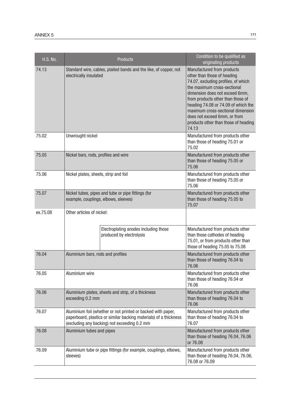| <b>H.S. No.</b> |                                                                                                                                                                                   | <b>Products</b>                                                   | Condition to be qualified as<br>originating products                                                                                                                                                                                                                                                                                                                |
|-----------------|-----------------------------------------------------------------------------------------------------------------------------------------------------------------------------------|-------------------------------------------------------------------|---------------------------------------------------------------------------------------------------------------------------------------------------------------------------------------------------------------------------------------------------------------------------------------------------------------------------------------------------------------------|
| 74.13           | Standard wire, cables, plaited bands and the like, of copper, not<br>electrically insulated                                                                                       |                                                                   | Manufactured from products<br>other than those of heading<br>74.07, excluding profiles, of which<br>the maximum cross-sectional<br>dimension does not exceed 6mm,<br>from products other than those of<br>heading 74.08 or 74.09 of which the<br>maximum cross-sectional dimension<br>does not exceed 6mm, or from<br>products other than those of heading<br>74.13 |
| 75.02           | Unwrought nickel                                                                                                                                                                  |                                                                   | Manufactured from products other<br>than those of heading 75.01 or<br>75.02                                                                                                                                                                                                                                                                                         |
| 75.05           | Nickel bars, rods, profiles and wire                                                                                                                                              |                                                                   | Manufactured from products other<br>than those of heading 75.05 or<br>75.06                                                                                                                                                                                                                                                                                         |
| 75.06           | Nickel plates, sheets, strip and foil                                                                                                                                             |                                                                   | Manufactured from products other<br>than those of heading 75.05 or<br>75.06                                                                                                                                                                                                                                                                                         |
| 75.07           | Nickel tubes, pipes and tube or pipe fittings (for<br>example, couplings, elbows, sleeves)                                                                                        |                                                                   | Manufactured from products other<br>than those of heading 75.05 to<br>75.07                                                                                                                                                                                                                                                                                         |
| ex.75.08        | Other articles of nickel:                                                                                                                                                         |                                                                   |                                                                                                                                                                                                                                                                                                                                                                     |
|                 |                                                                                                                                                                                   | Electroplating anodes including those<br>produced by electrolysis | Manufactured from products other<br>than those cathodes of heading<br>75.01, or from products other than<br>those of heading 75.05 to 75.08                                                                                                                                                                                                                         |
| 76.04           | Aluminium bars, rods and profiles                                                                                                                                                 |                                                                   | Manufactured from products other<br>than those of heading 76.04 to<br>76.06                                                                                                                                                                                                                                                                                         |
| 76.05           | Aluminium wire                                                                                                                                                                    |                                                                   | Manufactured from products other<br>than those of heading 76.04 or<br>76.06                                                                                                                                                                                                                                                                                         |
| 76.06           | exceeding 0.2 mm                                                                                                                                                                  | Aluminium plates, sheets and strip, of a thickness                | Manufactured from products other<br>than those of heading 76.04 to<br>76.06                                                                                                                                                                                                                                                                                         |
| 76.07           | Aluminium foil (whether or not printed or backed with paper,<br>paperboard, plastics or similar backing materials) of a thickness<br>(excluding any backing) not exceeding 0.2 mm |                                                                   | Manufactured from products other<br>than those of heading 76.04 to<br>76.07                                                                                                                                                                                                                                                                                         |
| 76.08           | Aluminium tubes and pipes                                                                                                                                                         |                                                                   | Manufactured from products other<br>than those of heading 76.04, 76.06<br>or 76.08                                                                                                                                                                                                                                                                                  |
| 76.09           | sleeves)                                                                                                                                                                          | Aluminium tube or pipe fittings (for example, couplings, elbows,  | Manufactured from products other<br>than those of heading 76.04, 76.06,<br>76.08 or 76.09                                                                                                                                                                                                                                                                           |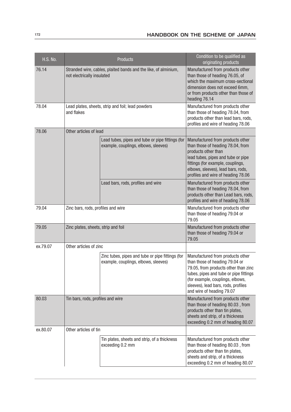| <b>H.S. No.</b> |                                                                                               | <b>Products</b>                                                                          | Condition to be qualified as<br>originating products                                                                                                                                                                                                         |
|-----------------|-----------------------------------------------------------------------------------------------|------------------------------------------------------------------------------------------|--------------------------------------------------------------------------------------------------------------------------------------------------------------------------------------------------------------------------------------------------------------|
| 76.14           | Stranded wire, cables, plaited bands and the like, of alminium,<br>not electrically insulated |                                                                                          | Manufactured from products other<br>than those of heading 76.05, of<br>which the maximum cross-sectional<br>dimension does not exceed 6mm,<br>or from products other than those of<br>heading 76.14                                                          |
| 78.04           | and flakes                                                                                    | Lead plates, sheets, strip and foil; lead powders                                        | Manufactured from products other<br>than those of heading 78.04, from<br>products other than lead bars, rods,<br>profiles and wire of heading 78.06                                                                                                          |
| 78.06           | Other articles of lead                                                                        |                                                                                          |                                                                                                                                                                                                                                                              |
|                 |                                                                                               | Lead tubes, pipes and tube or pipe fittings (for<br>example, couplings, elbows, sleeves) | Manufactured from products other<br>than those of heading 78.04, from<br>products other than<br>lead tubes, pipes and tube or pipe<br>fittings (for example, couplings,<br>elbows, sleeves), lead bars, rods,<br>profiles and wire of heading 78.06          |
|                 |                                                                                               | Lead bars, rods, profiles and wire                                                       | Manufactured from products other<br>than those of heading 78.04, from<br>products other than Lead bars, rods,<br>profiles and wire of heading 78.06                                                                                                          |
| 79.04           | Zinc bars, rods, profiles and wire                                                            |                                                                                          | Manufactured from products other<br>than those of heading 79.04 or<br>79.05                                                                                                                                                                                  |
| 79.05           | Zinc plates, sheets, strip and foil                                                           |                                                                                          | Manufactured from products other<br>than those of heading 79.04 or<br>79.05                                                                                                                                                                                  |
| ex.79.07        | Other articles of zinc                                                                        |                                                                                          |                                                                                                                                                                                                                                                              |
|                 |                                                                                               | Zinc tubes, pipes and tube or pipe fittings (for<br>example, couplings, elbows, sleeves) | Manufactured from products other<br>than those of heading 79.04 or<br>79.05, from products other than zinc<br>tubes, pipes and tube or pipe fittings<br>(for example, couplings, elbows,<br>sleeves), lead bars, rods, profiles<br>and wire of heading 79.07 |
| 80.03           | Tin bars, rods, profiles and wire                                                             |                                                                                          | Manufactured from products other<br>than those of heading 80.03, from<br>products other than tin plates,<br>sheets and strip, of a thickness<br>exceeding 0.2 mm of heading 80.07                                                                            |
| ex.80.07        | Other articles of tin                                                                         |                                                                                          |                                                                                                                                                                                                                                                              |
|                 |                                                                                               | Tin plates, sheets and strip, of a thickness<br>exceeding 0.2 mm                         | Manufactured from products other<br>than those of heading 80.03, from<br>products other than tin plates,<br>sheets and strip, of a thickness<br>exceeding 0.2 mm of heading 80.07                                                                            |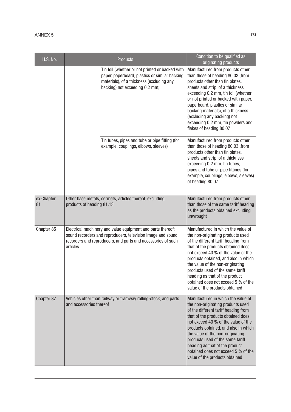| <b>H.S. No.</b>  | <b>Products</b>                                                                                                                                                                                        | Condition to be qualified as<br>originating products                                                                                                                                                                                                                                                                                                                                                                    |
|------------------|--------------------------------------------------------------------------------------------------------------------------------------------------------------------------------------------------------|-------------------------------------------------------------------------------------------------------------------------------------------------------------------------------------------------------------------------------------------------------------------------------------------------------------------------------------------------------------------------------------------------------------------------|
|                  | Tin foil (whether or not printed or backed with<br>paper, paperboard, plastics or similar backing<br>materials), of a thickness (excluding any<br>backing) not exceeding 0.2 mm;                       | Manufactured from products other<br>than those of heading 80.03, from<br>products other than tin plates,<br>sheets and strip, of a thickness<br>exceeding 0.2 mm, tin foil (whether<br>or not printed or backed with paper,<br>paperboard, plastics or similar<br>backing materials), of a thickness<br>(excluding any backing) not<br>exceeding 0.2 mm; tin powders and<br>flakes of heading 80.07                     |
|                  | Tin tubes, pipes and tube or pipe fitting (for<br>example, couplings, elbows, sleeves)                                                                                                                 | Manufactured from products other<br>than those of heading 80.03, from<br>products other than tin plates,<br>sheets and strip, of a thickness<br>exceeding 0.2 mm, tin tubes,<br>pipes and tube or pipe fittings (for<br>example, couplings, elbows, sleeves)<br>of heading 80.07                                                                                                                                        |
| ex.Chapter<br>81 | Other base metals; cermets; articles thereof, excluding<br>products of heading 81.13                                                                                                                   | Manufactured from products other<br>than those of the same tariff heading<br>as the products obtained excluding<br>unwrought                                                                                                                                                                                                                                                                                            |
| Chapter 85       | Electrical machinery and value equipment and parts thereof;<br>sound recorders and reproducers, television image and sound<br>recorders and reproducers, and parts and accessories of such<br>articles | Manufactured in which the value of<br>the non-originating products used<br>of the different tariff heading from<br>that of the products obtained does<br>not exceed 40 % of the value of the<br>products obtained, and also in which<br>the value of the non-originating<br>products used of the same tariff<br>heading as that of the product<br>obtained does not exceed 5 % of the<br>value of the products obtained |
| Chapter 87       | Vehicles other than railway or tramway rolling-stock, and parts<br>and accessories thereof                                                                                                             | Manufactured in which the value of<br>the non-originating products used<br>of the different tariff heading from<br>that of the products obtained does<br>not exceed 40 % of the value of the<br>products obtained, and also in which<br>the value of the non-originating<br>products used of the same tariff<br>heading as that of the product<br>obtained does not exceed 5 % of the<br>value of the products obtained |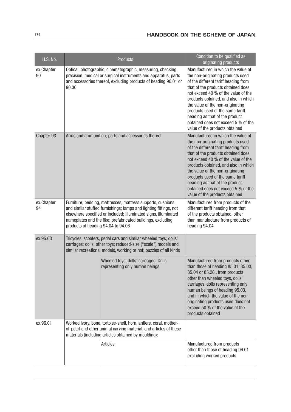| <b>H.S. No.</b>  |                                                                                                                                                                                                                                                                                                          | Products                                                                                                                                                                                                 | Condition to be qualified as<br>originating products                                                                                                                                                                                                                                                                                                                                                                    |
|------------------|----------------------------------------------------------------------------------------------------------------------------------------------------------------------------------------------------------------------------------------------------------------------------------------------------------|----------------------------------------------------------------------------------------------------------------------------------------------------------------------------------------------------------|-------------------------------------------------------------------------------------------------------------------------------------------------------------------------------------------------------------------------------------------------------------------------------------------------------------------------------------------------------------------------------------------------------------------------|
| ex.Chapter<br>90 | Optical, photographic, cinematographic, measuring, checking,<br>precision, medical or surgical instruments and apparatus; parts<br>and accessories thereof, excluding products of heading 90.01 or<br>90.30                                                                                              |                                                                                                                                                                                                          | Manufactured in which the value of<br>the non-originating products used<br>of the different tariff heading from<br>that of the products obtained does<br>not exceed 40 % of the value of the<br>products obtained, and also in which<br>the value of the non-originating<br>products used of the same tariff<br>heading as that of the product<br>obtained does not exceed 5 % of the<br>value of the products obtained |
| Chapter 93       | Arms and ammunition; parts and accessories thereof                                                                                                                                                                                                                                                       |                                                                                                                                                                                                          | Manufactured in which the value of<br>the non-originating products used<br>of the different tariff heading from<br>that of the products obtained does<br>not exceed 40 % of the value of the<br>products obtained, and also in which<br>the value of the non-originating<br>products used of the same tariff<br>heading as that of the product<br>obtained does not exceed 5 % of the<br>value of the products obtained |
| ex.Chapter<br>94 | Furniture; bedding, mattresses, mattress supports, cushions<br>and similar stuffed furnishings; lamps and lighting fittings, not<br>elsewhere specified or included; illuminated signs, illuminated<br>nameplates and the like; prefabricated buildings, excluding<br>products of heading 94.04 to 94.06 |                                                                                                                                                                                                          | Manufactured from products of the<br>different tariff heading from that<br>of the products obtained, other<br>than manufacture from products of<br>heading 94.04                                                                                                                                                                                                                                                        |
| ex.95.03         |                                                                                                                                                                                                                                                                                                          | Tricycles, scooters, pedal cars and similar wheeled toys; dolls'<br>carriages; dolls; other toys; reduced-size ("scale") models and<br>similar recreational models, working or not; puzzles of all kinds |                                                                                                                                                                                                                                                                                                                                                                                                                         |
|                  |                                                                                                                                                                                                                                                                                                          | Wheeled toys; dolls' carriages; Dolls<br>representing only human beings                                                                                                                                  | Manufactured from products other<br>than those of heading 85.01, 85.03,<br>85.04 or 85.26, from products<br>other than wheeled toys, dolls'<br>carriages, dolls representing only<br>human beings of heading 95.03,<br>and in which the value of the non-<br>originating products used does not<br>exceed 50 % of the value of the<br>products obtained                                                                 |
| ex.96.01         | Worked ivory, bone, tortoise-shell, horn, antlers, coral, mother-<br>of-pearl and other animal carving material, and articles of these<br>materials (including articles obtained by moulding):                                                                                                           |                                                                                                                                                                                                          |                                                                                                                                                                                                                                                                                                                                                                                                                         |
|                  |                                                                                                                                                                                                                                                                                                          | <b>Articles</b>                                                                                                                                                                                          | Manufactured from products<br>other than those of heading 96.01<br>excluding worked products                                                                                                                                                                                                                                                                                                                            |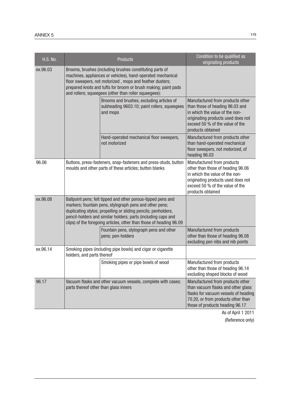| <b>H.S. No.</b> |                                                                                                                                                                                                                                                                                                                                   | Products                                                                                              | Condition to be qualified as<br>originating products                                                                                                                                                |
|-----------------|-----------------------------------------------------------------------------------------------------------------------------------------------------------------------------------------------------------------------------------------------------------------------------------------------------------------------------------|-------------------------------------------------------------------------------------------------------|-----------------------------------------------------------------------------------------------------------------------------------------------------------------------------------------------------|
| ex.96.03        | Brooms, brushes (including brushes constituting parts of<br>machines, appliances or vehicles), hand-operated mechanical<br>floor sweepers, not motorized, mops and feather dusters;<br>prepared knots and tufts for broom or brush making; paint pads<br>and rollers; squeegees (other than roller squeegees):                    |                                                                                                       |                                                                                                                                                                                                     |
|                 |                                                                                                                                                                                                                                                                                                                                   | Brooms and brushes, excluding articles of<br>subheading 9603.10; paint rollers, squeegees<br>and mops | Manufactured from products other<br>than those of heading 96.03 and<br>in which the value of the non-<br>originating products used does not<br>exceed 50 % of the value of the<br>products obtained |
|                 |                                                                                                                                                                                                                                                                                                                                   | Hand-operated mechanical floor sweepers,<br>not motorized                                             | Manufactured from products other<br>than hand-operated mechanical<br>floor sweepers, not motorized, of<br>heading 96.03                                                                             |
| 96.06           | Buttons, press-fasteners, snap-fasteners and press-studs, button<br>moulds and other parts of these articles; button blanks                                                                                                                                                                                                       |                                                                                                       | Manufactured from products<br>other than those of heading 96.06<br>in which the value of the non-<br>originating products used does not<br>exceed 50 % of the value of the<br>products obtained     |
| ex.96.08        | Ballpoint pens; felt tipped and other porous-tipped pens and<br>markers; fountain pens, stylograph pens and other pens;<br>duplicating stylos; propelling or sliding pencils; penholders,<br>pencil-holders and similar holders; parts (including caps and<br>clips) of the foregoing articles, other than those of heading 96.09 |                                                                                                       |                                                                                                                                                                                                     |
|                 |                                                                                                                                                                                                                                                                                                                                   | Fountain pens, stylograph pens and other<br>pens; pen-holders                                         | Manufactured from products<br>other than those of heading 96.08<br>excluding pen nibs and nib points                                                                                                |
| ex.96.14        | holders, and parts thereof                                                                                                                                                                                                                                                                                                        | Smoking pipes (including pipe bowls) and cigar or cigarette                                           |                                                                                                                                                                                                     |
|                 |                                                                                                                                                                                                                                                                                                                                   | Smoking pipes or pipe bowls of wood                                                                   | Manufactured from products<br>other than those of heading 96.14<br>excluding shaped blocks of wood                                                                                                  |
| 96.17           | parts thereof other than glass inners                                                                                                                                                                                                                                                                                             | Vacuum flasks and other vacuum vessels, complete with cases;                                          | Manufactured from products other<br>than vacuum flasks and other glass<br>flasks for vacuum vessels of heading<br>70.20, or from products other than<br>those of products heading 96.17             |

As of April 1 2011 (Reference only)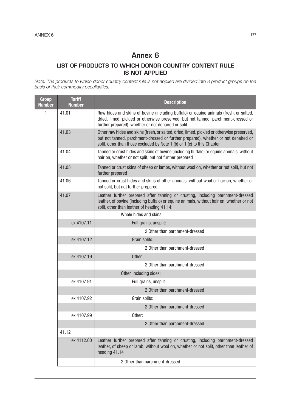# Annex 6

# LIST OF PRODUCTS TO WHICH DONOR COUNTRY CONTENT RULE IS NOT APPLIED

*Note: The products to which donor country content rule is not applied are divided into 8 product groups on the basis of their commodity peculiarities.*

| <b>Group</b><br><b>Number</b> | <b>Tariff</b><br><b>Number</b> | <b>Description</b>                                                                                                                                                                                                                                          |  |  |  |
|-------------------------------|--------------------------------|-------------------------------------------------------------------------------------------------------------------------------------------------------------------------------------------------------------------------------------------------------------|--|--|--|
| 1                             | 41.01                          | Raw hides and skins of bovine (including buffalo) or equine animals (fresh, or salted,<br>dried, limed, pickled or otherwise preserved, but not tanned, parchment-dressed or<br>further prepared), whether or not dehaired or split                         |  |  |  |
|                               | 41.03                          | Other raw hides and skins (fresh, or salted, dried, limed, pickled or otherwise preserved,<br>but not tanned, parchment-dressed or further prepared), whether or not dehaired or<br>split, other than those excluded by Note 1 (b) or 1 (c) to this Chapter |  |  |  |
|                               | 41.04                          | Tanned or crust hides and skins of bovine (including buffalo) or equine animals, without<br>hair on, whether or not split, but not further prepared                                                                                                         |  |  |  |
|                               | 41.05                          | Tanned or crust skins of sheep or lambs, without wool on, whether or not split, but not<br>further prepared                                                                                                                                                 |  |  |  |
|                               | 41.06                          | Tanned or crust hides and skins of other animals, without wool or hair on, whether or<br>not split, but not further prepared                                                                                                                                |  |  |  |
|                               | 41.07                          | Leather further prepared after tanning or crusting, including parchment-dressed<br>leather, of bovine (including buffalo) or equine animals, without hair on, whether or not<br>split, other than leather of heading 41.14:                                 |  |  |  |
|                               |                                | Whole hides and skins:                                                                                                                                                                                                                                      |  |  |  |
|                               | ex 4107.11                     | Full grains, unsplit:                                                                                                                                                                                                                                       |  |  |  |
|                               |                                | 2 Other than parchment-dressed                                                                                                                                                                                                                              |  |  |  |
|                               | ex 4107.12                     | Grain splits:                                                                                                                                                                                                                                               |  |  |  |
|                               |                                | 2 Other than parchment-dressed                                                                                                                                                                                                                              |  |  |  |
|                               | ex 4107.19                     | Other:                                                                                                                                                                                                                                                      |  |  |  |
|                               |                                | 2 Other than parchment-dressed                                                                                                                                                                                                                              |  |  |  |
|                               |                                | Other, including sides:                                                                                                                                                                                                                                     |  |  |  |
|                               | ex 4107.91                     | Full grains, unsplit:                                                                                                                                                                                                                                       |  |  |  |
|                               |                                | 2 Other than parchment-dressed                                                                                                                                                                                                                              |  |  |  |
|                               | ex 4107.92                     | Grain splits:                                                                                                                                                                                                                                               |  |  |  |
|                               |                                | 2 Other than parchment-dressed                                                                                                                                                                                                                              |  |  |  |
|                               | ex 4107.99                     | Other:                                                                                                                                                                                                                                                      |  |  |  |
|                               |                                | 2 Other than parchment-dressed                                                                                                                                                                                                                              |  |  |  |
|                               | 41.12                          |                                                                                                                                                                                                                                                             |  |  |  |
|                               | ex 4112.00                     | Leather further prepared after tanning or crusting, including parchment-dressed<br>leather, of sheep or lamb, without wool on, whether or not split, other than leather of<br>heading 41.14                                                                 |  |  |  |
|                               |                                | 2 Other than parchment-dressed                                                                                                                                                                                                                              |  |  |  |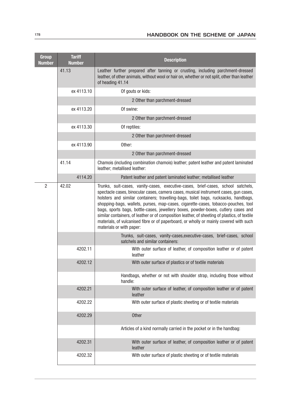| <b>Group</b><br><b>Number</b> | <b>Tariff</b><br><b>Number</b> | <b>Description</b>                                                                                                                                                                                                                                                                                                                                                                                                                                                                                                                                                                                                                                               |  |  |
|-------------------------------|--------------------------------|------------------------------------------------------------------------------------------------------------------------------------------------------------------------------------------------------------------------------------------------------------------------------------------------------------------------------------------------------------------------------------------------------------------------------------------------------------------------------------------------------------------------------------------------------------------------------------------------------------------------------------------------------------------|--|--|
|                               | 41.13                          | Leather further prepared after tanning or crusting, including parchment-dressed<br>leather, of other animals, without wool or hair on, whether or not split, other than leather<br>of heading 41.14                                                                                                                                                                                                                                                                                                                                                                                                                                                              |  |  |
|                               | ex 4113.10                     | Of gouts or kids:                                                                                                                                                                                                                                                                                                                                                                                                                                                                                                                                                                                                                                                |  |  |
|                               |                                | 2 Other than parchment-dressed                                                                                                                                                                                                                                                                                                                                                                                                                                                                                                                                                                                                                                   |  |  |
|                               | ex 4113.20                     | Of swine:                                                                                                                                                                                                                                                                                                                                                                                                                                                                                                                                                                                                                                                        |  |  |
|                               |                                | 2 Other than parchment-dressed                                                                                                                                                                                                                                                                                                                                                                                                                                                                                                                                                                                                                                   |  |  |
|                               | ex 4113.30                     | Of reptiles:                                                                                                                                                                                                                                                                                                                                                                                                                                                                                                                                                                                                                                                     |  |  |
|                               |                                | 2 Other than parchment-dressed                                                                                                                                                                                                                                                                                                                                                                                                                                                                                                                                                                                                                                   |  |  |
|                               | ex 4113.90                     | Other:                                                                                                                                                                                                                                                                                                                                                                                                                                                                                                                                                                                                                                                           |  |  |
|                               |                                | 2 Other than parchment-dressed                                                                                                                                                                                                                                                                                                                                                                                                                                                                                                                                                                                                                                   |  |  |
|                               | 41.14                          | Chamois (including combination chamois) leather; patent leather and patent laminated<br>leather; metallised leather:                                                                                                                                                                                                                                                                                                                                                                                                                                                                                                                                             |  |  |
|                               | 4114.20                        | Patent leather and patent laminated leather; metallised leather                                                                                                                                                                                                                                                                                                                                                                                                                                                                                                                                                                                                  |  |  |
| $\overline{2}$                | 42.02                          | Trunks, suit-cases, vanity-cases, executive-cases, brief-cases, school satchels,<br>spectacle cases, binocular cases, camera cases, musical instrument cases, gun cases,<br>holsters and similar containers; travelling-bags, toilet bags, rucksacks, handbags,<br>shopping-bags, wallets, purses, map-cases, cigarette-cases, tobacco-pouches, tool<br>bags, sports bags, bottle-cases, jewellery boxes, powder-boxes, cutlery cases and<br>similar containers, of leather or of composition leather, of sheeting of plastics, of textile<br>materials, of vulcanised fibre or of paperboard, or wholly or mainly covered with such<br>materials or with paper: |  |  |
|                               |                                | Trunks, suit-cases, vanity-cases, executive-cases, brief-cases, school<br>satchels and similar containers:                                                                                                                                                                                                                                                                                                                                                                                                                                                                                                                                                       |  |  |
|                               | 4202.11                        | With outer surface of leather, of composition leather or of patent<br>leather                                                                                                                                                                                                                                                                                                                                                                                                                                                                                                                                                                                    |  |  |
|                               | 4202.12                        | With outer surface of plastics or of textile materials                                                                                                                                                                                                                                                                                                                                                                                                                                                                                                                                                                                                           |  |  |
|                               |                                | Handbags, whether or not with shoulder strap, including those without<br>handle:                                                                                                                                                                                                                                                                                                                                                                                                                                                                                                                                                                                 |  |  |
|                               | 4202.21                        | With outer surface of leather, of composition leather or of patent<br>leather                                                                                                                                                                                                                                                                                                                                                                                                                                                                                                                                                                                    |  |  |
|                               | 4202.22                        | With outer surface of plastic sheeting or of textile materials                                                                                                                                                                                                                                                                                                                                                                                                                                                                                                                                                                                                   |  |  |
|                               | 4202.29                        | Other                                                                                                                                                                                                                                                                                                                                                                                                                                                                                                                                                                                                                                                            |  |  |
|                               |                                | Articles of a kind normally carried in the pocket or in the handbag:                                                                                                                                                                                                                                                                                                                                                                                                                                                                                                                                                                                             |  |  |
|                               | 4202.31                        | With outer surface of leather, of composition leather or of patent<br>leather                                                                                                                                                                                                                                                                                                                                                                                                                                                                                                                                                                                    |  |  |
|                               | 4202.32                        | With outer surface of plastic sheeting or of textile materials                                                                                                                                                                                                                                                                                                                                                                                                                                                                                                                                                                                                   |  |  |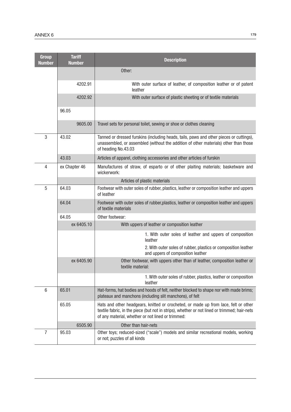| <b>Group</b><br><b>Number</b> | <b>Tariff</b><br><b>Number</b> | <b>Description</b>                                                                                                                                                                                                                       |  |  |
|-------------------------------|--------------------------------|------------------------------------------------------------------------------------------------------------------------------------------------------------------------------------------------------------------------------------------|--|--|
|                               |                                | Other:                                                                                                                                                                                                                                   |  |  |
|                               | 4202.91                        | With outer surface of leather, of composition leather or of patent<br>leather                                                                                                                                                            |  |  |
|                               | 4202.92                        | With outer surface of plastic sheeting or of textile materials                                                                                                                                                                           |  |  |
|                               | 96.05                          |                                                                                                                                                                                                                                          |  |  |
|                               | 9605.00                        | Travel sets for personal toilet, sewing or shoe or clothes cleaning                                                                                                                                                                      |  |  |
| 3                             | 43.02                          | Tanned or dressed furskins (including heads, tails, paws and other pieces or cuttings),<br>unassembled, or assembled (without the addition of other materials) other than those<br>of heading No.43.03                                   |  |  |
|                               | 43.03                          | Articles of apparel, clothing accessories and other articles of furskin                                                                                                                                                                  |  |  |
| 4                             | ex Chapter 46                  | Manufactures of straw, of esparto or of other plaiting materials; basketware and<br>wickerwork:                                                                                                                                          |  |  |
|                               |                                | Articles of plastic materials                                                                                                                                                                                                            |  |  |
| 5                             | 64.03                          | Footwear with outer soles of rubber, plastics, leather or composition leather and uppers<br>of leather                                                                                                                                   |  |  |
|                               | 64.04                          | Footwear with outer soles of rubber, plastics, leather or composition leather and uppers<br>of textile materials                                                                                                                         |  |  |
|                               | 64.05                          | Other footwear:                                                                                                                                                                                                                          |  |  |
|                               | ex 6405.10                     | With uppers of leather or composition leather                                                                                                                                                                                            |  |  |
|                               |                                | 1. With outer soles of leather and uppers of composition<br>leather                                                                                                                                                                      |  |  |
|                               |                                | 2. With outer soles of rubber, plastics or composition leather<br>and uppers of composition leather                                                                                                                                      |  |  |
|                               | ex 6405.90                     | Other footwear, with uppers other than of leather, composition leather or<br>textile material:                                                                                                                                           |  |  |
|                               |                                | 1. With outer soles of rubber, plastics, leather or composition<br>leather                                                                                                                                                               |  |  |
| 6                             | 65.01                          | Hat-forms, hat bodies and hoods of felt, neither blocked to shape nor with made brims;<br>plateaux and manchons (including slit manchons), of felt                                                                                       |  |  |
|                               | 65.05                          | Hats and other headgears, knitted or crocheted, or made up from lace, felt or other<br>textile fabric, in the piece (but not in strips), whether or not lined or trimmed; hair-nets<br>of any material, whether or not lined or trimmed: |  |  |
|                               | 6505.90                        | Other than hair-nets                                                                                                                                                                                                                     |  |  |
| 7                             | 95.03                          | Other toys; reduced-sized ("scale") models and similar recreational models, working<br>or not; puzzles of all kinds                                                                                                                      |  |  |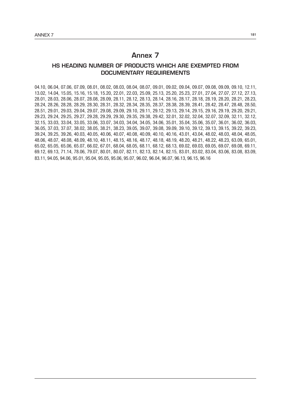# Annex 7

### HS HEADING NUMBER OF PRODUCTS WHICH ARE EXEMPTED FROM DOCUMENTARY REQUIREMENTS

04.10, 06.04, 07.06, 07.09, 08.01, 08.02, 08.03, 08.04, 08.07, 09.01, 09.02, 09.04, 09.07, 09.08, 09.09, 09.10, 12.11, 13.02, 14.04, 15.05, 15.16, 15.18, 15.20, 22.01, 22.03, 25.09, 25.13, 25.20, 25.23, 27.01, 27.04, 27.07, 27.12, 27.13, 28.01, 28.03, 28.06, 28.07, 28.08, 28.09, 28.11, 28.12, 28.13, 28.14, 28.16, 28.17, 28.18, 28.19, 28.20, 28.21, 28.23, 28.24, 28.26, 28.28, 28.29, 28.30, 28.31, 28.32, 28.34, 28.35, 28.37, 28.38, 28.39, 28.41, 28.42, 28.47, 28.48, 28.50, 28.51, 29.01, 29.03, 29.04, 29.07, 29.08, 29.09, 29.10, 29.11, 29.12, 29.13, 29.14, 29.15, 29.16, 29.19, 29.20, 29.21, 29.23, 29.24, 29.25, 29.27, 29.28, 29.29, 29.30, 29.35, 29.38, 29.42, 32.01, 32.02, 32.04, 32.07, 32.09, 32.11, 32.12, 32.15, 33.03, 33.04, 33.05, 33.06, 33.07, 34.03, 34.04, 34.05, 34.06, 35.01, 35.04, 35.06, 35.07, 36.01, 36.02, 36.03, 36.05, 37.03, 37.07, 38.02, 38.05, 38.21, 38.23, 39.05, 39.07, 39.08, 39.09, 39.10, 39.12, 39.13, 39.15, 39.22, 39.23, 39.24, 39.25, 39.26, 40.03, 40.05, 40.06, 40.07, 40.08, 40.09, 40.10, 40.16, 43.01, 43.04, 48.02, 48.03, 48.04, 48.05, 48.06, 48.07, 48.08, 48.09, 48.10, 48.11, 48.15, 48.16, 48.17, 48.18, 48.19, 48.20, 48.21, 48.22, 48.23, 63.09, 65.01, 65.02, 65.05, 65.06, 65.07, 66.02, 67.01, 68.04, 68.05, 68.11, 68.12, 68.13, 69.02, 69.03, 69.05, 69.07, 69.08, 69.11, 69.12, 69.13, 71.14, 78.06, 79.07, 80.01, 80.07, 82.11, 82.13, 82.14, 82.15, 83.01, 83.02, 83.04, 83.06, 83.08, 83.09, 83.11, 94.05, 94.06, 95.01, 95.04, 95.05, 95.06, 95.07, 96.02, 96.04, 96.07, 96.13, 96.15, 96.16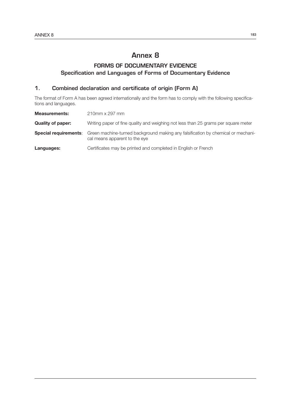# Annex 8

# FORMS OF DOCUMENTARY EVIDENCE Specification and Languages of Forms of Documentary Evidence

## 1. Combined declaration and certificate of origin (Form A)

The format of Form A has been agreed internationally and the form has to comply with the following specifications and languages.

| <b>Measurements:</b>     | 210mm x 297 mm                                                                                                                                 |
|--------------------------|------------------------------------------------------------------------------------------------------------------------------------------------|
| <b>Quality of paper:</b> | Writing paper of fine quality and weighing not less than 25 grams per square meter                                                             |
|                          | <b>Special requirements:</b> Green machine-turned background making any falsification by chemical or mechani-<br>cal means apparent to the eye |
| Languages:               | Certificates may be printed and completed in English or French                                                                                 |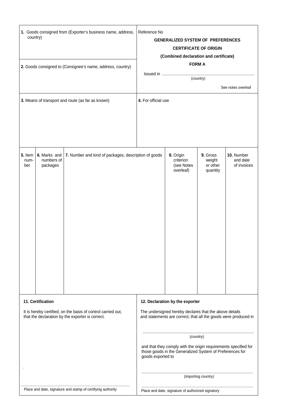| 1. Goods consigned from (Exporter's business name, address,<br>country)<br>2. Goods consigned to (Consignee's name, address, country)<br>3. Means of transport and route (as far as known) | Reference No<br><b>GENERALIZED SYSTEM OF PREFERENCES</b><br><b>CERTIFICATE OF ORIGIN</b><br>(Combined declaration and certificate)<br><b>FORM A</b><br>(country)<br>See notes overleaf<br>4. For official use                                                                                                                 |  |  |
|--------------------------------------------------------------------------------------------------------------------------------------------------------------------------------------------|-------------------------------------------------------------------------------------------------------------------------------------------------------------------------------------------------------------------------------------------------------------------------------------------------------------------------------|--|--|
| 5. Item<br>6. Marks and<br>7. Number and kind of packages, description of goods<br>numbers of<br>num-<br>packages<br>ber                                                                   | 8. Origin<br>9. Gross<br>10. Number<br>criterion<br>weight<br>and date<br>(see Notes<br>or other<br>of invoices<br>overleaf)<br>quantity                                                                                                                                                                                      |  |  |
| 11. Certification<br>It is hereby certified, on the basis of control carried out,<br>that the declaration by the exporter is correct.                                                      | 12. Declaration by the exporter<br>The undersigned hereby declares that the above details<br>and statements are correct; that all the goods were produced in<br>(country)<br>and that they comply with the origin requirements specified for<br>those goods in the Generalized System of Preferences for<br>goods exported to |  |  |
| Place and date, signature and stamp of certifying authority                                                                                                                                | (importing country)<br>Place and date, signature of authorized signatory                                                                                                                                                                                                                                                      |  |  |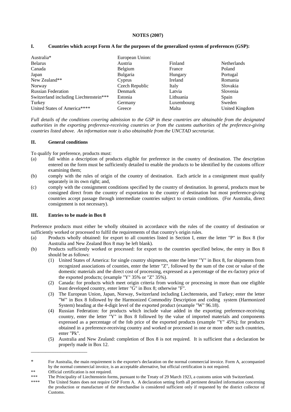#### **NOTES (2007)**

| Australia*                             | European Union: |            |                |
|----------------------------------------|-----------------|------------|----------------|
| <b>Belarus</b>                         | Austria         | Finland    | Netherlands    |
| Canada                                 | Belgium         | France     | Poland         |
| Japan                                  | Bulgaria        | Hungary    | Portugal       |
| New Zealand**                          | Cyprus          | Ireland    | Romania        |
| Norway                                 | Czech Republic  | Italy      | Slovakia       |
| <b>Russian Federation</b>              | Denmark         | Latvia     | Slovenia       |
| Switzerland including Liechtenstein*** | Estonia         | Lithuania  | Spain          |
| Turkey                                 | Germany         | Luxembourg | Sweden         |
| United States of America****           | Greece          | Malta      | United Kingdom |

#### **I. Countries which accept Form A for the purposes of the generalized system of preferences (GSP):**

*Full details of the conditions covering admission to the GSP in these countries are obtainable from the designated authorities in the exporting preference-receiving countries or from the customs authorities of the preference-giving countries listed above. An information note is also obtainable from the UNCTAD secretariat.* 

#### **II. General conditions**

To qualify for preference, products must:

- (a) fall within a description of products eligible for preference in the country of destination. The description entered on the form must be sufficiently detailed to enable the products to be identified by the customs officer examining them;
- (b) comply with the rules of origin of the country of destination. Each article in a consignment must qualify separately in its own right; and,
- (c) comply with the consignment conditions specified by the country of destination. In general, products must be consigned direct from the country of exportation to the country of destination but most preference-giving countries accept passage through intermediate countries subject to certain conditions. (For Australia, direct consignment is not necessary).

#### **III. Entries to be made in Box 8**

Preference products must either be wholly obtained in accordance with the rules of the country of destination or sufficiently worked or processed to fulfil the requirements of that country's origin rules.

- (a) Products wholly obtained: for export to all countries listed in Section I, enter the letter "P" in Box 8 (for Australia and New Zealand Box 8 may be left blank).
- (b) Products sufficiently worked or processed: for export to the countries specified below, the entry in Box 8 should be as follows:
	- (1) United States of America: for single country shipments, enter the letter "Y" in Box 8, for shipments from recognized associations of counties, enter the letter "Z", followed by the sum of the cost or value of the domestic materials and the direct cost of processing, expressed as a percentage of the ex-factory price of the exported products; (example "Y" 35% or "Z" 35%).
	- (2) Canada: for products which meet origin criteria from working or processing in more than one eligible least developed country, enter letter "G" in Box 8; otherwise "F".
	- (3) The European Union, Japan, Norway, Switzerland including Liechtenstein, and Turkey; enter the letter "W" in Box 8 followed by the Harmonized Commodity Description and coding system (Harmonized System) heading at the 4-digit level of the exported product (example "W" 96.18).
	- (4) Russian Federation: for products which include value added in the exporting preference-receiving country, enter the letter "Y" in Box 8 followed by the value of imported materials and components expressed as a percentage of the fob price of the exported products (example "Y" 45%); for products obtained in a preference-receiving country and worked or processed in one or more other such countries, enter "Pk".
	- (5) Australia and New Zealand: completion of Box 8 is not required. It is sufficient that a declaration be properly made in Box 12.

\_\_\_\_\_\_\_\_\_\_\_\_\_\_\_\_\_\_\_\_\_\_\_

<sup>\*</sup> For Australia, the main requirement is the exporter's declaration on the normal commercial invoice. Form A, accompanied by the normal commercial invoice, is an acceptable alternative, but official certification is not required.

<sup>\*\*</sup> Official certification is not required.

<sup>\*\*\*</sup> The Principality of Liechtenstein forms, pursuant to the Treaty of 29 March 1923, a customs union with Switzerland.

The United States does not require GSP Form A. A declaration setting forth all pertinent detailed information concerning the production or manufacture of the merchandise is considered sufficient only if requested by the district collector of Customs.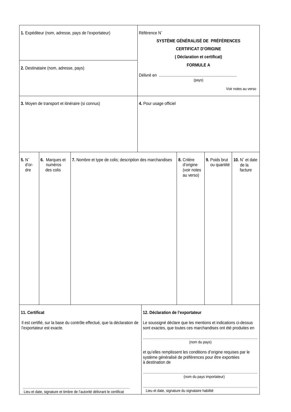| 1. Expéditeur (nom, adresse, pays de l'exportateur)<br>2. Destinataire (nom, adresse, pays)                             |                                       |                                                          | Référence N°<br>SYSTÈME GÉNÉRALISÉ DE PRÉFÉRENCES<br><b>CERTIFICAT D'ORIGINE</b><br>(Déclaration et certificat)<br><b>FORMULE A</b>                                  |                                                     |                              |                                    |
|-------------------------------------------------------------------------------------------------------------------------|---------------------------------------|----------------------------------------------------------|----------------------------------------------------------------------------------------------------------------------------------------------------------------------|-----------------------------------------------------|------------------------------|------------------------------------|
|                                                                                                                         |                                       |                                                          | (pays)<br>Voir notes au verso                                                                                                                                        |                                                     |                              |                                    |
| 3. Moyen de transport et itinéraire (si connus)                                                                         |                                       |                                                          | 4. Pour usage officiel                                                                                                                                               |                                                     |                              |                                    |
| 5. N <sup>°</sup><br>d'or-<br>dre                                                                                       | 6. Marques et<br>numéros<br>des colis | 7. Nombre et type de colis; description des marchandises |                                                                                                                                                                      | 8. Critère<br>d'origine<br>(voir notes<br>au verso) | 9. Poids brut<br>ou quantité | 10. N° et date<br>de la<br>facture |
| 11. Certificat<br>Il est certifié, sur la base du contrôle effectué, que la déclaration de<br>l'exportateur est exacte. |                                       |                                                          | 12. Déclaration de l'exportateur<br>Le soussigné déclare que les mentions et indications ci-dessus<br>sont exactes, que toutes ces marchandises ont été produites en |                                                     |                              |                                    |
|                                                                                                                         |                                       |                                                          | et qu'elles remplissent les conditions d'origine requises par le<br>système généralisé de préférences pour être exportées<br>à destination de                        | (nom du pays)                                       |                              |                                    |
|                                                                                                                         |                                       | (nom du pays importateur)                                |                                                                                                                                                                      |                                                     |                              |                                    |
| Lieu et date, signature et timbre de l'autorité délivrant le certificat                                                 |                                       |                                                          | Lieu et date, signature du signataire habilité                                                                                                                       |                                                     |                              |                                    |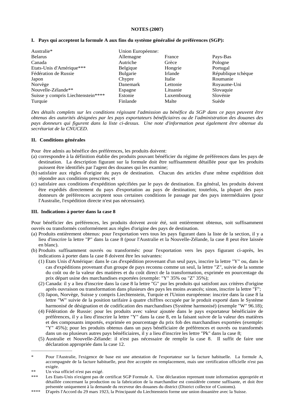#### **NOTES (2007)**

#### **I. Pays qui acceptent la formule A aux fins du système généralisé de préférences (SGP):**

| Australie*                         | Union Européenne: |            |                    |
|------------------------------------|-------------------|------------|--------------------|
| <b>Belarus</b>                     | Allemagne         | France     | Pays-Bas           |
| Canada                             | Autriche          | Grèce      | Pologne            |
| Etats-Unis d'Amérique***           | Belgique          | Hongrie    | Portugal           |
| Fédération de Russie               | <b>Bulgarie</b>   | Irlande    | République tchèque |
| Japon                              | Chypre            | Italie     | Roumanie           |
| Norvège                            | Danemark          | Lettonie   | Royaume-Uni        |
| Nouvelle-Zélande**                 | Espagne           | Lituanie   | Slovaquie          |
| Suisse y compris Liechtenstein**** | Estonie           | Luxembourg | Slovénie           |
| Turquie                            | Finlande          | Malte      | Suède              |

*Des détails complets sur les conditions régissant l'admission au bénéfice du SGP dans ce pays peuvent être obtenus des autorités désignées par les pays exportateurs bénéficiaires ou de l'administration des douanes des pays donneurs qui figurent dans la liste ci-dessus. Une note d'information peut également être obtenue du secrétariat de la CNUCED*.

#### **II. Conditions générales**

Pour être admis au bénéfice des préférences, les produits doivent:

- (a) correspondre à la définition établie des produits pouvant bénéficier du régime de préférences dans les pays de destination. La description figurant sur la formule doit être suffisamment détaillée pour que les produits puissent être identifiés par l'agent des douanes qui les examine;
- (b) satisfaire aux règles d'origine du pays de destination. Chacun des articles d'une même expédition doit répondre aux conditions prescrites; et
- (c) satisfaire aux conditions d'expédition spécifiées par le pays de destination. En général, les produits doivent être expédiés directement du pays d'exportation au pays de destination; toutefois, la plupart des pays donneurs de préférences acceptent sous certaines conditions le passage par des pays intermédiaires (pour l'Australie, l'expédition directe n'est pas nécessaire).

#### **III. Indications à porter dans la case 8**

Pour bénéficier des préférences, les produits doivent avoir été, soit entièrement obtenus, soit suffisamment ouvrés ou transformés conformément aux règles d'origine des pays de destination.

- (a) Produits entièrement obtenus: pour l'exportation vers tous les pays figurant dans la liste de la section, il y a lieu d'inscrire la lettre "P" dans la case 8 (pour l'Australie et la Nouvelle-Zélande, la case 8 peut être laissée en blanc).
- (b) Produits suffisamment ouvrés ou transformés: pour l'exportation vers les pays figurant ci-après, les indications à porter dans la case 8 doivent être les suivantes:
	- (1) Etats Unis d'Amérique: dans le cas d'expédition provenant d'un seul pays, inscrire la lettre "Y" ou, dans le cas d'expéditions provenant d'un groupe de pays reconnu comme un seul, la lettre "Z", suivie de la somme du coût ou de la valeur des matières et du coût direct de la transformation, exprimée en pourcentage du prix départ usine des marchandises exportées (exemple: "Y" 35% ou "Z" 35%);
	- (2) Canada: il y a lieu d'inscrire dans la case 8 la lettre "G" pur les produits qui satisfont aux critères d'origine après ouvraison ou transformation dans plusieurs des pays les moins avancés; sinon, inscrire la lettre "F";
	- (3) Japon, Norvège, Suisse y compris Liechtenstein, Turquie et l'Union européenne: inscrire dans la case 8 la lettre "W" suivie de la position tarifaire à quatre chiffres occupée par le produit exporté dans le Système harmonisé de désignation et de codification des marchandises (Système harmonisé) (exemple "W" 96.18);
	- (4) Fédération de Russie: pour les produits avec valeur ajoutée dans le pays exportateur bénéficiaire de préférences, il y a lieu d'inscrire la lettre "Y" dans la case 8, en la faisant suivre de la valeur des matières et des composants importés, exprimée en pourcentage du prix fob des marchandises exportées (exemple: "Y" 45%); pour les produits obtenus dans un pays bénéficiaire de préférences et ouvrés ou transformés dans un ou plusieurs autres pays bénéficiaires, il y a lieu d'inscrire les lettre "Pk" dans la case 8;
	- (5) Australie et Nouvelle-Zélande: il n'est pas nécessaire de remplir la case 8. Il suffit de faire une déclaration appropriée dans la case 12.

<sup>\*</sup> Pour l'Australie, l'exigence de base est une attestation de l'exportateur sur la facture habituelle. La formule A, accompagnée de la facture habituelle, peut être acceptée en remplacement, mais une certification officielle n'est pas exigée.

<sup>\*\*</sup> Un visa officiel n'est pas exigé.

Les Etats-Unis n'exigent pas de certificat SGP Formule A. Une déclaration reprenant toute information appropriée et détaillée concernant la production ou la fabrication de la marchandise est considérée comme suffisante, et doit être présentée uniquement à la demande du receveur des douanes du district (District collector of Customs).

<sup>\*\*\*\*</sup> D'après l'Accord du 29 mars 1923, la Principauté du Liechtenstein forme une union douanière avec la Suisse.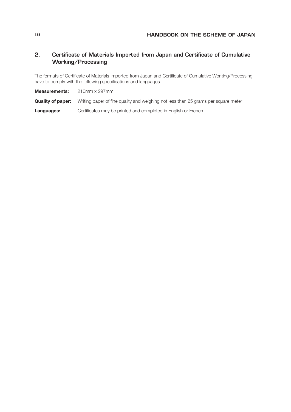## 2. Certificate of Materials Imported from Japan and Certificate of Cumulative Working/Processing

The formats of Certificate of Materials Imported from Japan and Certificate of Cumulative Working/Processing have to comply with the following specifications and languages.

Measurements: 210mm x 297mm

**Quality of paper:** Writing paper of fine quality and weighing not less than 25 grams per square meter

**Languages:** Certificates may be printed and completed in English or French